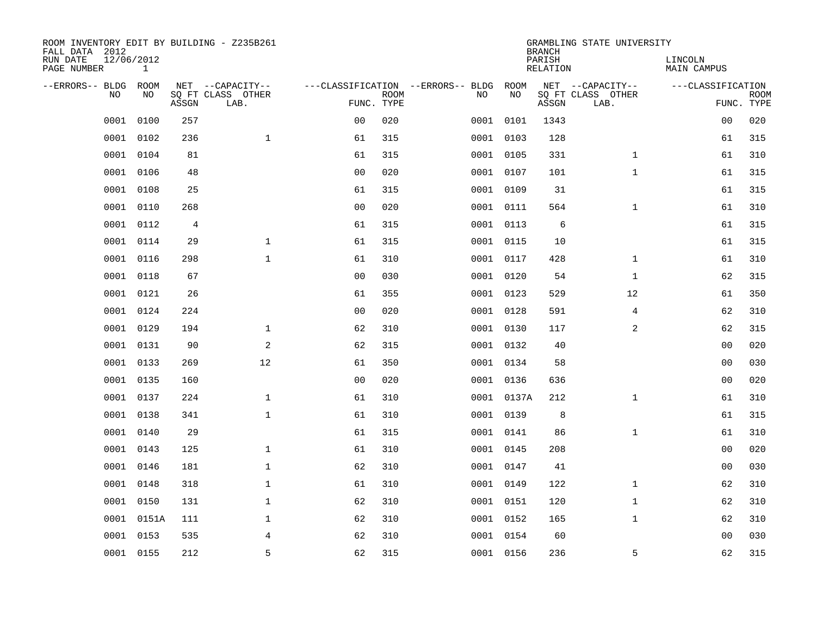| ROOM INVENTORY EDIT BY BUILDING - Z235B261<br>FALL DATA 2012 |                            |       |                           |                |             |                                   |            | <b>BRANCH</b>             | GRAMBLING STATE UNIVERSITY |                               |                           |
|--------------------------------------------------------------|----------------------------|-------|---------------------------|----------------|-------------|-----------------------------------|------------|---------------------------|----------------------------|-------------------------------|---------------------------|
| RUN DATE<br>PAGE NUMBER                                      | 12/06/2012<br>$\mathbf{1}$ |       |                           |                |             |                                   |            | PARISH<br><b>RELATION</b> |                            | LINCOLN<br><b>MAIN CAMPUS</b> |                           |
| --ERRORS-- BLDG                                              | ROOM                       |       | NET --CAPACITY--          |                |             | ---CLASSIFICATION --ERRORS-- BLDG | ROOM       |                           | NET --CAPACITY--           | ---CLASSIFICATION             |                           |
| NO                                                           | NO                         | ASSGN | SQ FT CLASS OTHER<br>LAB. | FUNC. TYPE     | <b>ROOM</b> | NO                                | NO         | ASSGN                     | SQ FT CLASS OTHER<br>LAB.  |                               | <b>ROOM</b><br>FUNC. TYPE |
| 0001                                                         | 0100                       | 257   |                           | 0 <sub>0</sub> | 020         |                                   | 0001 0101  | 1343                      |                            | 00                            | 020                       |
| 0001                                                         | 0102                       | 236   | $\mathbf{1}$              | 61             | 315         |                                   | 0001 0103  | 128                       |                            | 61                            | 315                       |
| 0001                                                         | 0104                       | 81    |                           | 61             | 315         |                                   | 0001 0105  | 331                       | $\mathbf{1}$               | 61                            | 310                       |
| 0001                                                         | 0106                       | 48    |                           | 0 <sub>0</sub> | 020         |                                   | 0001 0107  | 101                       | $\mathbf{1}$               | 61                            | 315                       |
| 0001                                                         | 0108                       | 25    |                           | 61             | 315         |                                   | 0001 0109  | 31                        |                            | 61                            | 315                       |
| 0001                                                         | 0110                       | 268   |                           | 0 <sub>0</sub> | 020         |                                   | 0001 0111  | 564                       | $\mathbf{1}$               | 61                            | 310                       |
| 0001                                                         | 0112                       | 4     |                           | 61             | 315         |                                   | 0001 0113  | 6                         |                            | 61                            | 315                       |
|                                                              | 0001 0114                  | 29    | $\mathbf{1}$              | 61             | 315         |                                   | 0001 0115  | 10                        |                            | 61                            | 315                       |
| 0001                                                         | 0116                       | 298   | $\mathbf{1}$              | 61             | 310         |                                   | 0001 0117  | 428                       | $\mathbf{1}$               | 61                            | 310                       |
| 0001                                                         | 0118                       | 67    |                           | 0 <sub>0</sub> | 030         |                                   | 0001 0120  | 54                        | $\mathbf{1}$               | 62                            | 315                       |
| 0001                                                         | 0121                       | 26    |                           | 61             | 355         |                                   | 0001 0123  | 529                       | 12                         | 61                            | 350                       |
| 0001                                                         | 0124                       | 224   |                           | 0 <sub>0</sub> | 020         |                                   | 0001 0128  | 591                       | $\overline{4}$             | 62                            | 310                       |
| 0001                                                         | 0129                       | 194   | $\mathbf 1$               | 62             | 310         |                                   | 0001 0130  | 117                       | $\overline{a}$             | 62                            | 315                       |
| 0001                                                         | 0131                       | 90    | $\overline{a}$            | 62             | 315         |                                   | 0001 0132  | 40                        |                            | 00                            | 020                       |
| 0001                                                         | 0133                       | 269   | 12                        | 61             | 350         |                                   | 0001 0134  | 58                        |                            | 00                            | 030                       |
| 0001                                                         | 0135                       | 160   |                           | 0 <sub>0</sub> | 020         |                                   | 0001 0136  | 636                       |                            | 00                            | 020                       |
| 0001                                                         | 0137                       | 224   | $\mathbf 1$               | 61             | 310         |                                   | 0001 0137A | 212                       | $\mathbf{1}$               | 61                            | 310                       |
| 0001                                                         | 0138                       | 341   | $\mathbf{1}$              | 61             | 310         |                                   | 0001 0139  | 8                         |                            | 61                            | 315                       |
| 0001                                                         | 0140                       | 29    |                           | 61             | 315         |                                   | 0001 0141  | 86                        | $\mathbf{1}$               | 61                            | 310                       |
| 0001                                                         | 0143                       | 125   | $\mathbf 1$               | 61             | 310         |                                   | 0001 0145  | 208                       |                            | 00                            | 020                       |
| 0001                                                         | 0146                       | 181   | $\mathbf 1$               | 62             | 310         |                                   | 0001 0147  | 41                        |                            | 00                            | 030                       |
| 0001                                                         | 0148                       | 318   | $\mathbf 1$               | 61             | 310         |                                   | 0001 0149  | 122                       | $\mathbf{1}$               | 62                            | 310                       |
| 0001                                                         | 0150                       | 131   | $\mathbf 1$               | 62             | 310         |                                   | 0001 0151  | 120                       | $\mathbf{1}$               | 62                            | 310                       |
| 0001                                                         | 0151A                      | 111   | $\mathbf 1$               | 62             | 310         |                                   | 0001 0152  | 165                       | $\mathbf{1}$               | 62                            | 310                       |
| 0001                                                         | 0153                       | 535   | 4                         | 62             | 310         |                                   | 0001 0154  | 60                        |                            | 00                            | 030                       |
|                                                              | 0001 0155                  | 212   | 5                         | 62             | 315         |                                   | 0001 0156  | 236                       | 5                          | 62                            | 315                       |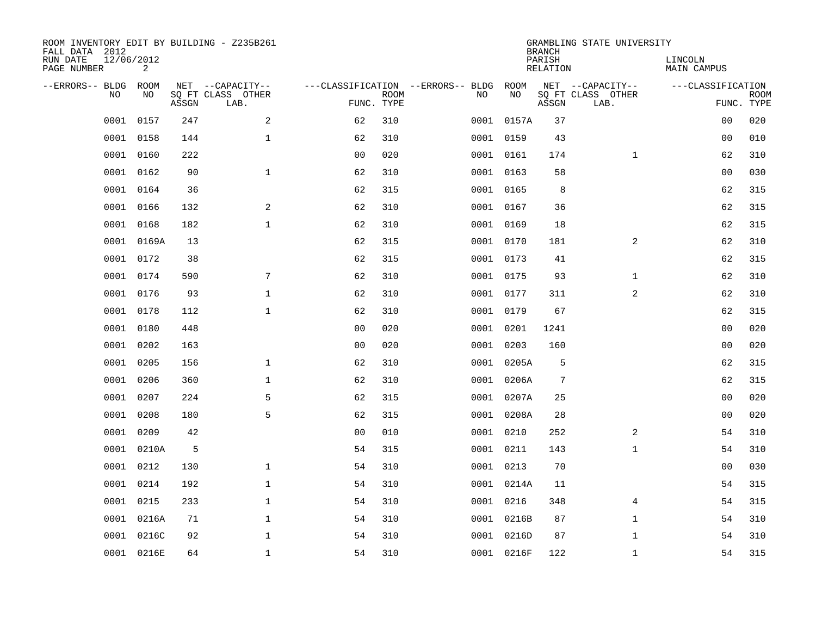| ROOM INVENTORY EDIT BY BUILDING - Z235B261<br>FALL DATA 2012 |                 |       |                           |                |             |                                   |            | <b>BRANCH</b>             | GRAMBLING STATE UNIVERSITY |                               |                           |
|--------------------------------------------------------------|-----------------|-------|---------------------------|----------------|-------------|-----------------------------------|------------|---------------------------|----------------------------|-------------------------------|---------------------------|
| RUN DATE<br>PAGE NUMBER                                      | 12/06/2012<br>2 |       |                           |                |             |                                   |            | PARISH<br><b>RELATION</b> |                            | LINCOLN<br><b>MAIN CAMPUS</b> |                           |
| --ERRORS-- BLDG                                              | ROOM            |       | NET --CAPACITY--          |                |             | ---CLASSIFICATION --ERRORS-- BLDG | ROOM       |                           | NET --CAPACITY--           | ---CLASSIFICATION             |                           |
| NO                                                           | NO              | ASSGN | SQ FT CLASS OTHER<br>LAB. | FUNC. TYPE     | <b>ROOM</b> | NO                                | NO         | ASSGN                     | SQ FT CLASS OTHER<br>LAB.  |                               | <b>ROOM</b><br>FUNC. TYPE |
| 0001                                                         | 0157            | 247   | 2                         | 62             | 310         |                                   | 0001 0157A | 37                        |                            | 00                            | 020                       |
| 0001                                                         | 0158            | 144   | $\mathbf{1}$              | 62             | 310         |                                   | 0001 0159  | 43                        |                            | 00                            | 010                       |
| 0001                                                         | 0160            | 222   |                           | 0 <sub>0</sub> | 020         |                                   | 0001 0161  | 174                       | $\mathbf{1}$               | 62                            | 310                       |
| 0001                                                         | 0162            | 90    | $\mathbf{1}$              | 62             | 310         |                                   | 0001 0163  | 58                        |                            | 0 <sub>0</sub>                | 030                       |
| 0001                                                         | 0164            | 36    |                           | 62             | 315         |                                   | 0001 0165  | 8                         |                            | 62                            | 315                       |
| 0001                                                         | 0166            | 132   | 2                         | 62             | 310         |                                   | 0001 0167  | 36                        |                            | 62                            | 315                       |
| 0001                                                         | 0168            | 182   | $\mathbf{1}$              | 62             | 310         |                                   | 0001 0169  | 18                        |                            | 62                            | 315                       |
| 0001                                                         | 0169A           | 13    |                           | 62             | 315         |                                   | 0001 0170  | 181                       | 2                          | 62                            | 310                       |
| 0001                                                         | 0172            | 38    |                           | 62             | 315         |                                   | 0001 0173  | 41                        |                            | 62                            | 315                       |
| 0001                                                         | 0174            | 590   | 7                         | 62             | 310         |                                   | 0001 0175  | 93                        | $\mathbf{1}$               | 62                            | 310                       |
| 0001                                                         | 0176            | 93    | $\mathbf{1}$              | 62             | 310         |                                   | 0001 0177  | 311                       | 2                          | 62                            | 310                       |
| 0001                                                         | 0178            | 112   | $\mathbf{1}$              | 62             | 310         |                                   | 0001 0179  | 67                        |                            | 62                            | 315                       |
| 0001                                                         | 0180            | 448   |                           | 0 <sub>0</sub> | 020         | 0001                              | 0201       | 1241                      |                            | 0 <sub>0</sub>                | 020                       |
| 0001                                                         | 0202            | 163   |                           | 0 <sub>0</sub> | 020         | 0001                              | 0203       | 160                       |                            | 00                            | 020                       |
| 0001                                                         | 0205            | 156   | $\mathbf 1$               | 62             | 310         | 0001                              | 0205A      | 5                         |                            | 62                            | 315                       |
| 0001                                                         | 0206            | 360   | $\mathbf 1$               | 62             | 310         |                                   | 0001 0206A | $\overline{7}$            |                            | 62                            | 315                       |
| 0001                                                         | 0207            | 224   | 5                         | 62             | 315         | 0001                              | 0207A      | 25                        |                            | 0 <sub>0</sub>                | 020                       |
| 0001                                                         | 0208            | 180   | 5                         | 62             | 315         |                                   | 0001 0208A | 28                        |                            | 0 <sub>0</sub>                | 020                       |
| 0001                                                         | 0209            | 42    |                           | 0 <sub>0</sub> | 010         |                                   | 0001 0210  | 252                       | 2                          | 54                            | 310                       |
| 0001                                                         | 0210A           | 5     |                           | 54             | 315         |                                   | 0001 0211  | 143                       | $\mathbf{1}$               | 54                            | 310                       |
| 0001                                                         | 0212            | 130   | $\mathbf 1$               | 54             | 310         |                                   | 0001 0213  | 70                        |                            | 00                            | 030                       |
| 0001                                                         | 0214            | 192   | $\mathbf{1}$              | 54             | 310         |                                   | 0001 0214A | 11                        |                            | 54                            | 315                       |
| 0001                                                         | 0215            | 233   | $\mathbf 1$               | 54             | 310         |                                   | 0001 0216  | 348                       | 4                          | 54                            | 315                       |
| 0001                                                         | 0216A           | 71    | $\mathbf 1$               | 54             | 310         |                                   | 0001 0216B | 87                        | $\mathbf{1}$               | 54                            | 310                       |
| 0001                                                         | 0216C           | 92    | $\mathbf 1$               | 54             | 310         |                                   | 0001 0216D | 87                        | $\mathbf{1}$               | 54                            | 310                       |
|                                                              | 0001 0216E      | 64    | $\mathbf{1}$              | 54             | 310         |                                   | 0001 0216F | 122                       | $\mathbf{1}$               | 54                            | 315                       |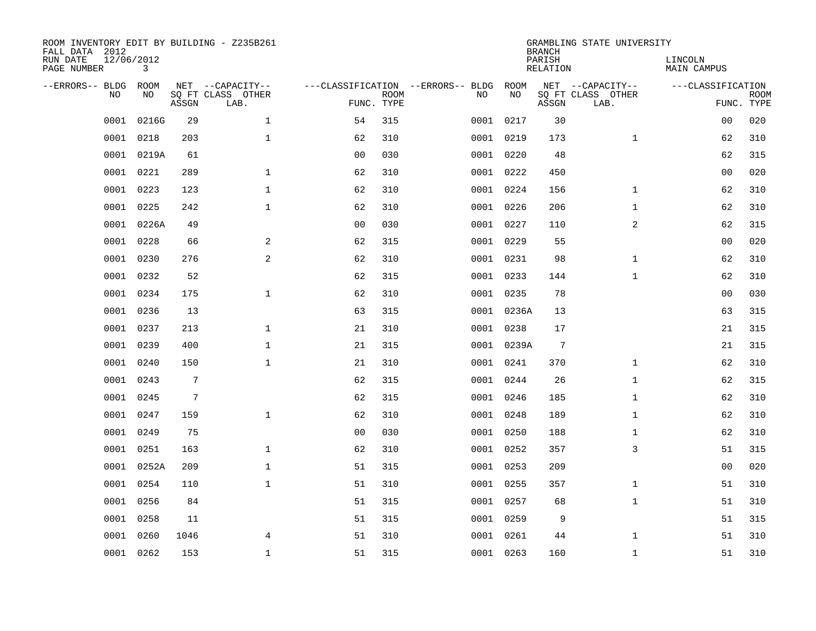| ROOM INVENTORY EDIT BY BUILDING - Z235B261<br>FALL DATA 2012 |                            |                |                           |                |             |                                   |            | <b>BRANCH</b>             | GRAMBLING STATE UNIVERSITY |                               |                           |
|--------------------------------------------------------------|----------------------------|----------------|---------------------------|----------------|-------------|-----------------------------------|------------|---------------------------|----------------------------|-------------------------------|---------------------------|
| RUN DATE<br>PAGE NUMBER                                      | 12/06/2012<br>$\mathbf{3}$ |                |                           |                |             |                                   |            | PARISH<br><b>RELATION</b> |                            | LINCOLN<br><b>MAIN CAMPUS</b> |                           |
| --ERRORS-- BLDG                                              | ROOM                       |                | NET --CAPACITY--          |                |             | ---CLASSIFICATION --ERRORS-- BLDG | ROOM       |                           | NET --CAPACITY--           | ---CLASSIFICATION             |                           |
| NO                                                           | NO                         | ASSGN          | SQ FT CLASS OTHER<br>LAB. | FUNC. TYPE     | <b>ROOM</b> | NO                                | NO         | ASSGN                     | SQ FT CLASS OTHER<br>LAB.  |                               | <b>ROOM</b><br>FUNC. TYPE |
| 0001                                                         | 0216G                      | 29             | $\mathbf{1}$              | 54             | 315         |                                   | 0001 0217  | 30                        |                            | 0 <sub>0</sub>                | 020                       |
| 0001                                                         | 0218                       | 203            | $\mathbf{1}$              | 62             | 310         |                                   | 0001 0219  | 173                       | $\mathbf{1}$               | 62                            | 310                       |
| 0001                                                         | 0219A                      | 61             |                           | 0 <sub>0</sub> | 030         |                                   | 0001 0220  | 48                        |                            | 62                            | 315                       |
| 0001                                                         | 0221                       | 289            | $\mathbf 1$               | 62             | 310         |                                   | 0001 0222  | 450                       |                            | 0 <sub>0</sub>                | 020                       |
| 0001                                                         | 0223                       | 123            | $\mathbf{1}$              | 62             | 310         |                                   | 0001 0224  | 156                       | $\mathbf{1}$               | 62                            | 310                       |
| 0001                                                         | 0225                       | 242            | $\mathbf{1}$              | 62             | 310         |                                   | 0001 0226  | 206                       | $\mathbf{1}$               | 62                            | 310                       |
| 0001                                                         | 0226A                      | 49             |                           | 0 <sub>0</sub> | 030         |                                   | 0001 0227  | 110                       | 2                          | 62                            | 315                       |
| 0001                                                         | 0228                       | 66             | $\mathbf{2}$              | 62             | 315         |                                   | 0001 0229  | 55                        |                            | 0 <sub>0</sub>                | 020                       |
| 0001                                                         | 0230                       | 276            | 2                         | 62             | 310         |                                   | 0001 0231  | 98                        | $\mathbf{1}$               | 62                            | 310                       |
| 0001                                                         | 0232                       | 52             |                           | 62             | 315         |                                   | 0001 0233  | 144                       | $\mathbf{1}$               | 62                            | 310                       |
| 0001                                                         | 0234                       | 175            | $\mathbf{1}$              | 62             | 310         |                                   | 0001 0235  | 78                        |                            | 00                            | 030                       |
|                                                              | 0001 0236                  | 13             |                           | 63             | 315         |                                   | 0001 0236A | 13                        |                            | 63                            | 315                       |
| 0001                                                         | 0237                       | 213            | $\mathbf{1}$              | 21             | 310         |                                   | 0001 0238  | 17                        |                            | 21                            | 315                       |
| 0001                                                         | 0239                       | 400            | $\mathbf{1}$              | 21             | 315         |                                   | 0001 0239A | $7\phantom{.0}$           |                            | 21                            | 315                       |
| 0001                                                         | 0240                       | 150            | $\mathbf{1}$              | 21             | 310         |                                   | 0001 0241  | 370                       | $\mathbf{1}$               | 62                            | 310                       |
| 0001                                                         | 0243                       | 7              |                           | 62             | 315         |                                   | 0001 0244  | 26                        | $\mathbf{1}$               | 62                            | 315                       |
| 0001                                                         | 0245                       | $\overline{7}$ |                           | 62             | 315         |                                   | 0001 0246  | 185                       | $\mathbf{1}$               | 62                            | 310                       |
| 0001                                                         | 0247                       | 159            | $\mathbf 1$               | 62             | 310         |                                   | 0001 0248  | 189                       | $\mathbf{1}$               | 62                            | 310                       |
| 0001                                                         | 0249                       | 75             |                           | 0 <sub>0</sub> | 030         |                                   | 0001 0250  | 188                       | $\mathbf{1}$               | 62                            | 310                       |
| 0001                                                         | 0251                       | 163            | $\mathbf{1}$              | 62             | 310         |                                   | 0001 0252  | 357                       | 3                          | 51                            | 315                       |
| 0001                                                         | 0252A                      | 209            | $\mathbf{1}$              | 51             | 315         |                                   | 0001 0253  | 209                       |                            | 0 <sub>0</sub>                | 020                       |
| 0001                                                         | 0254                       | 110            | $\mathbf{1}$              | 51             | 310         |                                   | 0001 0255  | 357                       | $\mathbf{1}$               | 51                            | 310                       |
| 0001                                                         | 0256                       | 84             |                           | 51             | 315         |                                   | 0001 0257  | 68                        | $\mathbf{1}$               | 51                            | 310                       |
| 0001                                                         | 0258                       | 11             |                           | 51             | 315         |                                   | 0001 0259  | 9                         |                            | 51                            | 315                       |
| 0001                                                         | 0260                       | 1046           | $\overline{4}$            | 51             | 310         |                                   | 0001 0261  | 44                        | $\mathbf{1}$               | 51                            | 310                       |
|                                                              | 0001 0262                  | 153            | $\mathbf 1$               | 51             | 315         |                                   | 0001 0263  | 160                       | $\mathbf{1}$               | 51                            | 310                       |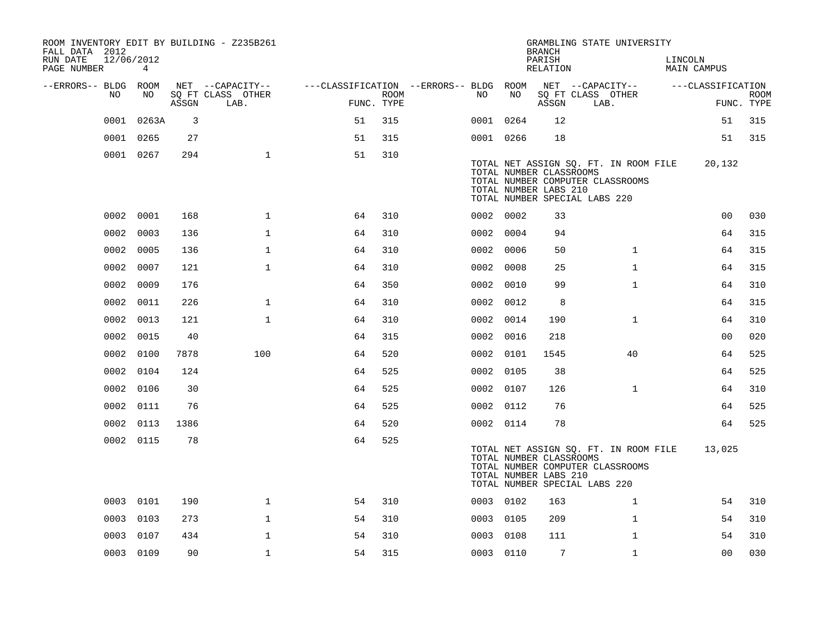| ROOM INVENTORY EDIT BY BUILDING - Z235B261<br>FALL DATA 2012 |                              |       |                           |                                        |                    |           |      | <b>BRANCH</b>                                                                     |      | GRAMBLING STATE UNIVERSITY                                                |         |                    |                           |
|--------------------------------------------------------------|------------------------------|-------|---------------------------|----------------------------------------|--------------------|-----------|------|-----------------------------------------------------------------------------------|------|---------------------------------------------------------------------------|---------|--------------------|---------------------------|
| RUN DATE<br>PAGE NUMBER                                      | 12/06/2012<br>$\overline{4}$ |       |                           |                                        |                    |           |      | PARISH<br>RELATION                                                                |      |                                                                           | LINCOLN | <b>MAIN CAMPUS</b> |                           |
| --ERRORS-- BLDG ROOM                                         |                              |       | NET --CAPACITY--          | ---CLASSIFICATION --ERRORS-- BLDG ROOM |                    |           |      |                                                                                   |      | NET --CAPACITY--                                                          |         | ---CLASSIFICATION  |                           |
| NO.                                                          | NO.                          | ASSGN | SQ FT CLASS OTHER<br>LAB. |                                        | ROOM<br>FUNC. TYPE | NO        | NO   | ASSGN                                                                             | LAB. | SQ FT CLASS OTHER                                                         |         |                    | <b>ROOM</b><br>FUNC. TYPE |
| 0001                                                         | 0263A                        | 3     |                           | 51                                     | 315                | 0001 0264 |      | 12                                                                                |      |                                                                           |         | 51                 | 315                       |
|                                                              | 0001 0265                    | 27    |                           | 51                                     | 315                | 0001 0266 |      | 18                                                                                |      |                                                                           |         | 51                 | 315                       |
|                                                              | 0001 0267                    | 294   | $\mathbf{1}$              | 51                                     | 310                |           |      | TOTAL NUMBER CLASSROOMS<br>TOTAL NUMBER LABS 210<br>TOTAL NUMBER SPECIAL LABS 220 |      | TOTAL NET ASSIGN SQ. FT. IN ROOM FILE<br>TOTAL NUMBER COMPUTER CLASSROOMS |         | 20,132             |                           |
|                                                              | 0002 0001                    | 168   | $\mathbf 1$               | 64                                     | 310                | 0002 0002 |      | 33                                                                                |      |                                                                           |         | 00                 | 030                       |
| 0002                                                         | 0003                         | 136   | $\mathbf 1$               | 64                                     | 310                | 0002 0004 |      | 94                                                                                |      |                                                                           |         | 64                 | 315                       |
| 0002                                                         | 0005                         | 136   | $\mathbf{1}$              | 64                                     | 310                | 0002      | 0006 | 50                                                                                |      | $\mathbf{1}$                                                              |         | 64                 | 315                       |
| 0002                                                         | 0007                         | 121   | $\mathbf 1$               | 64                                     | 310                | 0002 0008 |      | 25                                                                                |      | $\mathbf{1}$                                                              |         | 64                 | 315                       |
| 0002                                                         | 0009                         | 176   |                           | 64                                     | 350                | 0002      | 0010 | 99                                                                                |      | $\mathbf{1}$                                                              |         | 64                 | 310                       |
|                                                              | 0002 0011                    | 226   | $\mathbf{1}$              | 64                                     | 310                | 0002 0012 |      | 8                                                                                 |      |                                                                           |         | 64                 | 315                       |
|                                                              | 0002 0013                    | 121   | $\mathbf{1}$              | 64                                     | 310                | 0002 0014 |      | 190                                                                               |      | $\mathbf{1}$                                                              |         | 64                 | 310                       |
|                                                              | 0002 0015                    | 40    |                           | 64                                     | 315                | 0002 0016 |      | 218                                                                               |      |                                                                           |         | 0 <sub>0</sub>     | 020                       |
|                                                              | 0002 0100                    | 7878  | 100                       | 64                                     | 520                | 0002 0101 |      | 1545                                                                              |      | 40                                                                        |         | 64                 | 525                       |
| 0002                                                         | 0104                         | 124   |                           | 64                                     | 525                | 0002 0105 |      | 38                                                                                |      |                                                                           |         | 64                 | 525                       |
| 0002                                                         | 0106                         | 30    |                           | 64                                     | 525                | 0002 0107 |      | 126                                                                               |      | $\mathbf{1}$                                                              |         | 64                 | 310                       |
| 0002                                                         | 0111                         | 76    |                           | 64                                     | 525                | 0002 0112 |      | 76                                                                                |      |                                                                           |         | 64                 | 525                       |
| 0002                                                         | 0113                         | 1386  |                           | 64                                     | 520                | 0002 0114 |      | 78                                                                                |      |                                                                           |         | 64                 | 525                       |
|                                                              | 0002 0115                    | 78    |                           | 64                                     | 525                |           |      | TOTAL NUMBER CLASSROOMS<br>TOTAL NUMBER LABS 210<br>TOTAL NUMBER SPECIAL LABS 220 |      | TOTAL NET ASSIGN SQ. FT. IN ROOM FILE<br>TOTAL NUMBER COMPUTER CLASSROOMS |         | 13,025             |                           |
|                                                              | 0003 0101                    | 190   | $\mathbf 1$               | 54                                     | 310                | 0003 0102 |      | 163                                                                               |      | $\mathbf{1}$                                                              |         | 54                 | 310                       |
| 0003                                                         | 0103                         | 273   | $\mathbf 1$               | 54                                     | 310                | 0003 0105 |      | 209                                                                               |      | $\mathbf{1}$                                                              |         | 54                 | 310                       |
| 0003                                                         | 0107                         | 434   | $\mathbf{1}$              | 54                                     | 310                | 0003 0108 |      | 111                                                                               |      | $\mathbf{1}$                                                              |         | 54                 | 310                       |
|                                                              | 0003 0109                    | 90    | 1                         | 54                                     | 315                | 0003 0110 |      | $\overline{7}$                                                                    |      | $\mathbf{1}$                                                              |         | 00                 | 030                       |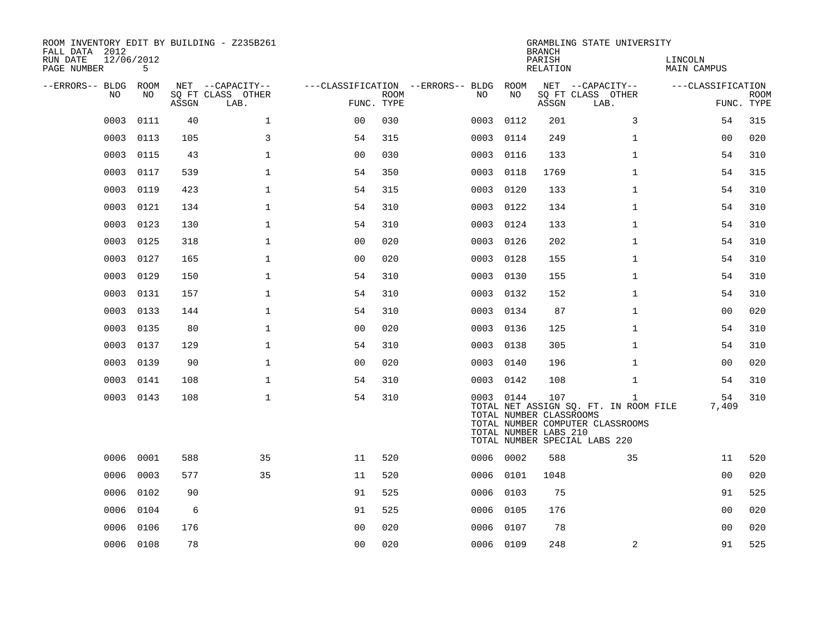| ROOM INVENTORY EDIT BY BUILDING - Z235B261<br>FALL DATA 2012<br>RUN DATE | 12/06/2012 |       |                                       |                |             |                                        |      |           | <b>BRANCH</b><br>PARISH                                 | GRAMBLING STATE UNIVERSITY                                                                                                 | LINCOLN           |             |
|--------------------------------------------------------------------------|------------|-------|---------------------------------------|----------------|-------------|----------------------------------------|------|-----------|---------------------------------------------------------|----------------------------------------------------------------------------------------------------------------------------|-------------------|-------------|
| PAGE NUMBER                                                              | 5          |       |                                       |                |             |                                        |      |           | RELATION                                                |                                                                                                                            | MAIN CAMPUS       |             |
| --ERRORS-- BLDG ROOM<br>NO.                                              | NO.        |       | NET --CAPACITY--<br>SQ FT CLASS OTHER |                | <b>ROOM</b> | ---CLASSIFICATION --ERRORS-- BLDG ROOM | NO.  | NO        |                                                         | NET --CAPACITY--<br>SQ FT CLASS OTHER                                                                                      | ---CLASSIFICATION | <b>ROOM</b> |
|                                                                          |            | ASSGN | LAB.                                  | FUNC. TYPE     |             |                                        |      |           | ASSGN                                                   | LAB.                                                                                                                       |                   | FUNC. TYPE  |
| 0003                                                                     | 0111       | 40    | $\mathbf{1}$                          | 00             | 030         |                                        | 0003 | 0112      | 201                                                     | 3                                                                                                                          | 54                | 315         |
| 0003                                                                     | 0113       | 105   | 3                                     | 54             | 315         |                                        | 0003 | 0114      | 249                                                     | $\mathbf{1}$                                                                                                               | 00                | 020         |
| 0003                                                                     | 0115       | 43    | $\mathbf{1}$                          | 0 <sub>0</sub> | 030         |                                        | 0003 | 0116      | 133                                                     | $\mathbf{1}$                                                                                                               | 54                | 310         |
| 0003                                                                     | 0117       | 539   | $\mathbf 1$                           | 54             | 350         |                                        | 0003 | 0118      | 1769                                                    | $\mathbf{1}$                                                                                                               | 54                | 315         |
| 0003                                                                     | 0119       | 423   | $\mathbf{1}$                          | 54             | 315         |                                        | 0003 | 0120      | 133                                                     | $\mathbf{1}$                                                                                                               | 54                | 310         |
| 0003                                                                     | 0121       | 134   | $\mathbf{1}$                          | 54             | 310         |                                        | 0003 | 0122      | 134                                                     | $\mathbf{1}$                                                                                                               | 54                | 310         |
| 0003                                                                     | 0123       | 130   | $\mathbf{1}$                          | 54             | 310         |                                        | 0003 | 0124      | 133                                                     | $\mathbf{1}$                                                                                                               | 54                | 310         |
| 0003                                                                     | 0125       | 318   | $\mathbf{1}$                          | 00             | 020         |                                        | 0003 | 0126      | 202                                                     | $\mathbf{1}$                                                                                                               | 54                | 310         |
| 0003                                                                     | 0127       | 165   | $\mathbf{1}$                          | 0 <sub>0</sub> | 020         |                                        |      | 0003 0128 | 155                                                     | $\mathbf{1}$                                                                                                               | 54                | 310         |
| 0003                                                                     | 0129       | 150   | $\mathbf{1}$                          | 54             | 310         |                                        | 0003 | 0130      | 155                                                     | $\mathbf{1}$                                                                                                               | 54                | 310         |
| 0003                                                                     | 0131       | 157   | $\mathbf 1$                           | 54             | 310         |                                        |      | 0003 0132 | 152                                                     | $\mathbf{1}$                                                                                                               | 54                | 310         |
| 0003                                                                     | 0133       | 144   | $\mathbf 1$                           | 54             | 310         |                                        | 0003 | 0134      | 87                                                      | $\mathbf{1}$                                                                                                               | 0 <sub>0</sub>    | 020         |
| 0003                                                                     | 0135       | 80    | $\mathbf 1$                           | 0 <sub>0</sub> | 020         |                                        |      | 0003 0136 | 125                                                     | $\mathbf{1}$                                                                                                               | 54                | 310         |
| 0003                                                                     | 0137       | 129   | $\mathbf 1$                           | 54             | 310         |                                        | 0003 | 0138      | 305                                                     | $\mathbf{1}$                                                                                                               | 54                | 310         |
| 0003                                                                     | 0139       | 90    | $\mathbf 1$                           | 0 <sub>0</sub> | 020         |                                        |      | 0003 0140 | 196                                                     | $\mathbf{1}$                                                                                                               | 00                | 020         |
| 0003                                                                     | 0141       | 108   | $\mathbf 1$                           | 54             | 310         |                                        | 0003 | 0142      | 108                                                     | $\mathbf{1}$                                                                                                               | 54                | 310         |
|                                                                          | 0003 0143  | 108   | $\mathbf 1$                           | 54             | 310         |                                        |      | 0003 0144 | 107<br>TOTAL NUMBER CLASSROOMS<br>TOTAL NUMBER LABS 210 | $\mathbf{1}$<br>TOTAL NET ASSIGN SQ. FT. IN ROOM FILE<br>TOTAL NUMBER COMPUTER CLASSROOMS<br>TOTAL NUMBER SPECIAL LABS 220 | 54<br>7,409       | 310         |
| 0006                                                                     | 0001       | 588   | 35                                    | 11             | 520         |                                        |      | 0006 0002 | 588                                                     | 35                                                                                                                         | 11                | 520         |
| 0006                                                                     | 0003       | 577   | 35                                    | 11             | 520         |                                        | 0006 | 0101      | 1048                                                    |                                                                                                                            | 0 <sub>0</sub>    | 020         |
| 0006                                                                     | 0102       | 90    |                                       | 91             | 525         |                                        |      | 0006 0103 | 75                                                      |                                                                                                                            | 91                | 525         |
| 0006                                                                     | 0104       | 6     |                                       | 91             | 525         |                                        | 0006 | 0105      | 176                                                     |                                                                                                                            | 00                | 020         |
| 0006                                                                     | 0106       | 176   |                                       | 0 <sub>0</sub> | 020         |                                        | 0006 | 0107      | 78                                                      |                                                                                                                            | 0 <sub>0</sub>    | 020         |
|                                                                          | 0006 0108  | 78    |                                       | 0 <sub>0</sub> | 020         |                                        |      | 0006 0109 | 248                                                     | 2                                                                                                                          | 91                | 525         |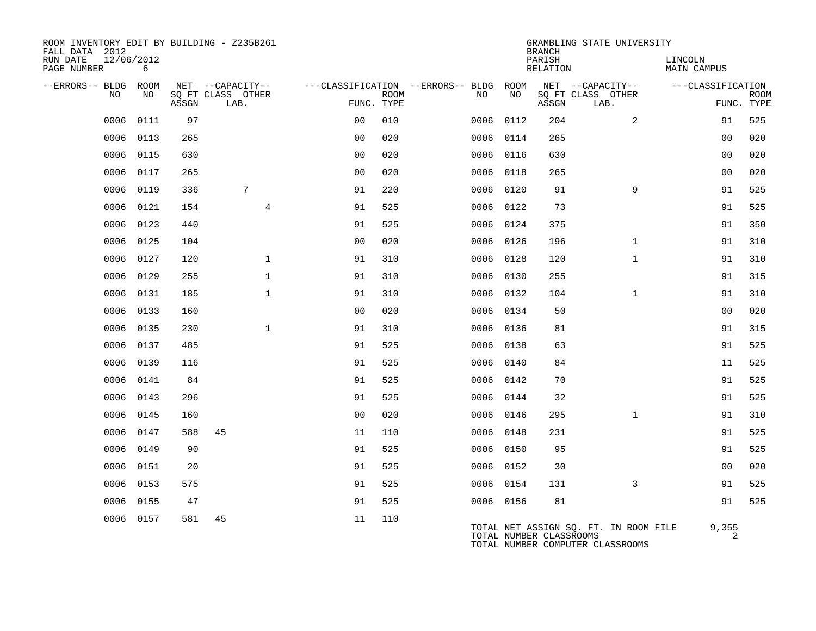| ROOM INVENTORY EDIT BY BUILDING - Z235B261<br>FALL DATA 2012 |           |       |                           |                |             |                                   |           | <b>BRANCH</b>           | GRAMBLING STATE UNIVERSITY                                                |                         |                           |
|--------------------------------------------------------------|-----------|-------|---------------------------|----------------|-------------|-----------------------------------|-----------|-------------------------|---------------------------------------------------------------------------|-------------------------|---------------------------|
| 12/06/2012<br>RUN DATE<br>PAGE NUMBER                        | 6         |       |                           |                |             |                                   |           | PARISH<br>RELATION      |                                                                           | LINCOLN<br>MAIN CAMPUS  |                           |
| --ERRORS-- BLDG                                              | ROOM      |       | NET --CAPACITY--          |                |             | ---CLASSIFICATION --ERRORS-- BLDG | ROOM      |                         | NET --CAPACITY--                                                          | ---CLASSIFICATION       |                           |
| NO                                                           | NO.       | ASSGN | SO FT CLASS OTHER<br>LAB. | FUNC. TYPE     | <b>ROOM</b> | NO                                | NO        | ASSGN                   | SO FT CLASS OTHER<br>LAB.                                                 |                         | <b>ROOM</b><br>FUNC. TYPE |
| 0006                                                         | 0111      | 97    |                           | 0 <sub>0</sub> | 010         | 0006                              | 0112      | 204                     | 2                                                                         | 91                      | 525                       |
| 0006                                                         | 0113      | 265   |                           | 0 <sub>0</sub> | 020         | 0006                              | 0114      | 265                     |                                                                           | 0 <sub>0</sub>          | 020                       |
| 0006                                                         | 0115      | 630   |                           | 0 <sub>0</sub> | 020         | 0006 0116                         |           | 630                     |                                                                           | 0 <sub>0</sub>          | 020                       |
| 0006                                                         | 0117      | 265   |                           | 0 <sub>0</sub> | 020         | 0006                              | 0118      | 265                     |                                                                           | 0 <sub>0</sub>          | 020                       |
| 0006                                                         | 0119      | 336   | 7                         | 91             | 220         | 0006 0120                         |           | 91                      | 9                                                                         | 91                      | 525                       |
| 0006                                                         | 0121      | 154   | $\overline{4}$            | 91             | 525         | 0006 0122                         |           | 73                      |                                                                           | 91                      | 525                       |
| 0006                                                         | 0123      | 440   |                           | 91             | 525         | 0006 0124                         |           | 375                     |                                                                           | 91                      | 350                       |
| 0006                                                         | 0125      | 104   |                           | 0 <sub>0</sub> | 020         | 0006                              | 0126      | 196                     | $\mathbf{1}$                                                              | 91                      | 310                       |
| 0006                                                         | 0127      | 120   | $\mathbf 1$               | 91             | 310         | 0006 0128                         |           | 120                     | $\mathbf{1}$                                                              | 91                      | 310                       |
| 0006                                                         | 0129      | 255   | $\mathbf 1$               | 91             | 310         | 0006 0130                         |           | 255                     |                                                                           | 91                      | 315                       |
| 0006                                                         | 0131      | 185   | $\mathbf{1}$              | 91             | 310         | 0006 0132                         |           | 104                     | $\mathbf{1}$                                                              | 91                      | 310                       |
| 0006                                                         | 0133      | 160   |                           | 0 <sub>0</sub> | 020         | 0006 0134                         |           | 50                      |                                                                           | 0 <sub>0</sub>          | 020                       |
| 0006                                                         | 0135      | 230   | $\mathbf{1}$              | 91             | 310         | 0006                              | 0136      | 81                      |                                                                           | 91                      | 315                       |
| 0006                                                         | 0137      | 485   |                           | 91             | 525         | 0006 0138                         |           | 63                      |                                                                           | 91                      | 525                       |
| 0006                                                         | 0139      | 116   |                           | 91             | 525         | 0006                              | 0140      | 84                      |                                                                           | 11                      | 525                       |
| 0006                                                         | 0141      | 84    |                           | 91             | 525         |                                   | 0006 0142 | 70                      |                                                                           | 91                      | 525                       |
| 0006                                                         | 0143      | 296   |                           | 91             | 525         | 0006                              | 0144      | 32                      |                                                                           | 91                      | 525                       |
| 0006                                                         | 0145      | 160   |                           | 0 <sub>0</sub> | 020         |                                   | 0006 0146 | 295                     | $\mathbf{1}$                                                              | 91                      | 310                       |
| 0006                                                         | 0147      | 588   | 45                        | 11             | 110         | 0006                              | 0148      | 231                     |                                                                           | 91                      | 525                       |
| 0006                                                         | 0149      | 90    |                           | 91             | 525         |                                   | 0006 0150 | 95                      |                                                                           | 91                      | 525                       |
| 0006                                                         | 0151      | 20    |                           | 91             | 525         | 0006 0152                         |           | 30                      |                                                                           | 0 <sub>0</sub>          | 020                       |
| 0006                                                         | 0153      | 575   |                           | 91             | 525         | 0006 0154                         |           | 131                     | 3                                                                         | 91                      | 525                       |
| 0006                                                         | 0155      | 47    |                           | 91             | 525         | 0006 0156                         |           | 81                      |                                                                           | 91                      | 525                       |
|                                                              | 0006 0157 | 581   | 45                        | 11             | 110         |                                   |           | TOTAL NUMBER CLASSROOMS | TOTAL NET ASSIGN SQ. FT. IN ROOM FILE<br>TOTAL NUMBER COMPUTER CLASSROOMS | 9,355<br>$\overline{2}$ |                           |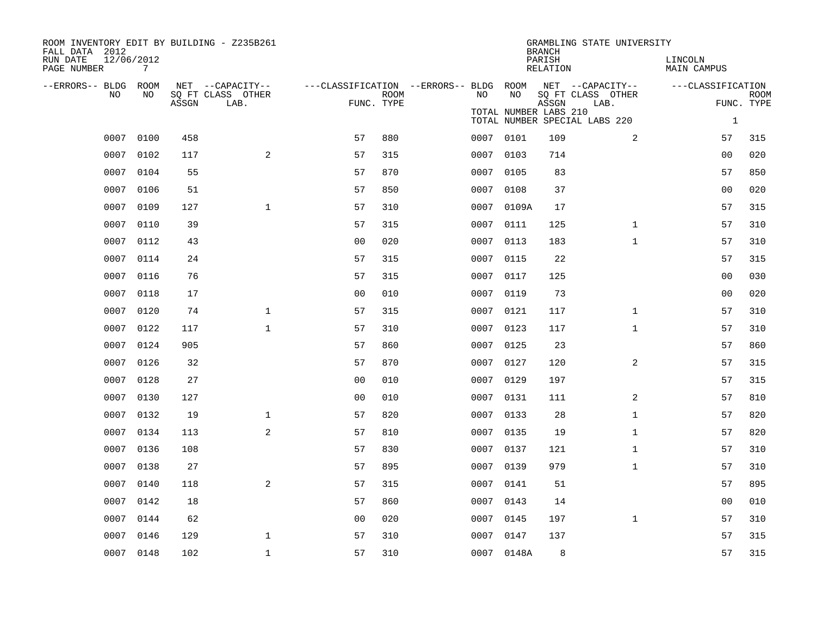| ROOM INVENTORY EDIT BY BUILDING - Z235B261<br>FALL DATA 2012 |                 |       |                                       |                                        |             |           |                       | <b>BRANCH</b>      | GRAMBLING STATE UNIVERSITY            |                        |             |
|--------------------------------------------------------------|-----------------|-------|---------------------------------------|----------------------------------------|-------------|-----------|-----------------------|--------------------|---------------------------------------|------------------------|-------------|
| RUN DATE<br>PAGE NUMBER                                      | 12/06/2012<br>7 |       |                                       |                                        |             |           |                       | PARISH<br>RELATION |                                       | LINCOLN<br>MAIN CAMPUS |             |
| --ERRORS-- BLDG ROOM<br>NO.                                  | NO.             |       | NET --CAPACITY--<br>SQ FT CLASS OTHER | ---CLASSIFICATION --ERRORS-- BLDG ROOM | <b>ROOM</b> | NO.       | NO.                   |                    | NET --CAPACITY--<br>SQ FT CLASS OTHER | ---CLASSIFICATION      | <b>ROOM</b> |
|                                                              |                 | ASSGN | LAB.                                  | FUNC. TYPE                             |             |           |                       | ASSGN              | LAB.                                  |                        | FUNC. TYPE  |
|                                                              |                 |       |                                       |                                        |             |           | TOTAL NUMBER LABS 210 |                    | TOTAL NUMBER SPECIAL LABS 220         | $\mathbf{1}$           |             |
| 0007                                                         | 0100            | 458   |                                       | 57                                     | 880         | 0007 0101 |                       | 109                | 2                                     | 57                     | 315         |
| 0007                                                         | 0102            | 117   | 2                                     | 57                                     | 315         | 0007      | 0103                  | 714                |                                       | 00                     | 020         |
| 0007                                                         | 0104            | 55    |                                       | 57                                     | 870         | 0007 0105 |                       | 83                 |                                       | 57                     | 850         |
| 0007                                                         | 0106            | 51    |                                       | 57                                     | 850         | 0007      | 0108                  | 37                 |                                       | 0 <sub>0</sub>         | 020         |
| 0007                                                         | 0109            | 127   | $\mathbf{1}$                          | 57                                     | 310         |           | 0007 0109A            | 17                 |                                       | 57                     | 315         |
| 0007                                                         | 0110            | 39    |                                       | 57                                     | 315         | 0007      | 0111                  | 125                | $\mathbf{1}$                          | 57                     | 310         |
| 0007                                                         | 0112            | 43    |                                       | 0 <sub>0</sub>                         | 020         | 0007 0113 |                       | 183                | $\mathbf{1}$                          | 57                     | 310         |
| 0007                                                         | 0114            | 24    |                                       | 57                                     | 315         | 0007      | 0115                  | 22                 |                                       | 57                     | 315         |
| 0007                                                         | 0116            | 76    |                                       | 57                                     | 315         | 0007 0117 |                       | 125                |                                       | 00                     | 030         |
| 0007                                                         | 0118            | 17    |                                       | 0 <sub>0</sub>                         | 010         | 0007      | 0119                  | 73                 |                                       | 00                     | 020         |
| 0007                                                         | 0120            | 74    | $\mathbf{1}$                          | 57                                     | 315         | 0007 0121 |                       | 117                | $\mathbf{1}$                          | 57                     | 310         |
| 0007                                                         | 0122            | 117   | $\mathbf{1}$                          | 57                                     | 310         | 0007      | 0123                  | 117                | $\mathbf{1}$                          | 57                     | 310         |
| 0007                                                         | 0124            | 905   |                                       | 57                                     | 860         | 0007 0125 |                       | 23                 |                                       | 57                     | 860         |
| 0007                                                         | 0126            | 32    |                                       | 57                                     | 870         | 0007 0127 |                       | 120                | 2                                     | 57                     | 315         |
| 0007                                                         | 0128            | 27    |                                       | 0 <sub>0</sub>                         | 010         | 0007 0129 |                       | 197                |                                       | 57                     | 315         |
| 0007                                                         | 0130            | 127   |                                       | 0 <sub>0</sub>                         | 010         | 0007 0131 |                       | 111                | 2                                     | 57                     | 810         |
| 0007                                                         | 0132            | 19    | $\mathbf{1}$                          | 57                                     | 820         | 0007 0133 |                       | 28                 | $\mathbf{1}$                          | 57                     | 820         |
| 0007                                                         | 0134            | 113   | 2                                     | 57                                     | 810         | 0007 0135 |                       | 19                 | $\mathbf{1}$                          | 57                     | 820         |
| 0007                                                         | 0136            | 108   |                                       | 57                                     | 830         | 0007      | 0137                  | 121                | $\mathbf{1}$                          | 57                     | 310         |
| 0007                                                         | 0138            | 27    |                                       | 57                                     | 895         | 0007 0139 |                       | 979                | $\mathbf{1}$                          | 57                     | 310         |
| 0007                                                         | 0140            | 118   | 2                                     | 57                                     | 315         | 0007      | 0141                  | 51                 |                                       | 57                     | 895         |
| 0007                                                         | 0142            | 18    |                                       | 57                                     | 860         | 0007 0143 |                       | 14                 |                                       | 0 <sub>0</sub>         | 010         |
| 0007                                                         | 0144            | 62    |                                       | 0 <sub>0</sub>                         | 020         | 0007      | 0145                  | 197                | $\mathbf{1}$                          | 57                     | 310         |
| 0007                                                         | 0146            | 129   | 1                                     | 57                                     | 310         | 0007 0147 |                       | 137                |                                       | 57                     | 315         |
|                                                              | 0007 0148       | 102   | $\mathbf{1}$                          | 57                                     | 310         |           | 0007 0148A            | 8                  |                                       | 57                     | 315         |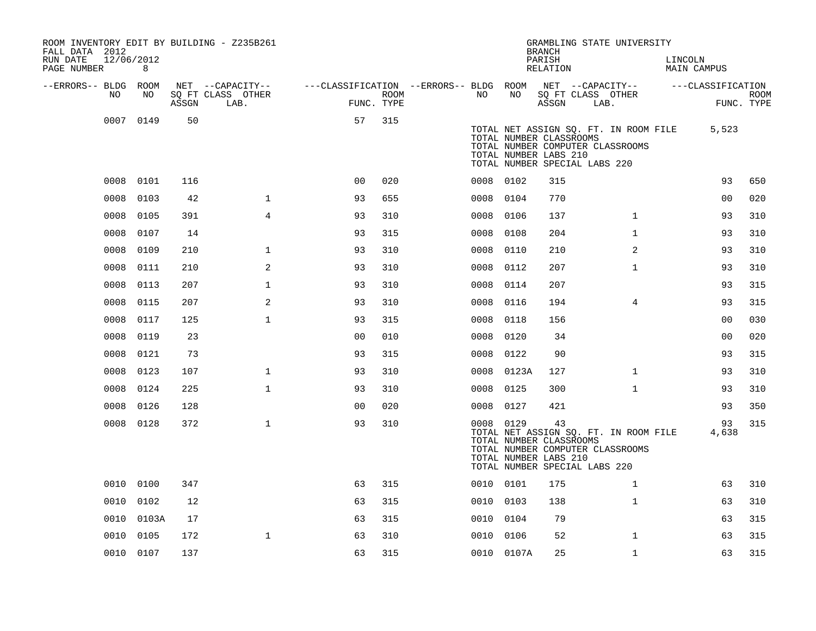| ROOM INVENTORY EDIT BY BUILDING - Z235B261<br>FALL DATA 2012 |                 |       |                           |                                        |      |           |            | <b>BRANCH</b>                                                                           |      | GRAMBLING STATE UNIVERSITY                                                |                               |                   |                           |
|--------------------------------------------------------------|-----------------|-------|---------------------------|----------------------------------------|------|-----------|------------|-----------------------------------------------------------------------------------------|------|---------------------------------------------------------------------------|-------------------------------|-------------------|---------------------------|
| RUN DATE<br>PAGE NUMBER                                      | 12/06/2012<br>8 |       |                           |                                        |      |           |            | PARISH<br>RELATION                                                                      |      |                                                                           | LINCOLN<br><b>MAIN CAMPUS</b> |                   |                           |
| --ERRORS-- BLDG ROOM                                         |                 |       | NET --CAPACITY--          | ---CLASSIFICATION --ERRORS-- BLDG ROOM |      |           |            | NET --CAPACITY--                                                                        |      |                                                                           |                               | ---CLASSIFICATION |                           |
| NO.                                                          | NO              | ASSGN | SQ FT CLASS OTHER<br>LAB. | FUNC. TYPE                             | ROOM | NO.       | NO         | ASSGN                                                                                   | LAB. | SQ FT CLASS OTHER                                                         |                               |                   | <b>ROOM</b><br>FUNC. TYPE |
|                                                              | 0007 0149       | 50    |                           | 57                                     | 315  |           |            | TOTAL NUMBER CLASSROOMS<br>TOTAL NUMBER LABS 210<br>TOTAL NUMBER SPECIAL LABS 220       |      | TOTAL NET ASSIGN SQ. FT. IN ROOM FILE<br>TOTAL NUMBER COMPUTER CLASSROOMS |                               | 5,523             |                           |
| 0008                                                         | 0101            | 116   |                           | 0 <sup>0</sup>                         | 020  | 0008 0102 |            | 315                                                                                     |      |                                                                           |                               | 93                | 650                       |
| 0008                                                         | 0103            | 42    | $\mathbf{1}$              | 93                                     | 655  | 0008      | 0104       | 770                                                                                     |      |                                                                           |                               | 0 <sub>0</sub>    | 020                       |
| 0008                                                         | 0105            | 391   | $\overline{4}$            | 93                                     | 310  | 0008      | 0106       | 137                                                                                     |      | $\mathbf{1}$                                                              |                               | 93                | 310                       |
| 0008                                                         | 0107            | 14    |                           | 93                                     | 315  | 0008      | 0108       | 204                                                                                     |      | $\mathbf{1}$                                                              |                               | 93                | 310                       |
| 0008                                                         | 0109            | 210   | $\mathbf 1$               | 93                                     | 310  | 0008      | 0110       | 210                                                                                     |      | 2                                                                         |                               | 93                | 310                       |
| 0008                                                         | 0111            | 210   | 2                         | 93                                     | 310  | 0008      | 0112       | 207                                                                                     |      | $\mathbf{1}$                                                              |                               | 93                | 310                       |
| 0008                                                         | 0113            | 207   | $\mathbf{1}$              | 93                                     | 310  | 0008      | 0114       | 207                                                                                     |      |                                                                           |                               | 93                | 315                       |
| 0008                                                         | 0115            | 207   | 2                         | 93                                     | 310  | 0008      | 0116       | 194                                                                                     |      | 4                                                                         |                               | 93                | 315                       |
| 0008                                                         | 0117            | 125   | $\mathbf{1}$              | 93                                     | 315  | 0008      | 0118       | 156                                                                                     |      |                                                                           |                               | 0 <sub>0</sub>    | 030                       |
| 0008                                                         | 0119            | 23    |                           | 0 <sub>0</sub>                         | 010  | 0008      | 0120       | 34                                                                                      |      |                                                                           |                               | 0 <sub>0</sub>    | 020                       |
| 0008                                                         | 0121            | 73    |                           | 93                                     | 315  | 0008      | 0122       | 90                                                                                      |      |                                                                           |                               | 93                | 315                       |
| 0008                                                         | 0123            | 107   | $\mathbf{1}$              | 93                                     | 310  | 0008      | 0123A      | 127                                                                                     |      | $\mathbf{1}$                                                              |                               | 93                | 310                       |
| 0008                                                         | 0124            | 225   | $\mathbf 1$               | 93                                     | 310  | 0008      | 0125       | 300                                                                                     |      | $\mathbf{1}$                                                              |                               | 93                | 310                       |
| 0008                                                         | 0126            | 128   |                           | 0 <sub>0</sub>                         | 020  | 0008 0127 |            | 421                                                                                     |      |                                                                           |                               | 93                | 350                       |
|                                                              | 0008 0128       | 372   | $\mathbf{1}$              | 93                                     | 310  | 0008 0129 |            | 43<br>TOTAL NUMBER CLASSROOMS<br>TOTAL NUMBER LABS 210<br>TOTAL NUMBER SPECIAL LABS 220 |      | TOTAL NET ASSIGN SQ. FT. IN ROOM FILE<br>TOTAL NUMBER COMPUTER CLASSROOMS |                               | 93<br>4,638       | 315                       |
|                                                              | 0010 0100       | 347   |                           | 63                                     | 315  | 0010 0101 |            | 175                                                                                     |      | $\mathbf{1}$                                                              |                               | 63                | 310                       |
| 0010                                                         | 0102            | 12    |                           | 63                                     | 315  | 0010 0103 |            | 138                                                                                     |      | $\mathbf{1}$                                                              |                               | 63                | 310                       |
| 0010                                                         | 0103A           | 17    |                           | 63                                     | 315  | 0010      | 0104       | 79                                                                                      |      |                                                                           |                               | 63                | 315                       |
| 0010                                                         | 0105            | 172   | $\mathbf{1}$              | 63                                     | 310  | 0010      | 0106       | 52                                                                                      |      | $\mathbf{1}$                                                              |                               | 63                | 315                       |
|                                                              | 0010 0107       | 137   |                           | 63                                     | 315  |           | 0010 0107A | 25                                                                                      |      | $\mathbf{1}$                                                              |                               | 63                | 315                       |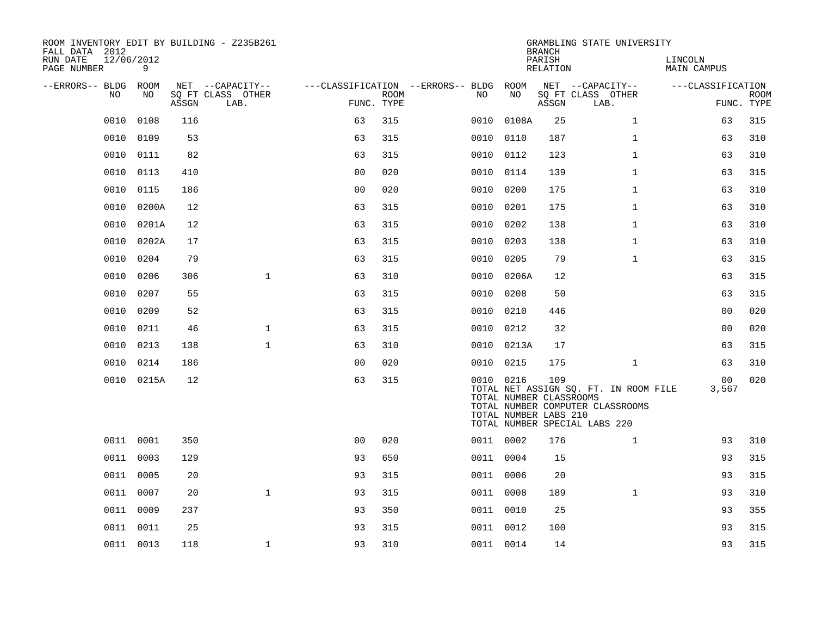| ROOM INVENTORY EDIT BY BUILDING - Z235B261<br>FALL DATA 2012 |           |       |                           |                |             |                                        |                                                  | <b>BRANCH</b>      | GRAMBLING STATE UNIVERSITY                                                                                 |                        |                           |
|--------------------------------------------------------------|-----------|-------|---------------------------|----------------|-------------|----------------------------------------|--------------------------------------------------|--------------------|------------------------------------------------------------------------------------------------------------|------------------------|---------------------------|
| 12/06/2012<br>RUN DATE<br>PAGE NUMBER                        | 9         |       |                           |                |             |                                        |                                                  | PARISH<br>RELATION |                                                                                                            | LINCOLN<br>MAIN CAMPUS |                           |
| --ERRORS-- BLDG ROOM                                         |           |       | NET --CAPACITY--          |                |             | ---CLASSIFICATION --ERRORS-- BLDG ROOM |                                                  |                    | NET --CAPACITY--                                                                                           | ---CLASSIFICATION      |                           |
| NO                                                           | NO.       | ASSGN | SO FT CLASS OTHER<br>LAB. | FUNC. TYPE     | <b>ROOM</b> | NO                                     | NO                                               | ASSGN              | SQ FT CLASS OTHER<br>LAB.                                                                                  |                        | <b>ROOM</b><br>FUNC. TYPE |
| 0010                                                         | 0108      | 116   |                           | 63             | 315         | 0010                                   | 0108A                                            | 25                 | $\mathbf{1}$                                                                                               | 63                     | 315                       |
| 0010                                                         | 0109      | 53    |                           | 63             | 315         | 0010                                   | 0110                                             | 187                | $\mathbf{1}$                                                                                               | 63                     | 310                       |
| 0010                                                         | 0111      | 82    |                           | 63             | 315         | 0010 0112                              |                                                  | 123                | $\mathbf{1}$                                                                                               | 63                     | 310                       |
| 0010                                                         | 0113      | 410   |                           | 0 <sub>0</sub> | 020         | 0010                                   | 0114                                             | 139                | $\mathbf{1}$                                                                                               | 63                     | 315                       |
| 0010                                                         | 0115      | 186   |                           | 0 <sub>0</sub> | 020         | 0010                                   | 0200                                             | 175                | $\mathbf{1}$                                                                                               | 63                     | 310                       |
| 0010                                                         | 0200A     | 12    |                           | 63             | 315         | 0010                                   | 0201                                             | 175                | $\mathbf{1}$                                                                                               | 63                     | 310                       |
| 0010                                                         | 0201A     | 12    |                           | 63             | 315         | 0010 0202                              |                                                  | 138                | $\mathbf{1}$                                                                                               | 63                     | 310                       |
| 0010                                                         | 0202A     | 17    |                           | 63             | 315         | 0010                                   | 0203                                             | 138                | $\mathbf{1}$                                                                                               | 63                     | 310                       |
| 0010                                                         | 0204      | 79    |                           | 63             | 315         | 0010 0205                              |                                                  | 79                 | $\mathbf{1}$                                                                                               | 63                     | 315                       |
| 0010                                                         | 0206      | 306   | $\mathbf{1}$              | 63             | 310         |                                        | 0010 0206A                                       | 12                 |                                                                                                            | 63                     | 315                       |
| 0010                                                         | 0207      | 55    |                           | 63             | 315         | 0010 0208                              |                                                  | 50                 |                                                                                                            | 63                     | 315                       |
| 0010                                                         | 0209      | 52    |                           | 63             | 315         | 0010                                   | 0210                                             | 446                |                                                                                                            | 0 <sub>0</sub>         | 020                       |
| 0010                                                         | 0211      | 46    | $\mathbf{1}$              | 63             | 315         | 0010 0212                              |                                                  | 32                 |                                                                                                            | 0 <sub>0</sub>         | 020                       |
| 0010                                                         | 0213      | 138   | $\mathbf{1}$              | 63             | 310         |                                        | 0010 0213A                                       | 17                 |                                                                                                            | 63                     | 315                       |
| 0010                                                         | 0214      | 186   |                           | 0 <sub>0</sub> | 020         | 0010 0215                              |                                                  | 175                | $\mathbf{1}$                                                                                               | 63                     | 310                       |
| 0010                                                         | 0215A     | 12    |                           | 63             | 315         | 0010 0216                              | TOTAL NUMBER CLASSROOMS<br>TOTAL NUMBER LABS 210 | 109                | TOTAL NET ASSIGN SQ. FT. IN ROOM FILE<br>TOTAL NUMBER COMPUTER CLASSROOMS<br>TOTAL NUMBER SPECIAL LABS 220 | 00<br>3,567            | 020                       |
|                                                              | 0011 0001 | 350   |                           | 0 <sup>0</sup> | 020         | 0011 0002                              |                                                  | 176                | $\mathbf{1}$                                                                                               | 93                     | 310                       |
|                                                              | 0011 0003 | 129   |                           | 93             | 650         | 0011 0004                              |                                                  | 15                 |                                                                                                            | 93                     | 315                       |
| 0011                                                         | 0005      | 20    |                           | 93             | 315         | 0011                                   | 0006                                             | 20                 |                                                                                                            | 93                     | 315                       |
|                                                              | 0011 0007 | 20    | $\mathbf{1}$              | 93             | 315         | 0011 0008                              |                                                  | 189                | $\mathbf{1}$                                                                                               | 93                     | 310                       |
|                                                              | 0011 0009 | 237   |                           | 93             | 350         | 0011 0010                              |                                                  | 25                 |                                                                                                            | 93                     | 355                       |
|                                                              | 0011 0011 | 25    |                           | 93             | 315         | 0011 0012                              |                                                  | 100                |                                                                                                            | 93                     | 315                       |
|                                                              | 0011 0013 | 118   | $\mathbf{1}$              | 93             | 310         | 0011 0014                              |                                                  | 14                 |                                                                                                            | 93                     | 315                       |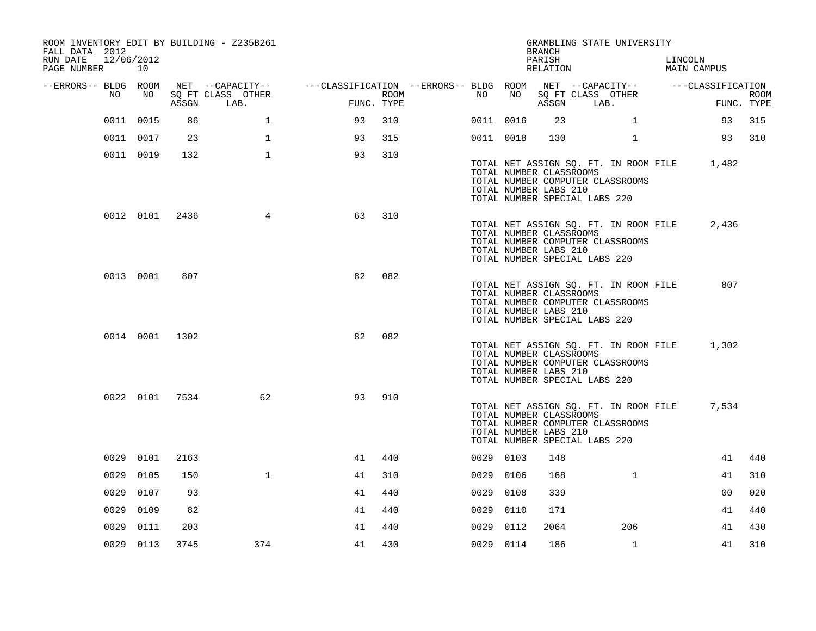| ROOM INVENTORY EDIT BY BUILDING - Z235B261<br>FALL DATA 2012<br>RUN DATE | 12/06/2012     |       |                                       |                                                         |            |           |      | <b>BRANCH</b><br>PARISH                                                           |      | GRAMBLING STATE UNIVERSITY                                                |                                             |             |
|--------------------------------------------------------------------------|----------------|-------|---------------------------------------|---------------------------------------------------------|------------|-----------|------|-----------------------------------------------------------------------------------|------|---------------------------------------------------------------------------|---------------------------------------------|-------------|
| PAGE NUMBER                                                              | 10             |       |                                       |                                                         |            |           |      | RELATION                                                                          |      |                                                                           | LINCOLN<br>MAIN CAMPUS                      |             |
| --ERRORS-- BLDG ROOM<br>NO                                               | NO             |       | NET --CAPACITY--<br>SQ FT CLASS OTHER | ---CLASSIFICATION --ERRORS-- BLDG ROOM NET --CAPACITY-- | ROOM       | NO        | NO   |                                                                                   |      | SQ FT CLASS OTHER                                                         | ---CLASSIFICATION                           | <b>ROOM</b> |
|                                                                          |                | ASSGN | LAB.                                  |                                                         | FUNC. TYPE |           |      | ASSGN                                                                             | LAB. |                                                                           |                                             | FUNC. TYPE  |
|                                                                          | 0011 0015      | 86    | $\mathbf 1$                           | 93                                                      | 310        | 0011 0016 |      | 23                                                                                |      | $\mathbf{1}$                                                              | 93                                          | 315         |
|                                                                          | 0011 0017      | 23    | $\mathbf{1}$                          | 93                                                      | 315        | 0011 0018 |      | 130                                                                               |      | $\mathbf{1}$                                                              |                                             | 93 310      |
|                                                                          | 0011 0019      | 132   | $\mathbf{1}$                          | 93                                                      | 310        |           |      | TOTAL NUMBER CLASSROOMS<br>TOTAL NUMBER LABS 210<br>TOTAL NUMBER SPECIAL LABS 220 |      | TOTAL NUMBER COMPUTER CLASSROOMS                                          | TOTAL NET ASSIGN SQ. FT. IN ROOM FILE 1,482 |             |
|                                                                          | 0012 0101      | 2436  | 4                                     | 63                                                      | 310        |           |      | TOTAL NUMBER CLASSROOMS<br>TOTAL NUMBER LABS 210<br>TOTAL NUMBER SPECIAL LABS 220 |      | TOTAL NET ASSIGN SQ. FT. IN ROOM FILE<br>TOTAL NUMBER COMPUTER CLASSROOMS | 2,436                                       |             |
|                                                                          | 0013 0001      | 807   |                                       | 82                                                      | 082        |           |      | TOTAL NUMBER CLASSROOMS<br>TOTAL NUMBER LABS 210<br>TOTAL NUMBER SPECIAL LABS 220 |      | TOTAL NET ASSIGN SQ. FT. IN ROOM FILE<br>TOTAL NUMBER COMPUTER CLASSROOMS | 807                                         |             |
|                                                                          | 0014 0001 1302 |       |                                       | 82                                                      | 082        |           |      | TOTAL NUMBER CLASSROOMS<br>TOTAL NUMBER LABS 210<br>TOTAL NUMBER SPECIAL LABS 220 |      | TOTAL NET ASSIGN SQ. FT. IN ROOM FILE<br>TOTAL NUMBER COMPUTER CLASSROOMS | 1,302                                       |             |
|                                                                          | 0022 0101 7534 |       | 62                                    | 93                                                      | 910        |           |      | TOTAL NUMBER CLASSROOMS<br>TOTAL NUMBER LABS 210<br>TOTAL NUMBER SPECIAL LABS 220 |      | TOTAL NET ASSIGN SQ. FT. IN ROOM FILE<br>TOTAL NUMBER COMPUTER CLASSROOMS | 7,534                                       |             |
|                                                                          | 0029 0101      | 2163  |                                       | 41                                                      | 440        | 0029 0103 |      | 148                                                                               |      |                                                                           | 41                                          | 440         |
| 0029                                                                     | 0105           | 150   | $\mathbf{1}$                          | 41                                                      | 310        | 0029 0106 |      | 168                                                                               |      | $\mathbf{1}$                                                              | 41                                          | 310         |
| 0029                                                                     | 0107           | 93    |                                       | 41                                                      | 440        | 0029      | 0108 | 339                                                                               |      |                                                                           | 0 <sub>0</sub>                              | 020         |
| 0029                                                                     | 0109           | 82    |                                       | 41                                                      | 440        | 0029 0110 |      | 171                                                                               |      |                                                                           | 41                                          | 440         |
| 0029                                                                     | 0111           | 203   |                                       | 41                                                      | 440        | 0029      | 0112 | 2064                                                                              |      | 206                                                                       | 41                                          | 430         |
|                                                                          | 0029 0113      | 3745  | 374                                   | 41                                                      | 430        | 0029 0114 |      | 186                                                                               |      | 1                                                                         | 41                                          | 310         |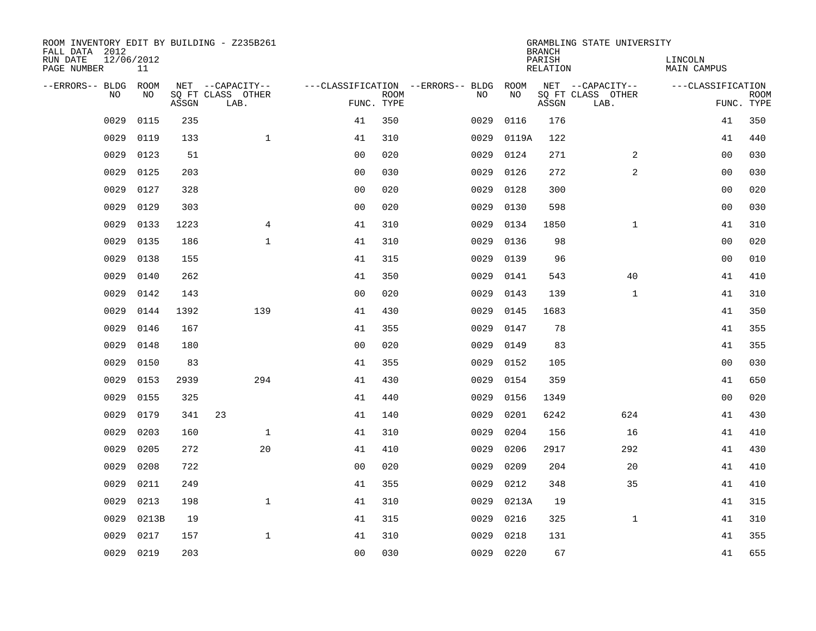| ROOM INVENTORY EDIT BY BUILDING - Z235B261<br>FALL DATA 2012 |                  |       |                           |                |                           |                                        |           | <b>BRANCH</b>             | GRAMBLING STATE UNIVERSITY |                               |             |
|--------------------------------------------------------------|------------------|-------|---------------------------|----------------|---------------------------|----------------------------------------|-----------|---------------------------|----------------------------|-------------------------------|-------------|
| RUN DATE<br>PAGE NUMBER                                      | 12/06/2012<br>11 |       |                           |                |                           |                                        |           | PARISH<br><b>RELATION</b> |                            | LINCOLN<br><b>MAIN CAMPUS</b> |             |
| --ERRORS-- BLDG                                              | ROOM             |       | NET --CAPACITY--          |                |                           | ---CLASSIFICATION --ERRORS-- BLDG ROOM |           |                           | NET --CAPACITY--           | ---CLASSIFICATION             |             |
| NO                                                           | NO               | ASSGN | SQ FT CLASS OTHER<br>LAB. |                | <b>ROOM</b><br>FUNC. TYPE | NO                                     | NO        | ASSGN                     | SQ FT CLASS OTHER<br>LAB.  | FUNC. TYPE                    | <b>ROOM</b> |
| 0029                                                         | 0115             | 235   |                           | 41             | 350                       | 0029                                   | 0116      | 176                       |                            | 41                            | 350         |
| 0029                                                         | 0119             | 133   | $\mathbf{1}$              | 41             | 310                       | 0029                                   | 0119A     | 122                       |                            | 41                            | 440         |
| 0029                                                         | 0123             | 51    |                           | 0 <sub>0</sub> | 020                       | 0029                                   | 0124      | 271                       | $\overline{2}$             | 00                            | 030         |
| 0029                                                         | 0125             | 203   |                           | 0 <sub>0</sub> | 030                       | 0029                                   | 0126      | 272                       | $\overline{a}$             | 00                            | 030         |
| 0029                                                         | 0127             | 328   |                           | 0 <sub>0</sub> | 020                       | 0029                                   | 0128      | 300                       |                            | 0 <sub>0</sub>                | 020         |
| 0029                                                         | 0129             | 303   |                           | 0 <sub>0</sub> | 020                       | 0029                                   | 0130      | 598                       |                            | 0 <sub>0</sub>                | 030         |
| 0029                                                         | 0133             | 1223  | $\overline{4}$            | 41             | 310                       | 0029                                   | 0134      | 1850                      | $\mathbf{1}$               | 41                            | 310         |
| 0029                                                         | 0135             | 186   | $\mathbf{1}$              | 41             | 310                       | 0029                                   | 0136      | 98                        |                            | 0 <sub>0</sub>                | 020         |
| 0029                                                         | 0138             | 155   |                           | 41             | 315                       | 0029                                   | 0139      | 96                        |                            | 0 <sub>0</sub>                | 010         |
| 0029                                                         | 0140             | 262   |                           | 41             | 350                       | 0029                                   | 0141      | 543                       | 40                         | 41                            | 410         |
| 0029                                                         | 0142             | 143   |                           | 0 <sub>0</sub> | 020                       | 0029                                   | 0143      | 139                       | $\mathbf{1}$               | 41                            | 310         |
| 0029                                                         | 0144             | 1392  | 139                       | 41             | 430                       | 0029                                   | 0145      | 1683                      |                            | 41                            | 350         |
| 0029                                                         | 0146             | 167   |                           | 41             | 355                       | 0029                                   | 0147      | 78                        |                            | 41                            | 355         |
| 0029                                                         | 0148             | 180   |                           | 0 <sub>0</sub> | 020                       | 0029                                   | 0149      | 83                        |                            | 41                            | 355         |
| 0029                                                         | 0150             | 83    |                           | 41             | 355                       | 0029                                   | 0152      | 105                       |                            | 0 <sub>0</sub>                | 030         |
| 0029                                                         | 0153             | 2939  | 294                       | 41             | 430                       | 0029                                   | 0154      | 359                       |                            | 41                            | 650         |
| 0029                                                         | 0155             | 325   |                           | 41             | 440                       | 0029                                   | 0156      | 1349                      |                            | 0 <sub>0</sub>                | 020         |
| 0029                                                         | 0179             | 341   | 23                        | 41             | 140                       | 0029                                   | 0201      | 6242                      | 624                        | 41                            | 430         |
| 0029                                                         | 0203             | 160   | $\mathbf{1}$              | 41             | 310                       | 0029                                   | 0204      | 156                       | 16                         | 41                            | 410         |
| 0029                                                         | 0205             | 272   | 20                        | 41             | 410                       | 0029                                   | 0206      | 2917                      | 292                        | 41                            | 430         |
| 0029                                                         | 0208             | 722   |                           | 0 <sub>0</sub> | 020                       | 0029                                   | 0209      | 204                       | 20                         | 41                            | 410         |
| 0029                                                         | 0211             | 249   |                           | 41             | 355                       | 0029                                   | 0212      | 348                       | 35                         | 41                            | 410         |
| 0029                                                         | 0213             | 198   | $\mathbf{1}$              | 41             | 310                       | 0029                                   | 0213A     | 19                        |                            | 41                            | 315         |
| 0029                                                         | 0213B            | 19    |                           | 41             | 315                       | 0029                                   | 0216      | 325                       | $\mathbf{1}$               | 41                            | 310         |
| 0029                                                         | 0217             | 157   | $\mathbf{1}$              | 41             | 310                       | 0029                                   | 0218      | 131                       |                            | 41                            | 355         |
|                                                              | 0029 0219        | 203   |                           | 0 <sub>0</sub> | 030                       |                                        | 0029 0220 | 67                        |                            | 41                            | 655         |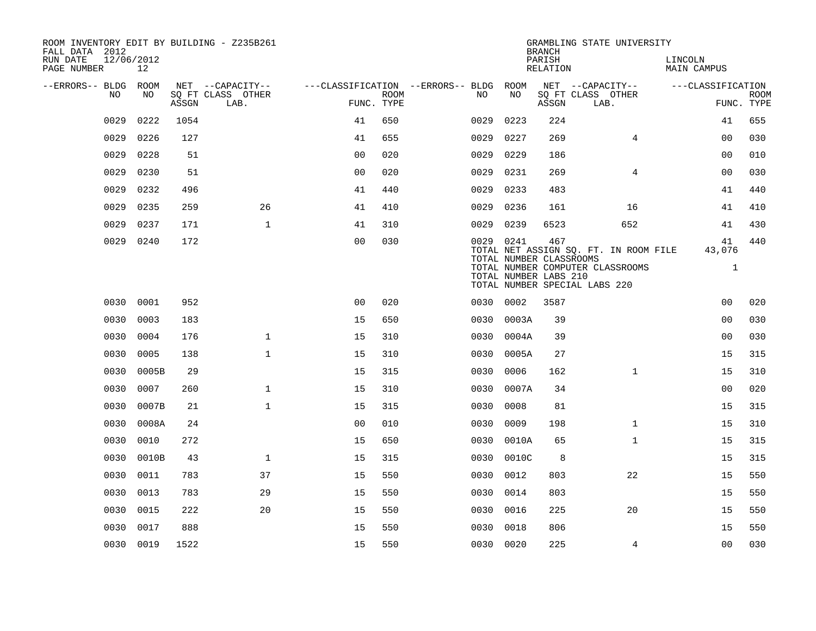| ROOM INVENTORY EDIT BY BUILDING - Z235B261<br>FALL DATA 2012 |                  |       |                           |                |             |                                        |           | <b>BRANCH</b>                                           | GRAMBLING STATE UNIVERSITY                                                                                 |                              |                           |
|--------------------------------------------------------------|------------------|-------|---------------------------|----------------|-------------|----------------------------------------|-----------|---------------------------------------------------------|------------------------------------------------------------------------------------------------------------|------------------------------|---------------------------|
| RUN DATE<br>PAGE NUMBER                                      | 12/06/2012<br>12 |       |                           |                |             |                                        |           | PARISH<br>RELATION                                      |                                                                                                            | LINCOLN<br>MAIN CAMPUS       |                           |
| --ERRORS-- BLDG ROOM                                         |                  |       | NET --CAPACITY--          |                |             | ---CLASSIFICATION --ERRORS-- BLDG ROOM |           |                                                         | NET --CAPACITY--                                                                                           | ---CLASSIFICATION            |                           |
| NO                                                           | NO               | ASSGN | SQ FT CLASS OTHER<br>LAB. | FUNC. TYPE     | <b>ROOM</b> | NO                                     | NO        | ASSGN                                                   | SQ FT CLASS OTHER<br>LAB.                                                                                  |                              | <b>ROOM</b><br>FUNC. TYPE |
| 0029                                                         | 0222             | 1054  |                           | 41             | 650         | 0029                                   | 0223      | 224                                                     |                                                                                                            | 41                           | 655                       |
| 0029                                                         | 0226             | 127   |                           | 41             | 655         | 0029                                   | 0227      | 269                                                     | $\overline{4}$                                                                                             | 00                           | 030                       |
| 0029                                                         | 0228             | 51    |                           | 0 <sub>0</sub> | 020         | 0029                                   | 0229      | 186                                                     |                                                                                                            | 0 <sub>0</sub>               | 010                       |
| 0029                                                         | 0230             | 51    |                           | 0 <sub>0</sub> | 020         | 0029                                   | 0231      | 269                                                     | $\overline{4}$                                                                                             | 0 <sub>0</sub>               | 030                       |
| 0029                                                         | 0232             | 496   |                           | 41             | 440         | 0029                                   | 0233      | 483                                                     |                                                                                                            | 41                           | 440                       |
| 0029                                                         | 0235             | 259   | 26                        | 41             | 410         | 0029                                   | 0236      | 161                                                     | 16                                                                                                         | 41                           | 410                       |
| 0029                                                         | 0237             | 171   | $\mathbf{1}$              | 41             | 310         | 0029                                   | 0239      | 6523                                                    | 652                                                                                                        | 41                           | 430                       |
| 0029                                                         | 0240             | 172   |                           | 00             | 030         |                                        | 0029 0241 | 467<br>TOTAL NUMBER CLASSROOMS<br>TOTAL NUMBER LABS 210 | TOTAL NET ASSIGN SQ. FT. IN ROOM FILE<br>TOTAL NUMBER COMPUTER CLASSROOMS<br>TOTAL NUMBER SPECIAL LABS 220 | 41<br>43,076<br>$\mathbf{1}$ | 440                       |
| 0030                                                         | 0001             | 952   |                           | 0 <sub>0</sub> | 020         |                                        | 0030 0002 | 3587                                                    |                                                                                                            | 0 <sub>0</sub>               | 020                       |
| 0030                                                         | 0003             | 183   |                           | 15             | 650         | 0030                                   | 0003A     | 39                                                      |                                                                                                            | 00                           | 030                       |
| 0030                                                         | 0004             | 176   | $\mathbf 1$               | 15             | 310         | 0030                                   | 0004A     | 39                                                      |                                                                                                            | 0 <sub>0</sub>               | 030                       |
| 0030                                                         | 0005             | 138   | $\mathbf{1}$              | 15             | 310         | 0030                                   | 0005A     | 27                                                      |                                                                                                            | 15                           | 315                       |
| 0030                                                         | 0005B            | 29    |                           | 15             | 315         | 0030                                   | 0006      | 162                                                     | $\mathbf{1}$                                                                                               | 15                           | 310                       |
| 0030                                                         | 0007             | 260   | $\mathbf 1$               | 15             | 310         | 0030                                   | 0007A     | 34                                                      |                                                                                                            | 0 <sub>0</sub>               | 020                       |
| 0030                                                         | 0007B            | 21    | $\mathbf{1}$              | 15             | 315         | 0030                                   | 0008      | 81                                                      |                                                                                                            | 15                           | 315                       |
| 0030                                                         | 0008A            | 24    |                           | 0 <sub>0</sub> | 010         | 0030                                   | 0009      | 198                                                     | $\mathbf{1}$                                                                                               | 15                           | 310                       |
| 0030                                                         | 0010             | 272   |                           | 15             | 650         | 0030                                   | 0010A     | 65                                                      | $\mathbf{1}$                                                                                               | 15                           | 315                       |
| 0030                                                         | 0010B            | 43    | $\mathbf{1}$              | 15             | 315         | 0030                                   | 0010C     | 8                                                       |                                                                                                            | 15                           | 315                       |
| 0030                                                         | 0011             | 783   | 37                        | 15             | 550         | 0030                                   | 0012      | 803                                                     | 22                                                                                                         | 15                           | 550                       |
| 0030                                                         | 0013             | 783   | 29                        | 15             | 550         | 0030                                   | 0014      | 803                                                     |                                                                                                            | 15                           | 550                       |
| 0030                                                         | 0015             | 222   | 20                        | 15             | 550         | 0030                                   | 0016      | 225                                                     | 20                                                                                                         | 15                           | 550                       |
| 0030                                                         | 0017             | 888   |                           | 15             | 550         | 0030                                   | 0018      | 806                                                     |                                                                                                            | 15                           | 550                       |
|                                                              | 0030 0019        | 1522  |                           | 15             | 550         |                                        | 0030 0020 | 225                                                     | 4                                                                                                          | 0 <sub>0</sub>               | 030                       |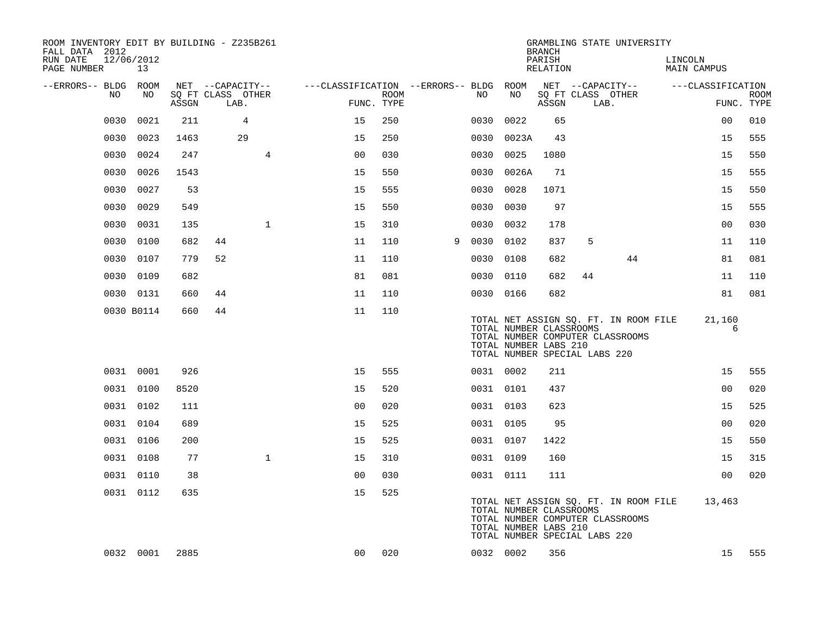| ROOM INVENTORY EDIT BY BUILDING - Z235B261<br>FALL DATA 2012<br>RUN DATE<br>PAGE NUMBER | 12/06/2012<br>13 |       |                   |                |                                        |      |   |           |                                                  | <b>BRANCH</b><br>PARISH<br>RELATION |                               | GRAMBLING STATE UNIVERSITY                                                | LINCOLN<br><b>MAIN CAMPUS</b> |             |
|-----------------------------------------------------------------------------------------|------------------|-------|-------------------|----------------|----------------------------------------|------|---|-----------|--------------------------------------------------|-------------------------------------|-------------------------------|---------------------------------------------------------------------------|-------------------------------|-------------|
| --ERRORS-- BLDG                                                                         | ROOM             |       | NET --CAPACITY--  |                | ---CLASSIFICATION --ERRORS-- BLDG ROOM |      |   |           |                                                  |                                     |                               | NET --CAPACITY--                                                          | ---CLASSIFICATION             |             |
| NO                                                                                      | NO               |       | SQ FT CLASS OTHER |                | FUNC. TYPE                             | ROOM |   | NO        | NO                                               |                                     |                               | SQ FT CLASS OTHER                                                         |                               | <b>ROOM</b> |
|                                                                                         |                  | ASSGN | LAB.              |                |                                        |      |   |           |                                                  | ASSGN                               |                               | LAB.                                                                      |                               | FUNC. TYPE  |
| 0030                                                                                    | 0021             | 211   | 4                 |                | 15                                     | 250  |   | 0030      | 0022                                             | 65                                  |                               |                                                                           | 0 <sub>0</sub>                | 010         |
| 0030                                                                                    | 0023             | 1463  | 29                |                | 15                                     | 250  |   | 0030      | 0023A                                            | 43                                  |                               |                                                                           | 15                            | 555         |
| 0030                                                                                    | 0024             | 247   |                   | $\overline{4}$ | 0 <sub>0</sub>                         | 030  |   | 0030      | 0025                                             | 1080                                |                               |                                                                           | 15                            | 550         |
| 0030                                                                                    | 0026             | 1543  |                   |                | 15                                     | 550  |   | 0030      | 0026A                                            | 71                                  |                               |                                                                           | 15                            | 555         |
| 0030                                                                                    | 0027             | 53    |                   |                | 15                                     | 555  |   | 0030      | 0028                                             | 1071                                |                               |                                                                           | 15                            | 550         |
| 0030                                                                                    | 0029             | 549   |                   |                | 15                                     | 550  |   | 0030      | 0030                                             | 97                                  |                               |                                                                           | 15                            | 555         |
| 0030                                                                                    | 0031             | 135   |                   | $\mathbf{1}$   | 15                                     | 310  |   | 0030      | 0032                                             | 178                                 |                               |                                                                           | 0 <sub>0</sub>                | 030         |
| 0030                                                                                    | 0100             | 682   | 44                |                | 11                                     | 110  | 9 | 0030      | 0102                                             | 837                                 | 5                             |                                                                           | 11                            | 110         |
| 0030                                                                                    | 0107             | 779   | 52                |                | 11                                     | 110  |   | 0030      | 0108                                             | 682                                 |                               | 44                                                                        | 81                            | 081         |
| 0030                                                                                    | 0109             | 682   |                   |                | 81                                     | 081  |   | 0030 0110 |                                                  | 682                                 | 44                            |                                                                           | 11                            | 110         |
|                                                                                         | 0030 0131        | 660   | 44                |                | 11                                     | 110  |   | 0030 0166 |                                                  | 682                                 |                               |                                                                           | 81                            | 081         |
|                                                                                         | 0030 B0114       | 660   | 44                |                | 11                                     | 110  |   |           | TOTAL NUMBER CLASSROOMS<br>TOTAL NUMBER LABS 210 |                                     | TOTAL NUMBER SPECIAL LABS 220 | TOTAL NET ASSIGN SQ. FT. IN ROOM FILE<br>TOTAL NUMBER COMPUTER CLASSROOMS | 21,160<br>6                   |             |
|                                                                                         | 0031 0001        | 926   |                   |                | 15                                     | 555  |   | 0031 0002 |                                                  | 211                                 |                               |                                                                           | 15                            | 555         |
|                                                                                         | 0031 0100        | 8520  |                   |                | 15                                     | 520  |   | 0031 0101 |                                                  | 437                                 |                               |                                                                           | 00                            | 020         |
|                                                                                         | 0031 0102        | 111   |                   |                | 0 <sub>0</sub>                         | 020  |   | 0031 0103 |                                                  | 623                                 |                               |                                                                           | 15                            | 525         |
|                                                                                         | 0031 0104        | 689   |                   |                | 15                                     | 525  |   | 0031 0105 |                                                  | 95                                  |                               |                                                                           | 0 <sub>0</sub>                | 020         |
|                                                                                         | 0031 0106        | 200   |                   |                | 15                                     | 525  |   | 0031 0107 |                                                  | 1422                                |                               |                                                                           | 15                            | 550         |
|                                                                                         | 0031 0108        | 77    |                   | $\mathbf{1}$   | 15                                     | 310  |   | 0031 0109 |                                                  | 160                                 |                               |                                                                           | 15                            | 315         |
|                                                                                         | 0031 0110        | 38    |                   |                | 0 <sup>0</sup>                         | 030  |   | 0031 0111 |                                                  | 111                                 |                               |                                                                           | 0 <sub>0</sub>                | 020         |
|                                                                                         | 0031 0112        | 635   |                   |                | 15                                     | 525  |   |           | TOTAL NUMBER CLASSROOMS<br>TOTAL NUMBER LABS 210 |                                     | TOTAL NUMBER SPECIAL LABS 220 | TOTAL NET ASSIGN SQ. FT. IN ROOM FILE<br>TOTAL NUMBER COMPUTER CLASSROOMS | 13,463                        |             |
|                                                                                         | 0032 0001        | 2885  |                   |                | 00                                     | 020  |   | 0032 0002 |                                                  | 356                                 |                               |                                                                           | 15                            | 555         |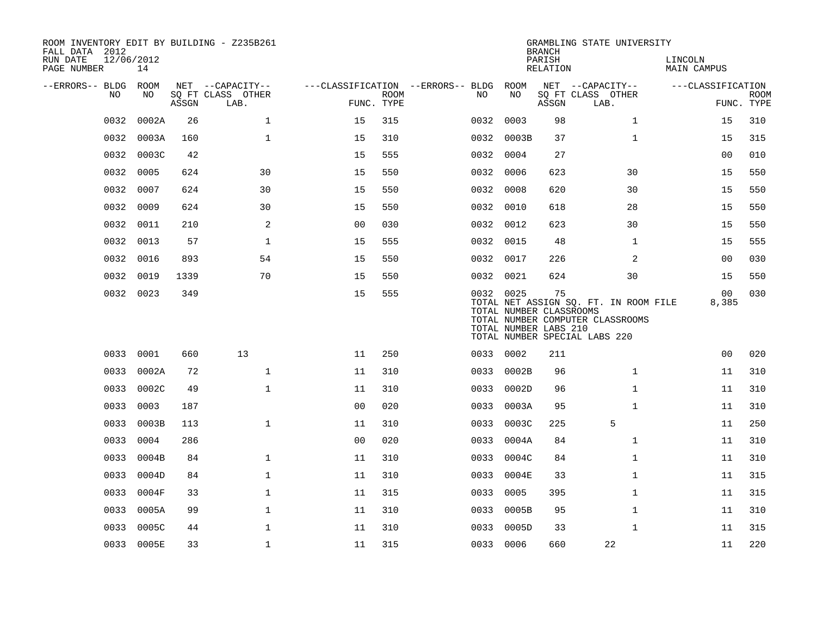| ROOM INVENTORY EDIT BY BUILDING - Z235B261<br>FALL DATA 2012<br>RUN DATE<br>PAGE NUMBER | 12/06/2012<br>14 |       |                   |                |             |                                   |           | <b>BRANCH</b><br>PARISH<br>RELATION                    | GRAMBLING STATE UNIVERSITY                                                                                 | LINCOLN<br>MAIN CAMPUS |             |
|-----------------------------------------------------------------------------------------|------------------|-------|-------------------|----------------|-------------|-----------------------------------|-----------|--------------------------------------------------------|------------------------------------------------------------------------------------------------------------|------------------------|-------------|
| --ERRORS-- BLDG ROOM                                                                    |                  |       | NET --CAPACITY--  |                |             | ---CLASSIFICATION --ERRORS-- BLDG | ROOM      |                                                        | NET --CAPACITY--                                                                                           | ---CLASSIFICATION      |             |
| NO                                                                                      | NO               |       | SQ FT CLASS OTHER |                | <b>ROOM</b> | NO.                               | NO        |                                                        | SQ FT CLASS OTHER                                                                                          |                        | <b>ROOM</b> |
|                                                                                         |                  | ASSGN | LAB.              | FUNC. TYPE     |             |                                   |           | ASSGN                                                  | LAB.                                                                                                       |                        | FUNC. TYPE  |
| 0032                                                                                    | 0002A            | 26    | $\mathbf 1$       | 15             | 315         | 0032                              | 0003      | 98                                                     | $\mathbf{1}$                                                                                               | 15                     | 310         |
| 0032                                                                                    | 0003A            | 160   | $\mathbf{1}$      | 15             | 310         | 0032                              | 0003B     | 37                                                     | $\mathbf{1}$                                                                                               | 15                     | 315         |
| 0032                                                                                    | 0003C            | 42    |                   | 15             | 555         |                                   | 0032 0004 | 27                                                     |                                                                                                            | 0 <sub>0</sub>         | 010         |
| 0032                                                                                    | 0005             | 624   | 30                | 15             | 550         | 0032                              | 0006      | 623                                                    | 30                                                                                                         | 15                     | 550         |
| 0032                                                                                    | 0007             | 624   | 30                | 15             | 550         |                                   | 0032 0008 | 620                                                    | 30                                                                                                         | 15                     | 550         |
| 0032                                                                                    | 0009             | 624   | 30                | 15             | 550         |                                   | 0032 0010 | 618                                                    | 28                                                                                                         | 15                     | 550         |
| 0032                                                                                    | 0011             | 210   | 2                 | 0 <sub>0</sub> | 030         |                                   | 0032 0012 | 623                                                    | 30                                                                                                         | 15                     | 550         |
| 0032                                                                                    | 0013             | 57    | $\mathbf 1$       | 15             | 555         |                                   | 0032 0015 | 48                                                     | $\mathbf{1}$                                                                                               | 15                     | 555         |
| 0032                                                                                    | 0016             | 893   | 54                | 15             | 550         |                                   | 0032 0017 | 226                                                    | 2                                                                                                          | 00                     | 030         |
| 0032                                                                                    | 0019             | 1339  | 70                | 15             | 550         |                                   | 0032 0021 | 624                                                    | 30                                                                                                         | 15                     | 550         |
|                                                                                         | 0032 0023        | 349   |                   | 15             | 555         |                                   | 0032 0025 | 75<br>TOTAL NUMBER CLASSROOMS<br>TOTAL NUMBER LABS 210 | TOTAL NET ASSIGN SQ. FT. IN ROOM FILE<br>TOTAL NUMBER COMPUTER CLASSROOMS<br>TOTAL NUMBER SPECIAL LABS 220 | 00<br>8,385            | 030         |
|                                                                                         | 0033 0001        | 660   | 13                | 11             | 250         |                                   | 0033 0002 | 211                                                    |                                                                                                            | 0 <sub>0</sub>         | 020         |
| 0033                                                                                    | 0002A            | 72    | $\mathbf{1}$      | 11             | 310         | 0033                              | 0002B     | 96                                                     | $\mathbf{1}$                                                                                               | 11                     | 310         |
| 0033                                                                                    | 0002C            | 49    | $\mathbf 1$       | 11             | 310         | 0033                              | 0002D     | 96                                                     | $\mathbf{1}$                                                                                               | 11                     | 310         |
| 0033                                                                                    | 0003             | 187   |                   | 0 <sub>0</sub> | 020         | 0033                              | 0003A     | 95                                                     | $\mathbf{1}$                                                                                               | 11                     | 310         |
| 0033                                                                                    | 0003B            | 113   | $\mathbf{1}$      | 11             | 310         | 0033                              | 0003C     | 225                                                    | 5                                                                                                          | 11                     | 250         |
| 0033                                                                                    | 0004             | 286   |                   | 0 <sub>0</sub> | 020         | 0033                              | 0004A     | 84                                                     | $\mathbf{1}$                                                                                               | 11                     | 310         |
| 0033                                                                                    | 0004B            | 84    | $\mathbf 1$       | 11             | 310         | 0033                              | 0004C     | 84                                                     | $\mathbf{1}$                                                                                               | 11                     | 310         |
| 0033                                                                                    | 0004D            | 84    | $\mathbf{1}$      | 11             | 310         | 0033                              | 0004E     | 33                                                     | $\mathbf{1}$                                                                                               | 11                     | 315         |
| 0033                                                                                    | 0004F            | 33    | $\mathbf 1$       | 11             | 315         | 0033                              | 0005      | 395                                                    | $\mathbf{1}$                                                                                               | 11                     | 315         |
| 0033                                                                                    | 0005A            | 99    | $\mathbf{1}$      | 11             | 310         | 0033                              | 0005B     | 95                                                     | $\mathbf{1}$                                                                                               | 11                     | 310         |
| 0033                                                                                    | 0005C            | 44    | $\mathbf 1$       | 11             | 310         | 0033                              | 0005D     | 33                                                     | $\mathbf{1}$                                                                                               | 11                     | 315         |
|                                                                                         | 0033 0005E       | 33    | $\mathbf{1}$      | 11             | 315         |                                   | 0033 0006 | 660                                                    | 22                                                                                                         | 11                     | 220         |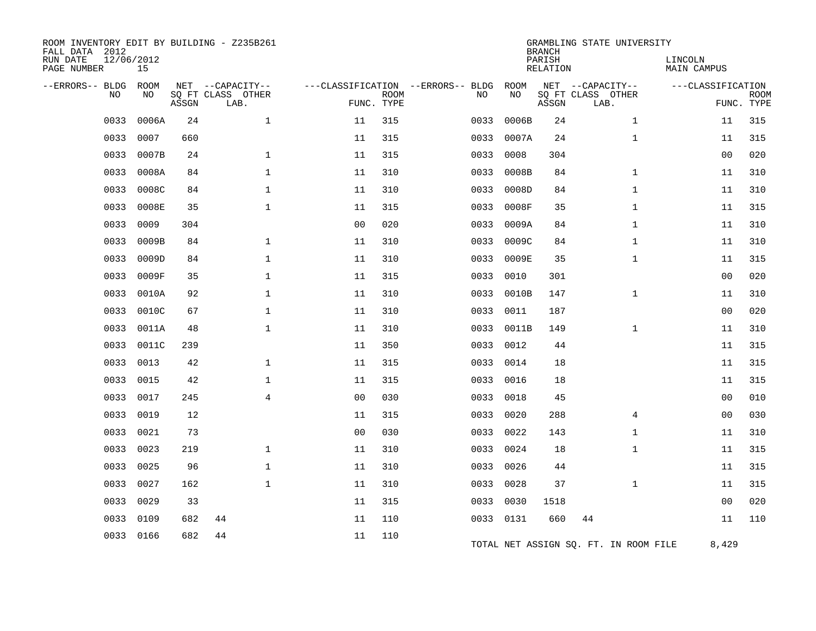| ROOM INVENTORY EDIT BY BUILDING - Z235B261<br>FALL DATA 2012<br>RUN DATE<br>PAGE NUMBER | 12/06/2012<br>15 |       |                           |                |             |                                   |           | <b>BRANCH</b><br>PARISH<br><b>RELATION</b> | GRAMBLING STATE UNIVERSITY            | LINCOLN<br><b>MAIN CAMPUS</b> |                           |
|-----------------------------------------------------------------------------------------|------------------|-------|---------------------------|----------------|-------------|-----------------------------------|-----------|--------------------------------------------|---------------------------------------|-------------------------------|---------------------------|
| --ERRORS-- BLDG                                                                         | ROOM             |       | NET --CAPACITY--          |                |             | ---CLASSIFICATION --ERRORS-- BLDG | ROOM      |                                            | NET --CAPACITY--                      | ---CLASSIFICATION             |                           |
| NO.                                                                                     | NO               | ASSGN | SQ FT CLASS OTHER<br>LAB. | FUNC. TYPE     | <b>ROOM</b> | NO                                | NO        | ASSGN                                      | SQ FT CLASS OTHER<br>LAB.             |                               | <b>ROOM</b><br>FUNC. TYPE |
| 0033                                                                                    | 0006A            | 24    | $\mathbf{1}$              | 11             | 315         | 0033                              | 0006B     | 24                                         | $\mathbf{1}$                          | 11                            | 315                       |
| 0033                                                                                    | 0007             | 660   |                           | 11             | 315         | 0033                              | 0007A     | 24                                         | $\mathbf{1}$                          | 11                            | 315                       |
| 0033                                                                                    | 0007B            | 24    | $\mathbf 1$               | 11             | 315         | 0033                              | 0008      | 304                                        |                                       | 0 <sub>0</sub>                | 020                       |
| 0033                                                                                    | 0008A            | 84    | 1                         | 11             | 310         | 0033                              | 0008B     | 84                                         | $\mathbf{1}$                          | 11                            | 310                       |
| 0033                                                                                    | 0008C            | 84    | $\mathbf 1$               | 11             | 310         | 0033                              | 0008D     | 84                                         | $\mathbf{1}$                          | 11                            | 310                       |
| 0033                                                                                    | 0008E            | 35    | $\mathbf{1}$              | 11             | 315         | 0033                              | 0008F     | 35                                         | $\mathbf{1}$                          | 11                            | 315                       |
| 0033                                                                                    | 0009             | 304   |                           | 0 <sub>0</sub> | 020         | 0033                              | 0009A     | 84                                         | $\mathbf{1}$                          | 11                            | 310                       |
| 0033                                                                                    | 0009B            | 84    | $\mathbf{1}$              | 11             | 310         | 0033                              | 0009C     | 84                                         | $\mathbf{1}$                          | 11                            | 310                       |
| 0033                                                                                    | 0009D            | 84    | $\mathbf{1}$              | 11             | 310         | 0033                              | 0009E     | 35                                         | $\mathbf{1}$                          | 11                            | 315                       |
| 0033                                                                                    | 0009F            | 35    | $\mathbf{1}$              | 11             | 315         | 0033                              | 0010      | 301                                        |                                       | 0 <sub>0</sub>                | 020                       |
| 0033                                                                                    | 0010A            | 92    | $\mathbf 1$               | 11             | 310         | 0033                              | 0010B     | 147                                        | $\mathbf{1}$                          | 11                            | 310                       |
| 0033                                                                                    | 0010C            | 67    | $\mathbf 1$               | 11             | 310         | 0033                              | 0011      | 187                                        |                                       | 00                            | 020                       |
| 0033                                                                                    | 0011A            | 48    | $\mathbf 1$               | 11             | 310         | 0033                              | 0011B     | 149                                        | $\mathbf{1}$                          | 11                            | 310                       |
| 0033                                                                                    | 0011C            | 239   |                           | 11             | 350         | 0033                              | 0012      | 44                                         |                                       | 11                            | 315                       |
| 0033                                                                                    | 0013             | 42    | $\mathbf 1$               | 11             | 315         | 0033                              | 0014      | 18                                         |                                       | 11                            | 315                       |
| 0033                                                                                    | 0015             | 42    | $\mathbf{1}$              | 11             | 315         | 0033                              | 0016      | 18                                         |                                       | 11                            | 315                       |
| 0033                                                                                    | 0017             | 245   | $\overline{4}$            | 0 <sup>0</sup> | 030         | 0033                              | 0018      | 45                                         |                                       | 00                            | 010                       |
| 0033                                                                                    | 0019             | 12    |                           | 11             | 315         | 0033                              | 0020      | 288                                        | 4                                     | 00                            | 030                       |
| 0033                                                                                    | 0021             | 73    |                           | 0 <sub>0</sub> | 030         | 0033                              | 0022      | 143                                        | $\mathbf{1}$                          | 11                            | 310                       |
| 0033                                                                                    | 0023             | 219   | 1                         | 11             | 310         | 0033                              | 0024      | 18                                         | $\mathbf{1}$                          | 11                            | 315                       |
| 0033                                                                                    | 0025             | 96    | $\mathbf 1$               | 11             | 310         | 0033                              | 0026      | 44                                         |                                       | 11                            | 315                       |
| 0033                                                                                    | 0027             | 162   | $\mathbf{1}$              | 11             | 310         | 0033                              | 0028      | 37                                         | $\mathbf{1}$                          | 11                            | 315                       |
| 0033                                                                                    | 0029             | 33    |                           | 11             | 315         | 0033                              | 0030      | 1518                                       |                                       | 0 <sub>0</sub>                | 020                       |
| 0033                                                                                    | 0109             | 682   | 44                        | 11             | 110         |                                   | 0033 0131 | 660                                        | 44                                    | 11                            | 110                       |
| 0033                                                                                    | 0166             | 682   | 44                        | 11             | 110         |                                   |           |                                            | TOTAL NET ASSIGN SQ. FT. IN ROOM FILE | 8,429                         |                           |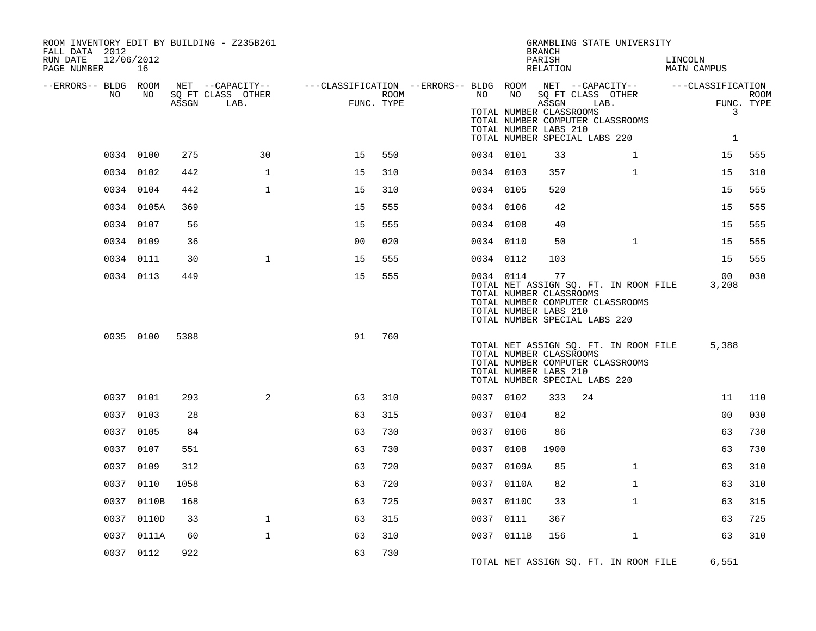| ROOM INVENTORY EDIT BY BUILDING - Z235B261<br>FALL DATA 2012 |            |       |                           |                                                                               |                    |           |                                                  | <b>BRANCH</b>      | GRAMBLING STATE UNIVERSITY                                                                                 |         |                          |                           |
|--------------------------------------------------------------|------------|-------|---------------------------|-------------------------------------------------------------------------------|--------------------|-----------|--------------------------------------------------|--------------------|------------------------------------------------------------------------------------------------------------|---------|--------------------------|---------------------------|
| RUN DATE<br>12/06/2012<br>PAGE NUMBER                        | 16         |       |                           |                                                                               |                    |           |                                                  | PARISH<br>RELATION |                                                                                                            | LINCOLN | MAIN CAMPUS              |                           |
| --ERRORS-- BLDG ROOM<br>NO.                                  |            |       | NET --CAPACITY--          | ---CLASSIFICATION --ERRORS-- BLDG ROOM NET --CAPACITY--     ---CLASSIFICATION |                    |           |                                                  |                    |                                                                                                            |         |                          |                           |
|                                                              | NO         | ASSGN | SO FT CLASS OTHER<br>LAB. |                                                                               | ROOM<br>FUNC. TYPE | NO        | TOTAL NUMBER CLASSROOMS<br>TOTAL NUMBER LABS 210 | ASSGN              | NO SQ FT CLASS OTHER<br>LAB.<br>TOTAL NUMBER COMPUTER CLASSROOMS                                           |         | 3                        | <b>ROOM</b><br>FUNC. TYPE |
|                                                              |            |       |                           |                                                                               |                    |           |                                                  |                    | TOTAL NUMBER SPECIAL LABS 220                                                                              |         | $\mathbf{1}$             |                           |
|                                                              | 0034 0100  | 275   | 30                        | 15                                                                            | 550                | 0034 0101 |                                                  | 33                 | $\mathbf{1}$                                                                                               |         | 15                       | 555                       |
|                                                              | 0034 0102  | 442   | $\mathbf{1}$              | 15                                                                            | 310                | 0034 0103 |                                                  | 357                | $\mathbf{1}$                                                                                               |         | 15                       | 310                       |
|                                                              | 0034 0104  | 442   | $\mathbf{1}$              | 15                                                                            | 310                | 0034 0105 |                                                  | 520                |                                                                                                            |         | 15                       | 555                       |
|                                                              | 0034 0105A | 369   |                           | 15                                                                            | 555                | 0034 0106 |                                                  | 42                 |                                                                                                            |         | 15                       | 555                       |
|                                                              | 0034 0107  | 56    |                           | 15                                                                            | 555                | 0034 0108 |                                                  | 40                 |                                                                                                            |         | 15                       | 555                       |
|                                                              | 0034 0109  | 36    |                           | 0 <sub>0</sub>                                                                | 020                | 0034 0110 |                                                  | 50                 | $\mathbf{1}$                                                                                               |         | 15                       | 555                       |
|                                                              | 0034 0111  | 30    | $\mathbf{1}$              | 15                                                                            | 555                | 0034 0112 |                                                  | 103                |                                                                                                            |         | 15                       | 555                       |
|                                                              | 0034 0113  | 449   |                           | 15                                                                            | 555                | 0034 0114 | TOTAL NUMBER CLASSROOMS<br>TOTAL NUMBER LABS 210 | 77                 | TOTAL NET ASSIGN SQ. FT. IN ROOM FILE<br>TOTAL NUMBER COMPUTER CLASSROOMS<br>TOTAL NUMBER SPECIAL LABS 220 |         | 00 <sub>o</sub><br>3,208 | 030                       |
|                                                              | 0035 0100  | 5388  |                           | 91                                                                            | 760                |           | TOTAL NUMBER CLASSROOMS<br>TOTAL NUMBER LABS 210 |                    | TOTAL NET ASSIGN SQ. FT. IN ROOM FILE<br>TOTAL NUMBER COMPUTER CLASSROOMS<br>TOTAL NUMBER SPECIAL LABS 220 |         | 5,388                    |                           |
|                                                              | 0037 0101  | 293   | $\overline{2}$            | 63                                                                            | 310                | 0037 0102 |                                                  | 333                | 24                                                                                                         |         | 11                       | 110                       |
|                                                              | 0037 0103  | 28    |                           | 63                                                                            | 315                | 0037 0104 |                                                  | 82                 |                                                                                                            |         | 0 <sub>0</sub>           | 030                       |
|                                                              | 0037 0105  | 84    |                           | 63                                                                            | 730                | 0037 0106 |                                                  | 86                 |                                                                                                            |         | 63                       | 730                       |
|                                                              | 0037 0107  | 551   |                           | 63                                                                            | 730                | 0037 0108 |                                                  | 1900               |                                                                                                            |         | 63                       | 730                       |
|                                                              | 0037 0109  | 312   |                           | 63                                                                            | 720                |           | 0037 0109A                                       | 85                 | $\mathbf{1}$                                                                                               |         | 63                       | 310                       |
|                                                              | 0037 0110  | 1058  |                           | 63                                                                            | 720                |           | 0037 0110A                                       | 82                 | $\mathbf{1}$                                                                                               |         | 63                       | 310                       |
|                                                              | 0037 0110B | 168   |                           | 63                                                                            | 725                |           | 0037 0110C                                       | 33                 | $\mathbf{1}$                                                                                               |         | 63                       | 315                       |
|                                                              | 0037 0110D | 33    | $\mathbf{1}$              | 63                                                                            | 315                | 0037 0111 |                                                  | 367                |                                                                                                            |         | 63                       | 725                       |
|                                                              | 0037 0111A | 60    | $\mathbf{1}$              | 63                                                                            | 310                |           | 0037 0111B                                       | 156                | $\mathbf{1}$                                                                                               |         | 63                       | 310                       |
|                                                              | 0037 0112  | 922   |                           | 63                                                                            | 730                |           |                                                  |                    | TOTAL NET ASSIGN SQ. FT. IN ROOM FILE                                                                      |         | 6,551                    |                           |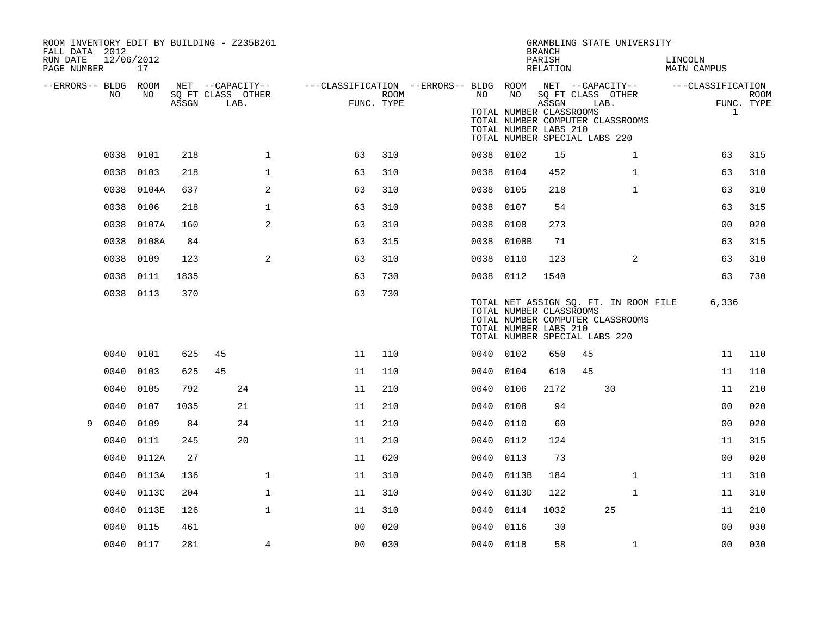| ROOM INVENTORY EDIT BY BUILDING - Z235B261<br>FALL DATA 2012<br>RUN DATE<br>PAGE NUMBER | 12/06/2012 | 17        |       |                                               |              |                                                                       |      |           |                                                        | <b>BRANCH</b><br>PARISH<br>RELATION | GRAMBLING STATE UNIVERSITY                                                                                 |                | LINCOLN<br>MAIN CAMPUS |                            |             |
|-----------------------------------------------------------------------------------------|------------|-----------|-------|-----------------------------------------------|--------------|-----------------------------------------------------------------------|------|-----------|--------------------------------------------------------|-------------------------------------|------------------------------------------------------------------------------------------------------------|----------------|------------------------|----------------------------|-------------|
| --ERRORS-- BLDG ROOM                                                                    | NO.        | NO        | ASSGN | NET --CAPACITY--<br>SQ FT CLASS OTHER<br>LAB. |              | ---CLASSIFICATION --ERRORS-- BLDG ROOM NET --CAPACITY--<br>FUNC. TYPE | ROOM | NO        | NO<br>TOTAL NUMBER CLASSROOMS<br>TOTAL NUMBER LABS 210 | ASSGN                               | SQ FT CLASS OTHER<br>LAB.<br>TOTAL NUMBER COMPUTER CLASSROOMS<br>TOTAL NUMBER SPECIAL LABS 220             |                | ---CLASSIFICATION      | FUNC. TYPE<br>$\mathbf{1}$ | <b>ROOM</b> |
|                                                                                         | 0038 0101  |           | 218   |                                               | $\mathbf 1$  | 63                                                                    | 310  | 0038 0102 |                                                        | 15                                  |                                                                                                            | $\mathbf{1}$   |                        | 63                         | 315         |
|                                                                                         | 0038       | 0103      | 218   |                                               | 1            | 63                                                                    | 310  | 0038      | 0104                                                   | 452                                 |                                                                                                            | $\mathbf{1}$   |                        | 63                         | 310         |
|                                                                                         | 0038       | 0104A     | 637   |                                               | 2            | 63                                                                    | 310  | 0038      | 0105                                                   | 218                                 |                                                                                                            | $\mathbf{1}$   |                        | 63                         | 310         |
|                                                                                         | 0038       | 0106      | 218   |                                               | $\mathbf 1$  | 63                                                                    | 310  | 0038      | 0107                                                   | 54                                  |                                                                                                            |                |                        | 63                         | 315         |
|                                                                                         | 0038       | 0107A     | 160   |                                               | 2            | 63                                                                    | 310  | 0038 0108 |                                                        | 273                                 |                                                                                                            |                |                        | 0 <sub>0</sub>             | 020         |
|                                                                                         | 0038       | 0108A     | 84    |                                               |              | 63                                                                    | 315  | 0038      | 0108B                                                  | 71                                  |                                                                                                            |                |                        | 63                         | 315         |
|                                                                                         | 0038       | 0109      | 123   |                                               | 2            | 63                                                                    | 310  | 0038      | 0110                                                   | 123                                 |                                                                                                            | $\overline{2}$ |                        | 63                         | 310         |
|                                                                                         |            | 0038 0111 | 1835  |                                               |              | 63                                                                    | 730  | 0038 0112 |                                                        | 1540                                |                                                                                                            |                |                        | 63                         | 730         |
|                                                                                         | 0038 0113  |           | 370   |                                               |              | 63                                                                    | 730  |           | TOTAL NUMBER CLASSROOMS<br>TOTAL NUMBER LABS 210       |                                     | TOTAL NET ASSIGN SQ. FT. IN ROOM FILE<br>TOTAL NUMBER COMPUTER CLASSROOMS<br>TOTAL NUMBER SPECIAL LABS 220 |                |                        | 6,336                      |             |
|                                                                                         | 0040       | 0101      | 625   | 45                                            |              | 11                                                                    | 110  | 0040 0102 |                                                        | 650                                 | 45                                                                                                         |                |                        | 11                         | 110         |
|                                                                                         | 0040       | 0103      | 625   | 45                                            |              | 11                                                                    | 110  | 0040      | 0104                                                   | 610                                 | 45                                                                                                         |                |                        | 11                         | 110         |
|                                                                                         | 0040       | 0105      | 792   | 24                                            |              | 11                                                                    | 210  | 0040      | 0106                                                   | 2172                                | 30                                                                                                         |                |                        | 11                         | 210         |
|                                                                                         | 0040       | 0107      | 1035  | 21                                            |              | 11                                                                    | 210  | 0040      | 0108                                                   | 94                                  |                                                                                                            |                |                        | 0 <sub>0</sub>             | 020         |
| 9                                                                                       | 0040       | 0109      | 84    | 24                                            |              | 11                                                                    | 210  | 0040      | 0110                                                   | 60                                  |                                                                                                            |                |                        | 0 <sub>0</sub>             | 020         |
|                                                                                         | 0040       | 0111      | 245   | 20                                            |              | 11                                                                    | 210  | 0040      | 0112                                                   | 124                                 |                                                                                                            |                |                        | 11                         | 315         |
|                                                                                         | 0040       | 0112A     | 27    |                                               |              | 11                                                                    | 620  | 0040      | 0113                                                   | 73                                  |                                                                                                            |                |                        | 0 <sub>0</sub>             | 020         |
|                                                                                         | 0040       | 0113A     | 136   |                                               | $\mathbf{1}$ | 11                                                                    | 310  | 0040      | 0113B                                                  | 184                                 |                                                                                                            | $\mathbf{1}$   |                        | 11                         | 310         |
|                                                                                         | 0040       | 0113C     | 204   |                                               | $\mathbf 1$  | 11                                                                    | 310  | 0040      | 0113D                                                  | 122                                 |                                                                                                            | $\mathbf{1}$   |                        | 11                         | 310         |
|                                                                                         | 0040       | 0113E     | 126   |                                               | $\mathbf{1}$ | 11                                                                    | 310  | 0040      | 0114                                                   | 1032                                | 25                                                                                                         |                |                        | 11                         | 210         |
|                                                                                         | 0040       | 0115      | 461   |                                               |              | 0 <sub>0</sub>                                                        | 020  | 0040      | 0116                                                   | 30                                  |                                                                                                            |                |                        | 00                         | 030         |
|                                                                                         | 0040 0117  |           | 281   |                                               | 4            | 00                                                                    | 030  | 0040 0118 |                                                        | 58                                  |                                                                                                            | $\mathbf{1}$   |                        | 0 <sub>0</sub>             | 030         |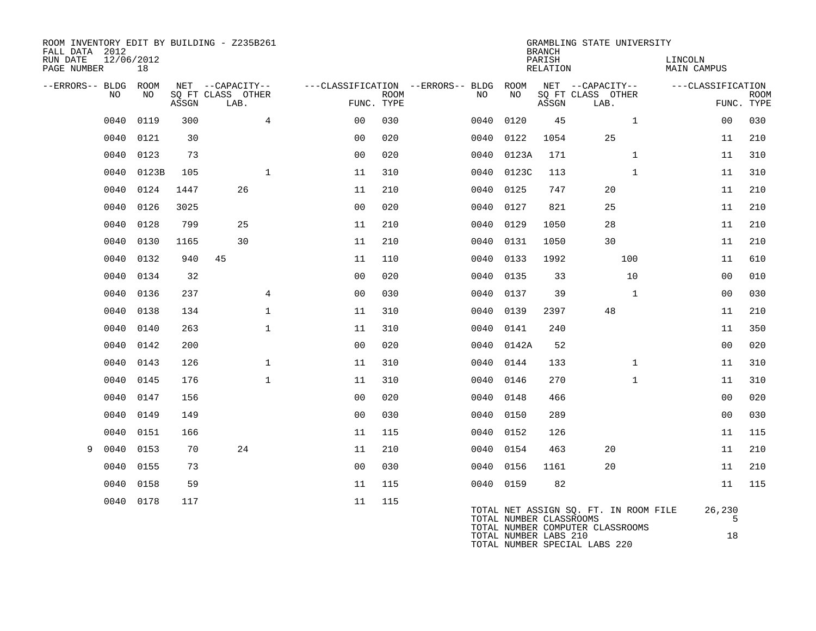| FALL DATA 2012          |            |             |       | ROOM INVENTORY EDIT BY BUILDING - Z235B261    |                |                           |                                              |                         | <b>BRANCH</b>      | GRAMBLING STATE UNIVERSITY                    |                               |                           |
|-------------------------|------------|-------------|-------|-----------------------------------------------|----------------|---------------------------|----------------------------------------------|-------------------------|--------------------|-----------------------------------------------|-------------------------------|---------------------------|
| RUN DATE<br>PAGE NUMBER | 12/06/2012 | 18          |       |                                               |                |                           |                                              |                         | PARISH<br>RELATION |                                               | LINCOLN<br><b>MAIN CAMPUS</b> |                           |
| --ERRORS-- BLDG         | NO.        | ROOM<br>NO. | ASSGN | NET --CAPACITY--<br>SO FT CLASS OTHER<br>LAB. |                | <b>ROOM</b><br>FUNC. TYPE | ---CLASSIFICATION --ERRORS-- BLDG ROOM<br>NO | NO                      | ASSGN              | NET --CAPACITY--<br>SQ FT CLASS OTHER<br>LAB. | ---CLASSIFICATION             | <b>ROOM</b><br>FUNC. TYPE |
|                         | 0040       | 0119        | 300   | $\overline{4}$                                | 0 <sub>0</sub> | 030                       | 0040                                         | 0120                    | 45                 | $\mathbf{1}$                                  | 0 <sub>0</sub>                | 030                       |
|                         | 0040       | 0121        | 30    |                                               | 0 <sub>0</sub> | 020                       | 0040                                         | 0122                    | 1054               | 25                                            | 11                            | 210                       |
|                         | 0040       | 0123        | 73    |                                               | 0 <sub>0</sub> | 020                       | 0040                                         | 0123A                   | 171                | $\mathbf{1}$                                  | 11                            | 310                       |
|                         | 0040       | 0123B       | 105   | $\mathbf{1}$                                  | 11             | 310                       | 0040                                         | 0123C                   | 113                | $\mathbf{1}$                                  | 11                            | 310                       |
|                         | 0040       | 0124        | 1447  | 26                                            | 11             | 210                       | 0040                                         | 0125                    | 747                | 20                                            | 11                            | 210                       |
|                         | 0040       | 0126        | 3025  |                                               | 0 <sub>0</sub> | 020                       | 0040                                         | 0127                    | 821                | 25                                            | 11                            | 210                       |
|                         | 0040       | 0128        | 799   | 25                                            | 11             | 210                       | 0040                                         | 0129                    | 1050               | 28                                            | 11                            | 210                       |
|                         | 0040       | 0130        | 1165  | 30                                            | 11             | 210                       | 0040                                         | 0131                    | 1050               | 30                                            | 11                            | 210                       |
|                         | 0040       | 0132        | 940   | 45                                            | 11             | 110                       | 0040                                         | 0133                    | 1992               | 100                                           | 11                            | 610                       |
|                         | 0040       | 0134        | 32    |                                               | 0 <sub>0</sub> | 020                       | 0040                                         | 0135                    | 33                 | 10                                            | 0 <sub>0</sub>                | 010                       |
|                         | 0040       | 0136        | 237   | $\overline{4}$                                | 0 <sub>0</sub> | 030                       | 0040                                         | 0137                    | 39                 | $\mathbf{1}$                                  | 0 <sub>0</sub>                | 030                       |
|                         | 0040       | 0138        | 134   | $\mathbf 1$                                   | 11             | 310                       | 0040                                         | 0139                    | 2397               | 48                                            | 11                            | 210                       |
|                         | 0040       | 0140        | 263   | $\mathbf{1}$                                  | 11             | 310                       | 0040                                         | 0141                    | 240                |                                               | 11                            | 350                       |
|                         | 0040       | 0142        | 200   |                                               | 0 <sub>0</sub> | 020                       |                                              | 0040 0142A              | 52                 |                                               | 00                            | 020                       |
|                         | 0040       | 0143        | 126   | $\mathbf 1$                                   | 11             | 310                       | 0040                                         | 0144                    | 133                | $\mathbf{1}$                                  | 11                            | 310                       |
|                         | 0040       | 0145        | 176   | $\mathbf{1}$                                  | 11             | 310                       | 0040                                         | 0146                    | 270                | $\mathbf{1}$                                  | 11                            | 310                       |
|                         | 0040       | 0147        | 156   |                                               | 0 <sub>0</sub> | 020                       | 0040                                         | 0148                    | 466                |                                               | 0 <sub>0</sub>                | 020                       |
|                         | 0040       | 0149        | 149   |                                               | 0 <sub>0</sub> | 030                       | 0040                                         | 0150                    | 289                |                                               | 00                            | 030                       |
|                         | 0040       | 0151        | 166   |                                               | 11             | 115                       | 0040                                         | 0152                    | 126                |                                               | 11                            | 115                       |
| 9                       | 0040       | 0153        | 70    | 24                                            | 11             | 210                       |                                              | 0040 0154               | 463                | 20                                            | 11                            | 210                       |
|                         | 0040       | 0155        | 73    |                                               | 0 <sub>0</sub> | 030                       | 0040                                         | 0156                    | 1161               | 20                                            | 11                            | 210                       |
|                         | 0040       | 0158        | 59    |                                               | 11             | 115                       |                                              | 0040 0159               | 82                 |                                               | 11                            | 115                       |
|                         | 0040       | 0178        | 117   |                                               | 11             | 115                       |                                              | TOTAL NUMBER CLASSROOMS |                    | TOTAL NET ASSIGN SQ. FT. IN ROOM FILE         | 26,230<br>5                   |                           |

| TOTAL NUMBER CLASSROOMS |                                  |    |
|-------------------------|----------------------------------|----|
|                         | TOTAL NUMBER COMPUTER CLASSROOMS |    |
| TOTAL NUMBER LABS 210   |                                  | 18 |
|                         | TOTAL NUMBER SPECIAL LABS 220    |    |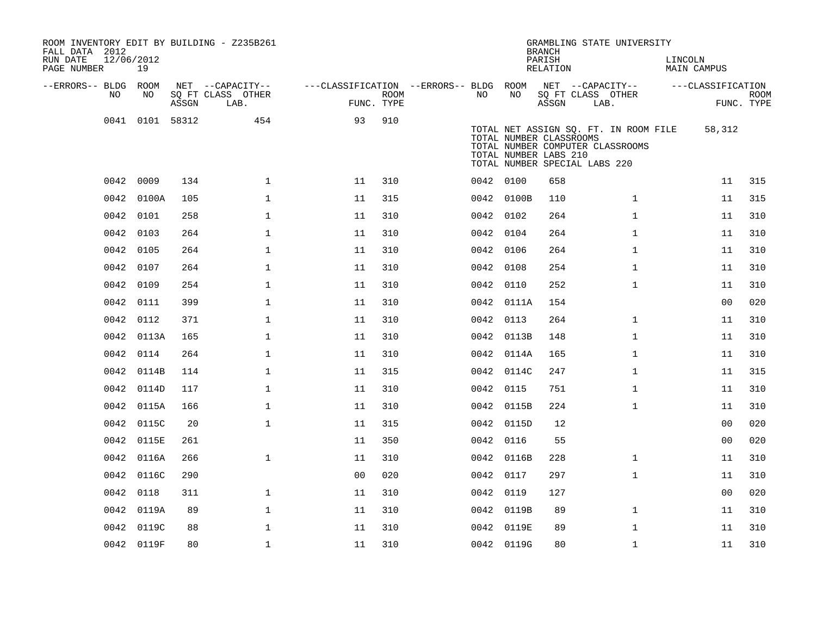| ROOM INVENTORY EDIT BY BUILDING - Z235B261<br>FALL DATA 2012<br>RUN DATE<br>PAGE NUMBER | 12/06/2012<br>19 |       |                           |                                        |             |           |            | <b>BRANCH</b><br>PARISH<br>RELATION              | GRAMBLING STATE UNIVERSITY                                                                                 | LINCOLN<br><b>MAIN CAMPUS</b> |                           |
|-----------------------------------------------------------------------------------------|------------------|-------|---------------------------|----------------------------------------|-------------|-----------|------------|--------------------------------------------------|------------------------------------------------------------------------------------------------------------|-------------------------------|---------------------------|
| --ERRORS-- BLDG ROOM                                                                    |                  |       | NET --CAPACITY--          | ---CLASSIFICATION --ERRORS-- BLDG ROOM |             |           |            |                                                  | NET --CAPACITY--                                                                                           | ---CLASSIFICATION             |                           |
| NO                                                                                      | NO               | ASSGN | SQ FT CLASS OTHER<br>LAB. | FUNC. TYPE                             | <b>ROOM</b> | NO.       | NO         | ASSGN                                            | SQ FT CLASS OTHER<br>LAB.                                                                                  |                               | <b>ROOM</b><br>FUNC. TYPE |
|                                                                                         | 0041 0101 58312  |       | 454                       | 93                                     | 910         |           |            | TOTAL NUMBER CLASSROOMS<br>TOTAL NUMBER LABS 210 | TOTAL NET ASSIGN SQ. FT. IN ROOM FILE<br>TOTAL NUMBER COMPUTER CLASSROOMS<br>TOTAL NUMBER SPECIAL LABS 220 | 58,312                        |                           |
|                                                                                         | 0042 0009        | 134   | $\mathbf{1}$              | 11                                     | 310         | 0042 0100 |            | 658                                              |                                                                                                            | 11                            | 315                       |
|                                                                                         | 0042 0100A       | 105   | $\mathbf 1$               | 11                                     | 315         |           | 0042 0100B | 110                                              | $\mathbf{1}$                                                                                               | 11                            | 315                       |
|                                                                                         | 0042 0101        | 258   | $\mathbf 1$               | 11                                     | 310         |           | 0042 0102  | 264                                              | $\mathbf{1}$                                                                                               | 11                            | 310                       |
| 0042                                                                                    | 0103             | 264   | $\mathbf 1$               | 11                                     | 310         | 0042 0104 |            | 264                                              | $\mathbf{1}$                                                                                               | 11                            | 310                       |
|                                                                                         | 0042 0105        | 264   | $\mathbf 1$               | 11                                     | 310         |           | 0042 0106  | 264                                              | $\mathbf{1}$                                                                                               | 11                            | 310                       |
| 0042                                                                                    | 0107             | 264   | $\mathbf 1$               | 11                                     | 310         | 0042      | 0108       | 254                                              | $\mathbf{1}$                                                                                               | 11                            | 310                       |
|                                                                                         | 0042 0109        | 254   | $\mathbf 1$               | 11                                     | 310         |           | 0042 0110  | 252                                              | $\mathbf{1}$                                                                                               | 11                            | 310                       |
| 0042                                                                                    | 0111             | 399   | $\mathbf 1$               | 11                                     | 310         |           | 0042 0111A | 154                                              |                                                                                                            | 0 <sub>0</sub>                | 020                       |
|                                                                                         | 0042 0112        | 371   | $\mathbf 1$               | 11                                     | 310         |           | 0042 0113  | 264                                              | $\mathbf{1}$                                                                                               | 11                            | 310                       |
| 0042                                                                                    | 0113A            | 165   | $\mathbf{1}$              | 11                                     | 310         |           | 0042 0113B | 148                                              | $\mathbf{1}$                                                                                               | 11                            | 310                       |
|                                                                                         | 0042 0114        | 264   | $\mathbf{1}$              | 11                                     | 310         |           | 0042 0114A | 165                                              | $\mathbf{1}$                                                                                               | 11                            | 310                       |
| 0042                                                                                    | 0114B            | 114   | $\mathbf{1}$              | 11                                     | 315         |           | 0042 0114C | 247                                              | $\mathbf{1}$                                                                                               | 11                            | 315                       |
| 0042                                                                                    | 0114D            | 117   | $\mathbf 1$               | 11                                     | 310         |           | 0042 0115  | 751                                              | $\mathbf{1}$                                                                                               | 11                            | 310                       |
| 0042                                                                                    | 0115A            | 166   | $\mathbf{1}$              | 11                                     | 310         |           | 0042 0115B | 224                                              | $\mathbf{1}$                                                                                               | 11                            | 310                       |
| 0042                                                                                    | 0115C            | 20    | $\mathbf{1}$              | 11                                     | 315         |           | 0042 0115D | 12                                               |                                                                                                            | 0 <sub>0</sub>                | 020                       |
| 0042                                                                                    | 0115E            | 261   |                           | 11                                     | 350         | 0042 0116 |            | 55                                               |                                                                                                            | 00                            | 020                       |
|                                                                                         | 0042 0116A       | 266   | $\mathbf{1}$              | 11                                     | 310         |           | 0042 0116B | 228                                              | $\mathbf{1}$                                                                                               | 11                            | 310                       |
|                                                                                         | 0042 0116C       | 290   |                           | 0 <sub>0</sub>                         | 020         | 0042 0117 |            | 297                                              | $\mathbf{1}$                                                                                               | 11                            | 310                       |
|                                                                                         | 0042 0118        | 311   | $\mathbf 1$               | 11                                     | 310         | 0042 0119 |            | 127                                              |                                                                                                            | 00                            | 020                       |
| 0042                                                                                    | 0119A            | 89    | $\mathbf 1$               | 11                                     | 310         |           | 0042 0119B | 89                                               | $\mathbf{1}$                                                                                               | 11                            | 310                       |
|                                                                                         | 0042 0119C       | 88    | $\mathbf{1}$              | 11                                     | 310         |           | 0042 0119E | 89                                               | $\mathbf{1}$                                                                                               | 11                            | 310                       |
|                                                                                         | 0042 0119F       | 80    | $\mathbf{1}$              | 11                                     | 310         |           | 0042 0119G | 80                                               | $\mathbf{1}$                                                                                               | 11                            | 310                       |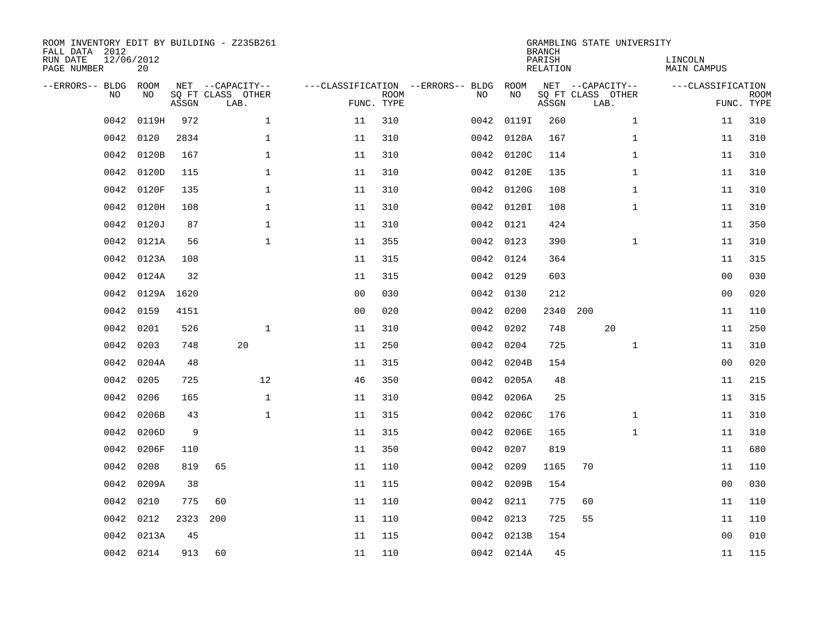| ROOM INVENTORY EDIT BY BUILDING - Z235B261<br>FALL DATA 2012<br>RUN DATE<br>PAGE NUMBER | 12/06/2012<br>20 |       |                                               |                |                           |                                              |            | <b>BRANCH</b><br>PARISH<br><b>RELATION</b> | GRAMBLING STATE UNIVERSITY                    | LINCOLN<br><b>MAIN CAMPUS</b> |                           |
|-----------------------------------------------------------------------------------------|------------------|-------|-----------------------------------------------|----------------|---------------------------|----------------------------------------------|------------|--------------------------------------------|-----------------------------------------------|-------------------------------|---------------------------|
| --ERRORS-- BLDG<br>NO                                                                   | ROOM<br>NO       | ASSGN | NET --CAPACITY--<br>SQ FT CLASS OTHER<br>LAB. |                | <b>ROOM</b><br>FUNC. TYPE | ---CLASSIFICATION --ERRORS-- BLDG ROOM<br>NO | NO         | ASSGN                                      | NET --CAPACITY--<br>SQ FT CLASS OTHER<br>LAB. | ---CLASSIFICATION             | <b>ROOM</b><br>FUNC. TYPE |
| 0042                                                                                    | 0119H            | 972   | $\mathbf 1$                                   | 11             | 310                       | 0042                                         | 0119I      | 260                                        | $\mathbf{1}$                                  | 11                            | 310                       |
| 0042                                                                                    | 0120             | 2834  | 1                                             | 11             | 310                       |                                              | 0042 0120A | 167                                        | $\mathbf{1}$                                  | 11                            | 310                       |
| 0042                                                                                    | 0120B            | 167   | 1                                             | 11             | 310                       |                                              | 0042 0120C | 114                                        | $\mathbf{1}$                                  | 11                            | 310                       |
| 0042                                                                                    | 0120D            | 115   | $\mathbf 1$                                   | 11             | 310                       |                                              | 0042 0120E | 135                                        | $\mathbf{1}$                                  | 11                            | 310                       |
| 0042                                                                                    | 0120F            | 135   | $\mathbf{1}$                                  | 11             | 310                       |                                              | 0042 0120G | 108                                        | $\mathbf{1}$                                  | 11                            | 310                       |
| 0042                                                                                    | 0120H            | 108   | $\mathbf{1}$                                  | 11             | 310                       |                                              | 0042 01201 | 108                                        | $\mathbf{1}$                                  | 11                            | 310                       |
| 0042                                                                                    | 0120J            | 87    | $\mathbf{1}$                                  | 11             | 310                       |                                              | 0042 0121  | 424                                        |                                               | 11                            | 350                       |
| 0042                                                                                    | 0121A            | 56    | $\mathbf{1}$                                  | 11             | 355                       |                                              | 0042 0123  | 390                                        | $\mathbf{1}$                                  | 11                            | 310                       |
| 0042                                                                                    | 0123A            | 108   |                                               | 11             | 315                       | 0042                                         | 0124       | 364                                        |                                               | 11                            | 315                       |
| 0042                                                                                    | 0124A            | 32    |                                               | 11             | 315                       |                                              | 0042 0129  | 603                                        |                                               | 0 <sub>0</sub>                | 030                       |
| 0042                                                                                    | 0129A 1620       |       |                                               | 0 <sub>0</sub> | 030                       | 0042                                         | 0130       | 212                                        |                                               | 0 <sub>0</sub>                | 020                       |
| 0042                                                                                    | 0159             | 4151  |                                               | 0 <sub>0</sub> | 020                       |                                              | 0042 0200  | 2340                                       | 200                                           | 11                            | 110                       |
| 0042                                                                                    | 0201             | 526   | $\mathbf 1$                                   | 11             | 310                       | 0042                                         | 0202       | 748                                        | 20                                            | 11                            | 250                       |
| 0042                                                                                    | 0203             | 748   | 20                                            | 11             | 250                       | 0042                                         | 0204       | 725                                        | $\mathbf{1}$                                  | 11                            | 310                       |
| 0042                                                                                    | 0204A            | 48    |                                               | 11             | 315                       | 0042                                         | 0204B      | 154                                        |                                               | 0 <sub>0</sub>                | 020                       |
| 0042                                                                                    | 0205             | 725   | 12                                            | 46             | 350                       |                                              | 0042 0205A | 48                                         |                                               | 11                            | 215                       |
| 0042                                                                                    | 0206             | 165   | $\mathbf{1}$                                  | 11             | 310                       | 0042                                         | 0206A      | 25                                         |                                               | 11                            | 315                       |
| 0042                                                                                    | 0206B            | 43    | $\mathbf{1}$                                  | 11             | 315                       |                                              | 0042 0206C | 176                                        | $\mathbf{1}$                                  | 11                            | 310                       |
| 0042                                                                                    | 0206D            | 9     |                                               | 11             | 315                       |                                              | 0042 0206E | 165                                        | $\mathbf{1}$                                  | 11                            | 310                       |
| 0042                                                                                    | 0206F            | 110   |                                               | 11             | 350                       |                                              | 0042 0207  | 819                                        |                                               | 11                            | 680                       |
| 0042                                                                                    | 0208             | 819   | 65                                            | 11             | 110                       | 0042                                         | 0209       | 1165                                       | 70                                            | 11                            | 110                       |
| 0042                                                                                    | 0209A            | 38    |                                               | 11             | 115                       |                                              | 0042 0209B | 154                                        |                                               | 00                            | 030                       |
| 0042                                                                                    | 0210             | 775   | 60                                            | 11             | 110                       |                                              | 0042 0211  | 775                                        | 60                                            | 11                            | 110                       |
| 0042                                                                                    | 0212             | 2323  | 200                                           | 11             | 110                       |                                              | 0042 0213  | 725                                        | 55                                            | 11                            | 110                       |
| 0042                                                                                    | 0213A            | 45    |                                               | 11             | 115                       |                                              | 0042 0213B | 154                                        |                                               | 0 <sub>0</sub>                | 010                       |
|                                                                                         | 0042 0214        | 913   | 60                                            | 11             | 110                       |                                              | 0042 0214A | 45                                         |                                               | 11                            | 115                       |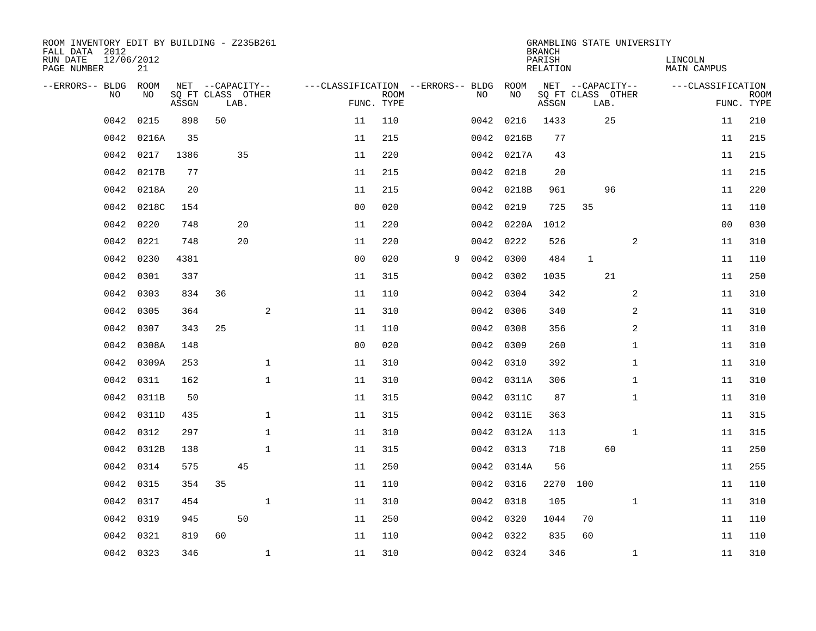| ROOM INVENTORY EDIT BY BUILDING - Z235B261<br>FALL DATA 2012 |                  |       |                   |      |              |                                   |                           |   |      |            | <b>BRANCH</b>      | GRAMBLING STATE UNIVERSITY |      |              |                        |            |             |
|--------------------------------------------------------------|------------------|-------|-------------------|------|--------------|-----------------------------------|---------------------------|---|------|------------|--------------------|----------------------------|------|--------------|------------------------|------------|-------------|
| RUN DATE<br>PAGE NUMBER                                      | 12/06/2012<br>21 |       |                   |      |              |                                   |                           |   |      |            | PARISH<br>RELATION |                            |      |              | LINCOLN<br>MAIN CAMPUS |            |             |
| --ERRORS-- BLDG ROOM                                         |                  |       | NET --CAPACITY--  |      |              | ---CLASSIFICATION --ERRORS-- BLDG |                           |   |      | ROOM       |                    | NET --CAPACITY--           |      |              | ---CLASSIFICATION      |            |             |
| NO                                                           | NO               | ASSGN | SQ FT CLASS OTHER | LAB. |              |                                   | <b>ROOM</b><br>FUNC. TYPE |   | NO.  | NO         | ASSGN              | SQ FT CLASS OTHER          | LAB. |              |                        | FUNC. TYPE | <b>ROOM</b> |
| 0042                                                         | 0215             | 898   | 50                |      |              | 11                                | 110                       |   | 0042 | 0216       | 1433               |                            | 25   |              |                        | 11         | 210         |
| 0042                                                         | 0216A            | 35    |                   |      |              | 11                                | 215                       |   |      | 0042 0216B | 77                 |                            |      |              |                        | 11         | 215         |
| 0042                                                         | 0217             | 1386  |                   | 35   |              | 11                                | 220                       |   |      | 0042 0217A | 43                 |                            |      |              |                        | 11         | 215         |
| 0042                                                         | 0217B            | 77    |                   |      |              | 11                                | 215                       |   |      | 0042 0218  | 20                 |                            |      |              |                        | 11         | 215         |
| 0042                                                         | 0218A            | 20    |                   |      |              | 11                                | 215                       |   |      | 0042 0218B | 961                |                            | 96   |              |                        | 11         | 220         |
| 0042                                                         | 0218C            | 154   |                   |      |              | 0 <sub>0</sub>                    | 020                       |   |      | 0042 0219  | 725                | 35                         |      |              |                        | 11         | 110         |
| 0042                                                         | 0220             | 748   |                   | 20   |              | 11                                | 220                       |   |      | 0042 0220A | 1012               |                            |      |              |                        | 00         | 030         |
| 0042                                                         | 0221             | 748   |                   | 20   |              | 11                                | 220                       |   |      | 0042 0222  | 526                |                            |      | 2            |                        | 11         | 310         |
| 0042                                                         | 0230             | 4381  |                   |      |              | 0 <sub>0</sub>                    | 020                       | 9 | 0042 | 0300       | 484                | $\mathbf{1}$               |      |              |                        | 11         | 110         |
| 0042                                                         | 0301             | 337   |                   |      |              | 11                                | 315                       |   |      | 0042 0302  | 1035               |                            | 21   |              |                        | 11         | 250         |
| 0042                                                         | 0303             | 834   | 36                |      |              | 11                                | 110                       |   | 0042 | 0304       | 342                |                            |      | 2            |                        | 11         | 310         |
| 0042                                                         | 0305             | 364   |                   |      | 2            | 11                                | 310                       |   |      | 0042 0306  | 340                |                            |      | 2            |                        | 11         | 310         |
| 0042                                                         | 0307             | 343   | 25                |      |              | 11                                | 110                       |   | 0042 | 0308       | 356                |                            |      | 2            |                        | 11         | 310         |
| 0042                                                         | 0308A            | 148   |                   |      |              | 0 <sub>0</sub>                    | 020                       |   |      | 0042 0309  | 260                |                            |      | $\mathbf{1}$ |                        | 11         | 310         |
| 0042                                                         | 0309A            | 253   |                   |      | $\mathbf 1$  | 11                                | 310                       |   | 0042 | 0310       | 392                |                            |      | $\mathbf{1}$ |                        | 11         | 310         |
| 0042                                                         | 0311             | 162   |                   |      | $\mathbf{1}$ | 11                                | 310                       |   |      | 0042 0311A | 306                |                            |      | $\mathbf{1}$ |                        | 11         | 310         |
| 0042                                                         | 0311B            | 50    |                   |      |              | 11                                | 315                       |   | 0042 | 0311C      | 87                 |                            |      | $\mathbf{1}$ |                        | 11         | 310         |
| 0042                                                         | 0311D            | 435   |                   |      | $\mathbf 1$  | 11                                | 315                       |   |      | 0042 0311E | 363                |                            |      |              |                        | 11         | 315         |
| 0042                                                         | 0312             | 297   |                   |      | $\mathbf 1$  | 11                                | 310                       |   |      | 0042 0312A | 113                |                            |      | $\mathbf{1}$ |                        | 11         | 315         |
| 0042                                                         | 0312B            | 138   |                   |      | $\mathbf{1}$ | 11                                | 315                       |   |      | 0042 0313  | 718                |                            | 60   |              |                        | 11         | 250         |
| 0042                                                         | 0314             | 575   |                   | 45   |              | 11                                | 250                       |   |      | 0042 0314A | 56                 |                            |      |              |                        | 11         | 255         |
| 0042                                                         | 0315             | 354   | 35                |      |              | 11                                | 110                       |   |      | 0042 0316  | 2270               | 100                        |      |              |                        | 11         | 110         |
| 0042                                                         | 0317             | 454   |                   |      | $\mathbf 1$  | 11                                | 310                       |   |      | 0042 0318  | 105                |                            |      | $\mathbf{1}$ |                        | 11         | 310         |
| 0042                                                         | 0319             | 945   |                   | 50   |              | 11                                | 250                       |   |      | 0042 0320  | 1044               | 70                         |      |              |                        | 11         | 110         |
| 0042                                                         | 0321             | 819   | 60                |      |              | 11                                | 110                       |   |      | 0042 0322  | 835                | 60                         |      |              |                        | 11         | 110         |
|                                                              | 0042 0323        | 346   |                   |      | $\mathbf{1}$ | 11                                | 310                       |   |      | 0042 0324  | 346                |                            |      | $\mathbf{1}$ |                        | 11         | 310         |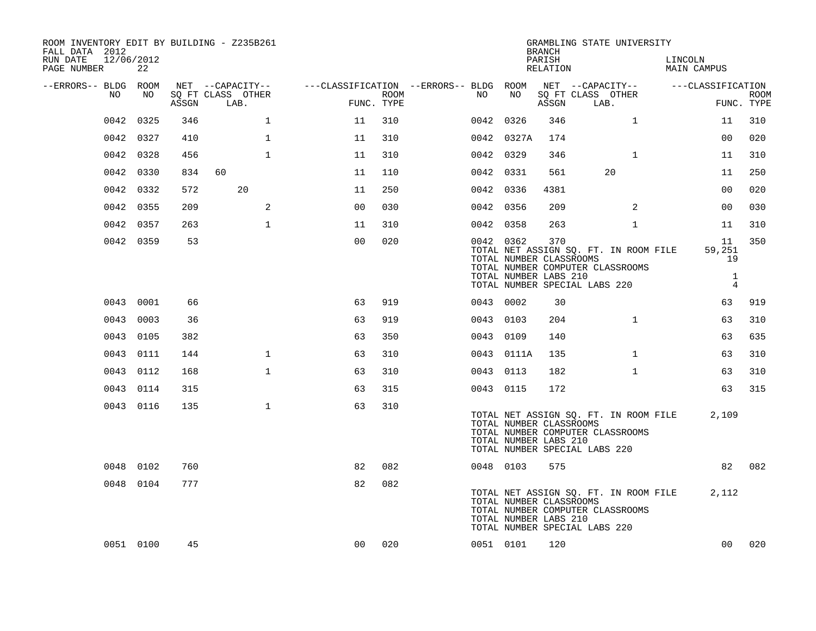| ROOM INVENTORY EDIT BY BUILDING - Z235B261<br>FALL DATA 2012<br>RUN DATE<br>12/06/2012<br>PAGE NUMBER | 22        |       |                                               |                |             |                                              |                                                  | <b>BRANCH</b><br>PARISH<br>RELATION | GRAMBLING STATE UNIVERSITY                                                                                 | LINCOLN<br><b>MAIN CAMPUS</b>  |                           |
|-------------------------------------------------------------------------------------------------------|-----------|-------|-----------------------------------------------|----------------|-------------|----------------------------------------------|--------------------------------------------------|-------------------------------------|------------------------------------------------------------------------------------------------------------|--------------------------------|---------------------------|
| --ERRORS-- BLDG ROOM<br>NO                                                                            | NO        | ASSGN | NET --CAPACITY--<br>SQ FT CLASS OTHER<br>LAB. | FUNC. TYPE     | <b>ROOM</b> | ---CLASSIFICATION --ERRORS-- BLDG ROOM<br>NO | NO                                               | ASSGN                               | NET --CAPACITY--<br>SQ FT CLASS OTHER<br>LAB.                                                              | ---CLASSIFICATION              | <b>ROOM</b><br>FUNC. TYPE |
| 0042                                                                                                  | 0325      | 346   | $\mathbf{1}$                                  | 11             | 310         |                                              | 0042 0326                                        | 346                                 | $\mathbf{1}$                                                                                               | 11                             | 310                       |
| 0042                                                                                                  | 0327      | 410   | $\mathbf{1}$                                  | 11             | 310         |                                              | 0042 0327A                                       | 174                                 |                                                                                                            | 00                             | 020                       |
| 0042                                                                                                  | 0328      | 456   | $\mathbf{1}$                                  | 11             | 310         |                                              | 0042 0329                                        | 346                                 | $\mathbf{1}$                                                                                               | 11                             | 310                       |
| 0042                                                                                                  | 0330      | 834   | 60                                            | 11             | 110         |                                              | 0042 0331                                        | 561                                 | 20                                                                                                         | 11                             | 250                       |
| 0042                                                                                                  | 0332      | 572   | 20                                            | 11             | 250         |                                              | 0042 0336                                        | 4381                                |                                                                                                            | 00                             | 020                       |
| 0042                                                                                                  | 0355      | 209   | 2                                             | 0 <sub>0</sub> | 030         |                                              | 0042 0356                                        | 209                                 | 2                                                                                                          | 0 <sub>0</sub>                 | 030                       |
|                                                                                                       | 0042 0357 | 263   | $\mathbf 1$                                   | 11             | 310         |                                              | 0042 0358                                        | 263                                 | $\mathbf{1}$                                                                                               | 11                             | 310                       |
|                                                                                                       | 0042 0359 | 53    |                                               | 0 <sub>0</sub> | 020         |                                              | 0042 0362<br>TOTAL NUMBER CLASSROOMS             | 370                                 | TOTAL NET ASSIGN SO. FT. IN ROOM FILE<br>TOTAL NUMBER COMPUTER CLASSROOMS                                  | 11<br>59,251<br>19             | 350                       |
|                                                                                                       |           |       |                                               |                |             |                                              | TOTAL NUMBER LABS 210                            |                                     | TOTAL NUMBER SPECIAL LABS 220                                                                              | $\mathbf{1}$<br>$\overline{4}$ |                           |
|                                                                                                       | 0043 0001 | 66    |                                               | 63             | 919         |                                              | 0043 0002                                        | 30                                  |                                                                                                            | 63                             | 919                       |
|                                                                                                       | 0043 0003 | 36    |                                               | 63             | 919         |                                              | 0043 0103                                        | 204                                 | $\mathbf{1}$                                                                                               | 63                             | 310                       |
|                                                                                                       | 0043 0105 | 382   |                                               | 63             | 350         |                                              | 0043 0109                                        | 140                                 |                                                                                                            | 63                             | 635                       |
|                                                                                                       | 0043 0111 | 144   | $\mathbf{1}$                                  | 63             | 310         |                                              | 0043 0111A                                       | 135                                 | $\mathbf{1}$                                                                                               | 63                             | 310                       |
|                                                                                                       | 0043 0112 | 168   | $\mathbf{1}$                                  | 63             | 310         |                                              | 0043 0113                                        | 182                                 | $\mathbf{1}$                                                                                               | 63                             | 310                       |
|                                                                                                       | 0043 0114 | 315   |                                               | 63             | 315         |                                              | 0043 0115                                        | 172                                 |                                                                                                            | 63                             | 315                       |
|                                                                                                       | 0043 0116 | 135   | $\mathbf{1}$                                  | 63             | 310         |                                              | TOTAL NUMBER CLASSROOMS<br>TOTAL NUMBER LABS 210 |                                     | TOTAL NET ASSIGN SQ. FT. IN ROOM FILE<br>TOTAL NUMBER COMPUTER CLASSROOMS<br>TOTAL NUMBER SPECIAL LABS 220 | 2,109                          |                           |
|                                                                                                       | 0048 0102 | 760   |                                               | 82             | 082         |                                              | 0048 0103                                        | 575                                 |                                                                                                            | 82                             | 082                       |
|                                                                                                       | 0048 0104 | 777   |                                               | 82             | 082         |                                              | TOTAL NUMBER CLASSROOMS<br>TOTAL NUMBER LABS 210 |                                     | TOTAL NET ASSIGN SQ. FT. IN ROOM FILE<br>TOTAL NUMBER COMPUTER CLASSROOMS<br>TOTAL NUMBER SPECIAL LABS 220 | 2,112                          |                           |
|                                                                                                       | 0051 0100 | 45    |                                               | 00             | 020         |                                              | 0051 0101                                        | 120                                 |                                                                                                            | 00                             | 020                       |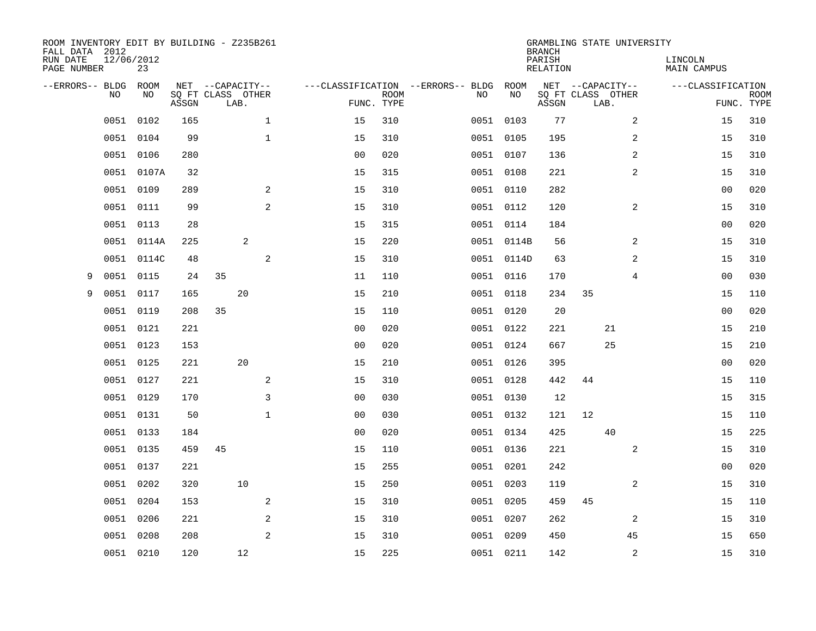| ROOM INVENTORY EDIT BY BUILDING - Z235B261<br>FALL DATA 2012<br>RUN DATE<br>PAGE NUMBER | 12/06/2012 | 23         |       |                                               |              |                |             |                                   |           |            | <b>BRANCH</b><br>PARISH<br><b>RELATION</b> | GRAMBLING STATE UNIVERSITY                    |                | LINCOLN<br><b>MAIN CAMPUS</b> |                           |
|-----------------------------------------------------------------------------------------|------------|------------|-------|-----------------------------------------------|--------------|----------------|-------------|-----------------------------------|-----------|------------|--------------------------------------------|-----------------------------------------------|----------------|-------------------------------|---------------------------|
| --ERRORS-- BLDG                                                                         | NO         | ROOM<br>NO | ASSGN | NET --CAPACITY--<br>SQ FT CLASS OTHER<br>LAB. |              | FUNC. TYPE     | <b>ROOM</b> | ---CLASSIFICATION --ERRORS-- BLDG | NO        | ROOM<br>NO | ASSGN                                      | NET --CAPACITY--<br>SQ FT CLASS OTHER<br>LAB. |                | ---CLASSIFICATION             | <b>ROOM</b><br>FUNC. TYPE |
|                                                                                         | 0051       | 0102       | 165   |                                               | $\mathbf{1}$ | 15             | 310         |                                   | 0051 0103 |            | 77                                         |                                               | 2              | 15                            | 310                       |
|                                                                                         | 0051       | 0104       | 99    |                                               | $\mathbf 1$  | 15             | 310         |                                   | 0051 0105 |            | 195                                        |                                               | 2              | 15                            | 310                       |
|                                                                                         | 0051       | 0106       | 280   |                                               |              | 0 <sub>0</sub> | 020         |                                   | 0051 0107 |            | 136                                        |                                               | 2              | 15                            | 310                       |
|                                                                                         | 0051       | 0107A      | 32    |                                               |              | 15             | 315         |                                   | 0051 0108 |            | 221                                        |                                               | 2              | 15                            | 310                       |
|                                                                                         | 0051       | 0109       | 289   |                                               | 2            | 15             | 310         |                                   | 0051 0110 |            | 282                                        |                                               |                | 0 <sub>0</sub>                | 020                       |
|                                                                                         | 0051       | 0111       | 99    |                                               | 2            | 15             | 310         |                                   | 0051 0112 |            | 120                                        |                                               | $\overline{a}$ | 15                            | 310                       |
|                                                                                         | 0051       | 0113       | 28    |                                               |              | 15             | 315         |                                   | 0051 0114 |            | 184                                        |                                               |                | 0 <sub>0</sub>                | 020                       |
|                                                                                         | 0051 0114A |            | 225   |                                               | 2            | 15             | 220         |                                   |           | 0051 0114B | 56                                         |                                               | 2              | 15                            | 310                       |
|                                                                                         | 0051       | 0114C      | 48    |                                               | 2            | 15             | 310         |                                   |           | 0051 0114D | 63                                         |                                               | 2              | 15                            | 310                       |
| 9                                                                                       | 0051 0115  |            | 24    | 35                                            |              | 11             | 110         |                                   | 0051 0116 |            | 170                                        |                                               | 4              | 00                            | 030                       |
| 9                                                                                       | 0051       | 0117       | 165   |                                               | 20           | 15             | 210         |                                   | 0051 0118 |            | 234                                        | 35                                            |                | 15                            | 110                       |
|                                                                                         | 0051 0119  |            | 208   | 35                                            |              | 15             | 110         |                                   | 0051 0120 |            | 20                                         |                                               |                | 00                            | 020                       |
|                                                                                         | 0051       | 0121       | 221   |                                               |              | 0 <sub>0</sub> | 020         |                                   | 0051 0122 |            | 221                                        | 21                                            |                | 15                            | 210                       |
|                                                                                         | 0051 0123  |            | 153   |                                               |              | 0 <sub>0</sub> | 020         |                                   | 0051 0124 |            | 667                                        | 25                                            |                | 15                            | 210                       |
|                                                                                         | 0051       | 0125       | 221   |                                               | 20           | 15             | 210         |                                   | 0051 0126 |            | 395                                        |                                               |                | 0 <sub>0</sub>                | 020                       |
|                                                                                         | 0051 0127  |            | 221   |                                               | 2            | 15             | 310         |                                   | 0051 0128 |            | 442                                        | 44                                            |                | 15                            | 110                       |
|                                                                                         | 0051       | 0129       | 170   |                                               | 3            | 0 <sub>0</sub> | 030         |                                   | 0051 0130 |            | 12                                         |                                               |                | 15                            | 315                       |
|                                                                                         | 0051       | 0131       | 50    |                                               | $\mathbf 1$  | 0 <sub>0</sub> | 030         |                                   | 0051 0132 |            | 121                                        | 12                                            |                | 15                            | 110                       |
|                                                                                         | 0051 0133  |            | 184   |                                               |              | 0 <sub>0</sub> | 020         |                                   | 0051 0134 |            | 425                                        | 40                                            |                | 15                            | 225                       |
|                                                                                         | 0051       | 0135       | 459   | 45                                            |              | 15             | 110         |                                   | 0051 0136 |            | 221                                        |                                               | 2              | 15                            | 310                       |
|                                                                                         | 0051 0137  |            | 221   |                                               |              | 15             | 255         |                                   | 0051 0201 |            | 242                                        |                                               |                | 0 <sub>0</sub>                | 020                       |
|                                                                                         | 0051       | 0202       | 320   |                                               | 10           | 15             | 250         |                                   | 0051 0203 |            | 119                                        |                                               | 2              | 15                            | 310                       |
|                                                                                         | 0051       | 0204       | 153   |                                               | 2            | 15             | 310         |                                   | 0051 0205 |            | 459                                        | 45                                            |                | 15                            | 110                       |
|                                                                                         | 0051       | 0206       | 221   |                                               | 2            | 15             | 310         |                                   | 0051 0207 |            | 262                                        |                                               | 2              | 15                            | 310                       |
|                                                                                         | 0051       | 0208       | 208   |                                               | 2            | 15             | 310         |                                   | 0051 0209 |            | 450                                        |                                               | 45             | 15                            | 650                       |
|                                                                                         | 0051 0210  |            | 120   |                                               | 12           | 15             | 225         |                                   | 0051 0211 |            | 142                                        |                                               | 2              | 15                            | 310                       |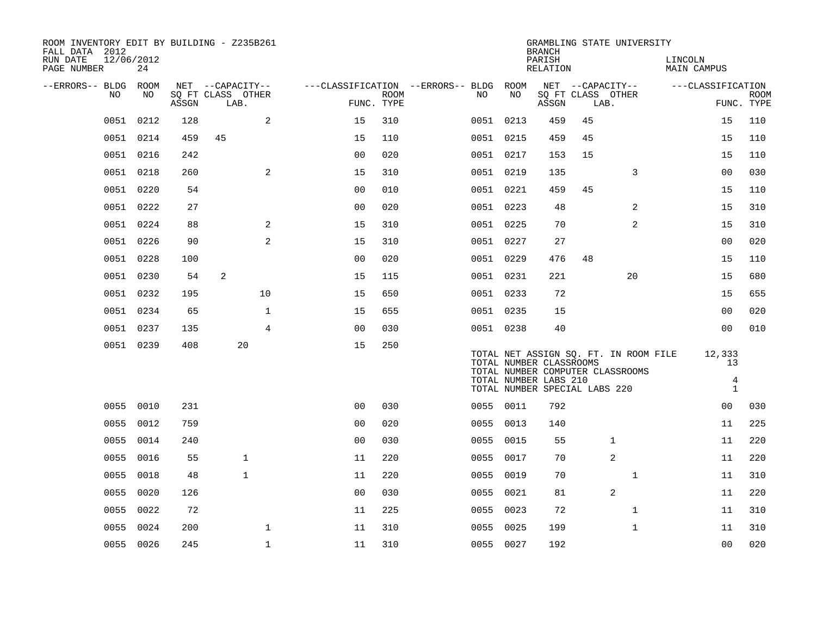| ROOM INVENTORY EDIT BY BUILDING - Z235B261<br>FALL DATA 2012 |                  |       |                           |                |                |             |                                        |           | <b>BRANCH</b>                 |      | GRAMBLING STATE UNIVERSITY            |                        |                                |             |
|--------------------------------------------------------------|------------------|-------|---------------------------|----------------|----------------|-------------|----------------------------------------|-----------|-------------------------------|------|---------------------------------------|------------------------|--------------------------------|-------------|
| RUN DATE<br>PAGE NUMBER                                      | 12/06/2012<br>24 |       |                           |                |                |             |                                        |           | PARISH<br>RELATION            |      |                                       | LINCOLN<br>MAIN CAMPUS |                                |             |
| --ERRORS-- BLDG ROOM                                         |                  |       | NET --CAPACITY--          |                |                |             | ---CLASSIFICATION --ERRORS-- BLDG ROOM |           | NET --CAPACITY--              |      |                                       | ---CLASSIFICATION      |                                |             |
| NO.                                                          | NO.              | ASSGN | SQ FT CLASS OTHER<br>LAB. |                | FUNC. TYPE     | <b>ROOM</b> | NO.                                    | NO        | ASSGN                         | LAB. | SQ FT CLASS OTHER                     |                        | FUNC. TYPE                     | <b>ROOM</b> |
|                                                              | 0051 0212        | 128   |                           | 2              | 15             | 310         |                                        | 0051 0213 | 459                           | 45   |                                       |                        | 15                             | 110         |
|                                                              | 0051 0214        | 459   | 45                        |                | 15             | 110         |                                        | 0051 0215 | 459                           | 45   |                                       |                        | 15                             | 110         |
|                                                              | 0051 0216        | 242   |                           |                | 0 <sub>0</sub> | 020         |                                        | 0051 0217 | 153                           | 15   |                                       |                        | 15                             | 110         |
|                                                              | 0051 0218        | 260   |                           | 2              | 15             | 310         |                                        | 0051 0219 | 135                           |      | 3                                     |                        | 0 <sub>0</sub>                 | 030         |
|                                                              | 0051 0220        | 54    |                           |                | 0 <sub>0</sub> | 010         |                                        | 0051 0221 | 459                           | 45   |                                       |                        | 15                             | 110         |
|                                                              | 0051 0222        | 27    |                           |                | 0 <sub>0</sub> | 020         |                                        | 0051 0223 | 48                            |      | 2                                     |                        | 15                             | 310         |
|                                                              | 0051 0224        | 88    |                           | 2              | 15             | 310         |                                        | 0051 0225 | 70                            |      | 2                                     |                        | 15                             | 310         |
| 0051                                                         | 0226             | 90    |                           | 2              | 15             | 310         |                                        | 0051 0227 | 27                            |      |                                       |                        | 0 <sub>0</sub>                 | 020         |
|                                                              | 0051 0228        | 100   |                           |                | 0 <sub>0</sub> | 020         |                                        | 0051 0229 | 476                           | 48   |                                       |                        | 15                             | 110         |
|                                                              | 0051 0230        | 54    | 2                         |                | 15             | 115         |                                        | 0051 0231 | 221                           |      | 20                                    |                        | 15                             | 680         |
|                                                              | 0051 0232        | 195   |                           | 10             | 15             | 650         |                                        | 0051 0233 | 72                            |      |                                       |                        | 15                             | 655         |
| 0051                                                         | 0234             | 65    |                           | $\mathbf{1}$   | 15             | 655         |                                        | 0051 0235 | 15                            |      |                                       |                        | 00                             | 020         |
|                                                              | 0051 0237        | 135   |                           | $\overline{4}$ | 00             | 030         |                                        | 0051 0238 | 40                            |      |                                       |                        | 0 <sub>0</sub>                 | 010         |
|                                                              | 0051 0239        | 408   | 20                        |                | 15             | 250         |                                        |           |                               |      |                                       |                        |                                |             |
|                                                              |                  |       |                           |                |                |             |                                        |           | TOTAL NUMBER CLASSROOMS       |      | TOTAL NET ASSIGN SQ. FT. IN ROOM FILE |                        | 12,333<br>13                   |             |
|                                                              |                  |       |                           |                |                |             |                                        |           | TOTAL NUMBER LABS 210         |      | TOTAL NUMBER COMPUTER CLASSROOMS      |                        | $\overline{4}$<br>$\mathbf{1}$ |             |
|                                                              |                  |       |                           |                |                |             |                                        |           | TOTAL NUMBER SPECIAL LABS 220 |      |                                       |                        |                                |             |
|                                                              | 0055 0010        | 231   |                           |                | 0 <sub>0</sub> | 030         |                                        | 0055 0011 | 792                           |      |                                       |                        | 00                             | 030         |
| 0055                                                         | 0012             | 759   |                           |                | 0 <sub>0</sub> | 020         |                                        | 0055 0013 | 140                           |      |                                       |                        | 11                             | 225         |
| 0055                                                         | 0014             | 240   |                           |                | 0 <sub>0</sub> | 030         | 0055                                   | 0015      | 55                            |      | $\mathbf{1}$                          |                        | 11                             | 220         |
| 0055                                                         | 0016             | 55    |                           | $\mathbf{1}$   | 11             | 220         |                                        | 0055 0017 | 70                            |      | 2                                     |                        | 11                             | 220         |
| 0055                                                         | 0018             | 48    |                           | $\mathbf{1}$   | 11             | 220         | 0055                                   | 0019      | 70                            |      | $\mathbf{1}$                          |                        | 11                             | 310         |
| 0055                                                         | 0020             | 126   |                           |                | 0 <sub>0</sub> | 030         |                                        | 0055 0021 | 81                            |      | 2                                     |                        | 11                             | 220         |
| 0055                                                         | 0022             | 72    |                           |                | 11             | 225         | 0055                                   | 0023      | 72                            |      | $\mathbf{1}$                          |                        | 11                             | 310         |
| 0055                                                         | 0024             | 200   |                           | $\mathbf 1$    | 11             | 310         | 0055                                   | 0025      | 199                           |      | $\mathbf{1}$                          |                        | 11                             | 310         |
|                                                              | 0055 0026        | 245   |                           | $\mathbf{1}$   | 11             | 310         |                                        | 0055 0027 | 192                           |      |                                       |                        | 0 <sub>0</sub>                 | 020         |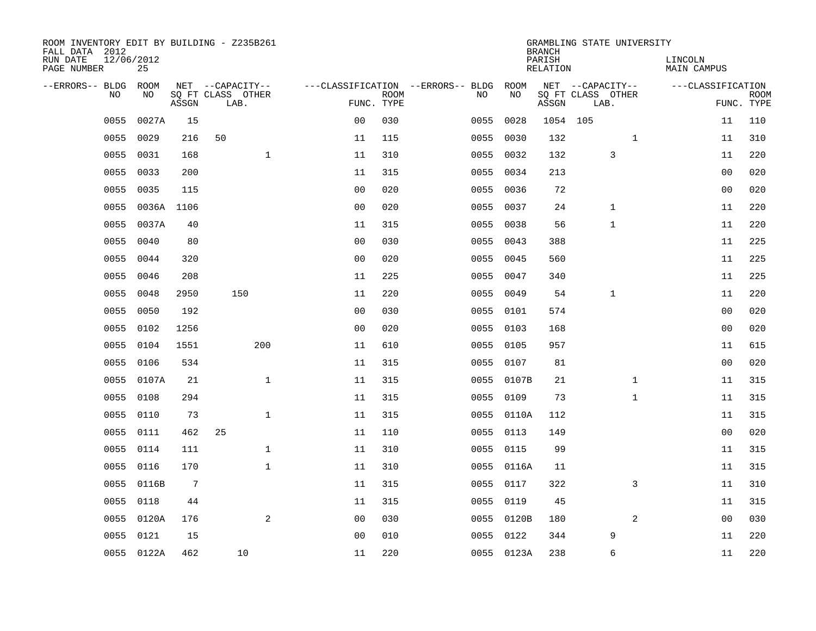| ROOM INVENTORY EDIT BY BUILDING - Z235B261<br>FALL DATA 2012 |                  |                 |                           |                |             |                                        |            | <b>BRANCH</b>      | GRAMBLING STATE UNIVERSITY |              |                        |                           |
|--------------------------------------------------------------|------------------|-----------------|---------------------------|----------------|-------------|----------------------------------------|------------|--------------------|----------------------------|--------------|------------------------|---------------------------|
| RUN DATE<br>PAGE NUMBER                                      | 12/06/2012<br>25 |                 |                           |                |             |                                        |            | PARISH<br>RELATION |                            |              | LINCOLN<br>MAIN CAMPUS |                           |
| --ERRORS-- BLDG ROOM                                         |                  |                 | NET --CAPACITY--          |                |             | ---CLASSIFICATION --ERRORS-- BLDG ROOM |            |                    | NET --CAPACITY--           |              | ---CLASSIFICATION      |                           |
| NO.                                                          | NO.              | ASSGN           | SQ FT CLASS OTHER<br>LAB. | FUNC. TYPE     | <b>ROOM</b> | NO.                                    | NO         | ASSGN              | SQ FT CLASS OTHER<br>LAB.  |              |                        | <b>ROOM</b><br>FUNC. TYPE |
| 0055                                                         | 0027A            | 15              |                           | 0 <sub>0</sub> | 030         | 0055                                   | 0028       | 1054 105           |                            |              | 11                     | 110                       |
| 0055                                                         | 0029             | 216             | 50                        | 11             | 115         |                                        | 0055 0030  | 132                |                            | $\mathbf{1}$ | 11                     | 310                       |
| 0055                                                         | 0031             | 168             | $\mathbf 1$               | 11             | 310         |                                        | 0055 0032  | 132                | 3                          |              | 11                     | 220                       |
| 0055                                                         | 0033             | 200             |                           | 11             | 315         |                                        | 0055 0034  | 213                |                            |              | 00                     | 020                       |
| 0055                                                         | 0035             | 115             |                           | 0 <sub>0</sub> | 020         | 0055                                   | 0036       | 72                 |                            |              | 0 <sub>0</sub>         | 020                       |
| 0055                                                         |                  | 0036A 1106      |                           | 0 <sub>0</sub> | 020         |                                        | 0055 0037  | 24                 | $\mathbf 1$                |              | 11                     | 220                       |
| 0055                                                         | 0037A            | 40              |                           | 11             | 315         | 0055                                   | 0038       | 56                 | $\mathbf{1}$               |              | 11                     | 220                       |
| 0055                                                         | 0040             | 80              |                           | 0 <sub>0</sub> | 030         |                                        | 0055 0043  | 388                |                            |              | 11                     | 225                       |
| 0055                                                         | 0044             | 320             |                           | 0 <sub>0</sub> | 020         | 0055                                   | 0045       | 560                |                            |              | 11                     | 225                       |
| 0055                                                         | 0046             | 208             |                           | 11             | 225         |                                        | 0055 0047  | 340                |                            |              | 11                     | 225                       |
| 0055                                                         | 0048             | 2950            | 150                       | 11             | 220         | 0055                                   | 0049       | 54                 | $\mathbf{1}$               |              | 11                     | 220                       |
| 0055                                                         | 0050             | 192             |                           | 0 <sub>0</sub> | 030         |                                        | 0055 0101  | 574                |                            |              | 0 <sub>0</sub>         | 020                       |
| 0055                                                         | 0102             | 1256            |                           | 0 <sub>0</sub> | 020         | 0055                                   | 0103       | 168                |                            |              | 0 <sub>0</sub>         | 020                       |
| 0055                                                         | 0104             | 1551            | 200                       | 11             | 610         |                                        | 0055 0105  | 957                |                            |              | 11                     | 615                       |
| 0055                                                         | 0106             | 534             |                           | 11             | 315         | 0055                                   | 0107       | 81                 |                            |              | 0 <sub>0</sub>         | 020                       |
| 0055                                                         | 0107A            | 21              | $\mathbf{1}$              | 11             | 315         |                                        | 0055 0107B | 21                 |                            | $\mathbf{1}$ | 11                     | 315                       |
| 0055                                                         | 0108             | 294             |                           | 11             | 315         | 0055                                   | 0109       | 73                 |                            | $\mathbf{1}$ | 11                     | 315                       |
| 0055                                                         | 0110             | 73              | $\mathbf 1$               | 11             | 315         |                                        | 0055 0110A | 112                |                            |              | 11                     | 315                       |
| 0055                                                         | 0111             | 462             | 25                        | 11             | 110         |                                        | 0055 0113  | 149                |                            |              | 0 <sub>0</sub>         | 020                       |
| 0055                                                         | 0114             | 111             | $\mathbf{1}$              | 11             | 310         |                                        | 0055 0115  | 99                 |                            |              | 11                     | 315                       |
| 0055                                                         | 0116             | 170             | $\mathbf{1}$              | 11             | 310         |                                        | 0055 0116A | 11                 |                            |              | 11                     | 315                       |
| 0055                                                         | 0116B            | $7\phantom{.0}$ |                           | 11             | 315         |                                        | 0055 0117  | 322                |                            | 3            | 11                     | 310                       |
| 0055                                                         | 0118             | 44              |                           | 11             | 315         |                                        | 0055 0119  | 45                 |                            |              | 11                     | 315                       |
| 0055                                                         | 0120A            | 176             | 2                         | 0 <sub>0</sub> | 030         |                                        | 0055 0120B | 180                |                            | 2            | 0 <sub>0</sub>         | 030                       |
| 0055                                                         | 0121             | 15              |                           | 0 <sub>0</sub> | 010         |                                        | 0055 0122  | 344                | 9                          |              | 11                     | 220                       |
|                                                              | 0055 0122A       | 462             | 10                        | 11             | 220         |                                        | 0055 0123A | 238                | 6                          |              | 11                     | 220                       |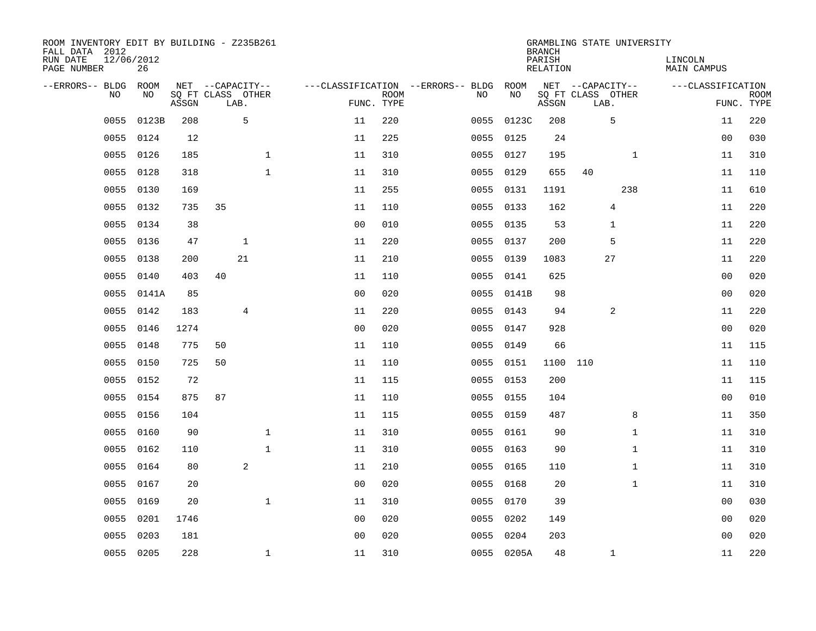| ROOM INVENTORY EDIT BY BUILDING - Z235B261<br>FALL DATA 2012<br>RUN DATE<br>PAGE NUMBER | 12/06/2012<br>26 |       |                           |              |                |                           |                                   |            | <b>BRANCH</b><br>PARISH<br>RELATION | GRAMBLING STATE UNIVERSITY | LINCOLN<br>MAIN CAMPUS |                           |
|-----------------------------------------------------------------------------------------|------------------|-------|---------------------------|--------------|----------------|---------------------------|-----------------------------------|------------|-------------------------------------|----------------------------|------------------------|---------------------------|
| --ERRORS-- BLDG                                                                         | ROOM             |       | NET --CAPACITY--          |              |                |                           | ---CLASSIFICATION --ERRORS-- BLDG | ROOM       |                                     | NET --CAPACITY--           | ---CLASSIFICATION      |                           |
| <b>NO</b>                                                                               | NO.              | ASSGN | SQ FT CLASS OTHER<br>LAB. |              |                | <b>ROOM</b><br>FUNC. TYPE | NO.                               | NO         | ASSGN                               | SQ FT CLASS OTHER<br>LAB.  |                        | <b>ROOM</b><br>FUNC. TYPE |
| 0055                                                                                    | 0123B            | 208   | 5                         |              | 11             | 220                       | 0055                              | 0123C      | 208                                 | 5                          | 11                     | 220                       |
| 0055                                                                                    | 0124             | 12    |                           |              | 11             | 225                       |                                   | 0055 0125  | 24                                  |                            | 00                     | 030                       |
| 0055                                                                                    | 0126             | 185   |                           | $\mathbf 1$  | 11             | 310                       |                                   | 0055 0127  | 195                                 | $\mathbf{1}$               | 11                     | 310                       |
| 0055                                                                                    | 0128             | 318   |                           | $\mathbf{1}$ | 11             | 310                       |                                   | 0055 0129  | 655                                 | 40                         | 11                     | 110                       |
| 0055                                                                                    | 0130             | 169   |                           |              | 11             | 255                       | 0055                              | 0131       | 1191                                | 238                        | 11                     | 610                       |
| 0055                                                                                    | 0132             | 735   | 35                        |              | 11             | 110                       |                                   | 0055 0133  | 162                                 | 4                          | 11                     | 220                       |
| 0055                                                                                    | 0134             | 38    |                           |              | 0 <sub>0</sub> | 010                       |                                   | 0055 0135  | 53                                  | 1                          | 11                     | 220                       |
| 0055                                                                                    | 0136             | 47    | $\mathbf{1}$              |              | 11             | 220                       |                                   | 0055 0137  | 200                                 | 5                          | 11                     | 220                       |
| 0055                                                                                    | 0138             | 200   | 21                        |              | 11             | 210                       | 0055                              | 0139       | 1083                                | 27                         | 11                     | 220                       |
| 0055                                                                                    | 0140             | 403   | 40                        |              | 11             | 110                       |                                   | 0055 0141  | 625                                 |                            | 00                     | 020                       |
| 0055                                                                                    | 0141A            | 85    |                           |              | 0 <sub>0</sub> | 020                       |                                   | 0055 0141B | 98                                  |                            | 0 <sub>0</sub>         | 020                       |
| 0055                                                                                    | 0142             | 183   | 4                         |              | 11             | 220                       |                                   | 0055 0143  | 94                                  | 2                          | 11                     | 220                       |
| 0055                                                                                    | 0146             | 1274  |                           |              | 0 <sub>0</sub> | 020                       | 0055                              | 0147       | 928                                 |                            | 0 <sub>0</sub>         | 020                       |
| 0055                                                                                    | 0148             | 775   | 50                        |              | 11             | 110                       |                                   | 0055 0149  | 66                                  |                            | 11                     | 115                       |
| 0055                                                                                    | 0150             | 725   | 50                        |              | 11             | 110                       |                                   | 0055 0151  | 1100                                | 110                        | 11                     | 110                       |
| 0055                                                                                    | 0152             | 72    |                           |              | 11             | 115                       |                                   | 0055 0153  | 200                                 |                            | 11                     | 115                       |
| 0055                                                                                    | 0154             | 875   | 87                        |              | 11             | 110                       |                                   | 0055 0155  | 104                                 |                            | 00                     | 010                       |
| 0055                                                                                    | 0156             | 104   |                           |              | 11             | 115                       |                                   | 0055 0159  | 487                                 | 8                          | 11                     | 350                       |
| 0055                                                                                    | 0160             | 90    |                           | 1            | 11             | 310                       |                                   | 0055 0161  | 90                                  | $\mathbf{1}$               | 11                     | 310                       |
| 0055                                                                                    | 0162             | 110   |                           | $\mathbf{1}$ | 11             | 310                       | 0055                              | 0163       | 90                                  | $\mathbf{1}$               | 11                     | 310                       |
| 0055                                                                                    | 0164             | 80    | 2                         |              | 11             | 210                       |                                   | 0055 0165  | 110                                 | $\mathbf{1}$               | 11                     | 310                       |
| 0055                                                                                    | 0167             | 20    |                           |              | 0 <sub>0</sub> | 020                       | 0055                              | 0168       | 20                                  | $\mathbf{1}$               | 11                     | 310                       |
| 0055                                                                                    | 0169             | 20    |                           | $\mathbf{1}$ | 11             | 310                       |                                   | 0055 0170  | 39                                  |                            | 0 <sub>0</sub>         | 030                       |
| 0055                                                                                    | 0201             | 1746  |                           |              | 0 <sub>0</sub> | 020                       | 0055                              | 0202       | 149                                 |                            | 00                     | 020                       |
| 0055                                                                                    | 0203             | 181   |                           |              | 0 <sub>0</sub> | 020                       | 0055                              | 0204       | 203                                 |                            | 0 <sub>0</sub>         | 020                       |
|                                                                                         | 0055 0205        | 228   |                           | $\mathbf{1}$ | 11             | 310                       |                                   | 0055 0205A | 48                                  | $\mathbf 1$                | 11                     | 220                       |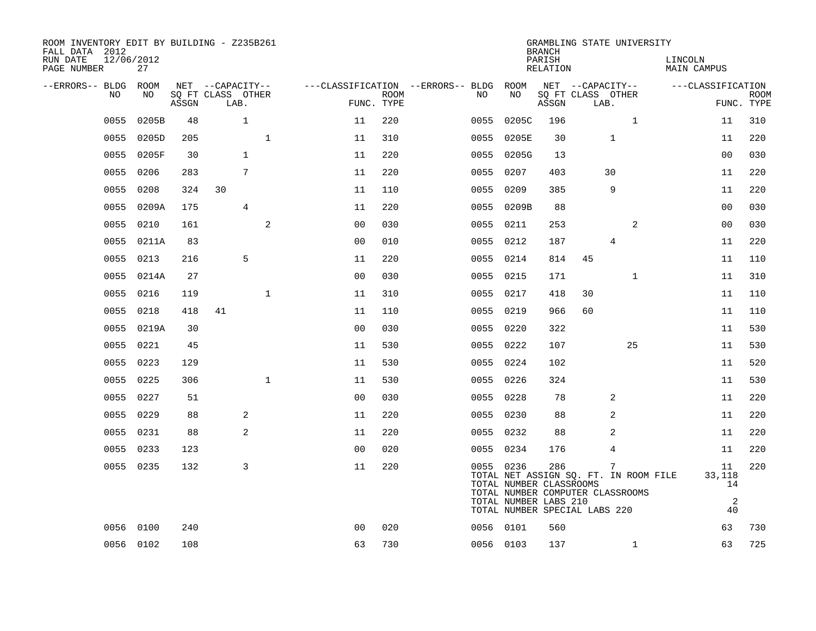| ROOM INVENTORY EDIT BY BUILDING - Z235B261<br>FALL DATA 2012<br>RUN DATE | 12/06/2012 |       |                                       |              |                |             |                                              |                                                               | <b>BRANCH</b><br>PARISH | GRAMBLING STATE UNIVERSITY                                                     | LINCOLN                 |             |
|--------------------------------------------------------------------------|------------|-------|---------------------------------------|--------------|----------------|-------------|----------------------------------------------|---------------------------------------------------------------|-------------------------|--------------------------------------------------------------------------------|-------------------------|-------------|
| PAGE NUMBER                                                              | 27         |       |                                       |              |                |             |                                              |                                                               | RELATION                |                                                                                | <b>MAIN CAMPUS</b>      |             |
| --ERRORS-- BLDG ROOM<br>NO                                               | NO         |       | NET --CAPACITY--<br>SQ FT CLASS OTHER |              |                | <b>ROOM</b> | ---CLASSIFICATION --ERRORS-- BLDG ROOM<br>NO | NO                                                            |                         | NET --CAPACITY--<br>SQ FT CLASS OTHER                                          | ---CLASSIFICATION       | <b>ROOM</b> |
|                                                                          |            | ASSGN | LAB.                                  |              |                | FUNC. TYPE  |                                              |                                                               | ASSGN                   | LAB.                                                                           |                         | FUNC. TYPE  |
| 0055                                                                     | 0205B      | 48    | $\mathbf{1}$                          |              | 11             | 220         | 0055                                         | 0205C                                                         | 196                     | $\mathbf{1}$                                                                   | 11                      | 310         |
| 0055                                                                     | 0205D      | 205   |                                       | $\mathbf{1}$ | 11             | 310         |                                              | 0055 0205E                                                    | 30                      | $\mathbf 1$                                                                    | 11                      | 220         |
| 0055                                                                     | 0205F      | 30    | $\mathbf{1}$                          |              | 11             | 220         |                                              | 0055 0205G                                                    | 13                      |                                                                                | 0 <sub>0</sub>          | 030         |
| 0055                                                                     | 0206       | 283   | 7                                     |              | 11             | 220         |                                              | 0055 0207                                                     | 403                     | 30                                                                             | 11                      | 220         |
| 0055                                                                     | 0208       | 324   | 30                                    |              | 11             | 110         |                                              | 0055 0209                                                     | 385                     | 9                                                                              | 11                      | 220         |
| 0055                                                                     | 0209A      | 175   | $\overline{4}$                        |              | 11             | 220         |                                              | 0055 0209B                                                    | 88                      |                                                                                | 00                      | 030         |
| 0055                                                                     | 0210       | 161   |                                       | 2            | 0 <sub>0</sub> | 030         |                                              | 0055 0211                                                     | 253                     | 2                                                                              | 0 <sub>0</sub>          | 030         |
| 0055                                                                     | 0211A      | 83    |                                       |              | 0 <sub>0</sub> | 010         |                                              | 0055 0212                                                     | 187                     | 4                                                                              | 11                      | 220         |
| 0055                                                                     | 0213       | 216   | 5                                     |              | 11             | 220         |                                              | 0055 0214                                                     | 814                     | 45                                                                             | 11                      | 110         |
| 0055                                                                     | 0214A      | 27    |                                       |              | 0 <sub>0</sub> | 030         |                                              | 0055 0215                                                     | 171                     | $\mathbf{1}$                                                                   | 11                      | 310         |
|                                                                          | 0055 0216  | 119   |                                       | $\mathbf{1}$ | 11             | 310         |                                              | 0055 0217                                                     | 418                     | 30                                                                             | 11                      | 110         |
| 0055                                                                     | 0218       | 418   | 41                                    |              | 11             | 110         |                                              | 0055 0219                                                     | 966                     | 60                                                                             | 11                      | 110         |
|                                                                          | 0055 0219A | 30    |                                       |              | 0 <sub>0</sub> | 030         |                                              | 0055 0220                                                     | 322                     |                                                                                | 11                      | 530         |
|                                                                          | 0055 0221  | 45    |                                       |              | 11             | 530         |                                              | 0055 0222                                                     | 107                     | 25                                                                             | 11                      | 530         |
|                                                                          | 0055 0223  | 129   |                                       |              | 11             | 530         |                                              | 0055 0224                                                     | 102                     |                                                                                | 11                      | 520         |
| 0055                                                                     | 0225       | 306   |                                       | $\mathbf{1}$ | 11             | 530         |                                              | 0055 0226                                                     | 324                     |                                                                                | 11                      | 530         |
| 0055                                                                     | 0227       | 51    |                                       |              | 0 <sub>0</sub> | 030         |                                              | 0055 0228                                                     | 78                      | 2                                                                              | 11                      | 220         |
|                                                                          | 0055 0229  | 88    | 2                                     |              | 11             | 220         |                                              | 0055 0230                                                     | 88                      | 2                                                                              | 11                      | 220         |
| 0055                                                                     | 0231       | 88    | 2                                     |              | 11             | 220         |                                              | 0055 0232                                                     | 88                      | 2                                                                              | 11                      | 220         |
| 0055                                                                     | 0233       | 123   |                                       |              | 0 <sub>0</sub> | 020         |                                              | 0055 0234                                                     | 176                     | 4                                                                              | 11                      | 220         |
|                                                                          | 0055 0235  | 132   | 3                                     |              | 11             | 220         |                                              | 0055 0236<br>TOTAL NUMBER CLASSROOMS<br>TOTAL NUMBER LABS 210 | 286                     | 7<br>TOTAL NET ASSIGN SQ. FT. IN ROOM FILE<br>TOTAL NUMBER COMPUTER CLASSROOMS | 11<br>33,118<br>14<br>2 | 220         |
|                                                                          |            |       |                                       |              |                |             |                                              |                                                               |                         | TOTAL NUMBER SPECIAL LABS 220                                                  | 40                      |             |
|                                                                          | 0056 0100  | 240   |                                       |              | 0 <sub>0</sub> | 020         |                                              | 0056 0101                                                     | 560                     |                                                                                | 63                      | 730         |
|                                                                          | 0056 0102  | 108   |                                       |              | 63             | 730         |                                              | 0056 0103                                                     | 137                     | $\mathbf{1}$                                                                   | 63                      | 725         |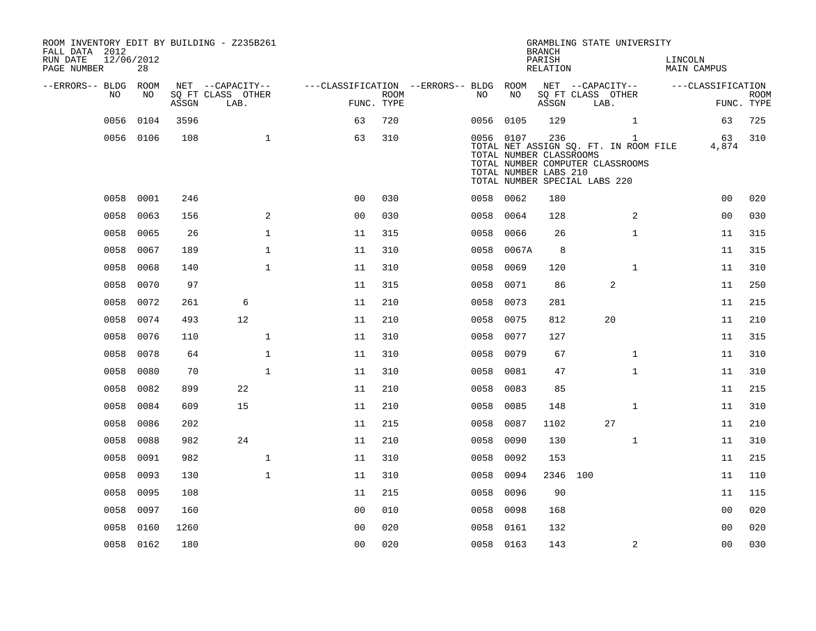| ROOM INVENTORY EDIT BY BUILDING - Z235B261<br>FALL DATA 2012<br>RUN DATE<br>PAGE NUMBER | 12/06/2012<br>28 |       |                           |                                        |                           |           |                                                               | <b>BRANCH</b><br>PARISH<br>RELATION |                               | GRAMBLING STATE UNIVERSITY                                                                | LINCOLN | <b>MAIN CAMPUS</b> |                           |
|-----------------------------------------------------------------------------------------|------------------|-------|---------------------------|----------------------------------------|---------------------------|-----------|---------------------------------------------------------------|-------------------------------------|-------------------------------|-------------------------------------------------------------------------------------------|---------|--------------------|---------------------------|
| --ERRORS-- BLDG ROOM                                                                    |                  |       | NET --CAPACITY--          | ---CLASSIFICATION --ERRORS-- BLDG ROOM |                           |           |                                                               |                                     | NET --CAPACITY--              |                                                                                           |         | ---CLASSIFICATION  |                           |
| NO                                                                                      | NO               | ASSGN | SQ FT CLASS OTHER<br>LAB. |                                        | <b>ROOM</b><br>FUNC. TYPE | NO        | NO                                                            | ASSGN                               | SQ FT CLASS OTHER<br>LAB.     |                                                                                           |         |                    | <b>ROOM</b><br>FUNC. TYPE |
| 0056                                                                                    | 0104             | 3596  |                           | 63                                     | 720                       | 0056 0105 |                                                               | 129                                 |                               | $\mathbf{1}$                                                                              |         | 63                 | 725                       |
|                                                                                         | 0056 0106        | 108   | $\mathbf{1}$              | 63                                     | 310                       |           | 0056 0107<br>TOTAL NUMBER CLASSROOMS<br>TOTAL NUMBER LABS 210 | 236                                 | TOTAL NUMBER SPECIAL LABS 220 | $\mathbf{1}$<br>TOTAL NET ASSIGN SQ. FT. IN ROOM FILE<br>TOTAL NUMBER COMPUTER CLASSROOMS |         | 63<br>4,874        | 310                       |
| 0058                                                                                    | 0001             | 246   |                           | 0 <sub>0</sub>                         | 030                       | 0058      | 0062                                                          | 180                                 |                               |                                                                                           |         | 0 <sub>0</sub>     | 020                       |
| 0058                                                                                    | 0063             | 156   | 2                         | 0 <sub>0</sub>                         | 030                       | 0058      | 0064                                                          | 128                                 |                               | 2                                                                                         |         | 00                 | 030                       |
| 0058                                                                                    | 0065             | 26    | $\mathbf{1}$              | 11                                     | 315                       | 0058      | 0066                                                          | 26                                  |                               | $\mathbf{1}$                                                                              |         | 11                 | 315                       |
| 0058                                                                                    | 0067             | 189   | $\mathbf 1$               | 11                                     | 310                       | 0058      | 0067A                                                         | 8                                   |                               |                                                                                           |         | 11                 | 315                       |
| 0058                                                                                    | 0068             | 140   | $\mathbf{1}$              | 11                                     | 310                       | 0058      | 0069                                                          | 120                                 |                               | $\mathbf{1}$                                                                              |         | 11                 | 310                       |
| 0058                                                                                    | 0070             | 97    |                           | 11                                     | 315                       | 0058      | 0071                                                          | 86                                  |                               | 2                                                                                         |         | 11                 | 250                       |
| 0058                                                                                    | 0072             | 261   | 6                         | 11                                     | 210                       | 0058      | 0073                                                          | 281                                 |                               |                                                                                           |         | 11                 | 215                       |
| 0058                                                                                    | 0074             | 493   | 12                        | 11                                     | 210                       | 0058      | 0075                                                          | 812                                 |                               | 20                                                                                        |         | 11                 | 210                       |
| 0058                                                                                    | 0076             | 110   | $\mathbf{1}$              | 11                                     | 310                       | 0058      | 0077                                                          | 127                                 |                               |                                                                                           |         | 11                 | 315                       |
| 0058                                                                                    | 0078             | 64    | $\mathbf{1}$              | 11                                     | 310                       | 0058      | 0079                                                          | 67                                  |                               | $\mathbf{1}$                                                                              |         | 11                 | 310                       |
| 0058                                                                                    | 0080             | 70    | $\mathbf{1}$              | 11                                     | 310                       | 0058      | 0081                                                          | 47                                  |                               | $\mathbf{1}$                                                                              |         | 11                 | 310                       |
| 0058                                                                                    | 0082             | 899   | 22                        | 11                                     | 210                       | 0058      | 0083                                                          | 85                                  |                               |                                                                                           |         | 11                 | 215                       |
| 0058                                                                                    | 0084             | 609   | 15                        | 11                                     | 210                       | 0058      | 0085                                                          | 148                                 |                               | $\mathbf{1}$                                                                              |         | 11                 | 310                       |
| 0058                                                                                    | 0086             | 202   |                           | 11                                     | 215                       | 0058      | 0087                                                          | 1102                                |                               | 27                                                                                        |         | 11                 | 210                       |
| 0058                                                                                    | 0088             | 982   | 24                        | 11                                     | 210                       | 0058      | 0090                                                          | 130                                 |                               | $\mathbf{1}$                                                                              |         | 11                 | 310                       |
| 0058                                                                                    | 0091             | 982   | $\mathbf 1$               | 11                                     | 310                       | 0058      | 0092                                                          | 153                                 |                               |                                                                                           |         | 11                 | 215                       |
| 0058                                                                                    | 0093             | 130   | $\mathbf{1}$              | 11                                     | 310                       | 0058      | 0094                                                          |                                     | 2346 100                      |                                                                                           |         | 11                 | 110                       |
| 0058                                                                                    | 0095             | 108   |                           | 11                                     | 215                       | 0058      | 0096                                                          | 90                                  |                               |                                                                                           |         | 11                 | 115                       |
| 0058                                                                                    | 0097             | 160   |                           | 0 <sub>0</sub>                         | 010                       | 0058      | 0098                                                          | 168                                 |                               |                                                                                           |         | 00                 | 020                       |
| 0058                                                                                    | 0160             | 1260  |                           | 0 <sub>0</sub>                         | 020                       | 0058      | 0161                                                          | 132                                 |                               |                                                                                           |         | 0 <sub>0</sub>     | 020                       |
|                                                                                         | 0058 0162        | 180   |                           | 0 <sub>0</sub>                         | 020                       | 0058 0163 |                                                               | 143                                 |                               | 2                                                                                         |         | 0 <sub>0</sub>     | 030                       |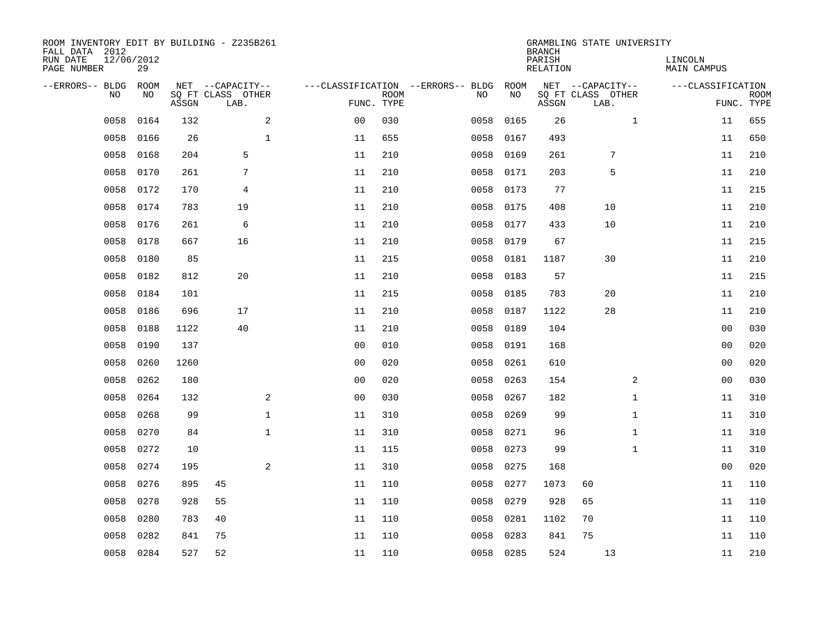| ROOM INVENTORY EDIT BY BUILDING - Z235B261<br>FALL DATA 2012<br>RUN DATE<br>PAGE NUMBER | 12/06/2012<br>29 |       |                                               |              |                |             |                                         |            | <b>BRANCH</b><br>PARISH<br><b>RELATION</b> | GRAMBLING STATE UNIVERSITY                    | LINCOLN<br><b>MAIN CAMPUS</b> |                           |
|-----------------------------------------------------------------------------------------|------------------|-------|-----------------------------------------------|--------------|----------------|-------------|-----------------------------------------|------------|--------------------------------------------|-----------------------------------------------|-------------------------------|---------------------------|
| --ERRORS-- BLDG<br>NO                                                                   | ROOM<br>NO       | ASSGN | NET --CAPACITY--<br>SQ FT CLASS OTHER<br>LAB. |              | FUNC. TYPE     | <b>ROOM</b> | ---CLASSIFICATION --ERRORS-- BLDG<br>NO | ROOM<br>NO | ASSGN                                      | NET --CAPACITY--<br>SQ FT CLASS OTHER<br>LAB. | ---CLASSIFICATION             | <b>ROOM</b><br>FUNC. TYPE |
| 0058                                                                                    | 0164             | 132   |                                               | 2            | 0 <sub>0</sub> | 030         | 0058                                    | 0165       | 26                                         | $\mathbf{1}$                                  | 11                            | 655                       |
| 0058                                                                                    | 0166             | 26    |                                               | $\mathbf 1$  | 11             | 655         | 0058                                    | 0167       | 493                                        |                                               | 11                            | 650                       |
| 0058                                                                                    | 0168             | 204   | 5                                             |              | 11             | 210         | 0058                                    | 0169       | 261                                        | 7                                             | 11                            | 210                       |
| 0058                                                                                    | 0170             | 261   | 7                                             |              | 11             | 210         | 0058                                    | 0171       | 203                                        | 5                                             | 11                            | 210                       |
| 0058                                                                                    | 0172             | 170   | 4                                             |              | 11             | 210         | 0058                                    | 0173       | 77                                         |                                               | 11                            | 215                       |
| 0058                                                                                    | 0174             | 783   | 19                                            |              | 11             | 210         | 0058                                    | 0175       | 408                                        | 10                                            | 11                            | 210                       |
| 0058                                                                                    | 0176             | 261   | 6                                             |              | 11             | 210         | 0058                                    | 0177       | 433                                        | 10                                            | 11                            | 210                       |
| 0058                                                                                    | 0178             | 667   | 16                                            |              | 11             | 210         | 0058                                    | 0179       | 67                                         |                                               | 11                            | 215                       |
| 0058                                                                                    | 0180             | 85    |                                               |              | 11             | 215         | 0058                                    | 0181       | 1187                                       | 30                                            | 11                            | 210                       |
| 0058                                                                                    | 0182             | 812   | 20                                            |              | 11             | 210         | 0058                                    | 0183       | 57                                         |                                               | 11                            | 215                       |
| 0058                                                                                    | 0184             | 101   |                                               |              | 11             | 215         | 0058                                    | 0185       | 783                                        | 20                                            | 11                            | 210                       |
| 0058                                                                                    | 0186             | 696   | 17                                            |              | 11             | 210         | 0058                                    | 0187       | 1122                                       | 28                                            | 11                            | 210                       |
| 0058                                                                                    | 0188             | 1122  | 40                                            |              | 11             | 210         | 0058                                    | 0189       | 104                                        |                                               | 00                            | 030                       |
| 0058                                                                                    | 0190             | 137   |                                               |              | 0 <sub>0</sub> | 010         | 0058                                    | 0191       | 168                                        |                                               | 00                            | 020                       |
| 0058                                                                                    | 0260             | 1260  |                                               |              | 0 <sub>0</sub> | 020         | 0058                                    | 0261       | 610                                        |                                               | 00                            | 020                       |
| 0058                                                                                    | 0262             | 180   |                                               |              | 0 <sub>0</sub> | 020         | 0058                                    | 0263       | 154                                        | 2                                             | 00                            | 030                       |
| 0058                                                                                    | 0264             | 132   |                                               | 2            | 0 <sub>0</sub> | 030         | 0058                                    | 0267       | 182                                        | $\mathbf{1}$                                  | 11                            | 310                       |
| 0058                                                                                    | 0268             | 99    |                                               | $\mathbf{1}$ | 11             | 310         | 0058                                    | 0269       | 99                                         | $\mathbf{1}$                                  | 11                            | 310                       |
| 0058                                                                                    | 0270             | 84    |                                               | $\mathbf{1}$ | 11             | 310         | 0058                                    | 0271       | 96                                         | $\mathbf{1}$                                  | 11                            | 310                       |
| 0058                                                                                    | 0272             | 10    |                                               |              | 11             | 115         | 0058                                    | 0273       | 99                                         | $\mathbf{1}$                                  | 11                            | 310                       |
| 0058                                                                                    | 0274             | 195   |                                               | 2            | 11             | 310         | 0058                                    | 0275       | 168                                        |                                               | 00                            | 020                       |
| 0058                                                                                    | 0276             | 895   | 45                                            |              | 11             | 110         | 0058                                    | 0277       | 1073                                       | 60                                            | 11                            | 110                       |
| 0058                                                                                    | 0278             | 928   | 55                                            |              | 11             | 110         | 0058                                    | 0279       | 928                                        | 65                                            | 11                            | 110                       |
| 0058                                                                                    | 0280             | 783   | 40                                            |              | 11             | 110         | 0058                                    | 0281       | 1102                                       | 70                                            | 11                            | 110                       |
| 0058                                                                                    | 0282             | 841   | 75                                            |              | 11             | 110         | 0058                                    | 0283       | 841                                        | 75                                            | 11                            | 110                       |
| 0058                                                                                    | 0284             | 527   | 52                                            |              | 11             | 110         |                                         | 0058 0285  | 524                                        | 13                                            | 11                            | 210                       |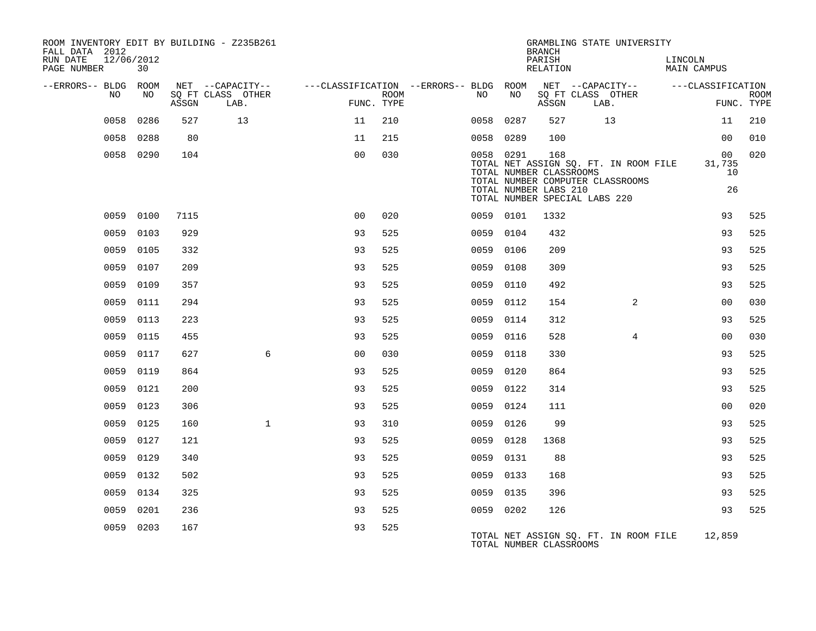| ROOM INVENTORY EDIT BY BUILDING - Z235B261<br>FALL DATA 2012 |           |       |                           |                                        |      |           |      | <b>BRANCH</b>                                           | GRAMBLING STATE UNIVERSITY                                                |         |                          |                           |
|--------------------------------------------------------------|-----------|-------|---------------------------|----------------------------------------|------|-----------|------|---------------------------------------------------------|---------------------------------------------------------------------------|---------|--------------------------|---------------------------|
| 12/06/2012<br>RUN DATE<br>PAGE NUMBER                        | 30        |       |                           |                                        |      |           |      | PARISH<br>RELATION                                      |                                                                           | LINCOLN | <b>MAIN CAMPUS</b>       |                           |
| --ERRORS-- BLDG ROOM                                         |           |       | NET --CAPACITY--          | ---CLASSIFICATION --ERRORS-- BLDG ROOM |      |           |      |                                                         | NET --CAPACITY--                                                          |         | ---CLASSIFICATION        |                           |
| NO                                                           | NO.       | ASSGN | SO FT CLASS OTHER<br>LAB. | FUNC. TYPE                             | ROOM | NO        | NO   | ASSGN                                                   | SO FT CLASS OTHER<br>LAB.                                                 |         |                          | <b>ROOM</b><br>FUNC. TYPE |
| 0058                                                         | 0286      | 527   | 13                        | 11                                     | 210  | 0058 0287 |      | 527                                                     | 13                                                                        |         | 11                       | 210                       |
|                                                              | 0058 0288 | 80    |                           | 11                                     | 215  | 0058 0289 |      | 100                                                     |                                                                           |         | 00                       | 010                       |
|                                                              | 0058 0290 | 104   |                           | 0 <sub>0</sub>                         | 030  | 0058 0291 |      | 168<br>TOTAL NUMBER CLASSROOMS<br>TOTAL NUMBER LABS 210 | TOTAL NET ASSIGN SQ. FT. IN ROOM FILE<br>TOTAL NUMBER COMPUTER CLASSROOMS |         | 00<br>31,735<br>10<br>26 | 020                       |
|                                                              |           |       |                           |                                        |      |           |      | TOTAL NUMBER SPECIAL LABS 220                           |                                                                           |         |                          |                           |
|                                                              | 0059 0100 | 7115  |                           | 0 <sub>0</sub>                         | 020  | 0059 0101 |      | 1332                                                    |                                                                           |         | 93                       | 525                       |
| 0059                                                         | 0103      | 929   |                           | 93                                     | 525  | 0059 0104 |      | 432                                                     |                                                                           |         | 93                       | 525                       |
|                                                              | 0059 0105 | 332   |                           | 93                                     | 525  | 0059 0106 |      | 209                                                     |                                                                           |         | 93                       | 525                       |
| 0059                                                         | 0107      | 209   |                           | 93                                     | 525  | 0059      | 0108 | 309                                                     |                                                                           |         | 93                       | 525                       |
| 0059                                                         | 0109      | 357   |                           | 93                                     | 525  | 0059 0110 |      | 492                                                     |                                                                           |         | 93                       | 525                       |
| 0059                                                         | 0111      | 294   |                           | 93                                     | 525  | 0059      | 0112 | 154                                                     | 2                                                                         |         | 00                       | 030                       |
| 0059                                                         | 0113      | 223   |                           | 93                                     | 525  | 0059 0114 |      | 312                                                     |                                                                           |         | 93                       | 525                       |
| 0059                                                         | 0115      | 455   |                           | 93                                     | 525  | 0059      | 0116 | 528                                                     | $\overline{4}$                                                            |         | 0 <sub>0</sub>           | 030                       |
| 0059                                                         | 0117      | 627   | 6                         | 0 <sub>0</sub>                         | 030  | 0059 0118 |      | 330                                                     |                                                                           |         | 93                       | 525                       |
| 0059                                                         | 0119      | 864   |                           | 93                                     | 525  | 0059 0120 |      | 864                                                     |                                                                           |         | 93                       | 525                       |
| 0059                                                         | 0121      | 200   |                           | 93                                     | 525  | 0059 0122 |      | 314                                                     |                                                                           |         | 93                       | 525                       |
| 0059                                                         | 0123      | 306   |                           | 93                                     | 525  | 0059 0124 |      | 111                                                     |                                                                           |         | 0 <sub>0</sub>           | 020                       |
| 0059                                                         | 0125      | 160   | $\mathbf{1}$              | 93                                     | 310  | 0059 0126 |      | 99                                                      |                                                                           |         | 93                       | 525                       |
| 0059                                                         | 0127      | 121   |                           | 93                                     | 525  | 0059 0128 |      | 1368                                                    |                                                                           |         | 93                       | 525                       |
| 0059                                                         | 0129      | 340   |                           | 93                                     | 525  | 0059 0131 |      | 88                                                      |                                                                           |         | 93                       | 525                       |
| 0059                                                         | 0132      | 502   |                           | 93                                     | 525  | 0059 0133 |      | 168                                                     |                                                                           |         | 93                       | 525                       |
|                                                              | 0059 0134 | 325   |                           | 93                                     | 525  | 0059 0135 |      | 396                                                     |                                                                           |         | 93                       | 525                       |
| 0059                                                         | 0201      | 236   |                           | 93                                     | 525  | 0059 0202 |      | 126                                                     |                                                                           |         | 93                       | 525                       |
| 0059                                                         | 0203      | 167   |                           | 93                                     | 525  |           |      | TOTAL NUMBER CLASSROOMS                                 | TOTAL NET ASSIGN SQ. FT. IN ROOM FILE                                     |         | 12,859                   |                           |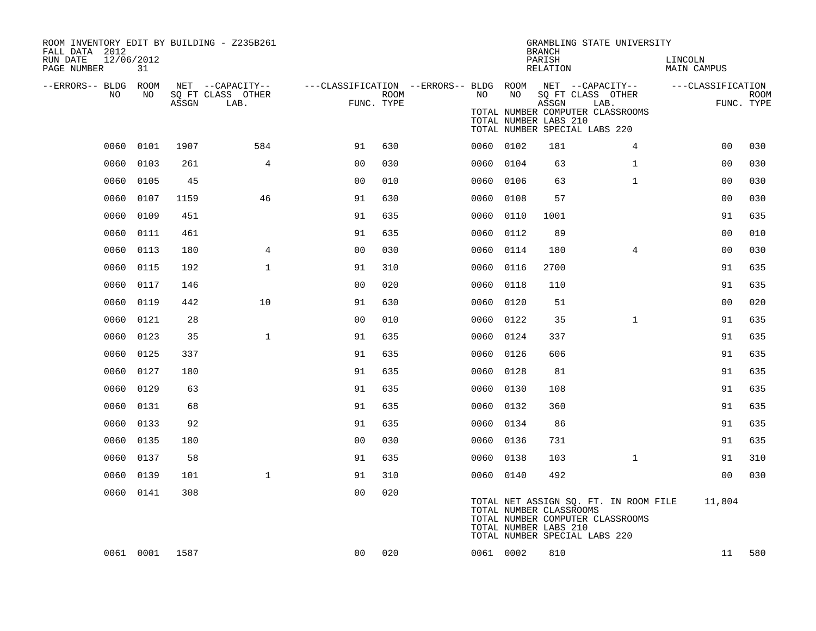| ROOM INVENTORY EDIT BY BUILDING - Z235B261<br>FALL DATA 2012<br>RUN DATE<br>PAGE NUMBER | 12/06/2012<br>31 |       |                                       |                                        |            |           |                                                  | <b>BRANCH</b><br>PARISH<br>RELATION | GRAMBLING STATE UNIVERSITY                                                                                 | LINCOLN<br>MAIN CAMPUS |             |
|-----------------------------------------------------------------------------------------|------------------|-------|---------------------------------------|----------------------------------------|------------|-----------|--------------------------------------------------|-------------------------------------|------------------------------------------------------------------------------------------------------------|------------------------|-------------|
| --ERRORS-- BLDG ROOM<br>NO                                                              | NO               |       | NET --CAPACITY--<br>SQ FT CLASS OTHER | ---CLASSIFICATION --ERRORS-- BLDG ROOM | ROOM       | NO        | NO                                               |                                     | NET --CAPACITY--<br>SQ FT CLASS OTHER                                                                      | ---CLASSIFICATION      | <b>ROOM</b> |
|                                                                                         |                  | ASSGN | LAB.                                  |                                        | FUNC. TYPE |           | TOTAL NUMBER LABS 210                            | ASSGN                               | LAB.<br>TOTAL NUMBER COMPUTER CLASSROOMS<br>TOTAL NUMBER SPECIAL LABS 220                                  |                        | FUNC. TYPE  |
| 0060                                                                                    | 0101             | 1907  | 584                                   | 91                                     | 630        | 0060 0102 |                                                  | 181                                 | 4                                                                                                          | 0 <sub>0</sub>         | 030         |
| 0060                                                                                    | 0103             | 261   | 4                                     | 0 <sub>0</sub>                         | 030        | 0060      | 0104                                             | 63                                  | $\mathbf{1}$                                                                                               | 00                     | 030         |
| 0060                                                                                    | 0105             | 45    |                                       | 0 <sub>0</sub>                         | 010        | 0060      | 0106                                             | 63                                  | $\mathbf{1}$                                                                                               | 0 <sub>0</sub>         | 030         |
| 0060                                                                                    | 0107             | 1159  | 46                                    | 91                                     | 630        | 0060      | 0108                                             | 57                                  |                                                                                                            | 0 <sub>0</sub>         | 030         |
| 0060                                                                                    | 0109             | 451   |                                       | 91                                     | 635        | 0060      | 0110                                             | 1001                                |                                                                                                            | 91                     | 635         |
| 0060                                                                                    | 0111             | 461   |                                       | 91                                     | 635        | 0060      | 0112                                             | 89                                  |                                                                                                            | 0 <sub>0</sub>         | 010         |
| 0060                                                                                    | 0113             | 180   | 4                                     | 0 <sub>0</sub>                         | 030        | 0060 0114 |                                                  | 180                                 | 4                                                                                                          | 00                     | 030         |
| 0060                                                                                    | 0115             | 192   | $\mathbf{1}$                          | 91                                     | 310        | 0060      | 0116                                             | 2700                                |                                                                                                            | 91                     | 635         |
| 0060                                                                                    | 0117             | 146   |                                       | 0 <sub>0</sub>                         | 020        | 0060      | 0118                                             | 110                                 |                                                                                                            | 91                     | 635         |
| 0060                                                                                    | 0119             | 442   | 10                                    | 91                                     | 630        | 0060      | 0120                                             | 51                                  |                                                                                                            | 0 <sub>0</sub>         | 020         |
| 0060                                                                                    | 0121             | 28    |                                       | 0 <sub>0</sub>                         | 010        | 0060 0122 |                                                  | 35                                  | $\mathbf{1}$                                                                                               | 91                     | 635         |
| 0060                                                                                    | 0123             | 35    | $\mathbf{1}$                          | 91                                     | 635        | 0060      | 0124                                             | 337                                 |                                                                                                            | 91                     | 635         |
| 0060                                                                                    | 0125             | 337   |                                       | 91                                     | 635        | 0060 0126 |                                                  | 606                                 |                                                                                                            | 91                     | 635         |
| 0060                                                                                    | 0127             | 180   |                                       | 91                                     | 635        | 0060      | 0128                                             | 81                                  |                                                                                                            | 91                     | 635         |
| 0060                                                                                    | 0129             | 63    |                                       | 91                                     | 635        | 0060      | 0130                                             | 108                                 |                                                                                                            | 91                     | 635         |
| 0060                                                                                    | 0131             | 68    |                                       | 91                                     | 635        | 0060      | 0132                                             | 360                                 |                                                                                                            | 91                     | 635         |
| 0060                                                                                    | 0133             | 92    |                                       | 91                                     | 635        | 0060      | 0134                                             | 86                                  |                                                                                                            | 91                     | 635         |
| 0060                                                                                    | 0135             | 180   |                                       | 0 <sub>0</sub>                         | 030        | 0060      | 0136                                             | 731                                 |                                                                                                            | 91                     | 635         |
| 0060                                                                                    | 0137             | 58    |                                       | 91                                     | 635        | 0060      | 0138                                             | 103                                 | $\mathbf{1}$                                                                                               | 91                     | 310         |
| 0060                                                                                    | 0139             | 101   | $\mathbf{1}$                          | 91                                     | 310        | 0060 0140 |                                                  | 492                                 |                                                                                                            | 0 <sub>0</sub>         | 030         |
|                                                                                         | 0060 0141        | 308   |                                       | 00                                     | 020        |           | TOTAL NUMBER CLASSROOMS<br>TOTAL NUMBER LABS 210 |                                     | TOTAL NET ASSIGN SQ. FT. IN ROOM FILE<br>TOTAL NUMBER COMPUTER CLASSROOMS<br>TOTAL NUMBER SPECIAL LABS 220 | 11,804                 |             |
|                                                                                         | 0061 0001        | 1587  |                                       | 00                                     | 020        | 0061 0002 |                                                  | 810                                 |                                                                                                            | 11                     | 580         |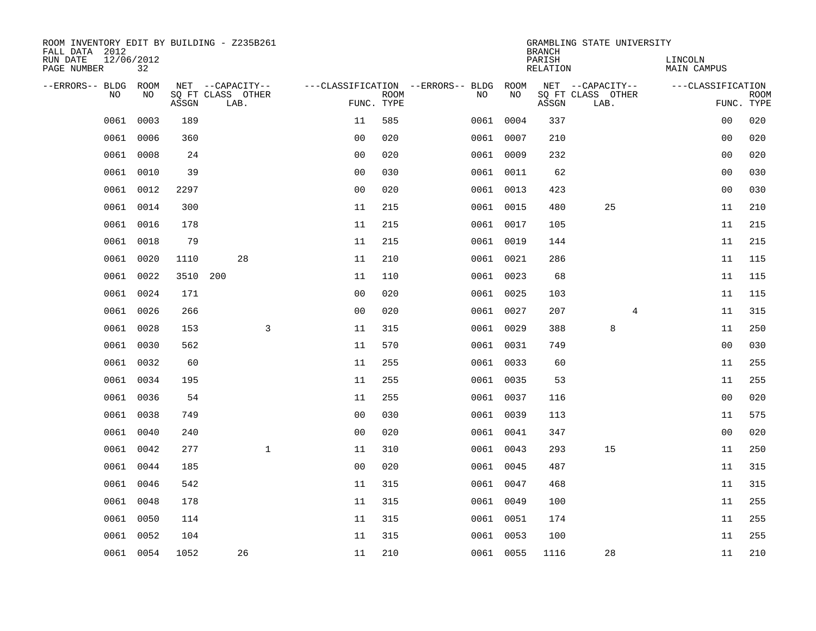| ROOM INVENTORY EDIT BY BUILDING - Z235B261<br>FALL DATA 2012 |                  |       |                           |                |                           |                                        |           | <b>BRANCH</b>             | GRAMBLING STATE UNIVERSITY |                               |                           |
|--------------------------------------------------------------|------------------|-------|---------------------------|----------------|---------------------------|----------------------------------------|-----------|---------------------------|----------------------------|-------------------------------|---------------------------|
| RUN DATE<br>PAGE NUMBER                                      | 12/06/2012<br>32 |       |                           |                |                           |                                        |           | PARISH<br><b>RELATION</b> |                            | LINCOLN<br><b>MAIN CAMPUS</b> |                           |
| --ERRORS-- BLDG ROOM                                         |                  |       | NET --CAPACITY--          |                |                           | ---CLASSIFICATION --ERRORS-- BLDG ROOM |           |                           | NET --CAPACITY--           | ---CLASSIFICATION             |                           |
| NO                                                           | NO               | ASSGN | SQ FT CLASS OTHER<br>LAB. |                | <b>ROOM</b><br>FUNC. TYPE | NO                                     | NO        | ASSGN                     | SQ FT CLASS OTHER<br>LAB.  |                               | <b>ROOM</b><br>FUNC. TYPE |
| 0061                                                         | 0003             | 189   |                           | 11             | 585                       |                                        | 0061 0004 | 337                       |                            | 0 <sub>0</sub>                | 020                       |
| 0061                                                         | 0006             | 360   |                           | 0 <sub>0</sub> | 020                       |                                        | 0061 0007 | 210                       |                            | 00                            | 020                       |
| 0061                                                         | 0008             | 24    |                           | 0 <sub>0</sub> | 020                       |                                        | 0061 0009 | 232                       |                            | 00                            | 020                       |
| 0061                                                         | 0010             | 39    |                           | 0 <sub>0</sub> | 030                       |                                        | 0061 0011 | 62                        |                            | 00                            | 030                       |
| 0061                                                         | 0012             | 2297  |                           | 00             | 020                       |                                        | 0061 0013 | 423                       |                            | 0 <sub>0</sub>                | 030                       |
| 0061                                                         | 0014             | 300   |                           | 11             | 215                       |                                        | 0061 0015 | 480                       | 25                         | 11                            | 210                       |
| 0061                                                         | 0016             | 178   |                           | 11             | 215                       |                                        | 0061 0017 | 105                       |                            | 11                            | 215                       |
|                                                              | 0061 0018        | 79    |                           | 11             | 215                       |                                        | 0061 0019 | 144                       |                            | 11                            | 215                       |
| 0061                                                         | 0020             | 1110  | 28                        | 11             | 210                       |                                        | 0061 0021 | 286                       |                            | 11                            | 115                       |
|                                                              | 0061 0022        |       | 3510 200                  | 11             | 110                       |                                        | 0061 0023 | 68                        |                            | 11                            | 115                       |
| 0061                                                         | 0024             | 171   |                           | 0 <sub>0</sub> | 020                       |                                        | 0061 0025 | 103                       |                            | 11                            | 115                       |
|                                                              | 0061 0026        | 266   |                           | 0 <sub>0</sub> | 020                       |                                        | 0061 0027 | 207                       | 4                          | 11                            | 315                       |
| 0061                                                         | 0028             | 153   | 3                         | 11             | 315                       |                                        | 0061 0029 | 388                       | 8                          | 11                            | 250                       |
| 0061                                                         | 0030             | 562   |                           | 11             | 570                       |                                        | 0061 0031 | 749                       |                            | 00                            | 030                       |
| 0061                                                         | 0032             | 60    |                           | 11             | 255                       |                                        | 0061 0033 | 60                        |                            | 11                            | 255                       |
| 0061                                                         | 0034             | 195   |                           | 11             | 255                       |                                        | 0061 0035 | 53                        |                            | 11                            | 255                       |
| 0061                                                         | 0036             | 54    |                           | 11             | 255                       |                                        | 0061 0037 | 116                       |                            | 0 <sub>0</sub>                | 020                       |
| 0061                                                         | 0038             | 749   |                           | 0 <sub>0</sub> | 030                       |                                        | 0061 0039 | 113                       |                            | 11                            | 575                       |
| 0061                                                         | 0040             | 240   |                           | 0 <sub>0</sub> | 020                       |                                        | 0061 0041 | 347                       |                            | 0 <sub>0</sub>                | 020                       |
| 0061                                                         | 0042             | 277   | $\mathbf{1}$              | 11             | 310                       |                                        | 0061 0043 | 293                       | 15                         | 11                            | 250                       |
| 0061                                                         | 0044             | 185   |                           | 0 <sub>0</sub> | 020                       |                                        | 0061 0045 | 487                       |                            | 11                            | 315                       |
| 0061                                                         | 0046             | 542   |                           | 11             | 315                       |                                        | 0061 0047 | 468                       |                            | 11                            | 315                       |
| 0061                                                         | 0048             | 178   |                           | 11             | 315                       |                                        | 0061 0049 | 100                       |                            | 11                            | 255                       |
| 0061                                                         | 0050             | 114   |                           | 11             | 315                       |                                        | 0061 0051 | 174                       |                            | 11                            | 255                       |
| 0061                                                         | 0052             | 104   |                           | 11             | 315                       |                                        | 0061 0053 | 100                       |                            | 11                            | 255                       |
|                                                              | 0061 0054        | 1052  | 26                        | 11             | 210                       |                                        | 0061 0055 | 1116                      | 28                         | 11                            | 210                       |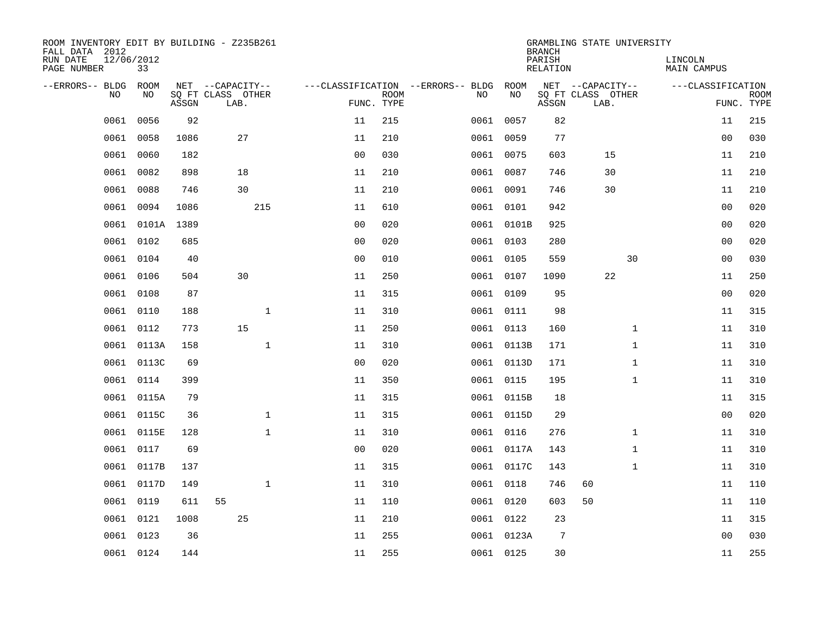| ROOM INVENTORY EDIT BY BUILDING - Z235B261<br>FALL DATA 2012 |                  |       |                           |              |                |                           |                                   |           |            | <b>BRANCH</b>      | GRAMBLING STATE UNIVERSITY |              |                        |                           |
|--------------------------------------------------------------|------------------|-------|---------------------------|--------------|----------------|---------------------------|-----------------------------------|-----------|------------|--------------------|----------------------------|--------------|------------------------|---------------------------|
| RUN DATE<br>PAGE NUMBER                                      | 12/06/2012<br>33 |       |                           |              |                |                           |                                   |           |            | PARISH<br>RELATION |                            |              | LINCOLN<br>MAIN CAMPUS |                           |
| --ERRORS-- BLDG                                              | ROOM             |       | NET --CAPACITY--          |              |                |                           | ---CLASSIFICATION --ERRORS-- BLDG |           | ROOM       |                    | NET --CAPACITY--           |              | ---CLASSIFICATION      |                           |
| N <sub>O</sub>                                               | NO.              | ASSGN | SO FT CLASS OTHER<br>LAB. |              |                | <b>ROOM</b><br>FUNC. TYPE |                                   | NO.       | NO         | ASSGN              | SQ FT CLASS OTHER<br>LAB.  |              |                        | <b>ROOM</b><br>FUNC. TYPE |
| 0061                                                         | 0056             | 92    |                           |              | 11             | 215                       |                                   |           | 0061 0057  | 82                 |                            |              | 11                     | 215                       |
| 0061                                                         | 0058             | 1086  | 27                        |              | 11             | 210                       |                                   | 0061 0059 |            | 77                 |                            |              | 0 <sub>0</sub>         | 030                       |
| 0061                                                         | 0060             | 182   |                           |              | 0 <sub>0</sub> | 030                       |                                   |           | 0061 0075  | 603                | 15                         |              | 11                     | 210                       |
| 0061                                                         | 0082             | 898   | 18                        |              | 11             | 210                       |                                   |           | 0061 0087  | 746                | 30                         |              | 11                     | 210                       |
| 0061                                                         | 0088             | 746   | 30                        |              | 11             | 210                       |                                   |           | 0061 0091  | 746                | 30                         |              | 11                     | 210                       |
| 0061                                                         | 0094             | 1086  | 215                       |              | 11             | 610                       |                                   |           | 0061 0101  | 942                |                            |              | 00                     | 020                       |
| 0061                                                         | 0101A            | 1389  |                           |              | 0 <sub>0</sub> | 020                       |                                   |           | 0061 0101B | 925                |                            |              | 0 <sub>0</sub>         | 020                       |
| 0061                                                         | 0102             | 685   |                           |              | 0 <sub>0</sub> | 020                       |                                   |           | 0061 0103  | 280                |                            |              | 0 <sub>0</sub>         | 020                       |
| 0061                                                         | 0104             | 40    |                           |              | 0 <sub>0</sub> | 010                       |                                   |           | 0061 0105  | 559                |                            | 30           | 0 <sub>0</sub>         | 030                       |
|                                                              | 0061 0106        | 504   | 30                        |              | 11             | 250                       |                                   |           | 0061 0107  | 1090               | 22                         |              | 11                     | 250                       |
| 0061                                                         | 0108             | 87    |                           |              | 11             | 315                       |                                   | 0061 0109 |            | 95                 |                            |              | 0 <sub>0</sub>         | 020                       |
|                                                              | 0061 0110        | 188   |                           | $\mathbf{1}$ | 11             | 310                       |                                   |           | 0061 0111  | 98                 |                            |              | 11                     | 315                       |
| 0061                                                         | 0112             | 773   | 15                        |              | 11             | 250                       |                                   |           | 0061 0113  | 160                |                            | $\mathbf{1}$ | 11                     | 310                       |
| 0061                                                         | 0113A            | 158   |                           | $\mathbf{1}$ | 11             | 310                       |                                   |           | 0061 0113B | 171                |                            | $\mathbf{1}$ | 11                     | 310                       |
| 0061                                                         | 0113C            | 69    |                           |              | 0 <sub>0</sub> | 020                       |                                   |           | 0061 0113D | 171                |                            | $\mathbf{1}$ | 11                     | 310                       |
| 0061                                                         | 0114             | 399   |                           |              | 11             | 350                       |                                   |           | 0061 0115  | 195                |                            | $\mathbf{1}$ | 11                     | 310                       |
| 0061                                                         | 0115A            | 79    |                           |              | 11             | 315                       |                                   |           | 0061 0115B | 18                 |                            |              | 11                     | 315                       |
| 0061                                                         | 0115C            | 36    |                           | $\mathbf{1}$ | 11             | 315                       |                                   |           | 0061 0115D | 29                 |                            |              | 00                     | 020                       |
| 0061                                                         | 0115E            | 128   |                           | $\mathbf{1}$ | 11             | 310                       |                                   |           | 0061 0116  | 276                |                            | $\mathbf{1}$ | 11                     | 310                       |
| 0061                                                         | 0117             | 69    |                           |              | 0 <sub>0</sub> | 020                       |                                   |           | 0061 0117A | 143                |                            | $\mathbf{1}$ | 11                     | 310                       |
| 0061                                                         | 0117B            | 137   |                           |              | 11             | 315                       |                                   |           | 0061 0117C | 143                |                            | $\mathbf{1}$ | 11                     | 310                       |
| 0061                                                         | 0117D            | 149   |                           | $\mathbf 1$  | 11             | 310                       |                                   |           | 0061 0118  | 746                | 60                         |              | 11                     | 110                       |
| 0061                                                         | 0119             | 611   | 55                        |              | 11             | 110                       |                                   |           | 0061 0120  | 603                | 50                         |              | 11                     | 110                       |
| 0061                                                         | 0121             | 1008  | 25                        |              | 11             | 210                       |                                   |           | 0061 0122  | 23                 |                            |              | 11                     | 315                       |
| 0061                                                         | 0123             | 36    |                           |              | 11             | 255                       |                                   |           | 0061 0123A | 7                  |                            |              | 0 <sub>0</sub>         | 030                       |
|                                                              | 0061 0124        | 144   |                           |              | 11             | 255                       |                                   |           | 0061 0125  | 30                 |                            |              | 11                     | 255                       |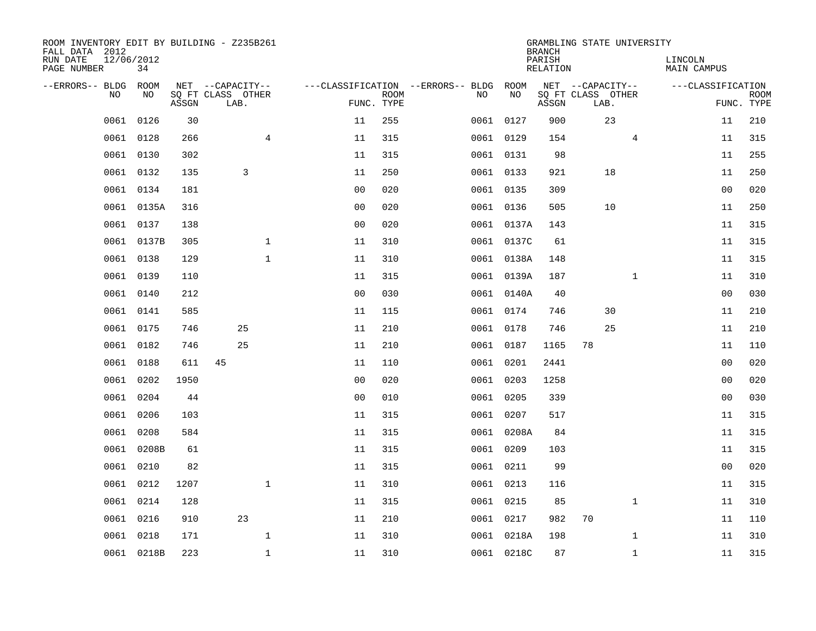| ROOM INVENTORY EDIT BY BUILDING - Z235B261<br>FALL DATA 2012 |                  |       |                           |                |                |                           |                                   |            | <b>BRANCH</b>      | GRAMBLING STATE UNIVERSITY |                |                        |                           |
|--------------------------------------------------------------|------------------|-------|---------------------------|----------------|----------------|---------------------------|-----------------------------------|------------|--------------------|----------------------------|----------------|------------------------|---------------------------|
| RUN DATE<br>PAGE NUMBER                                      | 12/06/2012<br>34 |       |                           |                |                |                           |                                   |            | PARISH<br>RELATION |                            |                | LINCOLN<br>MAIN CAMPUS |                           |
| --ERRORS-- BLDG                                              | ROOM             |       | NET --CAPACITY--          |                |                |                           | ---CLASSIFICATION --ERRORS-- BLDG | ROOM       |                    | NET --CAPACITY--           |                | ---CLASSIFICATION      |                           |
| N <sub>O</sub>                                               | NO.              | ASSGN | SO FT CLASS OTHER<br>LAB. |                |                | <b>ROOM</b><br>FUNC. TYPE | NO.                               | NO         | ASSGN              | SQ FT CLASS OTHER<br>LAB.  |                |                        | <b>ROOM</b><br>FUNC. TYPE |
| 0061                                                         | 0126             | 30    |                           |                | 11             | 255                       |                                   | 0061 0127  | 900                | 23                         |                | 11                     | 210                       |
| 0061                                                         | 0128             | 266   |                           | $\overline{4}$ | 11             | 315                       |                                   | 0061 0129  | 154                |                            | $\overline{4}$ | 11                     | 315                       |
| 0061                                                         | 0130             | 302   |                           |                | 11             | 315                       |                                   | 0061 0131  | 98                 |                            |                | 11                     | 255                       |
| 0061                                                         | 0132             | 135   | 3                         |                | 11             | 250                       |                                   | 0061 0133  | 921                | 18                         |                | 11                     | 250                       |
| 0061                                                         | 0134             | 181   |                           |                | 00             | 020                       |                                   | 0061 0135  | 309                |                            |                | 0 <sub>0</sub>         | 020                       |
| 0061                                                         | 0135A            | 316   |                           |                | 0 <sub>0</sub> | 020                       |                                   | 0061 0136  | 505                | 10                         |                | 11                     | 250                       |
| 0061                                                         | 0137             | 138   |                           |                | 0 <sub>0</sub> | 020                       |                                   | 0061 0137A | 143                |                            |                | 11                     | 315                       |
|                                                              | 0061 0137B       | 305   |                           | $\mathbf 1$    | 11             | 310                       |                                   | 0061 0137C | 61                 |                            |                | 11                     | 315                       |
| 0061                                                         | 0138             | 129   |                           | $\mathbf{1}$   | 11             | 310                       |                                   | 0061 0138A | 148                |                            |                | 11                     | 315                       |
|                                                              | 0061 0139        | 110   |                           |                | 11             | 315                       |                                   | 0061 0139A | 187                |                            | $\mathbf{1}$   | 11                     | 310                       |
| 0061                                                         | 0140             | 212   |                           |                | 0 <sub>0</sub> | 030                       |                                   | 0061 0140A | 40                 |                            |                | 0 <sub>0</sub>         | 030                       |
|                                                              | 0061 0141        | 585   |                           |                | 11             | 115                       |                                   | 0061 0174  | 746                | 30                         |                | 11                     | 210                       |
| 0061                                                         | 0175             | 746   | 25                        |                | 11             | 210                       |                                   | 0061 0178  | 746                | 25                         |                | 11                     | 210                       |
| 0061                                                         | 0182             | 746   | 25                        |                | 11             | 210                       |                                   | 0061 0187  | 1165               | 78                         |                | 11                     | 110                       |
| 0061                                                         | 0188             | 611   | 45                        |                | 11             | 110                       |                                   | 0061 0201  | 2441               |                            |                | 00                     | 020                       |
| 0061                                                         | 0202             | 1950  |                           |                | 0 <sub>0</sub> | 020                       |                                   | 0061 0203  | 1258               |                            |                | 0 <sub>0</sub>         | 020                       |
| 0061                                                         | 0204             | 44    |                           |                | 0 <sub>0</sub> | 010                       |                                   | 0061 0205  | 339                |                            |                | 0 <sub>0</sub>         | 030                       |
| 0061                                                         | 0206             | 103   |                           |                | 11             | 315                       |                                   | 0061 0207  | 517                |                            |                | 11                     | 315                       |
| 0061                                                         | 0208             | 584   |                           |                | 11             | 315                       |                                   | 0061 0208A | 84                 |                            |                | 11                     | 315                       |
| 0061                                                         | 0208B            | 61    |                           |                | 11             | 315                       |                                   | 0061 0209  | 103                |                            |                | 11                     | 315                       |
| 0061                                                         | 0210             | 82    |                           |                | 11             | 315                       |                                   | 0061 0211  | 99                 |                            |                | 0 <sub>0</sub>         | 020                       |
| 0061                                                         | 0212             | 1207  |                           | $\mathbf 1$    | 11             | 310                       |                                   | 0061 0213  | 116                |                            |                | 11                     | 315                       |
| 0061                                                         | 0214             | 128   |                           |                | 11             | 315                       |                                   | 0061 0215  | 85                 |                            | $\mathbf{1}$   | 11                     | 310                       |
| 0061                                                         | 0216             | 910   | 23                        |                | 11             | 210                       |                                   | 0061 0217  | 982                | 70                         |                | 11                     | 110                       |
| 0061                                                         | 0218             | 171   |                           | $\mathbf 1$    | 11             | 310                       |                                   | 0061 0218A | 198                |                            | $\mathbf{1}$   | 11                     | 310                       |
|                                                              | 0061 0218B       | 223   |                           | $\mathbf{1}$   | 11             | 310                       |                                   | 0061 0218C | 87                 |                            | $\mathbf{1}$   | 11                     | 315                       |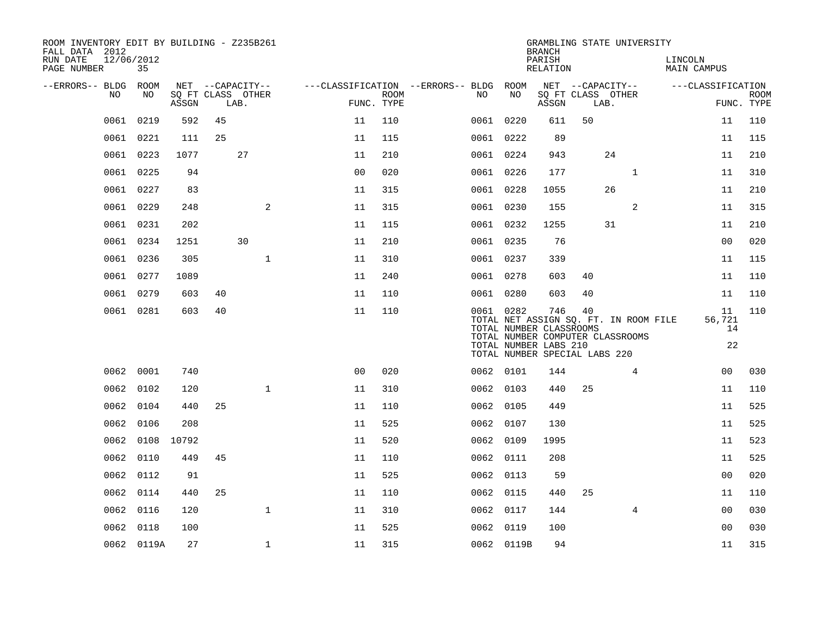| ROOM INVENTORY EDIT BY BUILDING - Z235B261<br>FALL DATA 2012 |           |                  |       |    |                                               |                                        |                           |      |            | <b>BRANCH</b>                                           |                                     | GRAMBLING STATE UNIVERSITY                                                |         |                          |                           |
|--------------------------------------------------------------|-----------|------------------|-------|----|-----------------------------------------------|----------------------------------------|---------------------------|------|------------|---------------------------------------------------------|-------------------------------------|---------------------------------------------------------------------------|---------|--------------------------|---------------------------|
| RUN DATE<br>PAGE NUMBER                                      |           | 12/06/2012<br>35 |       |    |                                               |                                        |                           |      |            | PARISH<br>RELATION                                      |                                     |                                                                           | LINCOLN | <b>MAIN CAMPUS</b>       |                           |
| --ERRORS-- BLDG ROOM                                         | NO.       | NO.              | ASSGN |    | NET --CAPACITY--<br>SQ FT CLASS OTHER<br>LAB. | ---CLASSIFICATION --ERRORS-- BLDG ROOM | <b>ROOM</b><br>FUNC. TYPE | NO . | NO         | ASSGN                                                   | LAB.                                | NET --CAPACITY--<br>SQ FT CLASS OTHER                                     |         | ---CLASSIFICATION        | <b>ROOM</b><br>FUNC. TYPE |
|                                                              | 0061      | 0219             | 592   | 45 |                                               | 11                                     | 110                       |      | 0061 0220  | 611                                                     | 50                                  |                                                                           |         | 11                       | 110                       |
|                                                              | 0061      | 0221             | 111   | 25 |                                               | 11                                     | 115                       |      | 0061 0222  | 89                                                      |                                     |                                                                           |         | 11                       | 115                       |
|                                                              | 0061      | 0223             | 1077  |    | 27                                            | 11                                     | 210                       |      | 0061 0224  | 943                                                     |                                     | 24                                                                        |         | 11                       | 210                       |
|                                                              | 0061      | 0225             | 94    |    |                                               | 0 <sub>0</sub>                         | 020                       |      | 0061 0226  | 177                                                     |                                     | $\mathbf{1}$                                                              |         | 11                       | 310                       |
|                                                              | 0061      | 0227             | 83    |    |                                               | 11                                     | 315                       |      | 0061 0228  | 1055                                                    |                                     | 26                                                                        |         | 11                       | 210                       |
|                                                              | 0061      | 0229             | 248   |    | 2                                             | 11                                     | 315                       |      | 0061 0230  | 155                                                     |                                     | 2                                                                         |         | 11                       | 315                       |
|                                                              |           | 0061 0231        | 202   |    |                                               | 11                                     | 115                       |      | 0061 0232  | 1255                                                    |                                     | 31                                                                        |         | 11                       | 210                       |
|                                                              | 0061      | 0234             | 1251  |    | 30                                            | 11                                     | 210                       |      | 0061 0235  | 76                                                      |                                     |                                                                           |         | 00                       | 020                       |
|                                                              | 0061      | 0236             | 305   |    | $\mathbf 1$                                   | 11                                     | 310                       |      | 0061 0237  | 339                                                     |                                     |                                                                           |         | 11                       | 115                       |
|                                                              |           | 0061 0277        | 1089  |    |                                               | 11                                     | 240                       |      | 0061 0278  | 603                                                     | 40                                  |                                                                           |         | 11                       | 110                       |
|                                                              | 0061 0279 |                  | 603   | 40 |                                               | 11                                     | 110                       |      | 0061 0280  | 603                                                     | 40                                  |                                                                           |         | 11                       | 110                       |
|                                                              |           | 0061 0281        | 603   | 40 |                                               | 11                                     | 110                       |      | 0061 0282  | 746<br>TOTAL NUMBER CLASSROOMS<br>TOTAL NUMBER LABS 210 | 40<br>TOTAL NUMBER SPECIAL LABS 220 | TOTAL NET ASSIGN SQ. FT. IN ROOM FILE<br>TOTAL NUMBER COMPUTER CLASSROOMS |         | 11<br>56,721<br>14<br>22 | 110                       |
|                                                              |           | 0062 0001        | 740   |    |                                               | 0 <sup>0</sup>                         | 020                       |      | 0062 0101  | 144                                                     |                                     | 4                                                                         |         | 0 <sub>0</sub>           | 030                       |
|                                                              |           | 0062 0102        | 120   |    | $\mathbf{1}$                                  | 11                                     | 310                       |      | 0062 0103  | 440                                                     | 25                                  |                                                                           |         | 11                       | 110                       |
|                                                              | 0062      | 0104             | 440   | 25 |                                               | 11                                     | 110                       |      | 0062 0105  | 449                                                     |                                     |                                                                           |         | 11                       | 525                       |
|                                                              | 0062      | 0106             | 208   |    |                                               | 11                                     | 525                       |      | 0062 0107  | 130                                                     |                                     |                                                                           |         | 11                       | 525                       |
|                                                              | 0062      | 0108             | 10792 |    |                                               | 11                                     | 520                       |      | 0062 0109  | 1995                                                    |                                     |                                                                           |         | 11                       | 523                       |
|                                                              | 0062      | 0110             | 449   | 45 |                                               | 11                                     | 110                       |      | 0062 0111  | 208                                                     |                                     |                                                                           |         | 11                       | 525                       |
|                                                              | 0062      | 0112             | 91    |    |                                               | 11                                     | 525                       |      | 0062 0113  | 59                                                      |                                     |                                                                           |         | 0 <sub>0</sub>           | 020                       |
|                                                              | 0062 0114 |                  | 440   | 25 |                                               | 11                                     | 110                       |      | 0062 0115  | 440                                                     | 25                                  |                                                                           |         | 11                       | 110                       |
|                                                              | 0062      | 0116             | 120   |    | $\mathbf{1}$                                  | 11                                     | 310                       |      | 0062 0117  | 144                                                     |                                     | 4                                                                         |         | 0 <sub>0</sub>           | 030                       |
|                                                              | 0062      | 0118             | 100   |    |                                               | 11                                     | 525                       |      | 0062 0119  | 100                                                     |                                     |                                                                           |         | 0 <sub>0</sub>           | 030                       |
|                                                              |           | 0062 0119A       | 27    |    | $\mathbf 1$                                   | 11                                     | 315                       |      | 0062 0119B | 94                                                      |                                     |                                                                           |         | 11                       | 315                       |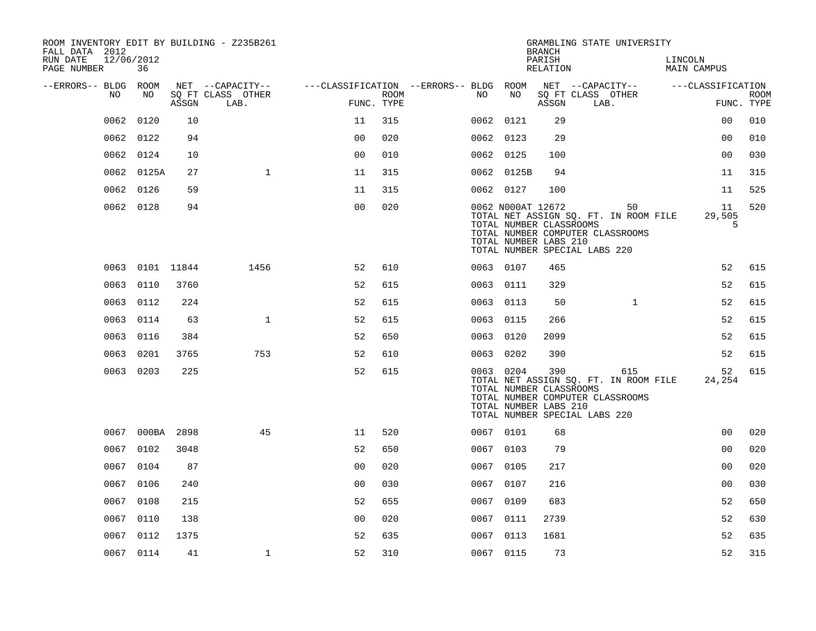| ROOM INVENTORY EDIT BY BUILDING - Z235B261<br>FALL DATA 2012 |                 |       | GRAMBLING STATE UNIVERSITY<br><b>BRANCH</b> |                                        |                    |  |    |                                                                       |                    |                                                                                                                   |                               |                           |
|--------------------------------------------------------------|-----------------|-------|---------------------------------------------|----------------------------------------|--------------------|--|----|-----------------------------------------------------------------------|--------------------|-------------------------------------------------------------------------------------------------------------------|-------------------------------|---------------------------|
| RUN DATE<br>12/06/2012<br>PAGE NUMBER                        | 36              |       |                                             |                                        |                    |  |    |                                                                       | PARISH<br>RELATION |                                                                                                                   | LINCOLN<br><b>MAIN CAMPUS</b> |                           |
| --ERRORS-- BLDG ROOM                                         |                 |       | NET --CAPACITY--                            | ---CLASSIFICATION --ERRORS-- BLDG ROOM |                    |  |    |                                                                       |                    | NET --CAPACITY--                                                                                                  | ---CLASSIFICATION             |                           |
| NO.                                                          | NO              | ASSGN | SQ FT CLASS OTHER<br>LAB.                   |                                        | ROOM<br>FUNC. TYPE |  | NO | NO                                                                    | ASSGN              | SQ FT CLASS OTHER<br>LAB.                                                                                         |                               | <b>ROOM</b><br>FUNC. TYPE |
| 0062                                                         | 0120            | 10    |                                             | 11                                     | 315                |  |    | 0062 0121                                                             | 29                 |                                                                                                                   | 0 <sub>0</sub>                | 010                       |
|                                                              | 0062 0122       | 94    |                                             | 0 <sub>0</sub>                         | 020                |  |    | 0062 0123                                                             | 29                 |                                                                                                                   | 0 <sub>0</sub>                | 010                       |
|                                                              | 0062 0124       | 10    |                                             | 0 <sub>0</sub>                         | 010                |  |    | 0062 0125                                                             | 100                |                                                                                                                   | 0 <sub>0</sub>                | 030                       |
|                                                              | 0062 0125A      | 27    | $\mathbf{1}$                                | 11                                     | 315                |  |    | 0062 0125B                                                            | 94                 |                                                                                                                   | 11                            | 315                       |
| 0062                                                         | 0126            | 59    |                                             | 11                                     | 315                |  |    | 0062 0127                                                             | 100                |                                                                                                                   | 11                            | 525                       |
|                                                              | 0062 0128       | 94    |                                             | 0 <sub>0</sub>                         | 020                |  |    | 0062 NOOOAT 12672<br>TOTAL NUMBER CLASSROOMS<br>TOTAL NUMBER LABS 210 |                    | 50<br>TOTAL NET ASSIGN SQ. FT. IN ROOM FILE<br>TOTAL NUMBER COMPUTER CLASSROOMS<br>TOTAL NUMBER SPECIAL LABS 220  | 11<br>29,505<br>5             | 520                       |
|                                                              | 0063 0101 11844 |       | 1456                                        | 52                                     | 610                |  |    | 0063 0107                                                             | 465                |                                                                                                                   | 52                            | 615                       |
|                                                              | 0063 0110       | 3760  |                                             | 52                                     | 615                |  |    | 0063 0111                                                             | 329                |                                                                                                                   | 52                            | 615                       |
| 0063                                                         | 0112            | 224   |                                             | 52                                     | 615                |  |    | 0063 0113                                                             | 50                 | $\mathbf{1}$                                                                                                      | 52                            | 615                       |
|                                                              | 0063 0114       | 63    | $\mathbf{1}$                                | 52                                     | 615                |  |    | 0063 0115                                                             | 266                |                                                                                                                   | 52                            | 615                       |
|                                                              | 0063 0116       | 384   |                                             | 52                                     | 650                |  |    | 0063 0120                                                             | 2099               |                                                                                                                   | 52                            | 615                       |
|                                                              | 0063 0201       | 3765  | 753                                         | 52                                     | 610                |  |    | 0063 0202                                                             | 390                |                                                                                                                   | 52                            | 615                       |
|                                                              | 0063 0203       | 225   |                                             | 52                                     | 615                |  |    | 0063 0204<br>TOTAL NUMBER CLASSROOMS<br>TOTAL NUMBER LABS 210         | 390                | 615<br>TOTAL NET ASSIGN SQ. FT. IN ROOM FILE<br>TOTAL NUMBER COMPUTER CLASSROOMS<br>TOTAL NUMBER SPECIAL LABS 220 | 52<br>24,254                  | 615                       |
|                                                              | 0067 000BA 2898 |       | 45                                          | 11                                     | 520                |  |    | 0067 0101                                                             | 68                 |                                                                                                                   | 0 <sub>0</sub>                | 020                       |
|                                                              | 0067 0102       | 3048  |                                             | 52                                     | 650                |  |    | 0067 0103                                                             | 79                 |                                                                                                                   | 0 <sub>0</sub>                | 020                       |
|                                                              | 0067 0104       | 87    |                                             | 0 <sub>0</sub>                         | 020                |  |    | 0067 0105                                                             | 217                |                                                                                                                   | 0 <sub>0</sub>                | 020                       |
|                                                              | 0067 0106       | 240   |                                             | 0 <sub>0</sub>                         | 030                |  |    | 0067 0107                                                             | 216                |                                                                                                                   | 0 <sub>0</sub>                | 030                       |
|                                                              | 0067 0108       | 215   |                                             | 52                                     | 655                |  |    | 0067 0109                                                             | 683                |                                                                                                                   | 52                            | 650                       |
|                                                              | 0067 0110       | 138   |                                             | 0 <sub>0</sub>                         | 020                |  |    | 0067 0111                                                             | 2739               |                                                                                                                   | 52                            | 630                       |
|                                                              | 0067 0112       | 1375  |                                             | 52                                     | 635                |  |    | 0067 0113                                                             | 1681               |                                                                                                                   | 52                            | 635                       |
|                                                              | 0067 0114       | 41    | $\mathbf 1$                                 | 52                                     | 310                |  |    | 0067 0115                                                             | 73                 |                                                                                                                   | 52                            | 315                       |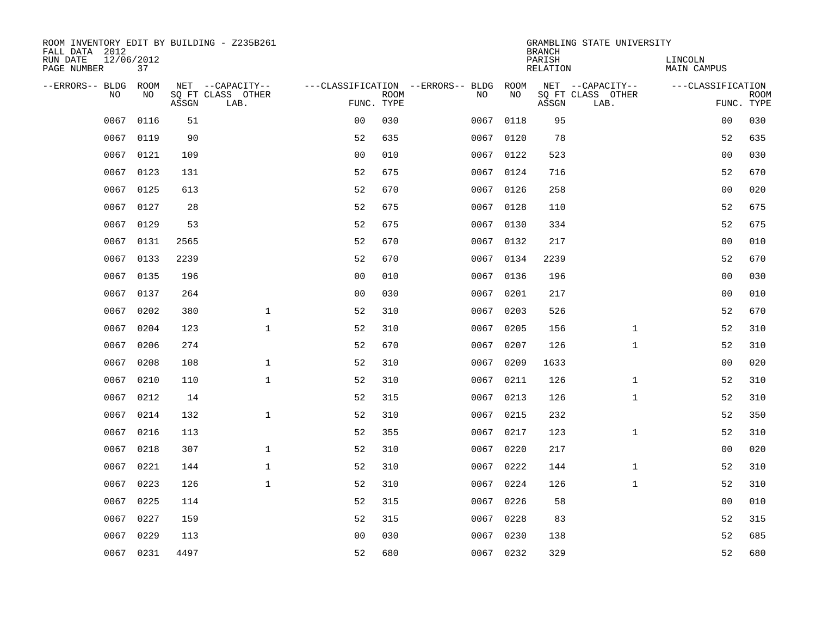| ROOM INVENTORY EDIT BY BUILDING - Z235B261<br>FALL DATA 2012 |                  |       |                           |                |             |                                        |           | <b>BRANCH</b>             | GRAMBLING STATE UNIVERSITY |                               |                           |
|--------------------------------------------------------------|------------------|-------|---------------------------|----------------|-------------|----------------------------------------|-----------|---------------------------|----------------------------|-------------------------------|---------------------------|
| RUN DATE<br>PAGE NUMBER                                      | 12/06/2012<br>37 |       |                           |                |             |                                        |           | PARISH<br><b>RELATION</b> |                            | LINCOLN<br><b>MAIN CAMPUS</b> |                           |
| --ERRORS-- BLDG ROOM                                         |                  |       | NET --CAPACITY--          |                |             | ---CLASSIFICATION --ERRORS-- BLDG ROOM |           |                           | NET --CAPACITY--           | ---CLASSIFICATION             |                           |
| NO                                                           | NO               | ASSGN | SQ FT CLASS OTHER<br>LAB. | FUNC. TYPE     | <b>ROOM</b> | NO                                     | NO        | ASSGN                     | SQ FT CLASS OTHER<br>LAB.  |                               | <b>ROOM</b><br>FUNC. TYPE |
| 0067                                                         | 0116             | 51    |                           | 0 <sub>0</sub> | 030         | 0067                                   | 0118      | 95                        |                            | 00                            | 030                       |
| 0067                                                         | 0119             | 90    |                           | 52             | 635         |                                        | 0067 0120 | 78                        |                            | 52                            | 635                       |
| 0067                                                         | 0121             | 109   |                           | 0 <sub>0</sub> | 010         | 0067                                   | 0122      | 523                       |                            | 0 <sub>0</sub>                | 030                       |
| 0067                                                         | 0123             | 131   |                           | 52             | 675         |                                        | 0067 0124 | 716                       |                            | 52                            | 670                       |
| 0067                                                         | 0125             | 613   |                           | 52             | 670         | 0067                                   | 0126      | 258                       |                            | 0 <sub>0</sub>                | 020                       |
| 0067                                                         | 0127             | 28    |                           | 52             | 675         |                                        | 0067 0128 | 110                       |                            | 52                            | 675                       |
| 0067                                                         | 0129             | 53    |                           | 52             | 675         | 0067                                   | 0130      | 334                       |                            | 52                            | 675                       |
| 0067                                                         | 0131             | 2565  |                           | 52             | 670         |                                        | 0067 0132 | 217                       |                            | 0 <sub>0</sub>                | 010                       |
| 0067                                                         | 0133             | 2239  |                           | 52             | 670         | 0067                                   | 0134      | 2239                      |                            | 52                            | 670                       |
|                                                              | 0067 0135        | 196   |                           | 0 <sub>0</sub> | 010         |                                        | 0067 0136 | 196                       |                            | 0 <sub>0</sub>                | 030                       |
| 0067                                                         | 0137             | 264   |                           | 0 <sub>0</sub> | 030         | 0067                                   | 0201      | 217                       |                            | 0 <sub>0</sub>                | 010                       |
|                                                              | 0067 0202        | 380   | $\mathbf{1}$              | 52             | 310         |                                        | 0067 0203 | 526                       |                            | 52                            | 670                       |
| 0067                                                         | 0204             | 123   | $\mathbf{1}$              | 52             | 310         | 0067                                   | 0205      | 156                       | $\mathbf{1}$               | 52                            | 310                       |
| 0067                                                         | 0206             | 274   |                           | 52             | 670         | 0067                                   | 0207      | 126                       | $\mathbf{1}$               | 52                            | 310                       |
| 0067                                                         | 0208             | 108   | $\mathbf 1$               | 52             | 310         | 0067                                   | 0209      | 1633                      |                            | 00                            | 020                       |
| 0067                                                         | 0210             | 110   | $\mathbf{1}$              | 52             | 310         | 0067                                   | 0211      | 126                       | $\mathbf{1}$               | 52                            | 310                       |
| 0067                                                         | 0212             | 14    |                           | 52             | 315         | 0067                                   | 0213      | 126                       | $\mathbf{1}$               | 52                            | 310                       |
| 0067                                                         | 0214             | 132   | $\mathbf{1}$              | 52             | 310         | 0067                                   | 0215      | 232                       |                            | 52                            | 350                       |
| 0067                                                         | 0216             | 113   |                           | 52             | 355         |                                        | 0067 0217 | 123                       | $\mathbf{1}$               | 52                            | 310                       |
| 0067                                                         | 0218             | 307   | $\mathbf 1$               | 52             | 310         |                                        | 0067 0220 | 217                       |                            | 0 <sub>0</sub>                | 020                       |
| 0067                                                         | 0221             | 144   | $\mathbf 1$               | 52             | 310         |                                        | 0067 0222 | 144                       | $\mathbf{1}$               | 52                            | 310                       |
| 0067                                                         | 0223             | 126   | $\mathbf{1}$              | 52             | 310         | 0067                                   | 0224      | 126                       | $\mathbf{1}$               | 52                            | 310                       |
| 0067                                                         | 0225             | 114   |                           | 52             | 315         |                                        | 0067 0226 | 58                        |                            | 0 <sub>0</sub>                | 010                       |
| 0067                                                         | 0227             | 159   |                           | 52             | 315         | 0067                                   | 0228      | 83                        |                            | 52                            | 315                       |
| 0067                                                         | 0229             | 113   |                           | 0 <sub>0</sub> | 030         | 0067                                   | 0230      | 138                       |                            | 52                            | 685                       |
|                                                              | 0067 0231        | 4497  |                           | 52             | 680         |                                        | 0067 0232 | 329                       |                            | 52                            | 680                       |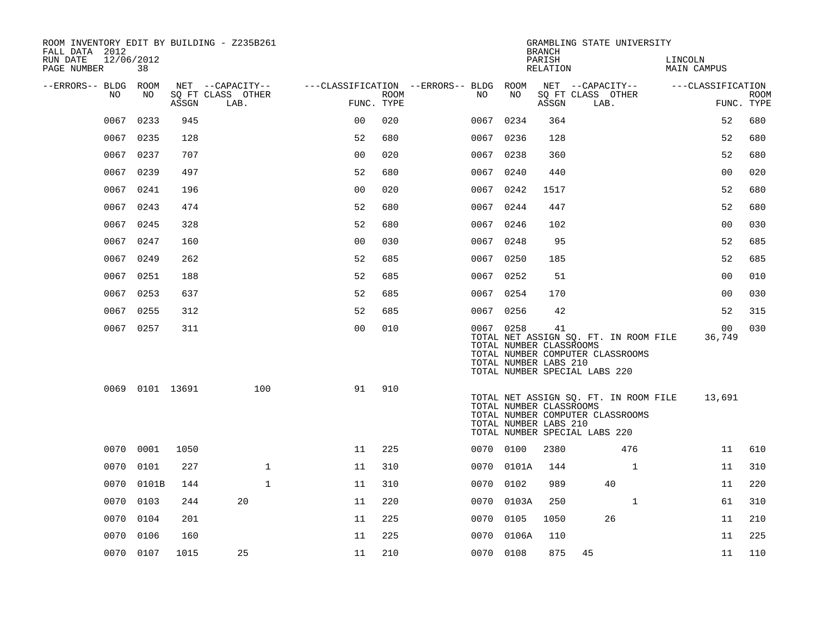| ROOM INVENTORY EDIT BY BUILDING - Z235B261<br>FALL DATA 2012 |           |                 |                           |                |      |                                        |            | <b>BRANCH</b>                                          | GRAMBLING STATE UNIVERSITY                                                                                 |                        |                           |
|--------------------------------------------------------------|-----------|-----------------|---------------------------|----------------|------|----------------------------------------|------------|--------------------------------------------------------|------------------------------------------------------------------------------------------------------------|------------------------|---------------------------|
| RUN DATE<br>12/06/2012<br>PAGE NUMBER                        | 38        |                 |                           |                |      |                                        |            | PARISH<br>RELATION                                     |                                                                                                            | LINCOLN<br>MAIN CAMPUS |                           |
| --ERRORS-- BLDG ROOM                                         |           |                 | NET --CAPACITY--          |                |      | ---CLASSIFICATION --ERRORS-- BLDG ROOM |            |                                                        | NET --CAPACITY--                                                                                           | ---CLASSIFICATION      |                           |
| NO.                                                          | NO.       | ASSGN           | SQ FT CLASS OTHER<br>LAB. | FUNC. TYPE     | ROOM | NO.                                    | NO         | ASSGN                                                  | SQ FT CLASS OTHER<br>LAB.                                                                                  |                        | <b>ROOM</b><br>FUNC. TYPE |
| 0067                                                         | 0233      | 945             |                           | 0 <sub>0</sub> | 020  | 0067                                   | 0234       | 364                                                    |                                                                                                            | 52                     | 680                       |
| 0067                                                         | 0235      | 128             |                           | 52             | 680  |                                        | 0067 0236  | 128                                                    |                                                                                                            | 52                     | 680                       |
| 0067                                                         | 0237      | 707             |                           | 0 <sub>0</sub> | 020  | 0067                                   | 0238       | 360                                                    |                                                                                                            | 52                     | 680                       |
| 0067                                                         | 0239      | 497             |                           | 52             | 680  |                                        | 0067 0240  | 440                                                    |                                                                                                            | 0 <sub>0</sub>         | 020                       |
| 0067                                                         | 0241      | 196             |                           | 00             | 020  | 0067                                   | 0242       | 1517                                                   |                                                                                                            | 52                     | 680                       |
|                                                              | 0067 0243 | 474             |                           | 52             | 680  |                                        | 0067 0244  | 447                                                    |                                                                                                            | 52                     | 680                       |
|                                                              | 0067 0245 | 328             |                           | 52             | 680  |                                        | 0067 0246  | 102                                                    |                                                                                                            | 0 <sub>0</sub>         | 030                       |
|                                                              | 0067 0247 | 160             |                           | 0 <sub>0</sub> | 030  |                                        | 0067 0248  | 95                                                     |                                                                                                            | 52                     | 685                       |
| 0067                                                         | 0249      | 262             |                           | 52             | 685  | 0067                                   | 0250       | 185                                                    |                                                                                                            | 52                     | 685                       |
| 0067                                                         | 0251      | 188             |                           | 52             | 685  |                                        | 0067 0252  | 51                                                     |                                                                                                            | 00                     | 010                       |
| 0067                                                         | 0253      | 637             |                           | 52             | 685  | 0067                                   | 0254       | 170                                                    |                                                                                                            | 0 <sub>0</sub>         | 030                       |
| 0067                                                         | 0255      | 312             |                           | 52             | 685  |                                        | 0067 0256  | 42                                                     |                                                                                                            | 52                     | 315                       |
|                                                              | 0067 0257 | 311             |                           | 0 <sub>0</sub> | 010  |                                        | 0067 0258  | 41<br>TOTAL NUMBER CLASSROOMS<br>TOTAL NUMBER LABS 210 | TOTAL NET ASSIGN SQ. FT. IN ROOM FILE<br>TOTAL NUMBER COMPUTER CLASSROOMS<br>TOTAL NUMBER SPECIAL LABS 220 | 00<br>36,749           | 030                       |
|                                                              |           | 0069 0101 13691 | 100                       | 91             | 910  |                                        |            | TOTAL NUMBER CLASSROOMS<br>TOTAL NUMBER LABS 210       | TOTAL NET ASSIGN SQ. FT. IN ROOM FILE<br>TOTAL NUMBER COMPUTER CLASSROOMS<br>TOTAL NUMBER SPECIAL LABS 220 | 13,691                 |                           |
|                                                              | 0070 0001 | 1050            |                           | 11             | 225  |                                        | 0070 0100  | 2380                                                   | 476                                                                                                        | 11                     | 610                       |
| 0070                                                         | 0101      | 227             | $\mathbf{1}$              | 11             | 310  |                                        | 0070 0101A | 144                                                    | $\mathbf{1}$                                                                                               | 11                     | 310                       |
| 0070                                                         | 0101B     | 144             | $\mathbf{1}$              | 11             | 310  | 0070                                   | 0102       | 989                                                    | 40                                                                                                         | 11                     | 220                       |
| 0070                                                         | 0103      | 244             | 20                        | 11             | 220  | 0070                                   | 0103A      | 250                                                    | $\mathbf{1}$                                                                                               | 61                     | 310                       |
| 0070                                                         | 0104      | 201             |                           | 11             | 225  | 0070                                   | 0105       | 1050                                                   | 26                                                                                                         | 11                     | 210                       |
| 0070                                                         | 0106      | 160             |                           | 11             | 225  | 0070                                   | 0106A      | 110                                                    |                                                                                                            | 11                     | 225                       |
|                                                              | 0070 0107 | 1015            | 25                        | 11             | 210  |                                        | 0070 0108  | 875                                                    | 45                                                                                                         | 11                     | 110                       |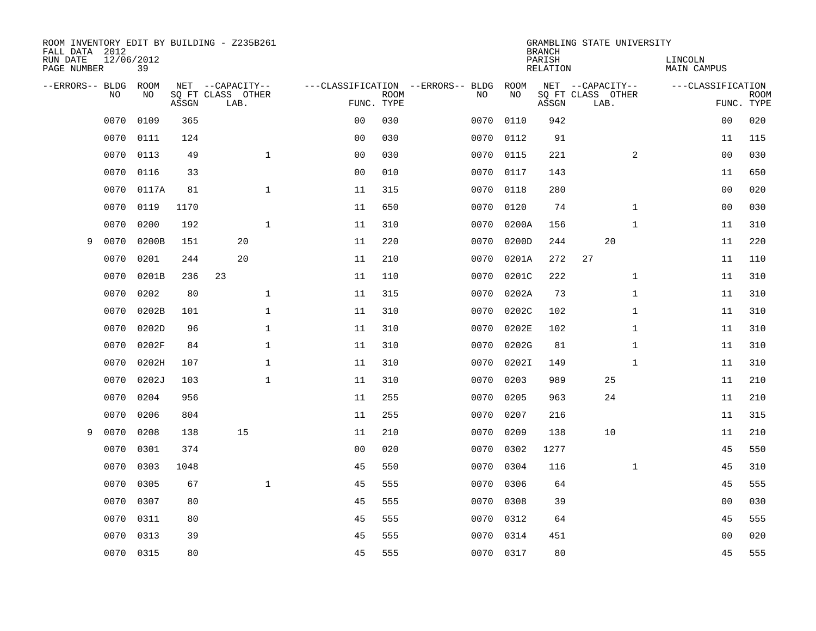| FALL DATA 2012          |            |       |       | ROOM INVENTORY EDIT BY BUILDING - Z235B261 |                |             |                                   |           | <b>BRANCH</b>      | GRAMBLING STATE UNIVERSITY |                        |                           |
|-------------------------|------------|-------|-------|--------------------------------------------|----------------|-------------|-----------------------------------|-----------|--------------------|----------------------------|------------------------|---------------------------|
| RUN DATE<br>PAGE NUMBER | 12/06/2012 | 39    |       |                                            |                |             |                                   |           | PARISH<br>RELATION |                            | LINCOLN<br>MAIN CAMPUS |                           |
| --ERRORS-- BLDG ROOM    |            |       |       | NET --CAPACITY--                           |                |             | ---CLASSIFICATION --ERRORS-- BLDG | ROOM      |                    | NET --CAPACITY--           | ---CLASSIFICATION      |                           |
|                         | NO.        | NO.   | ASSGN | SQ FT CLASS OTHER<br>LAB.                  | FUNC. TYPE     | <b>ROOM</b> | NO.                               | NO        | ASSGN              | SQ FT CLASS OTHER<br>LAB.  |                        | <b>ROOM</b><br>FUNC. TYPE |
|                         | 0070       | 0109  | 365   |                                            | 0 <sub>0</sub> | 030         | 0070                              | 0110      | 942                |                            | 0 <sub>0</sub>         | 020                       |
|                         | 0070       | 0111  | 124   |                                            | 0 <sub>0</sub> | 030         | 0070                              | 0112      | 91                 |                            | 11                     | 115                       |
|                         | 0070       | 0113  | 49    | $\mathbf 1$                                | 0 <sub>0</sub> | 030         | 0070                              | 0115      | 221                | 2                          | 0 <sub>0</sub>         | 030                       |
|                         | 0070       | 0116  | 33    |                                            | 0 <sub>0</sub> | 010         |                                   | 0070 0117 | 143                |                            | 11                     | 650                       |
|                         | 0070       | 0117A | 81    | $\mathbf{1}$                               | 11             | 315         | 0070                              | 0118      | 280                |                            | 0 <sub>0</sub>         | 020                       |
|                         | 0070       | 0119  | 1170  |                                            | 11             | 650         | 0070                              | 0120      | 74                 | $\mathbf{1}$               | 00                     | 030                       |
|                         | 0070       | 0200  | 192   | $\mathbf{1}$                               | 11             | 310         | 0070                              | 0200A     | 156                | $\mathbf{1}$               | 11                     | 310                       |
| 9                       | 0070       | 0200B | 151   | 20                                         | 11             | 220         | 0070                              | 0200D     | 244                | 20                         | 11                     | 220                       |
|                         | 0070       | 0201  | 244   | 20                                         | 11             | 210         | 0070                              | 0201A     | 272                | 27                         | 11                     | 110                       |
|                         | 0070       | 0201B | 236   | 23                                         | 11             | 110         | 0070                              | 0201C     | 222                | $\mathbf{1}$               | 11                     | 310                       |
|                         | 0070       | 0202  | 80    | $\mathbf{1}$                               | 11             | 315         | 0070                              | 0202A     | 73                 | $\mathbf{1}$               | 11                     | 310                       |
|                         | 0070       | 0202B | 101   | $\mathbf 1$                                | 11             | 310         | 0070                              | 0202C     | 102                | $\mathbf{1}$               | 11                     | 310                       |
|                         | 0070       | 0202D | 96    | $\mathbf{1}$                               | 11             | 310         | 0070                              | 0202E     | 102                | $\mathbf{1}$               | 11                     | 310                       |
|                         | 0070       | 0202F | 84    | $\mathbf 1$                                | 11             | 310         | 0070                              | 0202G     | 81                 | $\mathbf{1}$               | 11                     | 310                       |
|                         | 0070       | 0202H | 107   | $\mathbf 1$                                | 11             | 310         | 0070                              | 0202I     | 149                | $\mathbf{1}$               | 11                     | 310                       |
|                         | 0070       | 0202J | 103   | $\mathbf{1}$                               | 11             | 310         | 0070                              | 0203      | 989                | 25                         | 11                     | 210                       |
|                         | 0070       | 0204  | 956   |                                            | 11             | 255         | 0070                              | 0205      | 963                | 24                         | 11                     | 210                       |
|                         | 0070       | 0206  | 804   |                                            | 11             | 255         | 0070                              | 0207      | 216                |                            | 11                     | 315                       |
| 9                       | 0070       | 0208  | 138   | 15                                         | 11             | 210         | 0070                              | 0209      | 138                | 10                         | 11                     | 210                       |
|                         | 0070       | 0301  | 374   |                                            | 0 <sub>0</sub> | 020         | 0070                              | 0302      | 1277               |                            | 45                     | 550                       |
|                         | 0070       | 0303  | 1048  |                                            | 45             | 550         | 0070                              | 0304      | 116                | $\mathbf{1}$               | 45                     | 310                       |
|                         | 0070       | 0305  | 67    | $\mathbf{1}$                               | 45             | 555         | 0070                              | 0306      | 64                 |                            | 45                     | 555                       |
|                         | 0070       | 0307  | 80    |                                            | 45             | 555         | 0070                              | 0308      | 39                 |                            | 00                     | 030                       |
|                         | 0070       | 0311  | 80    |                                            | 45             | 555         | 0070                              | 0312      | 64                 |                            | 45                     | 555                       |
|                         | 0070       | 0313  | 39    |                                            | 45             | 555         | 0070                              | 0314      | 451                |                            | 0 <sub>0</sub>         | 020                       |
|                         | 0070 0315  |       | 80    |                                            | 45             | 555         |                                   | 0070 0317 | 80                 |                            | 45                     | 555                       |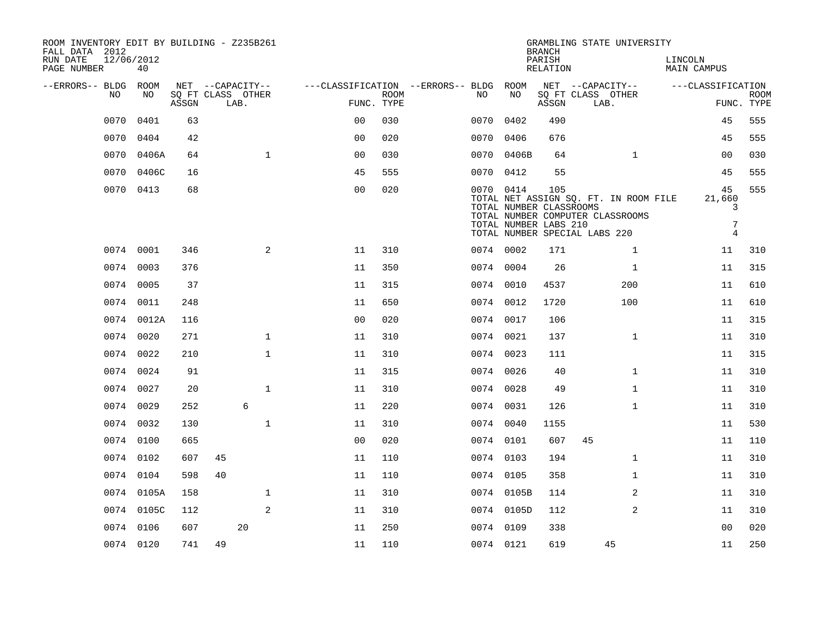| ROOM INVENTORY EDIT BY BUILDING - Z235B261<br>FALL DATA 2012 |                  |       |                            |                  |      |              |                                   |                           |           |                                                  | <b>BRANCH</b>      | GRAMBLING STATE UNIVERSITY                                                                                 |                                                       |                           |
|--------------------------------------------------------------|------------------|-------|----------------------------|------------------|------|--------------|-----------------------------------|---------------------------|-----------|--------------------------------------------------|--------------------|------------------------------------------------------------------------------------------------------------|-------------------------------------------------------|---------------------------|
| RUN DATE<br>PAGE NUMBER                                      | 12/06/2012<br>40 |       |                            |                  |      |              |                                   |                           |           |                                                  | PARISH<br>RELATION |                                                                                                            | LINCOLN<br>MAIN CAMPUS                                |                           |
| --ERRORS-- BLDG                                              | ROOM             |       |                            | NET --CAPACITY-- |      |              | ---CLASSIFICATION --ERRORS-- BLDG |                           |           | ROOM                                             |                    | NET --CAPACITY--                                                                                           | ---CLASSIFICATION                                     |                           |
|                                                              | NO<br>NO         |       | SQ FT CLASS OTHER<br>ASSGN |                  | LAB. |              |                                   | <b>ROOM</b><br>FUNC. TYPE | NO.       | NO                                               | ASSGN              | SQ FT CLASS OTHER<br>LAB.                                                                                  |                                                       | <b>ROOM</b><br>FUNC. TYPE |
|                                                              | 0070<br>0401     |       | 63                         |                  |      |              | 0 <sup>0</sup>                    | 030                       | 0070      | 0402                                             | 490                |                                                                                                            | 45                                                    | 555                       |
|                                                              | 0404<br>0070     |       | 42                         |                  |      |              | 0 <sub>0</sub>                    | 020                       | 0070      | 0406                                             | 676                |                                                                                                            | 45                                                    | 555                       |
|                                                              | 0070             | 0406A | 64                         |                  |      | $\mathbf{1}$ | 0 <sub>0</sub>                    | 030                       |           | 0070 0406B                                       | 64                 | $\mathbf{1}$                                                                                               | 0 <sub>0</sub>                                        | 030                       |
|                                                              | 0070             | 0406C | 16                         |                  |      |              | 45                                | 555                       | 0070 0412 |                                                  | 55                 |                                                                                                            | 45                                                    | 555                       |
|                                                              | 0070 0413        |       | 68                         |                  |      |              | 0 <sub>0</sub>                    | 020                       | 0070 0414 | TOTAL NUMBER CLASSROOMS<br>TOTAL NUMBER LABS 210 | 105                | TOTAL NET ASSIGN SQ. FT. IN ROOM FILE<br>TOTAL NUMBER COMPUTER CLASSROOMS<br>TOTAL NUMBER SPECIAL LABS 220 | 45<br>21,660<br>3<br>$\overline{7}$<br>$\overline{4}$ | 555                       |
|                                                              | 0074 0001        |       | 346                        |                  |      | 2            | 11                                | 310                       | 0074 0002 |                                                  | 171                | $\mathbf{1}$                                                                                               | 11                                                    | 310                       |
|                                                              | 0074<br>0003     |       | 376                        |                  |      |              | 11                                | 350                       | 0074 0004 |                                                  | 26                 | $\mathbf{1}$                                                                                               | 11                                                    | 315                       |
|                                                              | 0074 0005        |       | 37                         |                  |      |              | 11                                | 315                       | 0074 0010 |                                                  | 4537               | 200                                                                                                        | 11                                                    | 610                       |
|                                                              | 0074 0011        |       | 248                        |                  |      |              | 11                                | 650                       | 0074 0012 |                                                  | 1720               | 100                                                                                                        | 11                                                    | 610                       |
|                                                              | 0074 0012A       |       | 116                        |                  |      |              | 0 <sub>0</sub>                    | 020                       | 0074 0017 |                                                  | 106                |                                                                                                            | 11                                                    | 315                       |
|                                                              | 0074 0020        |       | 271                        |                  |      | $\mathbf{1}$ | 11                                | 310                       | 0074 0021 |                                                  | 137                | $\mathbf{1}$                                                                                               | 11                                                    | 310                       |
|                                                              | 0074 0022        |       | 210                        |                  |      | $\mathbf{1}$ | 11                                | 310                       | 0074 0023 |                                                  | 111                |                                                                                                            | 11                                                    | 315                       |
|                                                              | 0074<br>0024     |       | 91                         |                  |      |              | 11                                | 315                       | 0074 0026 |                                                  | 40                 | $\mathbf{1}$                                                                                               | 11                                                    | 310                       |
|                                                              | 0074 0027        |       | 20                         |                  |      | $\mathbf 1$  | 11                                | 310                       | 0074 0028 |                                                  | 49                 | $\mathbf{1}$                                                                                               | 11                                                    | 310                       |
|                                                              | 0074<br>0029     |       | 252                        |                  | 6    |              | 11                                | 220                       | 0074 0031 |                                                  | 126                | $\mathbf{1}$                                                                                               | 11                                                    | 310                       |
|                                                              | 0074 0032        |       | 130                        |                  |      | $\mathbf 1$  | 11                                | 310                       | 0074 0040 |                                                  | 1155               |                                                                                                            | 11                                                    | 530                       |
|                                                              | 0074 0100        |       | 665                        |                  |      |              | 0 <sub>0</sub>                    | 020                       | 0074 0101 |                                                  | 607                | 45                                                                                                         | 11                                                    | 110                       |
|                                                              | 0074 0102        |       | 607                        | 45               |      |              | 11                                | 110                       | 0074 0103 |                                                  | 194                | $\mathbf{1}$                                                                                               | 11                                                    | 310                       |
|                                                              | 0074 0104        |       | 598                        | 40               |      |              | 11                                | 110                       | 0074 0105 |                                                  | 358                | $\mathbf{1}$                                                                                               | 11                                                    | 310                       |
|                                                              | 0074 0105A       |       | 158                        |                  |      | $\mathbf{1}$ | 11                                | 310                       |           | 0074 0105B                                       | 114                | 2                                                                                                          | 11                                                    | 310                       |
|                                                              | 0074 0105C       |       | 112                        |                  |      | 2            | 11                                | 310                       |           | 0074 0105D                                       | 112                | 2                                                                                                          | 11                                                    | 310                       |
|                                                              | 0074 0106        |       | 607                        |                  | 20   |              | 11                                | 250                       | 0074 0109 |                                                  | 338                |                                                                                                            | 0 <sub>0</sub>                                        | 020                       |
|                                                              | 0074 0120        |       | 741                        | 49               |      |              | 11                                | 110                       | 0074 0121 |                                                  | 619                | 45                                                                                                         | 11                                                    | 250                       |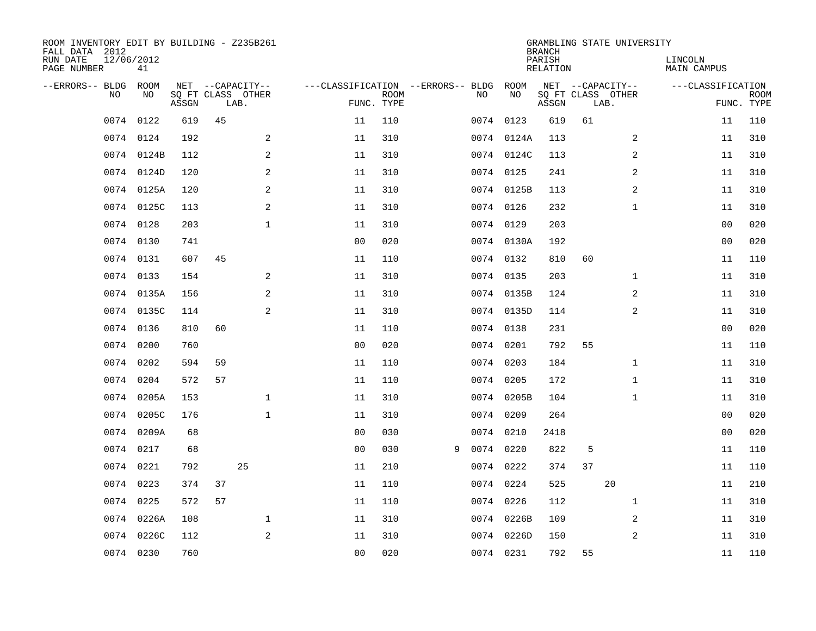| ROOM INVENTORY EDIT BY BUILDING - Z235B261<br>FALL DATA 2012<br>RUN DATE<br>PAGE NUMBER | 12/06/2012<br>41 |       |    |                                               |                                   |                           |    |            | <b>BRANCH</b><br>PARISH<br><b>RELATION</b> |    | GRAMBLING STATE UNIVERSITY                    | LINCOLN<br><b>MAIN CAMPUS</b> |                |                           |
|-----------------------------------------------------------------------------------------|------------------|-------|----|-----------------------------------------------|-----------------------------------|---------------------------|----|------------|--------------------------------------------|----|-----------------------------------------------|-------------------------------|----------------|---------------------------|
| --ERRORS-- BLDG<br>NO.                                                                  | ROOM<br>NO       | ASSGN |    | NET --CAPACITY--<br>SQ FT CLASS OTHER<br>LAB. | ---CLASSIFICATION --ERRORS-- BLDG | <b>ROOM</b><br>FUNC. TYPE | NO | ROOM<br>NO | ASSGN                                      |    | NET --CAPACITY--<br>SQ FT CLASS OTHER<br>LAB. | ---CLASSIFICATION             |                | <b>ROOM</b><br>FUNC. TYPE |
| 0074                                                                                    | 0122             | 619   | 45 |                                               | 11                                | 110                       |    | 0074 0123  | 619                                        | 61 |                                               |                               | 11             | 110                       |
| 0074                                                                                    | 0124             | 192   |    | 2                                             | 11                                | 310                       |    | 0074 0124A | 113                                        |    | 2                                             |                               | 11             | 310                       |
| 0074                                                                                    | 0124B            | 112   |    | 2                                             | 11                                | 310                       |    | 0074 0124C | 113                                        |    | 2                                             |                               | 11             | 310                       |
| 0074                                                                                    | 0124D            | 120   |    | 2                                             | 11                                | 310                       |    | 0074 0125  | 241                                        |    | 2                                             |                               | 11             | 310                       |
| 0074                                                                                    | 0125A            | 120   |    | 2                                             | 11                                | 310                       |    | 0074 0125B | 113                                        |    | $\overline{a}$                                |                               | 11             | 310                       |
|                                                                                         | 0074 0125C       | 113   |    | 2                                             | 11                                | 310                       |    | 0074 0126  | 232                                        |    | $\mathbf{1}$                                  |                               | 11             | 310                       |
| 0074                                                                                    | 0128             | 203   |    | $\mathbf{1}$                                  | 11                                | 310                       |    | 0074 0129  | 203                                        |    |                                               |                               | 00             | 020                       |
|                                                                                         | 0074 0130        | 741   |    |                                               | 0 <sub>0</sub>                    | 020                       |    | 0074 0130A | 192                                        |    |                                               |                               | 0 <sub>0</sub> | 020                       |
| 0074                                                                                    | 0131             | 607   | 45 |                                               | 11                                | 110                       |    | 0074 0132  | 810                                        | 60 |                                               |                               | 11             | 110                       |
|                                                                                         | 0074 0133        | 154   |    | 2                                             | 11                                | 310                       |    | 0074 0135  | 203                                        |    | $\mathbf{1}$                                  |                               | 11             | 310                       |
| 0074                                                                                    | 0135A            | 156   |    | 2                                             | 11                                | 310                       |    | 0074 0135B | 124                                        |    | 2                                             |                               | 11             | 310                       |
|                                                                                         | 0074 0135C       | 114   |    | 2                                             | 11                                | 310                       |    | 0074 0135D | 114                                        |    | $\overline{2}$                                |                               | 11             | 310                       |
| 0074                                                                                    | 0136             | 810   | 60 |                                               | 11                                | 110                       |    | 0074 0138  | 231                                        |    |                                               |                               | 00             | 020                       |
| 0074                                                                                    | 0200             | 760   |    |                                               | 0 <sub>0</sub>                    | 020                       |    | 0074 0201  | 792                                        | 55 |                                               |                               | 11             | 110                       |
| 0074                                                                                    | 0202             | 594   | 59 |                                               | 11                                | 110                       |    | 0074 0203  | 184                                        |    | $\mathbf{1}$                                  |                               | 11             | 310                       |
| 0074                                                                                    | 0204             | 572   | 57 |                                               | 11                                | 110                       |    | 0074 0205  | 172                                        |    | $\mathbf{1}$                                  |                               | 11             | 310                       |
| 0074                                                                                    | 0205A            | 153   |    | $\mathbf 1$                                   | 11                                | 310                       |    | 0074 0205B | 104                                        |    | $\mathbf{1}$                                  |                               | 11             | 310                       |
| 0074                                                                                    | 0205C            | 176   |    | $\mathbf{1}$                                  | 11                                | 310                       |    | 0074 0209  | 264                                        |    |                                               |                               | 0 <sub>0</sub> | 020                       |
| 0074                                                                                    | 0209A            | 68    |    |                                               | 0 <sub>0</sub>                    | 030                       |    | 0074 0210  | 2418                                       |    |                                               |                               | 0 <sub>0</sub> | 020                       |
| 0074                                                                                    | 0217             | 68    |    |                                               | 0 <sub>0</sub>                    | 030                       | 9  | 0074 0220  | 822                                        | 5  |                                               |                               | 11             | 110                       |
| 0074                                                                                    | 0221             | 792   |    | 25                                            | 11                                | 210                       |    | 0074 0222  | 374                                        | 37 |                                               |                               | 11             | 110                       |
| 0074                                                                                    | 0223             | 374   | 37 |                                               | 11                                | 110                       |    | 0074 0224  | 525                                        |    | 20                                            |                               | 11             | 210                       |
| 0074                                                                                    | 0225             | 572   | 57 |                                               | 11                                | 110                       |    | 0074 0226  | 112                                        |    | $\mathbf{1}$                                  |                               | 11             | 310                       |
| 0074                                                                                    | 0226A            | 108   |    | $\mathbf 1$                                   | 11                                | 310                       |    | 0074 0226B | 109                                        |    | 2                                             |                               | 11             | 310                       |
| 0074                                                                                    | 0226C            | 112   |    | 2                                             | 11                                | 310                       |    | 0074 0226D | 150                                        |    | 2                                             |                               | 11             | 310                       |
|                                                                                         | 0074 0230        | 760   |    |                                               | 0 <sub>0</sub>                    | 020                       |    | 0074 0231  | 792                                        | 55 |                                               |                               | 11             | 110                       |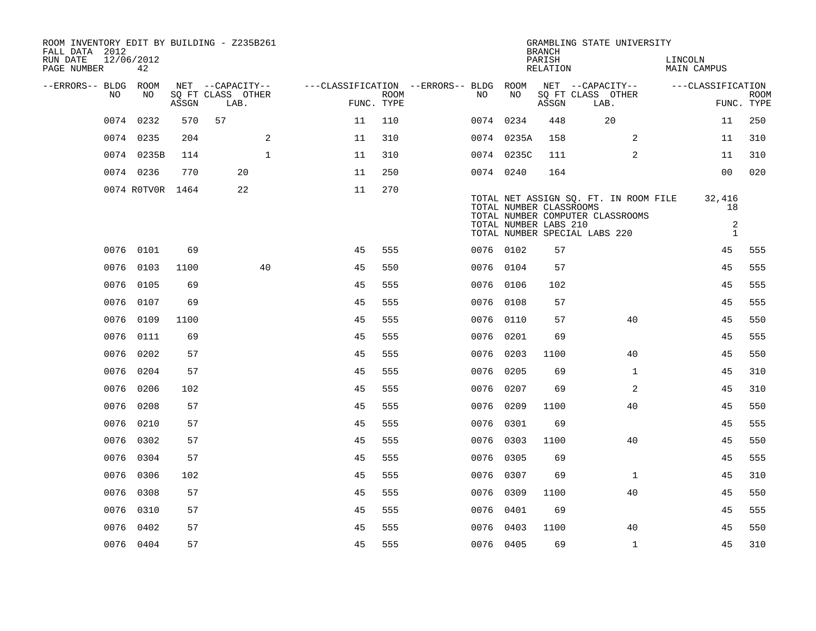| ROOM INVENTORY EDIT BY BUILDING - Z235B261<br>FALL DATA 2012<br>RUN DATE<br>PAGE NUMBER | 12/06/2012<br>42 |                                 |                                               |              |                                                      |             |           |                                                  | <b>BRANCH</b><br>PARISH<br>RELATION | GRAMBLING STATE UNIVERSITY                                                                                 | LINCOLN<br><b>MAIN CAMPUS</b>                  |                           |
|-----------------------------------------------------------------------------------------|------------------|---------------------------------|-----------------------------------------------|--------------|------------------------------------------------------|-------------|-----------|--------------------------------------------------|-------------------------------------|------------------------------------------------------------------------------------------------------------|------------------------------------------------|---------------------------|
| --ERRORS-- BLDG ROOM<br>NO                                                              | NO               | $\operatorname{\mathsf{ASSGN}}$ | NET --CAPACITY--<br>SQ FT CLASS OTHER<br>LAB. |              | ---CLASSIFICATION --ERRORS-- BLDG ROOM<br>FUNC. TYPE | <b>ROOM</b> | NO.       | NO                                               | ASSGN                               | NET --CAPACITY--<br>SQ FT CLASS OTHER<br>LAB.                                                              | ---CLASSIFICATION                              | <b>ROOM</b><br>FUNC. TYPE |
|                                                                                         | 0074 0232        | 570                             | 57                                            |              | 11                                                   | 110         | 0074 0234 |                                                  | 448                                 | 20                                                                                                         | 11                                             | 250                       |
|                                                                                         | 0074 0235        | 204                             |                                               | 2            | 11                                                   | 310         |           | 0074 0235A                                       | 158                                 | 2                                                                                                          | 11                                             | 310                       |
|                                                                                         | 0074 0235B       | 114                             |                                               | $\mathbf{1}$ | 11                                                   | 310         |           | 0074 0235C                                       | 111                                 | 2                                                                                                          | 11                                             | 310                       |
|                                                                                         | 0074 0236        | 770                             | 20                                            |              | 11                                                   | 250         | 0074 0240 |                                                  | 164                                 |                                                                                                            | 0 <sub>0</sub>                                 | 020                       |
|                                                                                         | 0074 ROTVOR 1464 |                                 | 22                                            |              | 11                                                   | 270         |           | TOTAL NUMBER CLASSROOMS<br>TOTAL NUMBER LABS 210 |                                     | TOTAL NET ASSIGN SQ. FT. IN ROOM FILE<br>TOTAL NUMBER COMPUTER CLASSROOMS<br>TOTAL NUMBER SPECIAL LABS 220 | 32,416<br>18<br>$\overline{a}$<br>$\mathbf{1}$ |                           |
|                                                                                         | 0076 0101        | 69                              |                                               |              | 45                                                   | 555         | 0076 0102 |                                                  | 57                                  |                                                                                                            | 45                                             | 555                       |
| 0076                                                                                    | 0103             | 1100                            |                                               | 40           | 45                                                   | 550         | 0076 0104 |                                                  | 57                                  |                                                                                                            | 45                                             | 555                       |
| 0076                                                                                    | 0105             | 69                              |                                               |              | 45                                                   | 555         | 0076 0106 |                                                  | 102                                 |                                                                                                            | 45                                             | 555                       |
| 0076                                                                                    | 0107             | 69                              |                                               |              | 45                                                   | 555         | 0076      | 0108                                             | 57                                  |                                                                                                            | 45                                             | 555                       |
|                                                                                         | 0076 0109        | 1100                            |                                               |              | 45                                                   | 555         | 0076 0110 |                                                  | 57                                  | 40                                                                                                         | 45                                             | 550                       |
| 0076                                                                                    | 0111             | 69                              |                                               |              | 45                                                   | 555         | 0076      | 0201                                             | 69                                  |                                                                                                            | 45                                             | 555                       |
| 0076                                                                                    | 0202             | 57                              |                                               |              | 45                                                   | 555         | 0076 0203 |                                                  | 1100                                | 40                                                                                                         | 45                                             | 550                       |
| 0076                                                                                    | 0204             | 57                              |                                               |              | 45                                                   | 555         | 0076 0205 |                                                  | 69                                  | $\mathbf{1}$                                                                                               | 45                                             | 310                       |
| 0076                                                                                    | 0206             | 102                             |                                               |              | 45                                                   | 555         | 0076 0207 |                                                  | 69                                  | 2                                                                                                          | 45                                             | 310                       |
| 0076                                                                                    | 0208             | 57                              |                                               |              | 45                                                   | 555         | 0076      | 0209                                             | 1100                                | 40                                                                                                         | 45                                             | 550                       |
| 0076                                                                                    | 0210             | 57                              |                                               |              | 45                                                   | 555         | 0076 0301 |                                                  | 69                                  |                                                                                                            | 45                                             | 555                       |
| 0076                                                                                    | 0302             | 57                              |                                               |              | 45                                                   | 555         | 0076 0303 |                                                  | 1100                                | 40                                                                                                         | 45                                             | 550                       |
|                                                                                         | 0076 0304        | 57                              |                                               |              | 45                                                   | 555         | 0076 0305 |                                                  | 69                                  |                                                                                                            | 45                                             | 555                       |
| 0076                                                                                    | 0306             | 102                             |                                               |              | 45                                                   | 555         | 0076 0307 |                                                  | 69                                  | $\mathbf{1}$                                                                                               | 45                                             | 310                       |
| 0076                                                                                    | 0308             | 57                              |                                               |              | 45                                                   | 555         | 0076 0309 |                                                  | 1100                                | 40                                                                                                         | 45                                             | 550                       |
| 0076                                                                                    | 0310             | 57                              |                                               |              | 45                                                   | 555         | 0076 0401 |                                                  | 69                                  |                                                                                                            | 45                                             | 555                       |
| 0076                                                                                    | 0402             | 57                              |                                               |              | 45                                                   | 555         | 0076 0403 |                                                  | 1100                                | 40                                                                                                         | 45                                             | 550                       |
|                                                                                         | 0076 0404        | 57                              |                                               |              | 45                                                   | 555         | 0076 0405 |                                                  | 69                                  | $\mathbf{1}$                                                                                               | 45                                             | 310                       |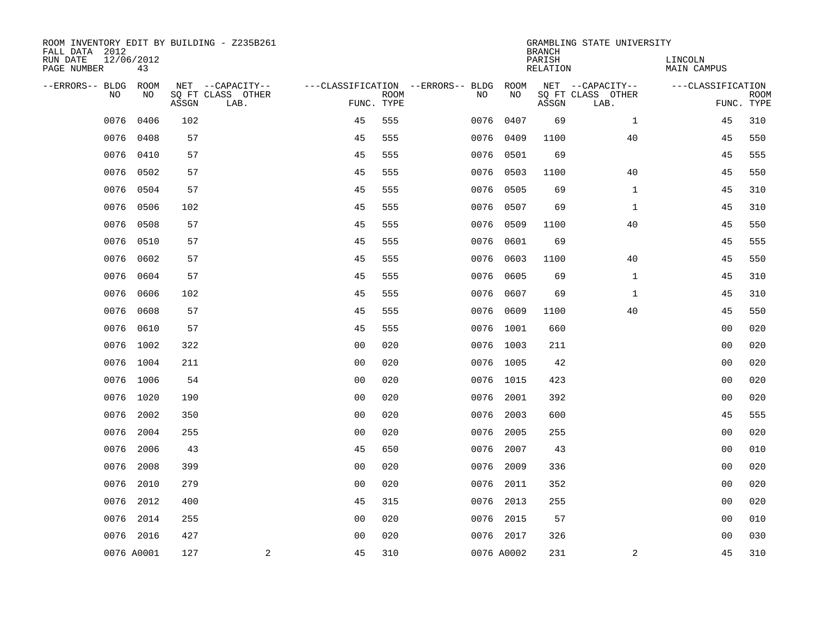| ROOM INVENTORY EDIT BY BUILDING - Z235B261<br>FALL DATA 2012 |                  |       |                           |                |             |                                   |            | <b>BRANCH</b>      | GRAMBLING STATE UNIVERSITY |                        |                           |
|--------------------------------------------------------------|------------------|-------|---------------------------|----------------|-------------|-----------------------------------|------------|--------------------|----------------------------|------------------------|---------------------------|
| RUN DATE<br>PAGE NUMBER                                      | 12/06/2012<br>43 |       |                           |                |             |                                   |            | PARISH<br>RELATION |                            | LINCOLN<br>MAIN CAMPUS |                           |
| --ERRORS-- BLDG                                              | ROOM             |       | NET --CAPACITY--          |                |             | ---CLASSIFICATION --ERRORS-- BLDG | ROOM       |                    | NET --CAPACITY--           | ---CLASSIFICATION      |                           |
| N <sub>O</sub>                                               | NO.              | ASSGN | SO FT CLASS OTHER<br>LAB. | FUNC. TYPE     | <b>ROOM</b> | NO.                               | NO         | ASSGN              | SQ FT CLASS OTHER<br>LAB.  |                        | <b>ROOM</b><br>FUNC. TYPE |
| 0076                                                         | 0406             | 102   |                           | 45             | 555         | 0076                              | 0407       | 69                 | $\mathbf{1}$               | 45                     | 310                       |
| 0076                                                         | 0408             | 57    |                           | 45             | 555         | 0076                              | 0409       | 1100               | 40                         | 45                     | 550                       |
| 0076                                                         | 0410             | 57    |                           | 45             | 555         | 0076                              | 0501       | 69                 |                            | 45                     | 555                       |
| 0076                                                         | 0502             | 57    |                           | 45             | 555         | 0076                              | 0503       | 1100               | 40                         | 45                     | 550                       |
| 0076                                                         | 0504             | 57    |                           | 45             | 555         | 0076                              | 0505       | 69                 | $\mathbf{1}$               | 45                     | 310                       |
| 0076                                                         | 0506             | 102   |                           | 45             | 555         |                                   | 0076 0507  | 69                 | $\mathbf{1}$               | 45                     | 310                       |
| 0076                                                         | 0508             | 57    |                           | 45             | 555         | 0076                              | 0509       | 1100               | 40                         | 45                     | 550                       |
| 0076                                                         | 0510             | 57    |                           | 45             | 555         | 0076                              | 0601       | 69                 |                            | 45                     | 555                       |
| 0076                                                         | 0602             | 57    |                           | 45             | 555         | 0076                              | 0603       | 1100               | 40                         | 45                     | 550                       |
| 0076                                                         | 0604             | 57    |                           | 45             | 555         | 0076                              | 0605       | 69                 | $\mathbf{1}$               | 45                     | 310                       |
| 0076                                                         | 0606             | 102   |                           | 45             | 555         | 0076                              | 0607       | 69                 | $\mathbf{1}$               | 45                     | 310                       |
| 0076                                                         | 0608             | 57    |                           | 45             | 555         | 0076                              | 0609       | 1100               | 40                         | 45                     | 550                       |
| 0076                                                         | 0610             | 57    |                           | 45             | 555         | 0076                              | 1001       | 660                |                            | 00                     | 020                       |
| 0076                                                         | 1002             | 322   |                           | 0 <sub>0</sub> | 020         |                                   | 0076 1003  | 211                |                            | 0 <sub>0</sub>         | 020                       |
|                                                              | 0076 1004        | 211   |                           | 0 <sub>0</sub> | 020         |                                   | 0076 1005  | 42                 |                            | 00                     | 020                       |
|                                                              | 0076 1006        | 54    |                           | 0 <sub>0</sub> | 020         |                                   | 0076 1015  | 423                |                            | 00                     | 020                       |
|                                                              | 0076 1020        | 190   |                           | 0 <sub>0</sub> | 020         | 0076                              | 2001       | 392                |                            | 0 <sub>0</sub>         | 020                       |
| 0076                                                         | 2002             | 350   |                           | 0 <sub>0</sub> | 020         | 0076                              | 2003       | 600                |                            | 45                     | 555                       |
| 0076                                                         | 2004             | 255   |                           | 0 <sub>0</sub> | 020         | 0076                              | 2005       | 255                |                            | 0 <sub>0</sub>         | 020                       |
| 0076                                                         | 2006             | 43    |                           | 45             | 650         | 0076                              | 2007       | 43                 |                            | 00                     | 010                       |
| 0076                                                         | 2008             | 399   |                           | 0 <sub>0</sub> | 020         | 0076                              | 2009       | 336                |                            | 0 <sub>0</sub>         | 020                       |
| 0076                                                         | 2010             | 279   |                           | 0 <sub>0</sub> | 020         | 0076                              | 2011       | 352                |                            | 0 <sub>0</sub>         | 020                       |
| 0076                                                         | 2012             | 400   |                           | 45             | 315         |                                   | 0076 2013  | 255                |                            | 00                     | 020                       |
| 0076                                                         | 2014             | 255   |                           | 0 <sub>0</sub> | 020         | 0076                              | 2015       | 57                 |                            | 00                     | 010                       |
|                                                              | 0076 2016        | 427   |                           | 0 <sub>0</sub> | 020         |                                   | 0076 2017  | 326                |                            | 0 <sub>0</sub>         | 030                       |
|                                                              | 0076 A0001       | 127   | 2                         | 45             | 310         |                                   | 0076 A0002 | 231                | 2                          | 45                     | 310                       |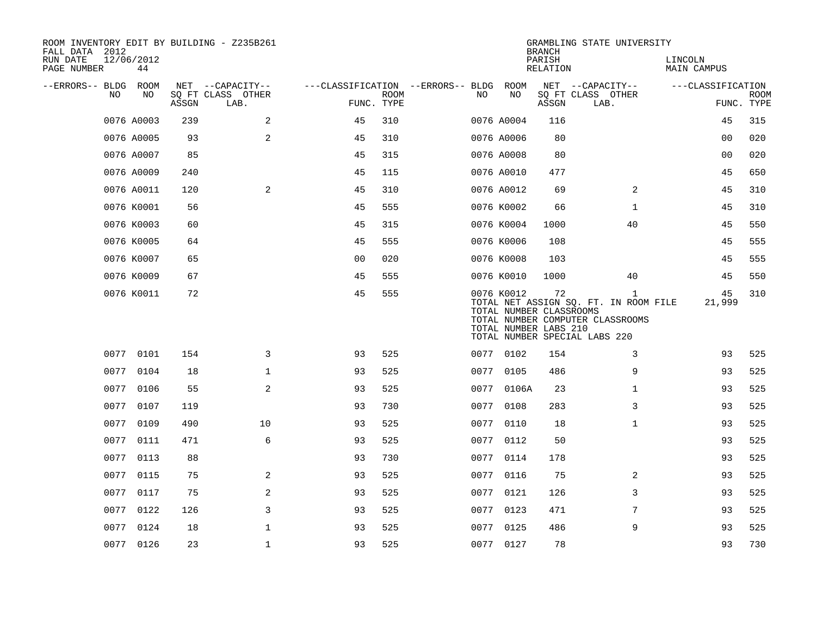| FALL DATA 2012<br>RUN DATE<br>PAGE NUMBER |      | 12/06/2012<br>44 |                                 | ROOM INVENTORY EDIT BY BUILDING - Z235B261    |                |             |                                               |            | <b>BRANCH</b><br>PARISH<br><b>RELATION</b>             | GRAMBLING STATE UNIVERSITY                                                                                                 | LINCOLN<br><b>MAIN CAMPUS</b> |                           |
|-------------------------------------------|------|------------------|---------------------------------|-----------------------------------------------|----------------|-------------|-----------------------------------------------|------------|--------------------------------------------------------|----------------------------------------------------------------------------------------------------------------------------|-------------------------------|---------------------------|
| --ERRORS-- BLDG ROOM                      | NO.  | NO               | $\operatorname{\mathsf{ASSGN}}$ | NET --CAPACITY--<br>SQ FT CLASS OTHER<br>LAB. | FUNC. TYPE     | <b>ROOM</b> | ---CLASSIFICATION --ERRORS-- BLDG ROOM<br>NO. | NO         | ASSGN                                                  | NET --CAPACITY--<br>SQ FT CLASS OTHER<br>LAB.                                                                              | ---CLASSIFICATION             | <b>ROOM</b><br>FUNC. TYPE |
|                                           |      | 0076 A0003       | 239                             | 2                                             | 45             | 310         |                                               | 0076 A0004 | 116                                                    |                                                                                                                            | 45                            | 315                       |
|                                           |      | 0076 A0005       | 93                              | 2                                             | 45             | 310         |                                               | 0076 A0006 | 80                                                     |                                                                                                                            | 0 <sub>0</sub>                | 020                       |
|                                           |      | 0076 A0007       | 85                              |                                               | 45             | 315         |                                               | 0076 A0008 | 80                                                     |                                                                                                                            | 00                            | 020                       |
|                                           |      | 0076 A0009       | 240                             |                                               | 45             | 115         |                                               | 0076 A0010 | 477                                                    |                                                                                                                            | 45                            | 650                       |
|                                           |      | 0076 A0011       | 120                             | 2                                             | 45             | 310         |                                               | 0076 A0012 | 69                                                     | 2                                                                                                                          | 45                            | 310                       |
|                                           |      | 0076 K0001       | 56                              |                                               | 45             | 555         |                                               | 0076 K0002 | 66                                                     | $\mathbf{1}$                                                                                                               | 45                            | 310                       |
|                                           |      | 0076 K0003       | 60                              |                                               | 45             | 315         |                                               | 0076 K0004 | 1000                                                   | 40                                                                                                                         | 45                            | 550                       |
|                                           |      | 0076 K0005       | 64                              |                                               | 45             | 555         |                                               | 0076 K0006 | 108                                                    |                                                                                                                            | 45                            | 555                       |
|                                           |      | 0076 K0007       | 65                              |                                               | 0 <sub>0</sub> | 020         |                                               | 0076 K0008 | 103                                                    |                                                                                                                            | 45                            | 555                       |
|                                           |      | 0076 K0009       | 67                              |                                               | 45             | 555         |                                               | 0076 K0010 | 1000                                                   | 40                                                                                                                         | 45                            | 550                       |
|                                           |      | 0076 K0011       | 72                              |                                               | 45             | 555         |                                               | 0076 K0012 | 72<br>TOTAL NUMBER CLASSROOMS<br>TOTAL NUMBER LABS 210 | $\mathbf{1}$<br>TOTAL NET ASSIGN SQ. FT. IN ROOM FILE<br>TOTAL NUMBER COMPUTER CLASSROOMS<br>TOTAL NUMBER SPECIAL LABS 220 | 45<br>21,999                  | 310                       |
|                                           |      | 0077 0101        | 154                             | 3                                             | 93             | 525         |                                               | 0077 0102  | 154                                                    | 3                                                                                                                          | 93                            | 525                       |
|                                           |      | 0077 0104        | 18                              | $\mathbf 1$                                   | 93             | 525         |                                               | 0077 0105  | 486                                                    | 9                                                                                                                          | 93                            | 525                       |
|                                           |      | 0077 0106        | 55                              | 2                                             | 93             | 525         |                                               | 0077 0106A | 23                                                     | $\mathbf{1}$                                                                                                               | 93                            | 525                       |
|                                           | 0077 | 0107             | 119                             |                                               | 93             | 730         | 0077                                          | 0108       | 283                                                    | 3                                                                                                                          | 93                            | 525                       |
|                                           | 0077 | 0109             | 490                             | 10                                            | 93             | 525         |                                               | 0077 0110  | 18                                                     | $\mathbf{1}$                                                                                                               | 93                            | 525                       |
|                                           | 0077 | 0111             | 471                             | 6                                             | 93             | 525         | 0077                                          | 0112       | 50                                                     |                                                                                                                            | 93                            | 525                       |
|                                           |      | 0077 0113        | 88                              |                                               | 93             | 730         |                                               | 0077 0114  | 178                                                    |                                                                                                                            | 93                            | 525                       |
|                                           | 0077 | 0115             | 75                              | 2                                             | 93             | 525         | 0077                                          | 0116       | 75                                                     | $\overline{2}$                                                                                                             | 93                            | 525                       |
|                                           | 0077 | 0117             | 75                              | 2                                             | 93             | 525         |                                               | 0077 0121  | 126                                                    | 3                                                                                                                          | 93                            | 525                       |
|                                           | 0077 | 0122             | 126                             | 3                                             | 93             | 525         |                                               | 0077 0123  | 471                                                    | 7                                                                                                                          | 93                            | 525                       |
|                                           |      | 0077 0124        | 18                              | $\mathbf 1$                                   | 93             | 525         |                                               | 0077 0125  | 486                                                    | 9                                                                                                                          | 93                            | 525                       |
|                                           |      | 0077 0126        | 23                              | $\mathbf{1}$                                  | 93             | 525         |                                               | 0077 0127  | 78                                                     |                                                                                                                            | 93                            | 730                       |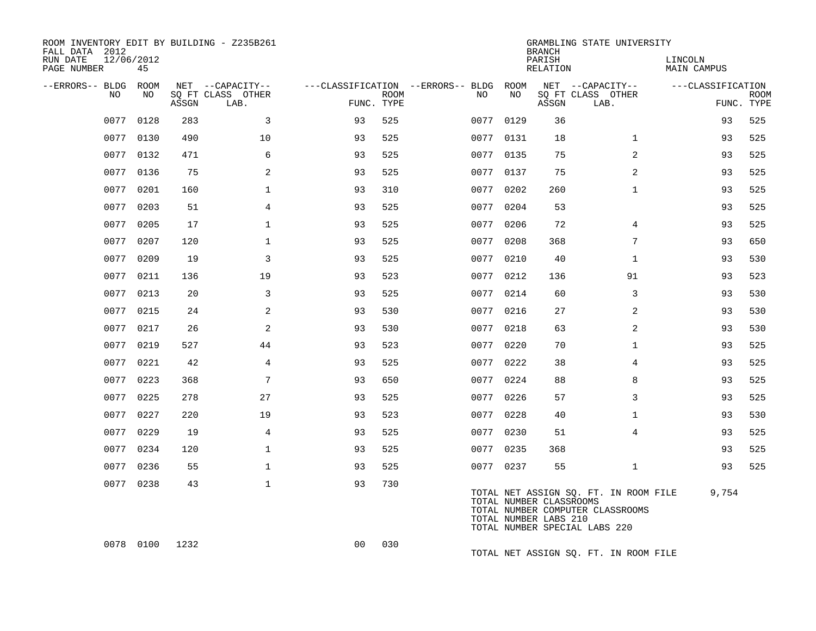| ROOM INVENTORY EDIT BY BUILDING - Z235B261<br>FALL DATA 2012<br>RUN DATE<br>PAGE NUMBER | 12/06/2012<br>45 |       |                                               |                |             |                                              |           | <b>BRANCH</b><br>PARISH<br><b>RELATION</b>       | GRAMBLING STATE UNIVERSITY                                                                                 | LINCOLN<br><b>MAIN CAMPUS</b> |                           |
|-----------------------------------------------------------------------------------------|------------------|-------|-----------------------------------------------|----------------|-------------|----------------------------------------------|-----------|--------------------------------------------------|------------------------------------------------------------------------------------------------------------|-------------------------------|---------------------------|
| --ERRORS-- BLDG<br>NO.                                                                  | ROOM<br>NO.      | ASSGN | NET --CAPACITY--<br>SQ FT CLASS OTHER<br>LAB. | FUNC. TYPE     | <b>ROOM</b> | ---CLASSIFICATION --ERRORS-- BLDG ROOM<br>NO | NO        | ASSGN                                            | NET --CAPACITY--<br>SQ FT CLASS OTHER<br>LAB.                                                              | ---CLASSIFICATION             | <b>ROOM</b><br>FUNC. TYPE |
| 0077                                                                                    | 0128             | 283   | 3                                             | 93             | 525         | 0077                                         | 0129      | 36                                               |                                                                                                            | 93                            | 525                       |
|                                                                                         | 0077 0130        | 490   | 10                                            | 93             | 525         |                                              | 0077 0131 | 18                                               | $\mathbf{1}$                                                                                               | 93                            | 525                       |
|                                                                                         | 0077 0132        | 471   | 6                                             | 93             | 525         | 0077                                         | 0135      | 75                                               | 2                                                                                                          | 93                            | 525                       |
|                                                                                         | 0077 0136        | 75    | 2                                             | 93             | 525         |                                              | 0077 0137 | 75                                               | 2                                                                                                          | 93                            | 525                       |
| 0077                                                                                    | 0201             | 160   | $\mathbf{1}$                                  | 93             | 310         | 0077                                         | 0202      | 260                                              | $\mathbf{1}$                                                                                               | 93                            | 525                       |
| 0077                                                                                    | 0203             | 51    | 4                                             | 93             | 525         |                                              | 0077 0204 | 53                                               |                                                                                                            | 93                            | 525                       |
| 0077                                                                                    | 0205             | 17    | $\mathbf 1$                                   | 93             | 525         | 0077                                         | 0206      | 72                                               | 4                                                                                                          | 93                            | 525                       |
| 0077                                                                                    | 0207             | 120   | $\mathbf{1}$                                  | 93             | 525         | 0077                                         | 0208      | 368                                              | 7                                                                                                          | 93                            | 650                       |
| 0077                                                                                    | 0209             | 19    | $\overline{3}$                                | 93             | 525         |                                              | 0077 0210 | 40                                               | $\mathbf{1}$                                                                                               | 93                            | 530                       |
| 0077                                                                                    | 0211             | 136   | 19                                            | 93             | 523         |                                              | 0077 0212 | 136                                              | 91                                                                                                         | 93                            | 523                       |
| 0077                                                                                    | 0213             | 20    | 3                                             | 93             | 525         |                                              | 0077 0214 | 60                                               | 3                                                                                                          | 93                            | 530                       |
| 0077                                                                                    | 0215             | 24    | 2                                             | 93             | 530         |                                              | 0077 0216 | 27                                               | 2                                                                                                          | 93                            | 530                       |
| 0077                                                                                    | 0217             | 26    | 2                                             | 93             | 530         |                                              | 0077 0218 | 63                                               | 2                                                                                                          | 93                            | 530                       |
| 0077                                                                                    | 0219             | 527   | 44                                            | 93             | 523         | 0077                                         | 0220      | 70                                               | $\mathbf{1}$                                                                                               | 93                            | 525                       |
| 0077                                                                                    | 0221             | 42    | $\overline{4}$                                | 93             | 525         |                                              | 0077 0222 | 38                                               | $\overline{4}$                                                                                             | 93                            | 525                       |
| 0077                                                                                    | 0223             | 368   | 7                                             | 93             | 650         | 0077                                         | 0224      | 88                                               | 8                                                                                                          | 93                            | 525                       |
|                                                                                         | 0077 0225        | 278   | 27                                            | 93             | 525         |                                              | 0077 0226 | 57                                               | 3                                                                                                          | 93                            | 525                       |
| 0077                                                                                    | 0227             | 220   | 19                                            | 93             | 523         | 0077                                         | 0228      | 40                                               | $\mathbf{1}$                                                                                               | 93                            | 530                       |
|                                                                                         | 0077 0229        | 19    | $\overline{4}$                                | 93             | 525         |                                              | 0077 0230 | 51                                               | $\overline{4}$                                                                                             | 93                            | 525                       |
|                                                                                         | 0077 0234        | 120   | $\mathbf 1$                                   | 93             | 525         |                                              | 0077 0235 | 368                                              |                                                                                                            | 93                            | 525                       |
|                                                                                         | 0077 0236        | 55    | $\mathbf{1}$                                  | 93             | 525         |                                              | 0077 0237 | 55                                               | $\mathbf{1}$                                                                                               | 93                            | 525                       |
|                                                                                         | 0077 0238        | 43    | $\mathbf{1}$                                  | 93             | 730         |                                              |           | TOTAL NUMBER CLASSROOMS<br>TOTAL NUMBER LABS 210 | TOTAL NET ASSIGN SQ. FT. IN ROOM FILE<br>TOTAL NUMBER COMPUTER CLASSROOMS<br>TOTAL NUMBER SPECIAL LABS 220 | 9,754                         |                           |
|                                                                                         | 0078 0100        | 1232  |                                               | 0 <sub>0</sub> | 030         |                                              |           |                                                  | TOTAL NET ASSIGN SQ. FT. IN ROOM FILE                                                                      |                               |                           |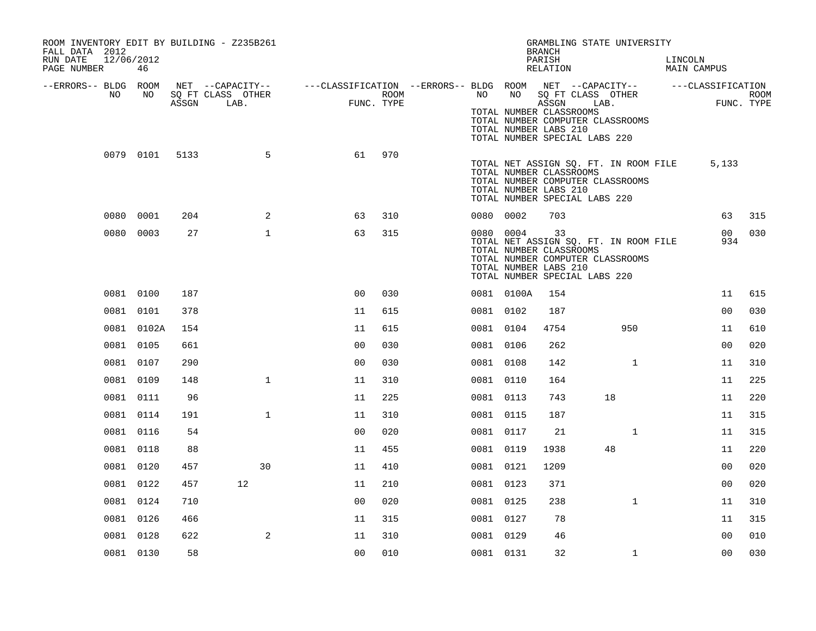| ROOM INVENTORY EDIT BY BUILDING - Z235B261<br>FALL DATA 2012 |            |       |                                               |                                                                       |      |           |            | GRAMBLING STATE UNIVERSITY<br><b>BRANCH</b>                                                                                                                          |      |              |         |                        |                           |
|--------------------------------------------------------------|------------|-------|-----------------------------------------------|-----------------------------------------------------------------------|------|-----------|------------|----------------------------------------------------------------------------------------------------------------------------------------------------------------------|------|--------------|---------|------------------------|---------------------------|
| RUN DATE<br>12/06/2012<br>PAGE NUMBER                        | 46         |       |                                               |                                                                       |      |           |            | PARISH<br>RELATION                                                                                                                                                   |      |              | LINCOLN | MAIN CAMPUS            |                           |
| --ERRORS-- BLDG ROOM<br>NO                                   | NO         | ASSGN | NET --CAPACITY--<br>SQ FT CLASS OTHER<br>LAB. | ---CLASSIFICATION --ERRORS-- BLDG ROOM NET --CAPACITY--<br>FUNC. TYPE | ROOM | NO        | NO         | SQ FT CLASS OTHER<br>ASSGN<br>TOTAL NUMBER CLASSROOMS<br>TOTAL NUMBER COMPUTER CLASSROOMS<br>TOTAL NUMBER LABS 210<br>TOTAL NUMBER SPECIAL LABS 220                  | LAB. |              |         | ---CLASSIFICATION      | <b>ROOM</b><br>FUNC. TYPE |
|                                                              | 0079 0101  | 5133  | 5                                             | 61                                                                    | 970  |           |            | TOTAL NET ASSIGN SQ. FT. IN ROOM FILE<br>TOTAL NUMBER CLASSROOMS<br>TOTAL NUMBER COMPUTER CLASSROOMS<br>TOTAL NUMBER LABS 210<br>TOTAL NUMBER SPECIAL LABS 220       |      |              |         | 5,133                  |                           |
|                                                              | 0080 0001  | 204   | 2                                             | 63                                                                    | 310  | 0080 0002 |            | 703                                                                                                                                                                  |      |              |         | 63                     | 315                       |
|                                                              | 0080 0003  | 27    | $\mathbf{1}$                                  | 63                                                                    | 315  |           | 0080 0004  | 33<br>TOTAL NET ASSIGN SQ. FT. IN ROOM FILE<br>TOTAL NUMBER CLASSROOMS<br>TOTAL NUMBER COMPUTER CLASSROOMS<br>TOTAL NUMBER LABS 210<br>TOTAL NUMBER SPECIAL LABS 220 |      |              |         | 00 <sup>o</sup><br>934 | 030                       |
|                                                              | 0081 0100  | 187   |                                               | 0 <sub>0</sub>                                                        | 030  |           | 0081 0100A | 154                                                                                                                                                                  |      |              |         | 11                     | 615                       |
|                                                              | 0081 0101  | 378   |                                               | 11                                                                    | 615  | 0081 0102 |            | 187                                                                                                                                                                  |      |              |         | 0 <sub>0</sub>         | 030                       |
|                                                              | 0081 0102A | 154   |                                               | 11                                                                    | 615  | 0081 0104 |            | 4754                                                                                                                                                                 |      | 950          |         | 11                     | 610                       |
|                                                              | 0081 0105  | 661   |                                               | 0 <sub>0</sub>                                                        | 030  | 0081 0106 |            | 262                                                                                                                                                                  |      |              |         | 00                     | 020                       |
|                                                              | 0081 0107  | 290   |                                               | 0 <sub>0</sub>                                                        | 030  | 0081 0108 |            | 142                                                                                                                                                                  |      | $\mathbf{1}$ |         | 11                     | 310                       |
|                                                              | 0081 0109  | 148   | $\mathbf{1}$                                  | 11                                                                    | 310  | 0081 0110 |            | 164                                                                                                                                                                  |      |              |         | 11                     | 225                       |
|                                                              | 0081 0111  | 96    |                                               | 11                                                                    | 225  | 0081 0113 |            | 743                                                                                                                                                                  | 18   |              |         | 11                     | 220                       |
|                                                              | 0081 0114  | 191   | $\mathbf{1}$                                  | 11                                                                    | 310  | 0081 0115 |            | 187                                                                                                                                                                  |      |              |         | 11                     | 315                       |
|                                                              | 0081 0116  | 54    |                                               | 0 <sub>0</sub>                                                        | 020  | 0081 0117 |            | 21                                                                                                                                                                   |      | $\mathbf{1}$ |         | 11                     | 315                       |
|                                                              | 0081 0118  | 88    |                                               | 11                                                                    | 455  | 0081 0119 |            | 1938                                                                                                                                                                 | 48   |              |         | 11                     | 220                       |
|                                                              | 0081 0120  | 457   | 30                                            | 11                                                                    | 410  | 0081 0121 |            | 1209                                                                                                                                                                 |      |              |         | 00                     | 020                       |
|                                                              | 0081 0122  | 457   | 12                                            | 11                                                                    | 210  | 0081 0123 |            | 371                                                                                                                                                                  |      |              |         | 0 <sub>0</sub>         | 020                       |
|                                                              | 0081 0124  | 710   |                                               | 00                                                                    | 020  | 0081 0125 |            | 238                                                                                                                                                                  |      | $\mathbf{1}$ |         | 11                     | 310                       |
|                                                              | 0081 0126  | 466   |                                               | 11                                                                    | 315  | 0081 0127 |            | 78                                                                                                                                                                   |      |              |         | 11                     | 315                       |
|                                                              | 0081 0128  | 622   | 2                                             | 11                                                                    | 310  | 0081 0129 |            | 46                                                                                                                                                                   |      |              |         | 0 <sub>0</sub>         | 010                       |
|                                                              | 0081 0130  | 58    |                                               | 0 <sub>0</sub>                                                        | 010  | 0081 0131 |            | 32                                                                                                                                                                   |      | $\mathbf{1}$ |         | 0 <sub>0</sub>         | 030                       |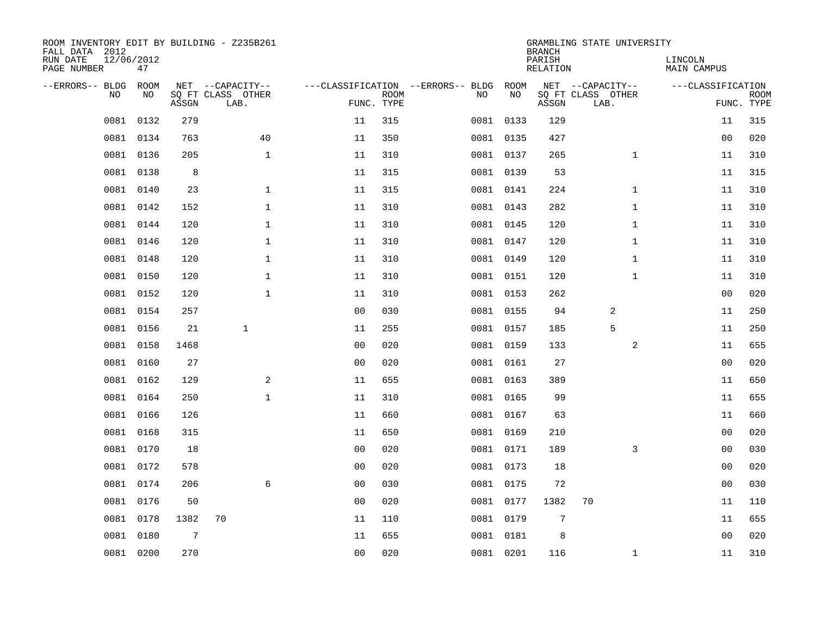| ROOM INVENTORY EDIT BY BUILDING - Z235B261<br>FALL DATA 2012 |                  |                |                           |                |                           |                                   |           | <b>BRANCH</b>             | GRAMBLING STATE UNIVERSITY |                               |                           |
|--------------------------------------------------------------|------------------|----------------|---------------------------|----------------|---------------------------|-----------------------------------|-----------|---------------------------|----------------------------|-------------------------------|---------------------------|
| RUN DATE<br>PAGE NUMBER                                      | 12/06/2012<br>47 |                |                           |                |                           |                                   |           | PARISH<br><b>RELATION</b> |                            | LINCOLN<br><b>MAIN CAMPUS</b> |                           |
| --ERRORS-- BLDG                                              | ROOM             |                | NET --CAPACITY--          |                |                           | ---CLASSIFICATION --ERRORS-- BLDG | ROOM      |                           | NET --CAPACITY--           | ---CLASSIFICATION             |                           |
| NO.                                                          | NO               | ASSGN          | SQ FT CLASS OTHER<br>LAB. |                | <b>ROOM</b><br>FUNC. TYPE | NO                                | NO        | ASSGN                     | SQ FT CLASS OTHER<br>LAB.  |                               | <b>ROOM</b><br>FUNC. TYPE |
| 0081                                                         | 0132             | 279            |                           | 11             | 315                       |                                   | 0081 0133 | 129                       |                            | 11                            | 315                       |
| 0081                                                         | 0134             | 763            | 40                        | 11             | 350                       |                                   | 0081 0135 | 427                       |                            | 0 <sub>0</sub>                | 020                       |
| 0081                                                         | 0136             | 205            | $\mathbf{1}$              | 11             | 310                       |                                   | 0081 0137 | 265                       | $\mathbf{1}$               | 11                            | 310                       |
|                                                              | 0081 0138        | 8              |                           | 11             | 315                       |                                   | 0081 0139 | 53                        |                            | 11                            | 315                       |
| 0081                                                         | 0140             | 23             | $\mathbf{1}$              | 11             | 315                       |                                   | 0081 0141 | 224                       | $\mathbf{1}$               | 11                            | 310                       |
|                                                              | 0081 0142        | 152            | $\mathbf{1}$              | 11             | 310                       |                                   | 0081 0143 | 282                       | $\mathbf{1}$               | 11                            | 310                       |
| 0081                                                         | 0144             | 120            | $\mathbf{1}$              | 11             | 310                       |                                   | 0081 0145 | 120                       | $\mathbf{1}$               | 11                            | 310                       |
|                                                              | 0081 0146        | 120            | $\mathbf{1}$              | 11             | 310                       |                                   | 0081 0147 | 120                       | $\mathbf{1}$               | 11                            | 310                       |
| 0081                                                         | 0148             | 120            | $\mathbf{1}$              | 11             | 310                       |                                   | 0081 0149 | 120                       | $\mathbf{1}$               | 11                            | 310                       |
|                                                              | 0081 0150        | 120            | $\mathbf 1$               | 11             | 310                       |                                   | 0081 0151 | 120                       | $\mathbf{1}$               | 11                            | 310                       |
| 0081                                                         | 0152             | 120            | $\mathbf 1$               | 11             | 310                       |                                   | 0081 0153 | 262                       |                            | 0 <sub>0</sub>                | 020                       |
|                                                              | 0081 0154        | 257            |                           | 0 <sub>0</sub> | 030                       |                                   | 0081 0155 | 94                        | 2                          | 11                            | 250                       |
| 0081                                                         | 0156             | 21             | $\mathbf{1}$              | 11             | 255                       |                                   | 0081 0157 | 185                       | 5                          | 11                            | 250                       |
| 0081                                                         | 0158             | 1468           |                           | 0 <sub>0</sub> | 020                       |                                   | 0081 0159 | 133                       | 2                          | 11                            | 655                       |
| 0081                                                         | 0160             | 27             |                           | 0 <sub>0</sub> | 020                       |                                   | 0081 0161 | 27                        |                            | 00                            | 020                       |
| 0081                                                         | 0162             | 129            | 2                         | 11             | 655                       |                                   | 0081 0163 | 389                       |                            | 11                            | 650                       |
| 0081                                                         | 0164             | 250            | $\mathbf{1}$              | 11             | 310                       |                                   | 0081 0165 | 99                        |                            | 11                            | 655                       |
| 0081                                                         | 0166             | 126            |                           | 11             | 660                       |                                   | 0081 0167 | 63                        |                            | 11                            | 660                       |
| 0081                                                         | 0168             | 315            |                           | 11             | 650                       |                                   | 0081 0169 | 210                       |                            | 0 <sub>0</sub>                | 020                       |
| 0081                                                         | 0170             | 18             |                           | 0 <sub>0</sub> | 020                       |                                   | 0081 0171 | 189                       | 3                          | 00                            | 030                       |
| 0081                                                         | 0172             | 578            |                           | 0 <sub>0</sub> | 020                       |                                   | 0081 0173 | 18                        |                            | 00                            | 020                       |
| 0081                                                         | 0174             | 206            | 6                         | 0 <sub>0</sub> | 030                       |                                   | 0081 0175 | 72                        |                            | 00                            | 030                       |
| 0081                                                         | 0176             | 50             |                           | 0 <sub>0</sub> | 020                       |                                   | 0081 0177 | 1382                      | 70                         | 11                            | 110                       |
| 0081                                                         | 0178             | 1382           | 70                        | 11             | 110                       |                                   | 0081 0179 | $\overline{7}$            |                            | 11                            | 655                       |
| 0081                                                         | 0180             | $\overline{7}$ |                           | 11             | 655                       |                                   | 0081 0181 | 8                         |                            | 0 <sub>0</sub>                | 020                       |
|                                                              | 0081 0200        | 270            |                           | 0 <sub>0</sub> | 020                       |                                   | 0081 0201 | 116                       | $\mathbf{1}$               | 11                            | 310                       |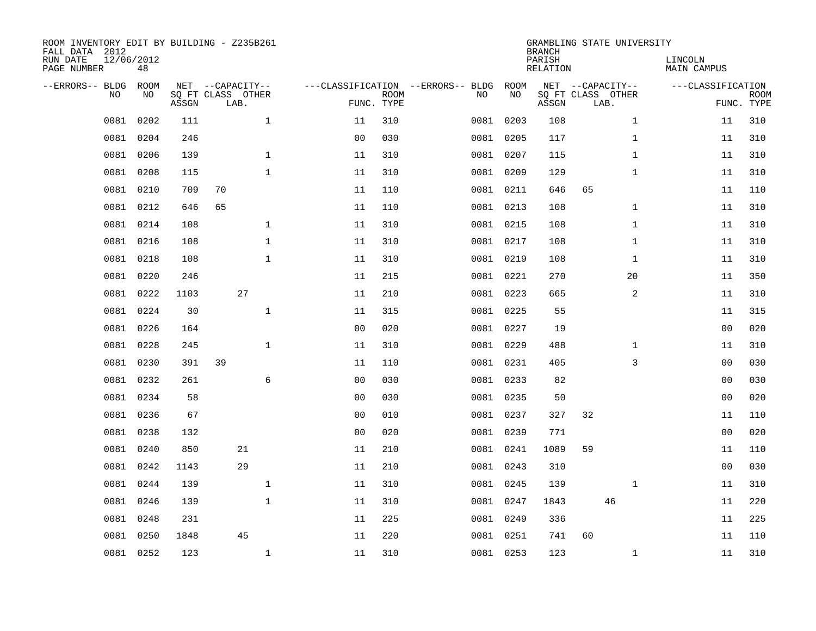| ROOM INVENTORY EDIT BY BUILDING - Z235B261<br>FALL DATA 2012<br>RUN DATE<br>PAGE NUMBER | 12/06/2012<br>48 |       |                                               |                |                           |                                         |            | <b>BRANCH</b><br>PARISH<br><b>RELATION</b> | GRAMBLING STATE UNIVERSITY                    | LINCOLN<br><b>MAIN CAMPUS</b> |                           |
|-----------------------------------------------------------------------------------------|------------------|-------|-----------------------------------------------|----------------|---------------------------|-----------------------------------------|------------|--------------------------------------------|-----------------------------------------------|-------------------------------|---------------------------|
| --ERRORS-- BLDG<br>NO                                                                   | ROOM<br>NO       | ASSGN | NET --CAPACITY--<br>SQ FT CLASS OTHER<br>LAB. |                | <b>ROOM</b><br>FUNC. TYPE | ---CLASSIFICATION --ERRORS-- BLDG<br>NO | ROOM<br>NO | ASSGN                                      | NET --CAPACITY--<br>SQ FT CLASS OTHER<br>LAB. | ---CLASSIFICATION             | <b>ROOM</b><br>FUNC. TYPE |
| 0081                                                                                    | 0202             | 111   | $\mathbf{1}$                                  | 11             | 310                       | 0081                                    | 0203       | 108                                        | $\mathbf{1}$                                  | 11                            | 310                       |
| 0081                                                                                    | 0204             | 246   |                                               | 0 <sub>0</sub> | 030                       | 0081                                    | 0205       | 117                                        | $\mathbf{1}$                                  | 11                            | 310                       |
| 0081                                                                                    | 0206             | 139   | $\mathbf 1$                                   | 11             | 310                       |                                         | 0081 0207  | 115                                        | $\mathbf{1}$                                  | 11                            | 310                       |
| 0081                                                                                    | 0208             | 115   | $\mathbf{1}$                                  | 11             | 310                       |                                         | 0081 0209  | 129                                        | $\mathbf{1}$                                  | 11                            | 310                       |
| 0081                                                                                    | 0210             | 709   | 70                                            | 11             | 110                       |                                         | 0081 0211  | 646                                        | 65                                            | 11                            | 110                       |
|                                                                                         | 0081 0212        | 646   | 65                                            | 11             | 110                       |                                         | 0081 0213  | 108                                        | $\mathbf{1}$                                  | 11                            | 310                       |
| 0081                                                                                    | 0214             | 108   | $\mathbf{1}$                                  | 11             | 310                       |                                         | 0081 0215  | 108                                        | $\mathbf{1}$                                  | 11                            | 310                       |
|                                                                                         | 0081 0216        | 108   | $\mathbf 1$                                   | 11             | 310                       |                                         | 0081 0217  | 108                                        | $\mathbf{1}$                                  | 11                            | 310                       |
| 0081                                                                                    | 0218             | 108   | $\mathbf{1}$                                  | 11             | 310                       |                                         | 0081 0219  | 108                                        | $\mathbf{1}$                                  | 11                            | 310                       |
| 0081                                                                                    | 0220             | 246   |                                               | 11             | 215                       |                                         | 0081 0221  | 270                                        | 20                                            | 11                            | 350                       |
| 0081                                                                                    | 0222             | 1103  | 27                                            | 11             | 210                       |                                         | 0081 0223  | 665                                        | 2                                             | 11                            | 310                       |
|                                                                                         | 0081 0224        | 30    | $\mathbf{1}$                                  | 11             | 315                       |                                         | 0081 0225  | 55                                         |                                               | 11                            | 315                       |
| 0081                                                                                    | 0226             | 164   |                                               | 0 <sub>0</sub> | 020                       |                                         | 0081 0227  | 19                                         |                                               | 00                            | 020                       |
| 0081                                                                                    | 0228             | 245   | $\mathbf 1$                                   | 11             | 310                       |                                         | 0081 0229  | 488                                        | $\mathbf{1}$                                  | 11                            | 310                       |
| 0081                                                                                    | 0230             | 391   | 39                                            | 11             | 110                       |                                         | 0081 0231  | 405                                        | 3                                             | 00                            | 030                       |
| 0081                                                                                    | 0232             | 261   | 6                                             | 0 <sub>0</sub> | 030                       |                                         | 0081 0233  | 82                                         |                                               | 0 <sub>0</sub>                | 030                       |
| 0081                                                                                    | 0234             | 58    |                                               | 0 <sub>0</sub> | 030                       |                                         | 0081 0235  | 50                                         |                                               | 0 <sub>0</sub>                | 020                       |
| 0081                                                                                    | 0236             | 67    |                                               | 0 <sub>0</sub> | 010                       |                                         | 0081 0237  | 327                                        | 32                                            | 11                            | 110                       |
| 0081                                                                                    | 0238             | 132   |                                               | 0 <sub>0</sub> | 020                       |                                         | 0081 0239  | 771                                        |                                               | 0 <sub>0</sub>                | 020                       |
| 0081                                                                                    | 0240             | 850   | 21                                            | 11             | 210                       |                                         | 0081 0241  | 1089                                       | 59                                            | 11                            | 110                       |
| 0081                                                                                    | 0242             | 1143  | 29                                            | 11             | 210                       |                                         | 0081 0243  | 310                                        |                                               | 00                            | 030                       |
| 0081                                                                                    | 0244             | 139   | $\mathbf{1}$                                  | 11             | 310                       |                                         | 0081 0245  | 139                                        | $\mathbf{1}$                                  | 11                            | 310                       |
| 0081                                                                                    | 0246             | 139   | $\mathbf{1}$                                  | 11             | 310                       |                                         | 0081 0247  | 1843                                       | 46                                            | 11                            | 220                       |
| 0081                                                                                    | 0248             | 231   |                                               | 11             | 225                       |                                         | 0081 0249  | 336                                        |                                               | 11                            | 225                       |
| 0081                                                                                    | 0250             | 1848  | 45                                            | 11             | 220                       |                                         | 0081 0251  | 741                                        | 60                                            | 11                            | 110                       |
|                                                                                         | 0081 0252        | 123   | $\mathbf{1}$                                  | 11             | 310                       |                                         | 0081 0253  | 123                                        | $\mathbf{1}$                                  | 11                            | 310                       |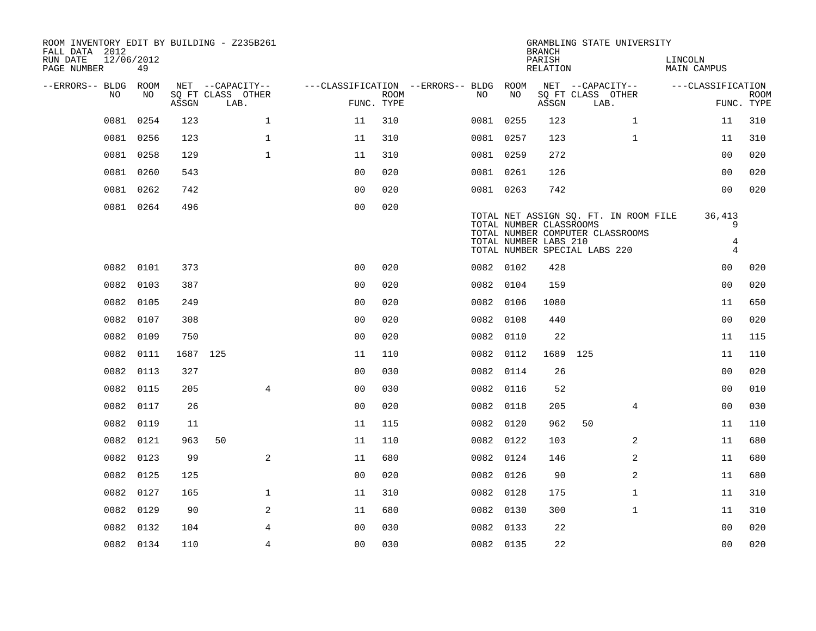| ROOM INVENTORY EDIT BY BUILDING - Z235B261<br>FALL DATA 2012<br>12/06/2012<br>RUN DATE<br>PAGE NUMBER<br>49 |             |                                       |                                        |             |           |                                                  | <b>BRANCH</b><br>PARISH<br>RELATION |                                       | GRAMBLING STATE UNIVERSITY                                                | LINCOLN<br><b>MAIN CAMPUS</b> |                                    |             |
|-------------------------------------------------------------------------------------------------------------|-------------|---------------------------------------|----------------------------------------|-------------|-----------|--------------------------------------------------|-------------------------------------|---------------------------------------|---------------------------------------------------------------------------|-------------------------------|------------------------------------|-------------|
| --ERRORS-- BLDG ROOM<br>NO.                                                                                 | NO.         | NET --CAPACITY--<br>SQ FT CLASS OTHER | ---CLASSIFICATION --ERRORS-- BLDG ROOM | <b>ROOM</b> | NO.       | NO                                               |                                     | NET --CAPACITY--<br>SQ FT CLASS OTHER |                                                                           |                               | ---CLASSIFICATION                  | <b>ROOM</b> |
|                                                                                                             | ASSGN       | LAB.                                  | FUNC. TYPE                             |             |           |                                                  | ASSGN                               | LAB.                                  |                                                                           |                               | FUNC. TYPE                         |             |
| 0081 0254                                                                                                   | 123         | $\mathbf{1}$                          | 11                                     | 310         | 0081 0255 |                                                  | 123                                 |                                       | $\mathbf{1}$                                                              |                               | 11                                 | 310         |
| 0081 0256                                                                                                   | 123         | $\mathbf{1}$                          | 11                                     | 310         | 0081 0257 |                                                  | 123                                 |                                       | $\mathbf{1}$                                                              |                               | 11                                 | 310         |
| 0081 0258                                                                                                   | 129         | $\mathbf{1}$                          | 11                                     | 310         | 0081 0259 |                                                  | 272                                 |                                       |                                                                           |                               | 0 <sub>0</sub>                     | 020         |
| 0081                                                                                                        | 0260<br>543 |                                       | 00                                     | 020         | 0081 0261 |                                                  | 126                                 |                                       |                                                                           |                               | 00                                 | 020         |
| 0081                                                                                                        | 0262<br>742 |                                       | 0 <sub>0</sub>                         | 020         | 0081 0263 |                                                  | 742                                 |                                       |                                                                           |                               | 0 <sub>0</sub>                     | 020         |
| 0081 0264                                                                                                   | 496         |                                       | 0 <sub>0</sub>                         | 020         |           | TOTAL NUMBER CLASSROOMS<br>TOTAL NUMBER LABS 210 |                                     | TOTAL NUMBER SPECIAL LABS 220         | TOTAL NET ASSIGN SQ. FT. IN ROOM FILE<br>TOTAL NUMBER COMPUTER CLASSROOMS |                               | 36,413<br>9<br>4<br>$\overline{4}$ |             |
| 0082 0101                                                                                                   | 373         |                                       | 0 <sub>0</sub>                         | 020         | 0082 0102 |                                                  | 428                                 |                                       |                                                                           |                               | 00                                 | 020         |
| 0082 0103                                                                                                   | 387         |                                       | 0 <sub>0</sub>                         | 020         | 0082 0104 |                                                  | 159                                 |                                       |                                                                           |                               | 0 <sub>0</sub>                     | 020         |
| 0082 0105                                                                                                   | 249         |                                       | 0 <sub>0</sub>                         | 020         | 0082 0106 |                                                  | 1080                                |                                       |                                                                           |                               | 11                                 | 650         |
| 0082 0107                                                                                                   | 308         |                                       | 0 <sub>0</sub>                         | 020         | 0082 0108 |                                                  | 440                                 |                                       |                                                                           |                               | 0 <sub>0</sub>                     | 020         |
| 0082                                                                                                        | 0109<br>750 |                                       | 0 <sub>0</sub>                         | 020         | 0082      | 0110                                             | 22                                  |                                       |                                                                           |                               | 11                                 | 115         |
| 0082                                                                                                        | 0111        | 1687 125                              | 11                                     | 110         | 0082 0112 |                                                  | 1689 125                            |                                       |                                                                           |                               | 11                                 | 110         |
| 0082                                                                                                        | 0113<br>327 |                                       | 0 <sub>0</sub>                         | 030         | 0082      | 0114                                             | 26                                  |                                       |                                                                           |                               | 0 <sub>0</sub>                     | 020         |
| 0082 0115                                                                                                   | 205         | 4                                     | 0 <sub>0</sub>                         | 030         | 0082 0116 |                                                  | 52                                  |                                       |                                                                           |                               | 00                                 | 010         |
| 0082                                                                                                        | 0117<br>26  |                                       | 0 <sub>0</sub>                         | 020         | 0082      | 0118                                             | 205                                 |                                       | $\overline{4}$                                                            |                               | 0 <sub>0</sub>                     | 030         |
| 0082                                                                                                        | 0119<br>11  |                                       | 11                                     | 115         | 0082 0120 |                                                  | 962                                 | 50                                    |                                                                           |                               | 11                                 | 110         |
| 0082                                                                                                        | 0121<br>963 | 50                                    | 11                                     | 110         | 0082 0122 |                                                  | 103                                 |                                       | $\overline{a}$                                                            |                               | 11                                 | 680         |
| 0082                                                                                                        | 0123<br>99  | 2                                     | 11                                     | 680         | 0082 0124 |                                                  | 146                                 |                                       | 2                                                                         |                               | 11                                 | 680         |
| 0082                                                                                                        | 0125<br>125 |                                       | 0 <sub>0</sub>                         | 020         | 0082 0126 |                                                  | 90                                  |                                       | 2                                                                         |                               | 11                                 | 680         |
| 0082 0127                                                                                                   | 165         | $\mathbf{1}$                          | 11                                     | 310         | 0082 0128 |                                                  | 175                                 |                                       | $\mathbf{1}$                                                              |                               | 11                                 | 310         |
| 0082                                                                                                        | 0129<br>90  | 2                                     | 11                                     | 680         | 0082 0130 |                                                  | 300                                 |                                       | $\mathbf{1}$                                                              |                               | 11                                 | 310         |
| 0082                                                                                                        | 0132<br>104 | 4                                     | 0 <sub>0</sub>                         | 030         | 0082 0133 |                                                  | 22                                  |                                       |                                                                           |                               | 0 <sub>0</sub>                     | 020         |
| 0082 0134                                                                                                   | 110         | 4                                     | 00                                     | 030         | 0082 0135 |                                                  | 22                                  |                                       |                                                                           |                               | 0 <sub>0</sub>                     | 020         |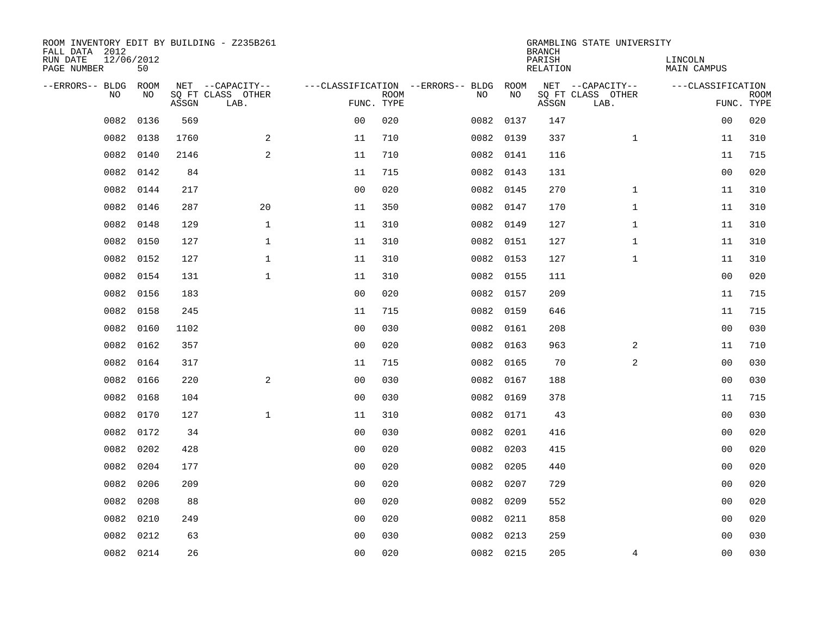| ROOM INVENTORY EDIT BY BUILDING - Z235B261<br>FALL DATA 2012 |                  |       |                           |                |             |                                        |           | <b>BRANCH</b>             | GRAMBLING STATE UNIVERSITY |                               |                           |
|--------------------------------------------------------------|------------------|-------|---------------------------|----------------|-------------|----------------------------------------|-----------|---------------------------|----------------------------|-------------------------------|---------------------------|
| RUN DATE<br>PAGE NUMBER                                      | 12/06/2012<br>50 |       |                           |                |             |                                        |           | PARISH<br><b>RELATION</b> |                            | LINCOLN<br><b>MAIN CAMPUS</b> |                           |
| --ERRORS-- BLDG                                              | ROOM             |       | NET --CAPACITY--          |                |             | ---CLASSIFICATION --ERRORS-- BLDG ROOM |           |                           | NET --CAPACITY--           | ---CLASSIFICATION             |                           |
| NO                                                           | NO               | ASSGN | SQ FT CLASS OTHER<br>LAB. | FUNC. TYPE     | <b>ROOM</b> | NO                                     | NO        | ASSGN                     | SQ FT CLASS OTHER<br>LAB.  |                               | <b>ROOM</b><br>FUNC. TYPE |
| 0082                                                         | 0136             | 569   |                           | 0 <sub>0</sub> | 020         |                                        | 0082 0137 | 147                       |                            | 00                            | 020                       |
| 0082                                                         | 0138             | 1760  | 2                         | 11             | 710         |                                        | 0082 0139 | 337                       | $\mathbf{1}$               | 11                            | 310                       |
| 0082                                                         | 0140             | 2146  | 2                         | 11             | 710         |                                        | 0082 0141 | 116                       |                            | 11                            | 715                       |
| 0082                                                         | 0142             | 84    |                           | 11             | 715         |                                        | 0082 0143 | 131                       |                            | 0 <sub>0</sub>                | 020                       |
| 0082                                                         | 0144             | 217   |                           | 0 <sub>0</sub> | 020         |                                        | 0082 0145 | 270                       | $\mathbf{1}$               | 11                            | 310                       |
| 0082                                                         | 0146             | 287   | 20                        | 11             | 350         |                                        | 0082 0147 | 170                       | $\mathbf{1}$               | 11                            | 310                       |
| 0082                                                         | 0148             | 129   | $\mathbf{1}$              | 11             | 310         |                                        | 0082 0149 | 127                       | $\mathbf{1}$               | 11                            | 310                       |
| 0082                                                         | 0150             | 127   | $\mathbf{1}$              | 11             | 310         |                                        | 0082 0151 | 127                       | $\mathbf{1}$               | 11                            | 310                       |
| 0082                                                         | 0152             | 127   | $\mathbf{1}$              | 11             | 310         |                                        | 0082 0153 | 127                       | $\mathbf{1}$               | 11                            | 310                       |
| 0082                                                         | 0154             | 131   | $\mathbf{1}$              | 11             | 310         |                                        | 0082 0155 | 111                       |                            | 0 <sub>0</sub>                | 020                       |
| 0082                                                         | 0156             | 183   |                           | 0 <sub>0</sub> | 020         |                                        | 0082 0157 | 209                       |                            | 11                            | 715                       |
| 0082                                                         | 0158             | 245   |                           | 11             | 715         |                                        | 0082 0159 | 646                       |                            | 11                            | 715                       |
| 0082                                                         | 0160             | 1102  |                           | 0 <sub>0</sub> | 030         |                                        | 0082 0161 | 208                       |                            | 0 <sub>0</sub>                | 030                       |
| 0082                                                         | 0162             | 357   |                           | 0 <sub>0</sub> | 020         |                                        | 0082 0163 | 963                       | 2                          | 11                            | 710                       |
| 0082                                                         | 0164             | 317   |                           | 11             | 715         |                                        | 0082 0165 | 70                        | 2                          | 0 <sub>0</sub>                | 030                       |
| 0082                                                         | 0166             | 220   | 2                         | 0 <sub>0</sub> | 030         |                                        | 0082 0167 | 188                       |                            | 0 <sub>0</sub>                | 030                       |
| 0082                                                         | 0168             | 104   |                           | 0 <sub>0</sub> | 030         |                                        | 0082 0169 | 378                       |                            | 11                            | 715                       |
| 0082                                                         | 0170             | 127   | $\mathbf{1}$              | 11             | 310         |                                        | 0082 0171 | 43                        |                            | 0 <sub>0</sub>                | 030                       |
| 0082                                                         | 0172             | 34    |                           | 0 <sub>0</sub> | 030         |                                        | 0082 0201 | 416                       |                            | 0 <sub>0</sub>                | 020                       |
| 0082                                                         | 0202             | 428   |                           | 0 <sub>0</sub> | 020         |                                        | 0082 0203 | 415                       |                            | 00                            | 020                       |
| 0082                                                         | 0204             | 177   |                           | 0 <sub>0</sub> | 020         |                                        | 0082 0205 | 440                       |                            | 00                            | 020                       |
| 0082                                                         | 0206             | 209   |                           | 0 <sub>0</sub> | 020         |                                        | 0082 0207 | 729                       |                            | 00                            | 020                       |
| 0082                                                         | 0208             | 88    |                           | 0 <sub>0</sub> | 020         |                                        | 0082 0209 | 552                       |                            | 0 <sub>0</sub>                | 020                       |
| 0082                                                         | 0210             | 249   |                           | 0 <sub>0</sub> | 020         |                                        | 0082 0211 | 858                       |                            | 0 <sub>0</sub>                | 020                       |
| 0082                                                         | 0212             | 63    |                           | 0 <sub>0</sub> | 030         |                                        | 0082 0213 | 259                       |                            | 00                            | 030                       |
|                                                              | 0082 0214        | 26    |                           | 0 <sub>0</sub> | 020         |                                        | 0082 0215 | 205                       | 4                          | 0 <sub>0</sub>                | 030                       |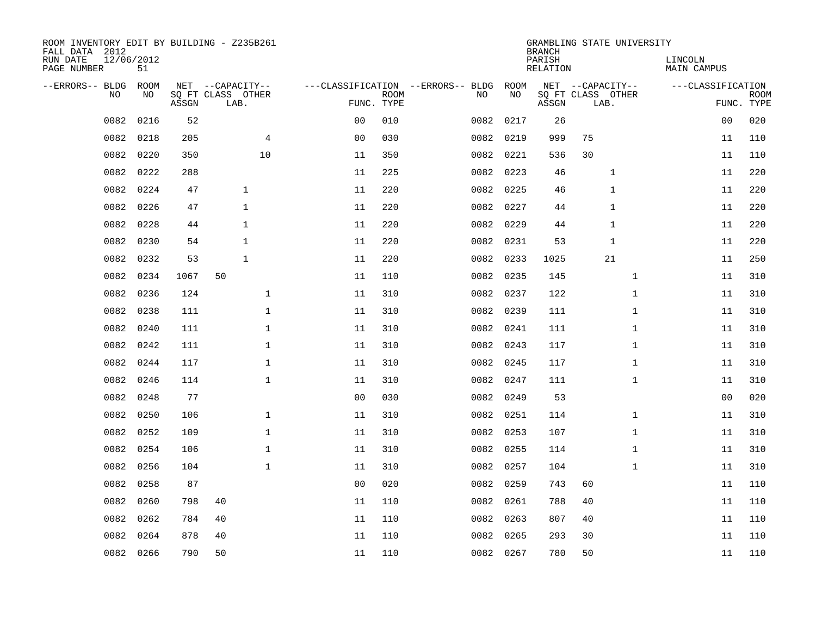| ROOM INVENTORY EDIT BY BUILDING - Z235B261<br>FALL DATA 2012 |                  |       |                           |                |                           |                                   |           | <b>BRANCH</b>      | GRAMBLING STATE UNIVERSITY |                        |                           |
|--------------------------------------------------------------|------------------|-------|---------------------------|----------------|---------------------------|-----------------------------------|-----------|--------------------|----------------------------|------------------------|---------------------------|
| RUN DATE<br>PAGE NUMBER                                      | 12/06/2012<br>51 |       |                           |                |                           |                                   |           | PARISH<br>RELATION |                            | LINCOLN<br>MAIN CAMPUS |                           |
| --ERRORS-- BLDG                                              | ROOM             |       | NET --CAPACITY--          |                |                           | ---CLASSIFICATION --ERRORS-- BLDG | ROOM      |                    | NET --CAPACITY--           | ---CLASSIFICATION      |                           |
| N <sub>O</sub>                                               | NO.              | ASSGN | SO FT CLASS OTHER<br>LAB. |                | <b>ROOM</b><br>FUNC. TYPE | NO.                               | NO        | ASSGN              | SQ FT CLASS OTHER<br>LAB.  |                        | <b>ROOM</b><br>FUNC. TYPE |
| 0082                                                         | 0216             | 52    |                           | 0 <sub>0</sub> | 010                       | 0082                              | 0217      | 26                 |                            | 00                     | 020                       |
| 0082                                                         | 0218             | 205   | $\overline{4}$            | 0 <sub>0</sub> | 030                       |                                   | 0082 0219 | 999                | 75                         | 11                     | 110                       |
| 0082                                                         | 0220             | 350   | 10                        | 11             | 350                       |                                   | 0082 0221 | 536                | 30                         | 11                     | 110                       |
| 0082                                                         | 0222             | 288   |                           | 11             | 225                       | 0082                              | 0223      | 46                 | 1                          | 11                     | 220                       |
| 0082                                                         | 0224             | 47    | $\mathbf{1}$              | 11             | 220                       | 0082                              | 0225      | 46                 | 1                          | 11                     | 220                       |
| 0082                                                         | 0226             | 47    | $\mathbf 1$               | 11             | 220                       |                                   | 0082 0227 | 44                 | 1                          | 11                     | 220                       |
| 0082                                                         | 0228             | 44    | $\mathbf{1}$              | 11             | 220                       | 0082                              | 0229      | 44                 | $\mathbf{1}$               | 11                     | 220                       |
| 0082                                                         | 0230             | 54    | $\mathbf{1}$              | 11             | 220                       |                                   | 0082 0231 | 53                 | $\mathbf{1}$               | 11                     | 220                       |
| 0082                                                         | 0232             | 53    | $\mathbf{1}$              | 11             | 220                       | 0082                              | 0233      | 1025               | 21                         | 11                     | 250                       |
| 0082                                                         | 0234             | 1067  | 50                        | 11             | 110                       |                                   | 0082 0235 | 145                | $\mathbf{1}$               | 11                     | 310                       |
| 0082                                                         | 0236             | 124   | $\mathbf 1$               | 11             | 310                       | 0082                              | 0237      | 122                | $\mathbf{1}$               | 11                     | 310                       |
| 0082                                                         | 0238             | 111   | $\mathbf{1}$              | 11             | 310                       |                                   | 0082 0239 | 111                | $\mathbf{1}$               | 11                     | 310                       |
| 0082                                                         | 0240             | 111   | $\mathbf{1}$              | 11             | 310                       | 0082                              | 0241      | 111                | $\mathbf{1}$               | 11                     | 310                       |
| 0082                                                         | 0242             | 111   | $\mathbf{1}$              | 11             | 310                       |                                   | 0082 0243 | 117                | $\mathbf{1}$               | 11                     | 310                       |
| 0082                                                         | 0244             | 117   | $\mathbf 1$               | 11             | 310                       | 0082                              | 0245      | 117                | $\mathbf{1}$               | 11                     | 310                       |
| 0082                                                         | 0246             | 114   | $\mathbf 1$               | 11             | 310                       |                                   | 0082 0247 | 111                | $\mathbf{1}$               | 11                     | 310                       |
| 0082                                                         | 0248             | 77    |                           | 0 <sub>0</sub> | 030                       | 0082                              | 0249      | 53                 |                            | 00                     | 020                       |
| 0082                                                         | 0250             | 106   | $\mathbf 1$               | 11             | 310                       |                                   | 0082 0251 | 114                | $\mathbf{1}$               | 11                     | 310                       |
| 0082                                                         | 0252             | 109   | $\mathbf{1}$              | 11             | 310                       | 0082                              | 0253      | 107                | $\mathbf{1}$               | 11                     | 310                       |
| 0082                                                         | 0254             | 106   | $\mathbf{1}$              | 11             | 310                       |                                   | 0082 0255 | 114                | $\mathbf{1}$               | 11                     | 310                       |
| 0082                                                         | 0256             | 104   | $\mathbf 1$               | 11             | 310                       |                                   | 0082 0257 | 104                | $\mathbf{1}$               | 11                     | 310                       |
| 0082                                                         | 0258             | 87    |                           | 0 <sub>0</sub> | 020                       | 0082                              | 0259      | 743                | 60                         | 11                     | 110                       |
| 0082                                                         | 0260             | 798   | 40                        | 11             | 110                       |                                   | 0082 0261 | 788                | 40                         | 11                     | 110                       |
| 0082                                                         | 0262             | 784   | 40                        | 11             | 110                       |                                   | 0082 0263 | 807                | 40                         | 11                     | 110                       |
| 0082                                                         | 0264             | 878   | 40                        | 11             | 110                       | 0082                              | 0265      | 293                | 30                         | 11                     | 110                       |
|                                                              | 0082 0266        | 790   | 50                        | 11             | 110                       |                                   | 0082 0267 | 780                | 50                         | 11                     | 110                       |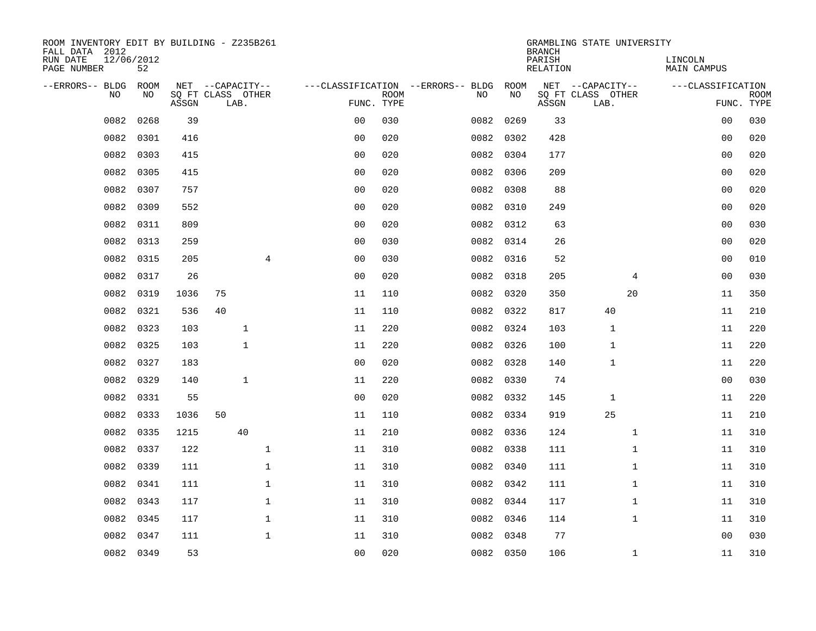| ROOM INVENTORY EDIT BY BUILDING - Z235B261<br>FALL DATA 2012 |                  |       |                           |                |                |             |                                   |           | <b>BRANCH</b>      | GRAMBLING STATE UNIVERSITY |                        |                |             |
|--------------------------------------------------------------|------------------|-------|---------------------------|----------------|----------------|-------------|-----------------------------------|-----------|--------------------|----------------------------|------------------------|----------------|-------------|
| RUN DATE<br>PAGE NUMBER                                      | 12/06/2012<br>52 |       |                           |                |                |             |                                   |           | PARISH<br>RELATION |                            | LINCOLN<br>MAIN CAMPUS |                |             |
| --ERRORS-- BLDG                                              | ROOM             |       | NET --CAPACITY--          |                |                |             | ---CLASSIFICATION --ERRORS-- BLDG | ROOM      |                    | NET --CAPACITY--           | ---CLASSIFICATION      |                |             |
| N <sub>O</sub>                                               | NO.              | ASSGN | SO FT CLASS OTHER<br>LAB. |                | FUNC. TYPE     | <b>ROOM</b> | NO.                               | NO        | ASSGN              | SQ FT CLASS OTHER<br>LAB.  |                        | FUNC. TYPE     | <b>ROOM</b> |
| 0082                                                         | 0268             | 39    |                           |                | 0 <sub>0</sub> | 030         | 0082                              | 0269      | 33                 |                            |                        | 0 <sub>0</sub> | 030         |
| 0082                                                         | 0301             | 416   |                           |                | 0 <sub>0</sub> | 020         |                                   | 0082 0302 | 428                |                            |                        | 0 <sub>0</sub> | 020         |
| 0082                                                         | 0303             | 415   |                           |                | 0 <sub>0</sub> | 020         |                                   | 0082 0304 | 177                |                            |                        | 00             | 020         |
| 0082                                                         | 0305             | 415   |                           |                | 00             | 020         |                                   | 0082 0306 | 209                |                            |                        | 0 <sub>0</sub> | 020         |
| 0082                                                         | 0307             | 757   |                           |                | 00             | 020         |                                   | 0082 0308 | 88                 |                            |                        | 0 <sub>0</sub> | 020         |
| 0082                                                         | 0309             | 552   |                           |                | 0 <sub>0</sub> | 020         |                                   | 0082 0310 | 249                |                            |                        | 0 <sub>0</sub> | 020         |
| 0082                                                         | 0311             | 809   |                           |                | 0 <sub>0</sub> | 020         |                                   | 0082 0312 | 63                 |                            |                        | 00             | 030         |
| 0082                                                         | 0313             | 259   |                           |                | 0 <sub>0</sub> | 030         |                                   | 0082 0314 | 26                 |                            |                        | 0 <sub>0</sub> | 020         |
| 0082                                                         | 0315             | 205   |                           | $\overline{4}$ | 0 <sub>0</sub> | 030         | 0082                              | 0316      | 52                 |                            |                        | 0 <sub>0</sub> | 010         |
| 0082                                                         | 0317             | 26    |                           |                | 0 <sub>0</sub> | 020         |                                   | 0082 0318 | 205                |                            | 4                      | 0 <sub>0</sub> | 030         |
| 0082                                                         | 0319             | 1036  | 75                        |                | 11             | 110         |                                   | 0082 0320 | 350                | 20                         |                        | 11             | 350         |
| 0082                                                         | 0321             | 536   | 40                        |                | 11             | 110         |                                   | 0082 0322 | 817                | 40                         |                        | 11             | 210         |
| 0082                                                         | 0323             | 103   | $\mathbf{1}$              |                | 11             | 220         |                                   | 0082 0324 | 103                | 1                          |                        | 11             | 220         |
| 0082                                                         | 0325             | 103   | $\mathbf{1}$              |                | 11             | 220         |                                   | 0082 0326 | 100                | 1                          |                        | 11             | 220         |
| 0082                                                         | 0327             | 183   |                           |                | 0 <sub>0</sub> | 020         |                                   | 0082 0328 | 140                | 1                          |                        | 11             | 220         |
| 0082                                                         | 0329             | 140   | $\mathbf{1}$              |                | 11             | 220         |                                   | 0082 0330 | 74                 |                            |                        | 00             | 030         |
| 0082                                                         | 0331             | 55    |                           |                | 0 <sub>0</sub> | 020         |                                   | 0082 0332 | 145                | $\mathbf 1$                |                        | 11             | 220         |
| 0082                                                         | 0333             | 1036  | 50                        |                | 11             | 110         |                                   | 0082 0334 | 919                | 25                         |                        | 11             | 210         |
| 0082                                                         | 0335             | 1215  | 40                        |                | 11             | 210         |                                   | 0082 0336 | 124                |                            | $\mathbf{1}$           | 11             | 310         |
| 0082                                                         | 0337             | 122   |                           | $\mathbf 1$    | 11             | 310         |                                   | 0082 0338 | 111                |                            | $\mathbf{1}$           | 11             | 310         |
| 0082                                                         | 0339             | 111   |                           | $\mathbf{1}$   | 11             | 310         |                                   | 0082 0340 | 111                |                            | $\mathbf{1}$           | 11             | 310         |
| 0082                                                         | 0341             | 111   |                           | $\mathbf 1$    | 11             | 310         | 0082                              | 0342      | 111                |                            | $\mathbf{1}$           | 11             | 310         |
| 0082                                                         | 0343             | 117   |                           | 1              | 11             | 310         |                                   | 0082 0344 | 117                |                            | $\mathbf{1}$           | 11             | 310         |
| 0082                                                         | 0345             | 117   |                           | $\mathbf{1}$   | 11             | 310         |                                   | 0082 0346 | 114                |                            | $\mathbf{1}$           | 11             | 310         |
| 0082                                                         | 0347             | 111   |                           | $\mathbf{1}$   | 11             | 310         |                                   | 0082 0348 | 77                 |                            |                        | 0 <sub>0</sub> | 030         |
|                                                              | 0082 0349        | 53    |                           |                | 0 <sub>0</sub> | 020         |                                   | 0082 0350 | 106                |                            | $\mathbf{1}$           | 11             | 310         |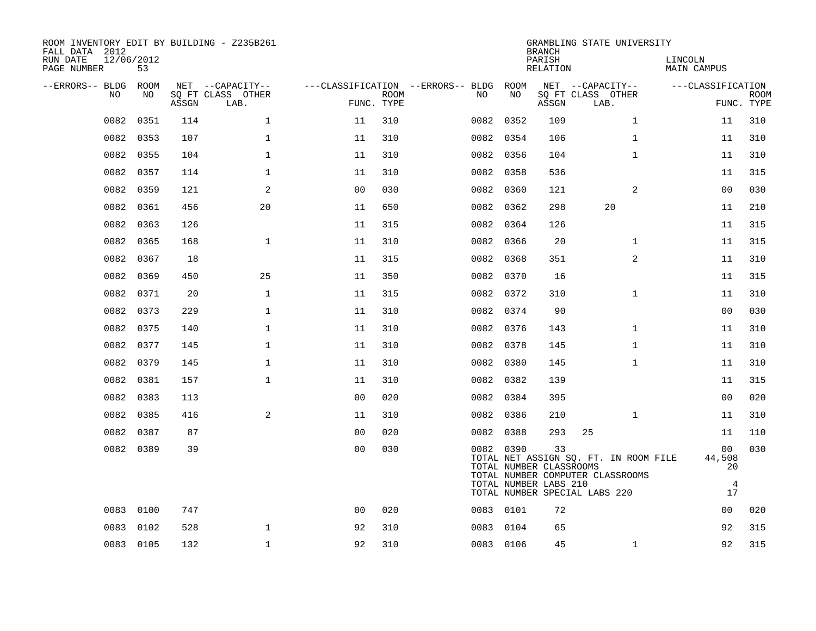| ROOM INVENTORY EDIT BY BUILDING - Z235B261<br>FALL DATA 2012<br>RUN DATE<br>PAGE NUMBER | 12/06/2012<br>53 |       |                           |                |             |                                        |           | <b>BRANCH</b><br>PARISH<br>RELATION                    | GRAMBLING STATE UNIVERSITY                                                                                 | LINCOLN<br>MAIN CAMPUS        |                           |
|-----------------------------------------------------------------------------------------|------------------|-------|---------------------------|----------------|-------------|----------------------------------------|-----------|--------------------------------------------------------|------------------------------------------------------------------------------------------------------------|-------------------------------|---------------------------|
| --ERRORS-- BLDG ROOM                                                                    |                  |       | NET --CAPACITY--          |                |             | ---CLASSIFICATION --ERRORS-- BLDG ROOM |           |                                                        | NET --CAPACITY--                                                                                           | ---CLASSIFICATION             |                           |
| NO.                                                                                     | NO               | ASSGN | SO FT CLASS OTHER<br>LAB. | FUNC. TYPE     | <b>ROOM</b> | NO.                                    | NO        | ASSGN                                                  | SQ FT CLASS OTHER<br>LAB.                                                                                  |                               | <b>ROOM</b><br>FUNC. TYPE |
| 0082                                                                                    | 0351             | 114   | $\mathbf{1}$              | 11             | 310         |                                        | 0082 0352 | 109                                                    | $\mathbf{1}$                                                                                               | 11                            | 310                       |
| 0082                                                                                    | 0353             | 107   | $\mathbf{1}$              | 11             | 310         |                                        | 0082 0354 | 106                                                    | $\mathbf{1}$                                                                                               | 11                            | 310                       |
| 0082                                                                                    | 0355             | 104   | $\mathbf 1$               | 11             | 310         |                                        | 0082 0356 | 104                                                    | $\mathbf{1}$                                                                                               | 11                            | 310                       |
| 0082                                                                                    | 0357             | 114   | $\mathbf 1$               | 11             | 310         | 0082                                   | 0358      | 536                                                    |                                                                                                            | 11                            | 315                       |
| 0082                                                                                    | 0359             | 121   | 2                         | 0 <sub>0</sub> | 030         |                                        | 0082 0360 | 121                                                    | 2                                                                                                          | 00                            | 030                       |
| 0082                                                                                    | 0361             | 456   | 20                        | 11             | 650         |                                        | 0082 0362 | 298                                                    | 20                                                                                                         | 11                            | 210                       |
| 0082                                                                                    | 0363             | 126   |                           | 11             | 315         |                                        | 0082 0364 | 126                                                    |                                                                                                            | 11                            | 315                       |
| 0082                                                                                    | 0365             | 168   | $\mathbf{1}$              | 11             | 310         |                                        | 0082 0366 | 20                                                     | $\mathbf{1}$                                                                                               | 11                            | 315                       |
| 0082                                                                                    | 0367             | 18    |                           | 11             | 315         |                                        | 0082 0368 | 351                                                    | 2                                                                                                          | 11                            | 310                       |
| 0082                                                                                    | 0369             | 450   | 25                        | 11             | 350         |                                        | 0082 0370 | 16                                                     |                                                                                                            | 11                            | 315                       |
| 0082                                                                                    | 0371             | 20    | $\mathbf{1}$              | 11             | 315         |                                        | 0082 0372 | 310                                                    | $\mathbf{1}$                                                                                               | 11                            | 310                       |
| 0082                                                                                    | 0373             | 229   | $\mathbf 1$               | 11             | 310         |                                        | 0082 0374 | 90                                                     |                                                                                                            | 0 <sub>0</sub>                | 030                       |
| 0082                                                                                    | 0375             | 140   | $\mathbf 1$               | 11             | 310         |                                        | 0082 0376 | 143                                                    | $\mathbf{1}$                                                                                               | 11                            | 310                       |
| 0082                                                                                    | 0377             | 145   | $\mathbf 1$               | 11             | 310         |                                        | 0082 0378 | 145                                                    | $\mathbf{1}$                                                                                               | 11                            | 310                       |
| 0082                                                                                    | 0379             | 145   | $\mathbf 1$               | 11             | 310         |                                        | 0082 0380 | 145                                                    | $\mathbf{1}$                                                                                               | 11                            | 310                       |
| 0082                                                                                    | 0381             | 157   | $\mathbf{1}$              | 11             | 310         |                                        | 0082 0382 | 139                                                    |                                                                                                            | 11                            | 315                       |
| 0082                                                                                    | 0383             | 113   |                           | 0 <sub>0</sub> | 020         |                                        | 0082 0384 | 395                                                    |                                                                                                            | 0 <sub>0</sub>                | 020                       |
| 0082                                                                                    | 0385             | 416   | 2                         | 11             | 310         |                                        | 0082 0386 | 210                                                    | $\mathbf{1}$                                                                                               | 11                            | 310                       |
| 0082                                                                                    | 0387             | 87    |                           | 0 <sub>0</sub> | 020         |                                        | 0082 0388 | 293                                                    | 25                                                                                                         | 11                            | 110                       |
|                                                                                         | 0082 0389        | 39    |                           | 0 <sub>0</sub> | 030         |                                        | 0082 0390 | 33<br>TOTAL NUMBER CLASSROOMS<br>TOTAL NUMBER LABS 210 | TOTAL NET ASSIGN SQ. FT. IN ROOM FILE<br>TOTAL NUMBER COMPUTER CLASSROOMS<br>TOTAL NUMBER SPECIAL LABS 220 | 00<br>44,508<br>20<br>4<br>17 | 030                       |
| 0083                                                                                    | 0100             | 747   |                           | 0 <sub>0</sub> | 020         |                                        | 0083 0101 | 72                                                     |                                                                                                            | 0 <sub>0</sub>                | 020                       |
| 0083                                                                                    | 0102             | 528   | $\mathbf 1$               | 92             | 310         |                                        | 0083 0104 | 65                                                     |                                                                                                            | 92                            | 315                       |
|                                                                                         | 0083 0105        | 132   | $\mathbf{1}$              | 92             | 310         |                                        | 0083 0106 | 45                                                     | $\mathbf{1}$                                                                                               | 92                            | 315                       |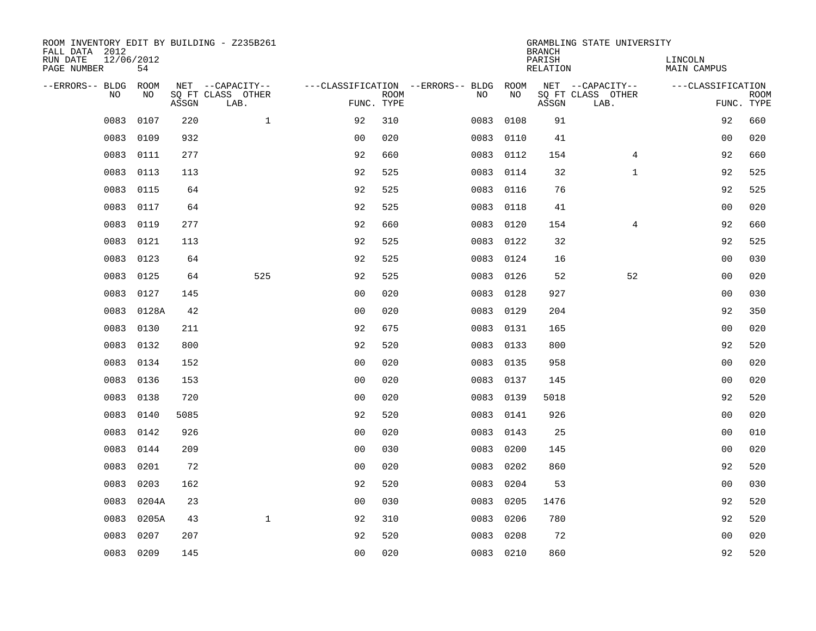| ROOM INVENTORY EDIT BY BUILDING - Z235B261<br>FALL DATA 2012 |                  |       |                           |                |             |                                        |           | <b>BRANCH</b>             | GRAMBLING STATE UNIVERSITY |                               |                           |
|--------------------------------------------------------------|------------------|-------|---------------------------|----------------|-------------|----------------------------------------|-----------|---------------------------|----------------------------|-------------------------------|---------------------------|
| RUN DATE<br>PAGE NUMBER                                      | 12/06/2012<br>54 |       |                           |                |             |                                        |           | PARISH<br><b>RELATION</b> |                            | LINCOLN<br><b>MAIN CAMPUS</b> |                           |
| --ERRORS-- BLDG ROOM                                         |                  |       | NET --CAPACITY--          |                |             | ---CLASSIFICATION --ERRORS-- BLDG ROOM |           |                           | NET --CAPACITY--           | ---CLASSIFICATION             |                           |
| NO                                                           | NO               | ASSGN | SQ FT CLASS OTHER<br>LAB. | FUNC. TYPE     | <b>ROOM</b> | NO                                     | NO        | ASSGN                     | SQ FT CLASS OTHER<br>LAB.  |                               | <b>ROOM</b><br>FUNC. TYPE |
| 0083                                                         | 0107             | 220   | $\mathbf 1$               | 92             | 310         | 0083                                   | 0108      | 91                        |                            | 92                            | 660                       |
| 0083                                                         | 0109             | 932   |                           | 0 <sub>0</sub> | 020         | 0083                                   | 0110      | 41                        |                            | 00                            | 020                       |
| 0083                                                         | 0111             | 277   |                           | 92             | 660         | 0083                                   | 0112      | 154                       | $\overline{4}$             | 92                            | 660                       |
| 0083                                                         | 0113             | 113   |                           | 92             | 525         |                                        | 0083 0114 | 32                        | $\mathbf{1}$               | 92                            | 525                       |
| 0083                                                         | 0115             | 64    |                           | 92             | 525         | 0083                                   | 0116      | 76                        |                            | 92                            | 525                       |
| 0083                                                         | 0117             | 64    |                           | 92             | 525         |                                        | 0083 0118 | 41                        |                            | 0 <sub>0</sub>                | 020                       |
| 0083                                                         | 0119             | 277   |                           | 92             | 660         |                                        | 0083 0120 | 154                       | $\overline{4}$             | 92                            | 660                       |
| 0083                                                         | 0121             | 113   |                           | 92             | 525         |                                        | 0083 0122 | 32                        |                            | 92                            | 525                       |
| 0083                                                         | 0123             | 64    |                           | 92             | 525         | 0083                                   | 0124      | 16                        |                            | 0 <sub>0</sub>                | 030                       |
| 0083                                                         | 0125             | 64    | 525                       | 92             | 525         |                                        | 0083 0126 | 52                        | 52                         | 0 <sub>0</sub>                | 020                       |
| 0083                                                         | 0127             | 145   |                           | 0 <sub>0</sub> | 020         | 0083                                   | 0128      | 927                       |                            | 0 <sub>0</sub>                | 030                       |
| 0083                                                         | 0128A            | 42    |                           | 0 <sub>0</sub> | 020         |                                        | 0083 0129 | 204                       |                            | 92                            | 350                       |
| 0083                                                         | 0130             | 211   |                           | 92             | 675         | 0083                                   | 0131      | 165                       |                            | 00                            | 020                       |
| 0083                                                         | 0132             | 800   |                           | 92             | 520         |                                        | 0083 0133 | 800                       |                            | 92                            | 520                       |
| 0083                                                         | 0134             | 152   |                           | 0 <sub>0</sub> | 020         | 0083                                   | 0135      | 958                       |                            | 0 <sub>0</sub>                | 020                       |
| 0083                                                         | 0136             | 153   |                           | 0 <sub>0</sub> | 020         | 0083                                   | 0137      | 145                       |                            | 0 <sub>0</sub>                | 020                       |
| 0083                                                         | 0138             | 720   |                           | 0 <sub>0</sub> | 020         | 0083                                   | 0139      | 5018                      |                            | 92                            | 520                       |
| 0083                                                         | 0140             | 5085  |                           | 92             | 520         |                                        | 0083 0141 | 926                       |                            | 0 <sub>0</sub>                | 020                       |
| 0083                                                         | 0142             | 926   |                           | 0 <sub>0</sub> | 020         |                                        | 0083 0143 | 25                        |                            | 0 <sub>0</sub>                | 010                       |
| 0083                                                         | 0144             | 209   |                           | 0 <sub>0</sub> | 030         | 0083                                   | 0200      | 145                       |                            | 0 <sub>0</sub>                | 020                       |
| 0083                                                         | 0201             | 72    |                           | 0 <sub>0</sub> | 020         | 0083                                   | 0202      | 860                       |                            | 92                            | 520                       |
| 0083                                                         | 0203             | 162   |                           | 92             | 520         | 0083                                   | 0204      | 53                        |                            | 00                            | 030                       |
| 0083                                                         | 0204A            | 23    |                           | 0 <sub>0</sub> | 030         | 0083                                   | 0205      | 1476                      |                            | 92                            | 520                       |
| 0083                                                         | 0205A            | 43    | $\mathbf{1}$              | 92             | 310         | 0083                                   | 0206      | 780                       |                            | 92                            | 520                       |
| 0083                                                         | 0207             | 207   |                           | 92             | 520         | 0083                                   | 0208      | 72                        |                            | 0 <sub>0</sub>                | 020                       |
|                                                              | 0083 0209        | 145   |                           | 0 <sub>0</sub> | 020         |                                        | 0083 0210 | 860                       |                            | 92                            | 520                       |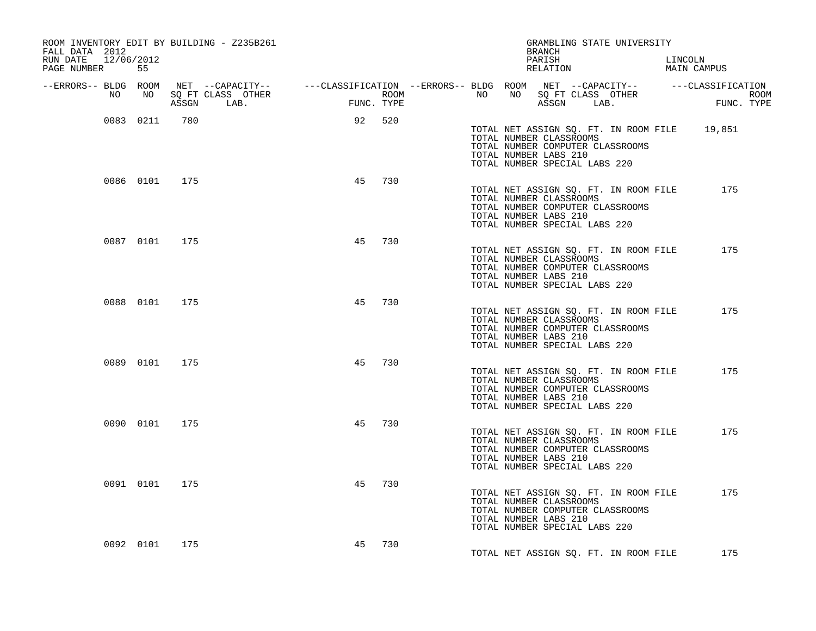| ROOM INVENTORY EDIT BY BUILDING - Z235B261<br>FALL DATA 2012 |           |               |            |                          |     |      | BRANCH |                       | GRAMBLING STATE UNIVERSITY                               |                                                                           |                                              |  |
|--------------------------------------------------------------|-----------|---------------|------------|--------------------------|-----|------|--------|-----------------------|----------------------------------------------------------|---------------------------------------------------------------------------|----------------------------------------------|--|
| RUN DATE 12/06/2012<br>PAGE NUMBER                           | 55        |               |            |                          |     |      |        | PARISH<br>RELATION    |                                                          |                                                                           | LINCOLN<br>MAIN CAMPUS                       |  |
|                                                              |           |               |            |                          |     | ROOM |        |                       |                                                          |                                                                           |                                              |  |
|                                                              |           |               | ASSGN LAB. | <b>EUN</b><br>FUNC. TYPE |     |      |        |                       |                                                          | ASSGN LAB.                                                                | FUNC. TYPE                                   |  |
|                                                              | 0083 0211 | 780           |            | 92 520                   |     |      |        | TOTAL NUMBER LABS 210 | TOTAL NUMBER CLASSROOMS<br>TOTAL NUMBER SPECIAL LABS 220 | TOTAL NUMBER COMPUTER CLASSROOMS                                          | TOTAL NET ASSIGN SQ. FT. IN ROOM FILE 19,851 |  |
|                                                              |           | 0086 0101 175 |            | 45                       | 730 |      |        | TOTAL NUMBER LABS 210 | TOTAL NUMBER CLASSROOMS<br>TOTAL NUMBER SPECIAL LABS 220 | TOTAL NUMBER COMPUTER CLASSROOMS                                          | TOTAL NET ASSIGN SQ. FT. IN ROOM FILE 175    |  |
|                                                              |           | 0087 0101 175 |            | 45                       | 730 |      |        | TOTAL NUMBER LABS 210 | TOTAL NUMBER CLASSROOMS<br>TOTAL NUMBER SPECIAL LABS 220 | TOTAL NET ASSIGN SQ. FT. IN ROOM FILE<br>TOTAL NUMBER COMPUTER CLASSROOMS | 175                                          |  |
|                                                              | 0088 0101 | 175           |            | 45                       | 730 |      |        | TOTAL NUMBER LABS 210 | TOTAL NUMBER CLASSROOMS<br>TOTAL NUMBER SPECIAL LABS 220 | TOTAL NET ASSIGN SQ. FT. IN ROOM FILE<br>TOTAL NUMBER COMPUTER CLASSROOMS | 175                                          |  |
|                                                              |           | 0089 0101 175 |            | 45                       | 730 |      |        | TOTAL NUMBER LABS 210 | TOTAL NUMBER CLASSROOMS<br>TOTAL NUMBER SPECIAL LABS 220 | TOTAL NET ASSIGN SQ. FT. IN ROOM FILE<br>TOTAL NUMBER COMPUTER CLASSROOMS | 175                                          |  |
|                                                              |           | 0090 0101 175 |            | 45                       | 730 |      |        | TOTAL NUMBER LABS 210 | TOTAL NUMBER CLASSROOMS<br>TOTAL NUMBER SPECIAL LABS 220 | TOTAL NET ASSIGN SQ. FT. IN ROOM FILE<br>TOTAL NUMBER COMPUTER CLASSROOMS | 175                                          |  |
|                                                              | 0091 0101 | 175           |            | 45                       | 730 |      |        | TOTAL NUMBER LABS 210 | TOTAL NUMBER CLASSROOMS<br>TOTAL NUMBER SPECIAL LABS 220 | TOTAL NET ASSIGN SQ. FT. IN ROOM FILE<br>TOTAL NUMBER COMPUTER CLASSROOMS | 175                                          |  |
|                                                              | 0092 0101 | 175           |            | 45                       | 730 |      |        |                       |                                                          | TOTAL NET ASSIGN SQ. FT. IN ROOM FILE                                     | 175                                          |  |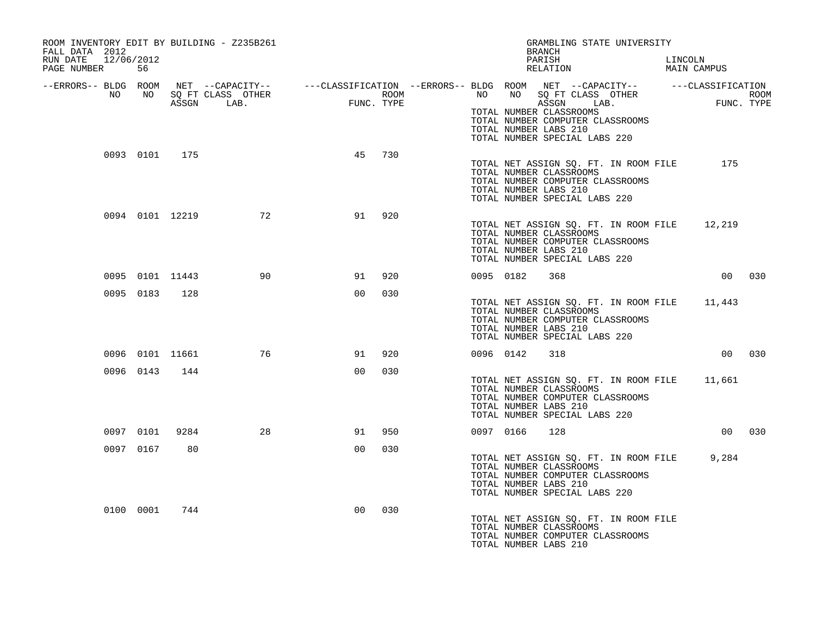| ROOM INVENTORY EDIT BY BUILDING - Z235B261<br>FALL DATA 2012                                                                                                                                                                         |           |                 |                    |                |     |  |           | GRAMBLING STATE UNIVERSITY<br>BRANCH                                                                                                                                  |         |             |        |
|--------------------------------------------------------------------------------------------------------------------------------------------------------------------------------------------------------------------------------------|-----------|-----------------|--------------------|----------------|-----|--|-----------|-----------------------------------------------------------------------------------------------------------------------------------------------------------------------|---------|-------------|--------|
| RUN DATE 12/06/2012<br>PAGE NUMBER                                                                                                                                                                                                   | 56        |                 |                    |                |     |  |           | PARISH<br>RELATION                                                                                                                                                    | LINCOLN | MAIN CAMPUS |        |
| ERRORS-- BLDG ROOM NET --CAPACITY--- --CLASSIFICATION --ERRORS-- BLDG ROOM NET --CAPACITY----------CLASSIFICATION--<br>NO NO SQ FT CLASS OTHER ROOM NO ROOM ROOM ROOM NO SQ FT CLASS OTHER ROOM<br>ASSGN LAB. FUNC. TYPE ASSGN ASSGN |           |                 |                    |                |     |  |           | TOTAL NUMBER CLASSROOMS<br>TOTAL NUMBER COMPUTER CLASSROOMS<br>TOTAL NUMBER LABS 210<br>TOTAL NUMBER SPECIAL LABS 220                                                 |         |             |        |
|                                                                                                                                                                                                                                      |           | 0093 0101 175   |                    | 45             | 730 |  |           | TOTAL NET ASSIGN SQ. FT. IN ROOM FILE<br>TOTAL NUMBER CLASSROOMS<br>TOTAL NUMBER COMPUTER CLASSROOMS<br>TOTAL NUMBER LABS 210<br>TOTAL NUMBER SPECIAL LABS 220        |         | 175         |        |
|                                                                                                                                                                                                                                      |           |                 | 0094 0101 12219 72 | 91             | 920 |  |           | TOTAL NET ASSIGN SQ. FT. IN ROOM FILE 12,219<br>TOTAL NUMBER CLASSROOMS<br>TOTAL NUMBER COMPUTER CLASSROOMS<br>TOTAL NUMBER LABS 210<br>TOTAL NUMBER SPECIAL LABS 220 |         |             |        |
|                                                                                                                                                                                                                                      |           | 0095 0101 11443 | 90                 | 91             | 920 |  | 0095 0182 | 368                                                                                                                                                                   |         |             | 00 030 |
|                                                                                                                                                                                                                                      | 0095 0183 | 128             |                    | 0 <sub>0</sub> | 030 |  |           | TOTAL NET ASSIGN SQ. FT. IN ROOM FILE 11,443<br>TOTAL NUMBER CLASSROOMS<br>TOTAL NUMBER COMPUTER CLASSROOMS<br>TOTAL NUMBER LABS 210<br>TOTAL NUMBER SPECIAL LABS 220 |         |             |        |
|                                                                                                                                                                                                                                      |           | 0096 0101 11661 | 76                 | 91             | 920 |  | 0096 0142 | 318                                                                                                                                                                   |         |             | 00 030 |
|                                                                                                                                                                                                                                      |           | 0096 0143 144   |                    | 00             | 030 |  |           | TOTAL NET ASSIGN SQ. FT. IN ROOM FILE 11,661<br>TOTAL NUMBER CLASSROOMS<br>TOTAL NUMBER COMPUTER CLASSROOMS<br>TOTAL NUMBER LABS 210<br>TOTAL NUMBER SPECIAL LABS 220 |         |             |        |
|                                                                                                                                                                                                                                      | 0097 0101 | 9284            | 28                 | 91             | 950 |  | 0097 0166 | 128                                                                                                                                                                   |         |             | 00 030 |
|                                                                                                                                                                                                                                      | 0097 0167 | 80              |                    | 00             | 030 |  |           | TOTAL NET ASSIGN SO. FT. IN ROOM FILE 9,284<br>TOTAL NUMBER CLASSROOMS<br>TOTAL NUMBER COMPUTER CLASSROOMS<br>TOTAL NUMBER LABS 210<br>TOTAL NUMBER SPECIAL LABS 220  |         |             |        |
|                                                                                                                                                                                                                                      | 0100 0001 | 744             |                    | 0 <sub>0</sub> | 030 |  |           | TOTAL NET ASSIGN SQ. FT. IN ROOM FILE<br>TOTAL NUMBER CLASSROOMS<br>TOTAL NUMBER COMPUTER CLASSROOMS<br>TOTAL NUMBER LABS 210                                         |         |             |        |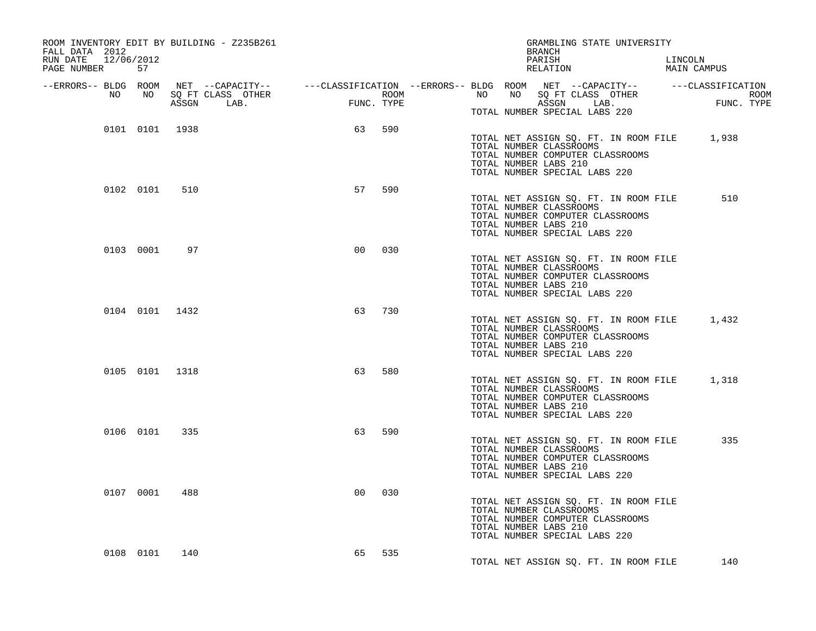| ROOM INVENTORY EDIT BY BUILDING - Z235B261<br>FALL DATA 2012 |                |     |                |     | GRAMBLING STATE UNIVERSITY<br>BRANCH                                                                                                                                                                                                 |                        |
|--------------------------------------------------------------|----------------|-----|----------------|-----|--------------------------------------------------------------------------------------------------------------------------------------------------------------------------------------------------------------------------------------|------------------------|
| RUN DATE 12/06/2012<br>PAGE NUMBER 57                        |                |     |                |     | PARISH<br>RELATION                                                                                                                                                                                                                   | LINCOLN<br>MAIN CAMPUS |
|                                                              |                |     |                |     | ERRORS-- BLDG ROOM NET --CAPACITY--- --CLASSIFICATION--ERRORS-- BLDG ROOM NET --CAPACITY----------CLASSIFICATION--<br>NO NO SQ FT CLASS OTHER ROOM NO ROOM NO SQ FT CLASS OTHER ROOM NO SQ FT CLASS OTHER<br>ASSGN LAB. FUNC. TYPE A |                        |
|                                                              |                |     |                |     | TOTAL NUMBER SPECIAL LABS 220                                                                                                                                                                                                        |                        |
|                                                              | 0101 0101 1938 |     | 63             | 590 | TOTAL NET ASSIGN SQ. FT. IN ROOM FILE 1,938<br>TOTAL NUMBER CLASSROOMS<br>TOTAL NUMBER COMPUTER CLASSROOMS<br>TOTAL NUMBER LABS 210<br>TOTAL NUMBER SPECIAL LABS 220                                                                 |                        |
|                                                              | 0102 0101      | 510 | 57             | 590 | TOTAL NET ASSIGN SQ. FT. IN ROOM FILE<br>TOTAL NUMBER CLASSROOMS<br>TOTAL NUMBER COMPUTER CLASSROOMS<br>TOTAL NUMBER LABS 210<br>TOTAL NUMBER SPECIAL LABS 220                                                                       | 510                    |
|                                                              | 0103 0001      | 97  | 0 <sub>0</sub> | 030 | TOTAL NET ASSIGN SQ. FT. IN ROOM FILE<br>TOTAL NUMBER CLASSROOMS<br>TOTAL NUMBER COMPUTER CLASSROOMS<br>TOTAL NUMBER LABS 210<br>TOTAL NUMBER SPECIAL LABS 220                                                                       |                        |
|                                                              | 0104 0101 1432 |     | 63             | 730 | TOTAL NET ASSIGN SQ. FT. IN ROOM FILE 1,432<br>TOTAL NUMBER CLASSROOMS<br>TOTAL NUMBER COMPUTER CLASSROOMS<br>TOTAL NUMBER LABS 210<br>TOTAL NUMBER SPECIAL LABS 220                                                                 |                        |
|                                                              | 0105 0101 1318 |     | 63             | 580 | TOTAL NET ASSIGN SQ. FT. IN ROOM FILE 1,318<br>TOTAL NUMBER CLASSROOMS<br>TOTAL NUMBER COMPUTER CLASSROOMS<br>TOTAL NUMBER LABS 210<br>TOTAL NUMBER SPECIAL LABS 220                                                                 |                        |
|                                                              | 0106 0101      | 335 | 63             | 590 | TOTAL NET ASSIGN SQ. FT. IN ROOM FILE<br>TOTAL NUMBER CLASSROOMS<br>TOTAL NUMBER COMPUTER CLASSROOMS<br>TOTAL NUMBER LABS 210<br>TOTAL NUMBER SPECIAL LABS 220                                                                       | 335                    |
|                                                              | 0107 0001      | 488 | 0 <sub>0</sub> | 030 | TOTAL NET ASSIGN SQ. FT. IN ROOM FILE<br>TOTAL NUMBER CLASSROOMS<br>TOTAL NUMBER COMPUTER CLASSROOMS<br>TOTAL NUMBER LABS 210<br>TOTAL NUMBER SPECIAL LABS 220                                                                       |                        |
|                                                              | 0108 0101      | 140 | 65             | 535 | TOTAL NET ASSIGN SQ. FT. IN ROOM FILE                                                                                                                                                                                                | 140                    |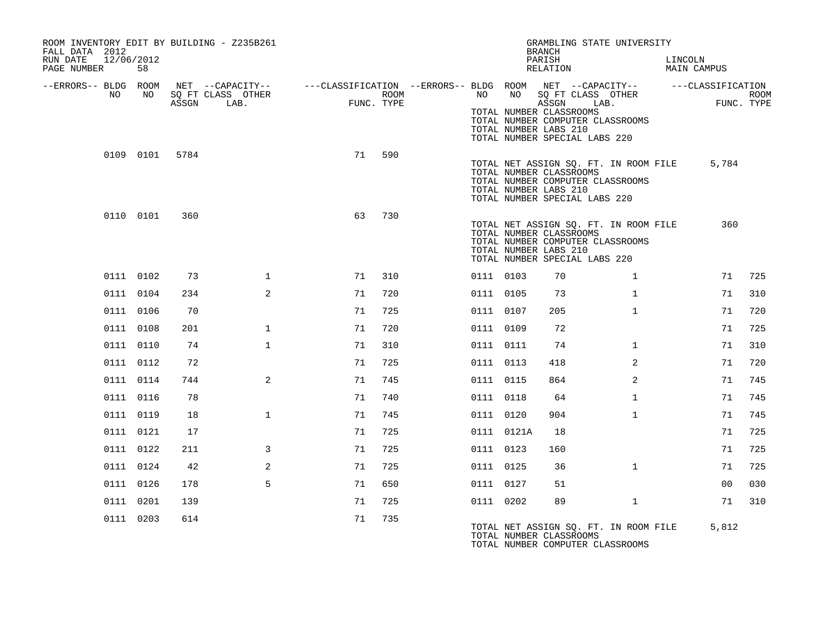| FALL DATA 2012<br>RUN DATE<br>PAGE NUMBER |    | 12/06/2012<br>58 |                | ROOM INVENTORY EDIT BY BUILDING - Z235B261 |                                                                             |                    |           |            | GRAMBLING STATE UNIVERSITY<br><b>BRANCH</b><br>PARISH<br>RELATION                                                                                              |                | LINCOLN<br>MAIN CAMPUS |                           |
|-------------------------------------------|----|------------------|----------------|--------------------------------------------|-----------------------------------------------------------------------------|--------------------|-----------|------------|----------------------------------------------------------------------------------------------------------------------------------------------------------------|----------------|------------------------|---------------------------|
| --ERRORS-- BLDG ROOM                      |    |                  |                | NET --CAPACITY--                           | ---CLASSIFICATION --ERRORS-- BLDG ROOM NET --CAPACITY-- -----CLASSIFICATION |                    |           |            |                                                                                                                                                                |                |                        |                           |
|                                           | NO | NO               | ASSGN          | SO FT CLASS OTHER<br>LAB.                  |                                                                             | ROOM<br>FUNC. TYPE | NO        | NO         | SO FT CLASS OTHER<br>ASSGN<br>LAB.                                                                                                                             |                |                        | <b>ROOM</b><br>FUNC. TYPE |
|                                           |    |                  |                |                                            |                                                                             |                    |           |            | TOTAL NUMBER CLASSROOMS<br>TOTAL NUMBER COMPUTER CLASSROOMS<br>TOTAL NUMBER LABS 210<br>TOTAL NUMBER SPECIAL LABS 220                                          |                |                        |                           |
|                                           |    |                  | 0109 0101 5784 |                                            | 71                                                                          | 590                |           |            | TOTAL NET ASSIGN SQ. FT. IN ROOM FILE<br>TOTAL NUMBER CLASSROOMS<br>TOTAL NUMBER COMPUTER CLASSROOMS<br>TOTAL NUMBER LABS 210<br>TOTAL NUMBER SPECIAL LABS 220 |                | 5,784                  |                           |
|                                           |    | 0110 0101        | 360            |                                            | 63                                                                          | 730                |           |            | TOTAL NET ASSIGN SQ. FT. IN ROOM FILE<br>TOTAL NUMBER CLASSROOMS<br>TOTAL NUMBER COMPUTER CLASSROOMS<br>TOTAL NUMBER LABS 210<br>TOTAL NUMBER SPECIAL LABS 220 |                | 360                    |                           |
|                                           |    | 0111 0102        | 73             | $\mathbf 1$                                | 71                                                                          | 310                | 0111 0103 |            | 70                                                                                                                                                             | $\mathbf{1}$   | 71                     | 725                       |
|                                           |    | 0111 0104        | 234            | 2                                          | 71                                                                          | 720                | 0111 0105 |            | 73                                                                                                                                                             | $\mathbf{1}$   | 71                     | 310                       |
|                                           |    | 0111 0106        | 70             |                                            | 71                                                                          | 725                | 0111 0107 |            | 205                                                                                                                                                            | $\mathbf{1}$   | 71                     | 720                       |
|                                           |    | 0111 0108        | 201            | $\mathbf{1}$                               | 71                                                                          | 720                | 0111 0109 |            | 72                                                                                                                                                             |                | 71                     | 725                       |
|                                           |    | 0111 0110        | 74             | $\mathbf{1}$                               | 71                                                                          | 310                | 0111 0111 |            | 74                                                                                                                                                             | $\mathbf{1}$   | 71                     | 310                       |
|                                           |    | 0111 0112        | 72             |                                            | 71                                                                          | 725                | 0111 0113 |            | 418                                                                                                                                                            | $\overline{2}$ | 71                     | 720                       |
|                                           |    | 0111 0114        | 744            | 2                                          | 71                                                                          | 745                | 0111 0115 |            | 864                                                                                                                                                            | 2              | 71                     | 745                       |
|                                           |    | 0111 0116        | 78             |                                            | 71                                                                          | 740                | 0111 0118 |            | 64                                                                                                                                                             | $\mathbf{1}$   | 71                     | 745                       |
|                                           |    | 0111 0119        | 18             | $\mathbf{1}$                               | 71                                                                          | 745                | 0111 0120 |            | 904                                                                                                                                                            | $\mathbf{1}$   | 71                     | 745                       |
|                                           |    | 0111 0121        | 17             |                                            | 71                                                                          | 725                |           | 0111 0121A | 18                                                                                                                                                             |                | 71                     | 725                       |
|                                           |    | 0111 0122        | 211            | 3                                          | 71                                                                          | 725                | 0111 0123 |            | 160                                                                                                                                                            |                | 71                     | 725                       |
|                                           |    | 0111 0124        | 42             | 2                                          | 71                                                                          | 725                | 0111 0125 |            | 36                                                                                                                                                             | $\mathbf{1}$   | 71                     | 725                       |
|                                           |    | 0111 0126        | 178            | 5                                          | 71                                                                          | 650                | 0111 0127 |            | 51                                                                                                                                                             |                | 0 <sub>0</sub>         | 030                       |
|                                           |    | 0111 0201        | 139            |                                            | 71                                                                          | 725                | 0111 0202 |            | 89                                                                                                                                                             | $\mathbf{1}$   | 71                     | 310                       |
|                                           |    | 0111 0203        | 614            |                                            | 71                                                                          | 735                |           |            | TOTAL NET ASSIGN SQ. FT. IN ROOM FILE<br>TOTAL NUMBER CLASSROOMS<br>TOTAL NUMBER COMPUTER CLASSROOMS                                                           |                | 5,812                  |                           |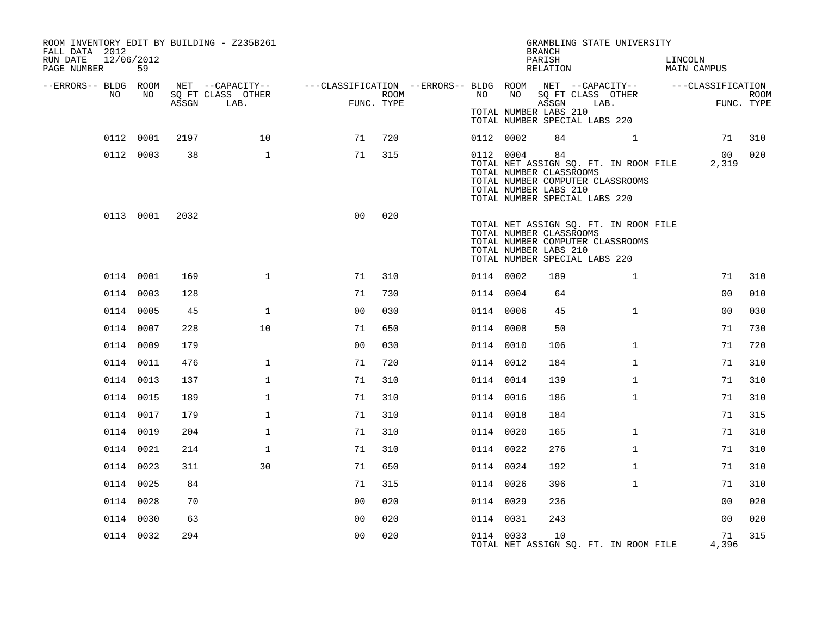| ROOM INVENTORY EDIT BY BUILDING - Z235B261<br>FALL DATA 2012<br>RUN DATE<br>12/06/2012<br>PAGE NUMBER | 59        |       |                                               |                                                                             |                    |           |    | GRAMBLING STATE UNIVERSITY<br><b>BRANCH</b><br>PARISH<br>RELATION                                                                                                    |                | LINCOLN | MAIN CAMPUS    |      |
|-------------------------------------------------------------------------------------------------------|-----------|-------|-----------------------------------------------|-----------------------------------------------------------------------------|--------------------|-----------|----|----------------------------------------------------------------------------------------------------------------------------------------------------------------------|----------------|---------|----------------|------|
| --ERRORS-- BLDG ROOM<br>NO                                                                            | NO        | ASSGN | NET --CAPACITY--<br>SQ FT CLASS OTHER<br>LAB. | ---CLASSIFICATION --ERRORS-- BLDG ROOM NET --CAPACITY-- -----CLASSIFICATION | ROOM<br>FUNC. TYPE | NO        | NO | SQ FT CLASS OTHER<br>ASSGN                                                                                                                                           | LAB.           |         | FUNC. TYPE     | ROOM |
|                                                                                                       |           |       |                                               |                                                                             |                    |           |    | TOTAL NUMBER LABS 210<br>TOTAL NUMBER SPECIAL LABS 220                                                                                                               |                |         |                |      |
|                                                                                                       | 0112 0001 | 2197  | 10                                            | 71                                                                          | 720                | 0112 0002 |    | 84                                                                                                                                                                   | $\overline{1}$ |         | 71             | 310  |
|                                                                                                       | 0112 0003 | 38    | $\mathbf{1}$                                  | 71                                                                          | 315                | 0112 0004 |    | 84<br>TOTAL NET ASSIGN SQ. FT. IN ROOM FILE<br>TOTAL NUMBER CLASSROOMS<br>TOTAL NUMBER COMPUTER CLASSROOMS<br>TOTAL NUMBER LABS 210<br>TOTAL NUMBER SPECIAL LABS 220 |                |         | 00<br>2,319    | 020  |
|                                                                                                       | 0113 0001 | 2032  |                                               | 0 <sup>0</sup>                                                              | 020                |           |    | TOTAL NET ASSIGN SQ. FT. IN ROOM FILE<br>TOTAL NUMBER CLASSROOMS<br>TOTAL NUMBER COMPUTER CLASSROOMS<br>TOTAL NUMBER LABS 210<br>TOTAL NUMBER SPECIAL LABS 220       |                |         |                |      |
|                                                                                                       | 0114 0001 | 169   | $\mathbf{1}$                                  | 71                                                                          | 310                | 0114 0002 |    | 189                                                                                                                                                                  | $\mathbf{1}$   |         | 71             | 310  |
|                                                                                                       | 0114 0003 | 128   |                                               | 71                                                                          | 730                | 0114 0004 |    | 64                                                                                                                                                                   |                |         | 0 <sub>0</sub> | 010  |
|                                                                                                       | 0114 0005 | 45    | $\mathbf 1$                                   | 0 <sub>0</sub>                                                              | 030                | 0114 0006 |    | 45                                                                                                                                                                   | $\mathbf{1}$   |         | 0 <sub>0</sub> | 030  |
|                                                                                                       | 0114 0007 | 228   | 10                                            | 71                                                                          | 650                | 0114 0008 |    | 50                                                                                                                                                                   |                |         | 71             | 730  |
|                                                                                                       | 0114 0009 | 179   |                                               | 0 <sub>0</sub>                                                              | 030                | 0114 0010 |    | 106                                                                                                                                                                  | $\mathbf{1}$   |         | 71             | 720  |
|                                                                                                       | 0114 0011 | 476   | $\mathbf{1}$                                  | 71                                                                          | 720                | 0114 0012 |    | 184                                                                                                                                                                  | $\mathbf{1}$   |         | 71             | 310  |
|                                                                                                       | 0114 0013 | 137   | $\mathbf 1$                                   | 71                                                                          | 310                | 0114 0014 |    | 139                                                                                                                                                                  | $\mathbf{1}$   |         | 71             | 310  |
|                                                                                                       | 0114 0015 | 189   | $\mathbf{1}$                                  | 71                                                                          | 310                | 0114 0016 |    | 186                                                                                                                                                                  | $\mathbf{1}$   |         | 71             | 310  |
|                                                                                                       | 0114 0017 | 179   | $\mathbf 1$                                   | 71                                                                          | 310                | 0114 0018 |    | 184                                                                                                                                                                  |                |         | 71             | 315  |
|                                                                                                       | 0114 0019 | 204   | $\mathbf{1}$                                  | 71                                                                          | 310                | 0114 0020 |    | 165                                                                                                                                                                  | $\mathbf{1}$   |         | 71             | 310  |
|                                                                                                       | 0114 0021 | 214   | $\mathbf{1}$                                  | 71                                                                          | 310                | 0114 0022 |    | 276                                                                                                                                                                  | $\mathbf{1}$   |         | 71             | 310  |
|                                                                                                       | 0114 0023 | 311   | 30                                            | 71                                                                          | 650                | 0114 0024 |    | 192                                                                                                                                                                  | $\mathbf{1}$   |         | 71             | 310  |
|                                                                                                       | 0114 0025 | 84    |                                               | 71                                                                          | 315                | 0114 0026 |    | 396                                                                                                                                                                  | $\mathbf{1}$   |         | 71             | 310  |
|                                                                                                       | 0114 0028 | 70    |                                               | 0 <sub>0</sub>                                                              | 020                | 0114 0029 |    | 236                                                                                                                                                                  |                |         | 0 <sub>0</sub> | 020  |
|                                                                                                       | 0114 0030 | 63    |                                               | 0 <sub>0</sub>                                                              | 020                | 0114 0031 |    | 243                                                                                                                                                                  |                |         | 00             | 020  |
|                                                                                                       | 0114 0032 | 294   |                                               | 0 <sub>0</sub>                                                              | 020                | 0114 0033 |    | 10<br>TOTAL NET ASSIGN SO. FT. IN ROOM FILE                                                                                                                          |                |         | 71<br>4,396    | 315  |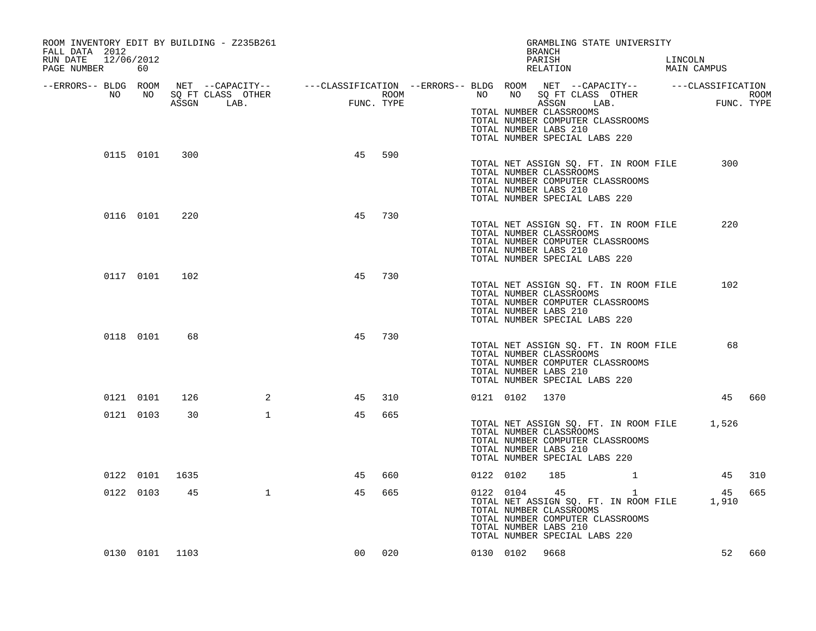| ROOM INVENTORY EDIT BY BUILDING - Z235B261<br>FALL DATA 2012<br>12/06/2012<br>RUN DATE<br>PAGE NUMBER | 60        |                |              |                    |     |             |           |                | GRAMBLING STATE UNIVERSITY<br>BRANCH<br>PARISH<br>RELATION                                                                                                                                                                                                                                                                            | LINCOLN<br>MAIN CAMPUS |        |
|-------------------------------------------------------------------------------------------------------|-----------|----------------|--------------|--------------------|-----|-------------|-----------|----------------|---------------------------------------------------------------------------------------------------------------------------------------------------------------------------------------------------------------------------------------------------------------------------------------------------------------------------------------|------------------------|--------|
|                                                                                                       |           |                | ASSGN LAB.   | ROOM<br>FUNC. TYPE |     | <b>ROOM</b> |           |                | -ERRORS-- BLDG ROOM NET --CAPACITY-- ----CLASSIFICATION --ERRORS-- BLDG ROOM NET --CAPACITY-- -----CLASSIFICATION-<br>NO NO SQ FT CLASS OTHER ---CLASSIFICATION ROOM NO SQ FT CLASS OTHER ROOM<br>ASSGN LAB.<br>TOTAL NUMBER CLASSROOMS<br>TOTAL NUMBER COMPUTER CLASSROOMS<br>TOTAL NUMBER LABS 210<br>TOTAL NUMBER SPECIAL LABS 220 | ROOM<br>FUNC. TYPE     |        |
|                                                                                                       | 0115 0101 | 300            |              | 45                 | 590 |             |           |                | TOTAL NET ASSIGN SQ. FT. IN ROOM FILE<br>TOTAL NUMBER CLASSROOMS<br>TOTAL NUMBER COMPUTER CLASSROOMS<br>TOTAL NUMBER LABS 210<br>TOTAL NUMBER SPECIAL LABS 220                                                                                                                                                                        | 300                    |        |
|                                                                                                       | 0116 0101 | 220            |              | 45                 | 730 |             |           |                | TOTAL NET ASSIGN SQ. FT. IN ROOM FILE<br>TOTAL NUMBER CLASSROOMS<br>TOTAL NUMBER COMPUTER CLASSROOMS<br>TOTAL NUMBER LABS 210<br>TOTAL NUMBER SPECIAL LABS 220                                                                                                                                                                        | 220                    |        |
|                                                                                                       | 0117 0101 | 102            |              | 45                 | 730 |             |           |                | TOTAL NET ASSIGN SQ. FT. IN ROOM FILE<br>TOTAL NUMBER CLASSROOMS<br>TOTAL NUMBER COMPUTER CLASSROOMS<br>TOTAL NUMBER LABS 210<br>TOTAL NUMBER SPECIAL LABS 220                                                                                                                                                                        | 102                    |        |
|                                                                                                       | 0118 0101 | 68             |              | 45                 | 730 |             |           |                | TOTAL NET ASSIGN SQ. FT. IN ROOM FILE<br>TOTAL NUMBER CLASSROOMS<br>TOTAL NUMBER COMPUTER CLASSROOMS<br>TOTAL NUMBER LABS 210<br>TOTAL NUMBER SPECIAL LABS 220                                                                                                                                                                        | 68                     |        |
|                                                                                                       | 0121 0101 | 126            | 2            | 45                 | 310 |             |           | 0121 0102 1370 |                                                                                                                                                                                                                                                                                                                                       |                        | 45 660 |
|                                                                                                       | 0121 0103 | 30             | $\mathbf{1}$ | 45                 | 665 |             |           |                | TOTAL NET ASSIGN SQ. FT. IN ROOM FILE 1,526<br>TOTAL NUMBER CLASSROOMS<br>TOTAL NUMBER COMPUTER CLASSROOMS<br>TOTAL NUMBER LABS 210<br>TOTAL NUMBER SPECIAL LABS 220                                                                                                                                                                  |                        |        |
|                                                                                                       |           | 0122 0101 1635 |              | 45                 | 660 |             | 0122 0102 |                | 185                                                                                                                                                                                                                                                                                                                                   |                        | 45 310 |
|                                                                                                       | 0122 0103 | 45             | $\mathbf{1}$ | 45                 | 665 |             |           | 0122 0104      | 45<br>$\mathbf{1}$<br>TOTAL NET ASSIGN SQ. FT. IN ROOM FILE<br>TOTAL NUMBER CLASSROOMS<br>TOTAL NUMBER COMPUTER CLASSROOMS<br>TOTAL NUMBER LABS 210<br>TOTAL NUMBER SPECIAL LABS 220                                                                                                                                                  | 45<br>1,910            | 665    |
|                                                                                                       |           | 0130 0101 1103 |              | 00                 | 020 |             |           | 0130 0102 9668 |                                                                                                                                                                                                                                                                                                                                       |                        | 52 660 |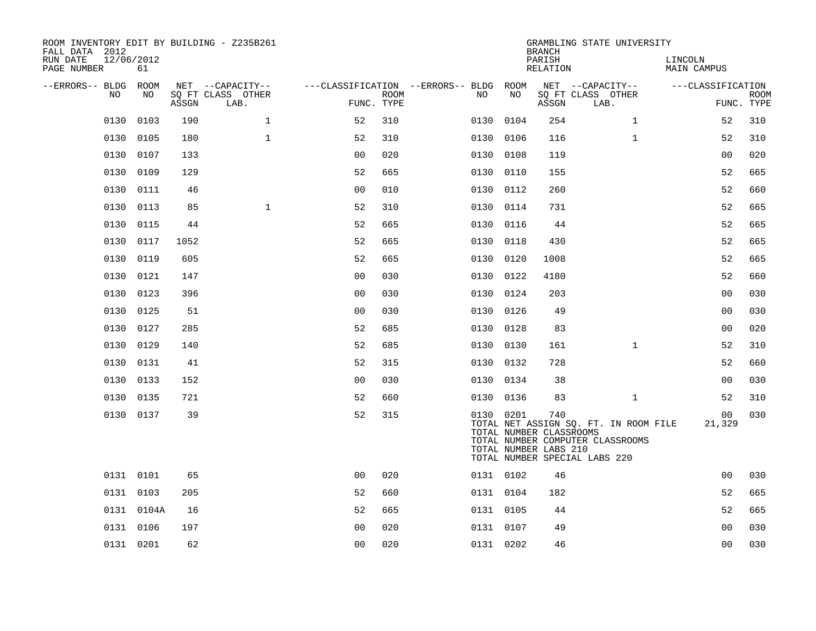| ROOM INVENTORY EDIT BY BUILDING - Z235B261<br>FALL DATA 2012 |            |       |                           |                                        |             |           |      | <b>BRANCH</b>                                           | GRAMBLING STATE UNIVERSITY                                                                                 |                        |                           |
|--------------------------------------------------------------|------------|-------|---------------------------|----------------------------------------|-------------|-----------|------|---------------------------------------------------------|------------------------------------------------------------------------------------------------------------|------------------------|---------------------------|
| RUN DATE<br>12/06/2012<br>PAGE NUMBER                        | 61         |       |                           |                                        |             |           |      | PARISH<br>RELATION                                      |                                                                                                            | LINCOLN<br>MAIN CAMPUS |                           |
| --ERRORS-- BLDG ROOM                                         |            |       | NET --CAPACITY--          | ---CLASSIFICATION --ERRORS-- BLDG ROOM |             |           |      |                                                         | NET --CAPACITY--                                                                                           | ---CLASSIFICATION      |                           |
| NO.                                                          | NO.        | ASSGN | SQ FT CLASS OTHER<br>LAB. | FUNC. TYPE                             | <b>ROOM</b> | NO        | NO   | ASSGN                                                   | SQ FT CLASS OTHER<br>LAB.                                                                                  |                        | <b>ROOM</b><br>FUNC. TYPE |
| 0130                                                         | 0103       | 190   | $\mathbf{1}$              | 52                                     | 310         | 0130      | 0104 | 254                                                     | $\mathbf{1}$                                                                                               | 52                     | 310                       |
| 0130                                                         | 0105       | 180   | $\mathbf{1}$              | 52                                     | 310         | 0130      | 0106 | 116                                                     | $\mathbf{1}$                                                                                               | 52                     | 310                       |
|                                                              | 0130 0107  | 133   |                           | 0 <sub>0</sub>                         | 020         | 0130 0108 |      | 119                                                     |                                                                                                            | 0 <sub>0</sub>         | 020                       |
| 0130                                                         | 0109       | 129   |                           | 52                                     | 665         | 0130      | 0110 | 155                                                     |                                                                                                            | 52                     | 665                       |
| 0130                                                         | 0111       | 46    |                           | 0 <sub>0</sub>                         | 010         | 0130 0112 |      | 260                                                     |                                                                                                            | 52                     | 660                       |
| 0130                                                         | 0113       | 85    | $\mathbf{1}$              | 52                                     | 310         | 0130      | 0114 | 731                                                     |                                                                                                            | 52                     | 665                       |
|                                                              | 0130 0115  | 44    |                           | 52                                     | 665         | 0130 0116 |      | 44                                                      |                                                                                                            | 52                     | 665                       |
| 0130                                                         | 0117       | 1052  |                           | 52                                     | 665         | 0130      | 0118 | 430                                                     |                                                                                                            | 52                     | 665                       |
|                                                              | 0130 0119  | 605   |                           | 52                                     | 665         | 0130 0120 |      | 1008                                                    |                                                                                                            | 52                     | 665                       |
| 0130                                                         | 0121       | 147   |                           | 0 <sub>0</sub>                         | 030         | 0130      | 0122 | 4180                                                    |                                                                                                            | 52                     | 660                       |
| 0130                                                         | 0123       | 396   |                           | 0 <sub>0</sub>                         | 030         | 0130 0124 |      | 203                                                     |                                                                                                            | 0 <sub>0</sub>         | 030                       |
| 0130                                                         | 0125       | 51    |                           | 00                                     | 030         | 0130      | 0126 | 49                                                      |                                                                                                            | 0 <sub>0</sub>         | 030                       |
| 0130                                                         | 0127       | 285   |                           | 52                                     | 685         | 0130 0128 |      | 83                                                      |                                                                                                            | 0 <sub>0</sub>         | 020                       |
| 0130                                                         | 0129       | 140   |                           | 52                                     | 685         | 0130      | 0130 | 161                                                     | $\mathbf{1}$                                                                                               | 52                     | 310                       |
|                                                              | 0130 0131  | 41    |                           | 52                                     | 315         | 0130 0132 |      | 728                                                     |                                                                                                            | 52                     | 660                       |
| 0130                                                         | 0133       | 152   |                           | 00                                     | 030         | 0130 0134 |      | 38                                                      |                                                                                                            | 0 <sub>0</sub>         | 030                       |
|                                                              | 0130 0135  | 721   |                           | 52                                     | 660         | 0130 0136 |      | 83                                                      | $\mathbf{1}$                                                                                               | 52                     | 310                       |
|                                                              | 0130 0137  | 39    |                           | 52                                     | 315         | 0130 0201 |      | 740<br>TOTAL NUMBER CLASSROOMS<br>TOTAL NUMBER LABS 210 | TOTAL NET ASSIGN SQ. FT. IN ROOM FILE<br>TOTAL NUMBER COMPUTER CLASSROOMS<br>TOTAL NUMBER SPECIAL LABS 220 | 00<br>21,329           | 030                       |
|                                                              | 0131 0101  | 65    |                           | 0 <sub>0</sub>                         | 020         | 0131 0102 |      | 46                                                      |                                                                                                            | 0 <sub>0</sub>         | 030                       |
|                                                              | 0131 0103  | 205   |                           | 52                                     | 660         | 0131 0104 |      | 182                                                     |                                                                                                            | 52                     | 665                       |
|                                                              | 0131 0104A | 16    |                           | 52                                     | 665         | 0131 0105 |      | 44                                                      |                                                                                                            | 52                     | 665                       |
|                                                              | 0131 0106  | 197   |                           | 0 <sub>0</sub>                         | 020         | 0131 0107 |      | 49                                                      |                                                                                                            | 0 <sub>0</sub>         | 030                       |
|                                                              | 0131 0201  | 62    |                           | 0 <sub>0</sub>                         | 020         | 0131 0202 |      | 46                                                      |                                                                                                            | 0 <sub>0</sub>         | 030                       |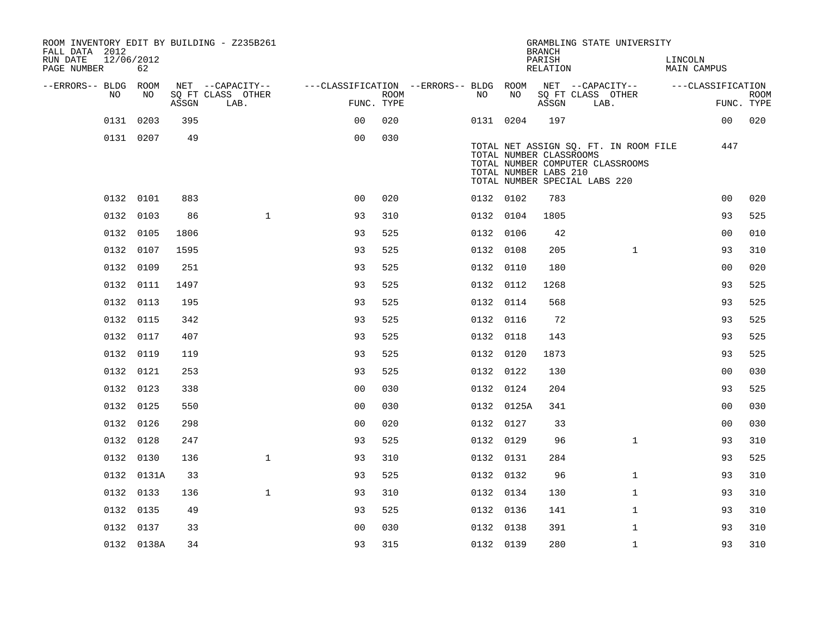| ROOM INVENTORY EDIT BY BUILDING - Z235B261<br>FALL DATA 2012 |                  |       |                           |                                                         |                           |           |                                                  | <b>BRANCH</b>      |                               | GRAMBLING STATE UNIVERSITY                                                |         |                    |                           |
|--------------------------------------------------------------|------------------|-------|---------------------------|---------------------------------------------------------|---------------------------|-----------|--------------------------------------------------|--------------------|-------------------------------|---------------------------------------------------------------------------|---------|--------------------|---------------------------|
| RUN DATE<br>PAGE NUMBER                                      | 12/06/2012<br>62 |       |                           |                                                         |                           |           |                                                  | PARISH<br>RELATION |                               |                                                                           | LINCOLN | <b>MAIN CAMPUS</b> |                           |
| --ERRORS-- BLDG ROOM                                         |                  |       | NET --CAPACITY--          | ---CLASSIFICATION --ERRORS-- BLDG ROOM NET --CAPACITY-- |                           |           |                                                  |                    |                               |                                                                           |         | ---CLASSIFICATION  |                           |
| NO                                                           | NO               | ASSGN | SQ FT CLASS OTHER<br>LAB. |                                                         | <b>ROOM</b><br>FUNC. TYPE | NO        | NO                                               | ASSGN              | SQ FT CLASS OTHER<br>LAB.     |                                                                           |         |                    | <b>ROOM</b><br>FUNC. TYPE |
|                                                              | 0131 0203        | 395   |                           | 0 <sup>0</sup>                                          | 020                       | 0131 0204 |                                                  | 197                |                               |                                                                           |         | 00                 | 020                       |
|                                                              | 0131 0207        | 49    |                           | 0 <sub>0</sub>                                          | 030                       |           | TOTAL NUMBER CLASSROOMS<br>TOTAL NUMBER LABS 210 |                    | TOTAL NUMBER SPECIAL LABS 220 | TOTAL NET ASSIGN SQ. FT. IN ROOM FILE<br>TOTAL NUMBER COMPUTER CLASSROOMS |         | 447                |                           |
|                                                              | 0132 0101        | 883   |                           | 0 <sub>0</sub>                                          | 020                       | 0132 0102 |                                                  | 783                |                               |                                                                           |         | 0 <sub>0</sub>     | 020                       |
|                                                              | 0132 0103        | 86    | $\mathbf{1}$              | 93                                                      | 310                       | 0132 0104 |                                                  | 1805               |                               |                                                                           |         | 93                 | 525                       |
|                                                              | 0132 0105        | 1806  |                           | 93                                                      | 525                       | 0132 0106 |                                                  | 42                 |                               |                                                                           |         | 0 <sub>0</sub>     | 010                       |
|                                                              | 0132 0107        | 1595  |                           | 93                                                      | 525                       | 0132 0108 |                                                  | 205                |                               | $\mathbf{1}$                                                              |         | 93                 | 310                       |
|                                                              | 0132 0109        | 251   |                           | 93                                                      | 525                       | 0132 0110 |                                                  | 180                |                               |                                                                           |         | 0 <sub>0</sub>     | 020                       |
|                                                              | 0132 0111        | 1497  |                           | 93                                                      | 525                       | 0132 0112 |                                                  | 1268               |                               |                                                                           |         | 93                 | 525                       |
|                                                              | 0132 0113        | 195   |                           | 93                                                      | 525                       | 0132 0114 |                                                  | 568                |                               |                                                                           |         | 93                 | 525                       |
|                                                              | 0132 0115        | 342   |                           | 93                                                      | 525                       | 0132 0116 |                                                  | 72                 |                               |                                                                           |         | 93                 | 525                       |
|                                                              | 0132 0117        | 407   |                           | 93                                                      | 525                       | 0132 0118 |                                                  | 143                |                               |                                                                           |         | 93                 | 525                       |
|                                                              | 0132 0119        | 119   |                           | 93                                                      | 525                       | 0132 0120 |                                                  | 1873               |                               |                                                                           |         | 93                 | 525                       |
|                                                              | 0132 0121        | 253   |                           | 93                                                      | 525                       | 0132 0122 |                                                  | 130                |                               |                                                                           |         | 0 <sub>0</sub>     | 030                       |
|                                                              | 0132 0123        | 338   |                           | 0 <sub>0</sub>                                          | 030                       | 0132 0124 |                                                  | 204                |                               |                                                                           |         | 93                 | 525                       |
|                                                              | 0132 0125        | 550   |                           | 0 <sub>0</sub>                                          | 030                       |           | 0132 0125A                                       | 341                |                               |                                                                           |         | 0 <sub>0</sub>     | 030                       |
|                                                              | 0132 0126        | 298   |                           | 0 <sub>0</sub>                                          | 020                       | 0132 0127 |                                                  | 33                 |                               |                                                                           |         | 00                 | 030                       |
|                                                              | 0132 0128        | 247   |                           | 93                                                      | 525                       | 0132 0129 |                                                  | 96                 |                               | $\mathbf{1}$                                                              |         | 93                 | 310                       |
|                                                              | 0132 0130        | 136   | $\mathbf{1}$              | 93                                                      | 310                       | 0132 0131 |                                                  | 284                |                               |                                                                           |         | 93                 | 525                       |
|                                                              | 0132 0131A       | 33    |                           | 93                                                      | 525                       | 0132 0132 |                                                  | 96                 |                               | $\mathbf{1}$                                                              |         | 93                 | 310                       |
|                                                              | 0132 0133        | 136   | $\mathbf{1}$              | 93                                                      | 310                       | 0132 0134 |                                                  | 130                |                               | $\mathbf{1}$                                                              |         | 93                 | 310                       |
|                                                              | 0132 0135        | 49    |                           | 93                                                      | 525                       | 0132 0136 |                                                  | 141                |                               | $\mathbf{1}$                                                              |         | 93                 | 310                       |
|                                                              | 0132 0137        | 33    |                           | 0 <sub>0</sub>                                          | 030                       | 0132 0138 |                                                  | 391                |                               | $\mathbf{1}$                                                              |         | 93                 | 310                       |
|                                                              | 0132 0138A       | 34    |                           | 93                                                      | 315                       | 0132 0139 |                                                  | 280                |                               | $\mathbf{1}$                                                              |         | 93                 | 310                       |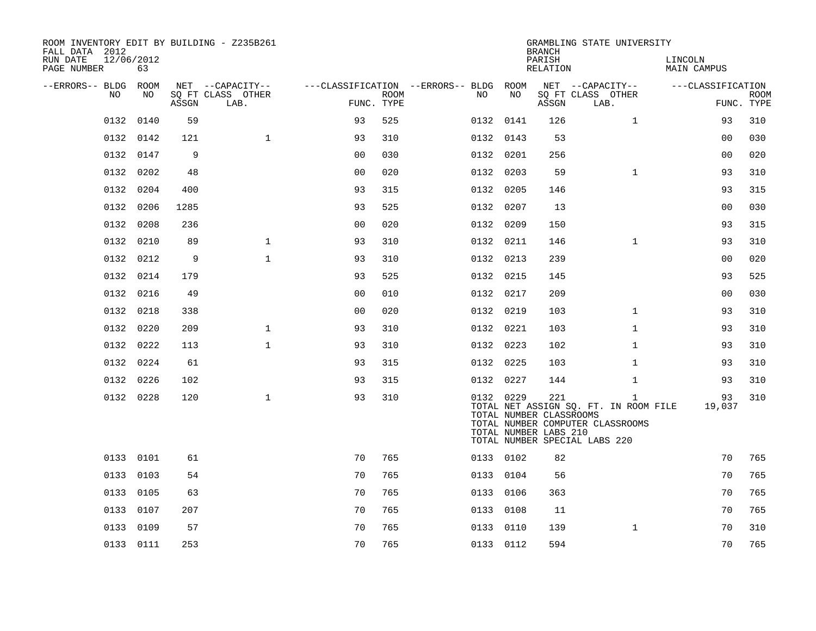| ROOM INVENTORY EDIT BY BUILDING - Z235B261<br>FALL DATA 2012<br>RUN DATE | 12/06/2012 |       |                                               |                |             |                                              |           | <b>BRANCH</b><br>PARISH                                 | GRAMBLING STATE UNIVERSITY                                                                                                 | LINCOLN           |                           |
|--------------------------------------------------------------------------|------------|-------|-----------------------------------------------|----------------|-------------|----------------------------------------------|-----------|---------------------------------------------------------|----------------------------------------------------------------------------------------------------------------------------|-------------------|---------------------------|
| PAGE NUMBER                                                              | 63         |       |                                               |                |             |                                              |           | RELATION                                                |                                                                                                                            | MAIN CAMPUS       |                           |
| --ERRORS-- BLDG ROOM<br>NO.                                              | NO.        | ASSGN | NET --CAPACITY--<br>SQ FT CLASS OTHER<br>LAB. | FUNC. TYPE     | <b>ROOM</b> | ---CLASSIFICATION --ERRORS-- BLDG ROOM<br>NO | NO.       | ASSGN                                                   | NET --CAPACITY--<br>SQ FT CLASS OTHER<br>LAB.                                                                              | ---CLASSIFICATION | <b>ROOM</b><br>FUNC. TYPE |
| 0132                                                                     | 0140       | 59    |                                               | 93             | 525         |                                              | 0132 0141 | 126                                                     | $\mathbf{1}$                                                                                                               | 93                | 310                       |
|                                                                          | 0132 0142  | 121   | $\mathbf{1}$                                  | 93             | 310         |                                              | 0132 0143 | 53                                                      |                                                                                                                            | 0 <sub>0</sub>    | 030                       |
|                                                                          | 0132 0147  | 9     |                                               | 0 <sub>0</sub> | 030         |                                              | 0132 0201 | 256                                                     |                                                                                                                            | 0 <sub>0</sub>    | 020                       |
| 0132                                                                     | 0202       | 48    |                                               | 0 <sub>0</sub> | 020         |                                              | 0132 0203 | 59                                                      | $\mathbf{1}$                                                                                                               | 93                | 310                       |
| 0132                                                                     | 0204       | 400   |                                               | 93             | 315         |                                              | 0132 0205 | 146                                                     |                                                                                                                            | 93                | 315                       |
| 0132                                                                     | 0206       | 1285  |                                               | 93             | 525         |                                              | 0132 0207 | 13                                                      |                                                                                                                            | 0 <sub>0</sub>    | 030                       |
| 0132                                                                     | 0208       | 236   |                                               | 0 <sub>0</sub> | 020         |                                              | 0132 0209 | 150                                                     |                                                                                                                            | 93                | 315                       |
| 0132                                                                     | 0210       | 89    | $\mathbf{1}$                                  | 93             | 310         |                                              | 0132 0211 | 146                                                     | $\mathbf{1}$                                                                                                               | 93                | 310                       |
| 0132                                                                     | 0212       | 9     | $\mathbf{1}$                                  | 93             | 310         |                                              | 0132 0213 | 239                                                     |                                                                                                                            | 00                | 020                       |
| 0132                                                                     | 0214       | 179   |                                               | 93             | 525         |                                              | 0132 0215 | 145                                                     |                                                                                                                            | 93                | 525                       |
|                                                                          | 0132 0216  | 49    |                                               | 0 <sub>0</sub> | 010         |                                              | 0132 0217 | 209                                                     |                                                                                                                            | 0 <sub>0</sub>    | 030                       |
| 0132                                                                     | 0218       | 338   |                                               | 00             | 020         |                                              | 0132 0219 | 103                                                     | $\mathbf{1}$                                                                                                               | 93                | 310                       |
|                                                                          | 0132 0220  | 209   | $\mathbf{1}$                                  | 93             | 310         |                                              | 0132 0221 | 103                                                     | $\mathbf{1}$                                                                                                               | 93                | 310                       |
|                                                                          | 0132 0222  | 113   | $\mathbf{1}$                                  | 93             | 310         |                                              | 0132 0223 | 102                                                     | $\mathbf{1}$                                                                                                               | 93                | 310                       |
|                                                                          | 0132 0224  | 61    |                                               | 93             | 315         |                                              | 0132 0225 | 103                                                     | $\mathbf{1}$                                                                                                               | 93                | 310                       |
|                                                                          | 0132 0226  | 102   |                                               | 93             | 315         |                                              | 0132 0227 | 144                                                     | $\mathbf{1}$                                                                                                               | 93                | 310                       |
|                                                                          | 0132 0228  | 120   | $\mathbf{1}$                                  | 93             | 310         |                                              | 0132 0229 | 221<br>TOTAL NUMBER CLASSROOMS<br>TOTAL NUMBER LABS 210 | $\mathbf{1}$<br>TOTAL NET ASSIGN SQ. FT. IN ROOM FILE<br>TOTAL NUMBER COMPUTER CLASSROOMS<br>TOTAL NUMBER SPECIAL LABS 220 | 93<br>19,037      | 310                       |
|                                                                          | 0133 0101  | 61    |                                               | 70             | 765         |                                              | 0133 0102 | 82                                                      |                                                                                                                            | 70                | 765                       |
|                                                                          | 0133 0103  | 54    |                                               | 70             | 765         |                                              | 0133 0104 | 56                                                      |                                                                                                                            | 70                | 765                       |
|                                                                          | 0133 0105  | 63    |                                               | 70             | 765         |                                              | 0133 0106 | 363                                                     |                                                                                                                            | 70                | 765                       |
|                                                                          | 0133 0107  | 207   |                                               | 70             | 765         |                                              | 0133 0108 | 11                                                      |                                                                                                                            | 70                | 765                       |
|                                                                          | 0133 0109  | 57    |                                               | 70             | 765         |                                              | 0133 0110 | 139                                                     | $\mathbf{1}$                                                                                                               | 70                | 310                       |
|                                                                          | 0133 0111  | 253   |                                               | 70             | 765         |                                              | 0133 0112 | 594                                                     |                                                                                                                            | 70                | 765                       |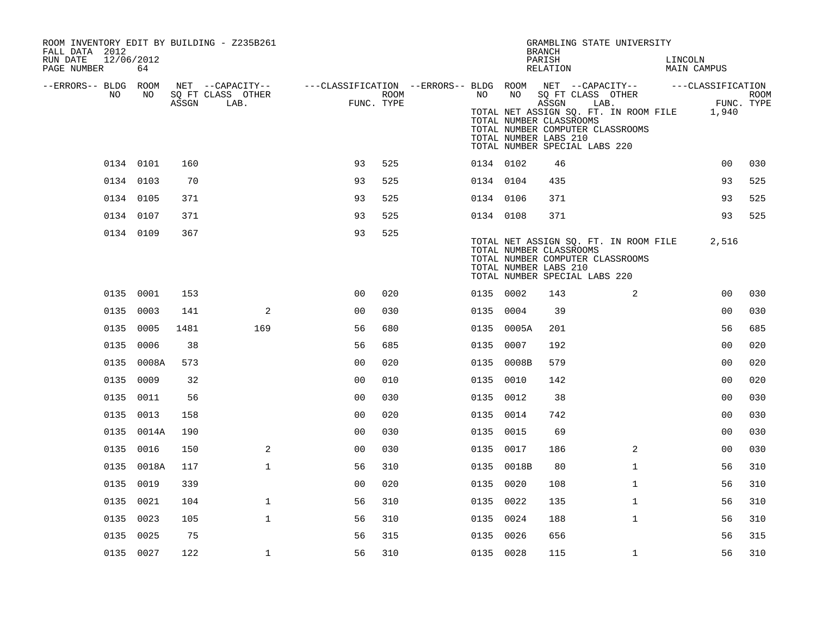| ROOM INVENTORY EDIT BY BUILDING - Z235B261<br>FALL DATA 2012 |            |       |                           |                                                                              |                    |           |            | GRAMBLING STATE UNIVERSITY<br><b>BRANCH</b>                                                                                                                                                          |              |         |                     |             |
|--------------------------------------------------------------|------------|-------|---------------------------|------------------------------------------------------------------------------|--------------------|-----------|------------|------------------------------------------------------------------------------------------------------------------------------------------------------------------------------------------------------|--------------|---------|---------------------|-------------|
| RUN DATE<br>12/06/2012<br>PAGE NUMBER                        | 64         |       |                           |                                                                              |                    |           |            | PARISH<br>RELATION                                                                                                                                                                                   |              | LINCOLN | MAIN CAMPUS         |             |
| --ERRORS-- BLDG ROOM                                         |            |       | NET --CAPACITY--          | ---CLASSIFICATION --ERRORS-- BLDG ROOM NET --CAPACITY--    ---CLASSIFICATION |                    |           |            |                                                                                                                                                                                                      |              |         |                     |             |
| NO.                                                          | NO         | ASSGN | SQ FT CLASS OTHER<br>LAB. |                                                                              | ROOM<br>FUNC. TYPE | NO        | NO         | SQ FT CLASS OTHER<br>ASSGN<br>LAB.<br>TOTAL NET ASSIGN SQ. FT. IN ROOM FILE<br>TOTAL NUMBER CLASSROOMS<br>TOTAL NUMBER COMPUTER CLASSROOMS<br>TOTAL NUMBER LABS 210<br>TOTAL NUMBER SPECIAL LABS 220 |              |         | FUNC. TYPE<br>1,940 | <b>ROOM</b> |
|                                                              | 0134 0101  | 160   |                           | 93                                                                           | 525                | 0134 0102 |            | 46                                                                                                                                                                                                   |              |         | 0 <sub>0</sub>      | 030         |
|                                                              | 0134 0103  | 70    |                           | 93                                                                           | 525                | 0134 0104 |            | 435                                                                                                                                                                                                  |              |         | 93                  | 525         |
|                                                              | 0134 0105  | 371   |                           | 93                                                                           | 525                | 0134 0106 |            | 371                                                                                                                                                                                                  |              |         | 93                  | 525         |
|                                                              | 0134 0107  | 371   |                           | 93                                                                           | 525                | 0134 0108 |            | 371                                                                                                                                                                                                  |              |         | 93                  | 525         |
|                                                              | 0134 0109  | 367   |                           | 93                                                                           | 525                |           |            | TOTAL NET ASSIGN SQ. FT. IN ROOM FILE<br>TOTAL NUMBER CLASSROOMS<br>TOTAL NUMBER COMPUTER CLASSROOMS<br>TOTAL NUMBER LABS 210<br>TOTAL NUMBER SPECIAL LABS 220                                       |              |         | 2,516               |             |
|                                                              | 0135 0001  | 153   |                           | 0 <sup>0</sup>                                                               | 020                | 0135 0002 |            | 143                                                                                                                                                                                                  | 2            |         | 0 <sub>0</sub>      | 030         |
|                                                              | 0135 0003  | 141   | 2                         | 0 <sub>0</sub>                                                               | 030                | 0135 0004 |            | 39                                                                                                                                                                                                   |              |         | 0 <sub>0</sub>      | 030         |
|                                                              | 0135 0005  | 1481  | 169                       | 56                                                                           | 680                |           | 0135 0005A | 201                                                                                                                                                                                                  |              |         | 56                  | 685         |
|                                                              | 0135 0006  | 38    |                           | 56                                                                           | 685                | 0135 0007 |            | 192                                                                                                                                                                                                  |              |         | 0 <sub>0</sub>      | 020         |
|                                                              | 0135 0008A | 573   |                           | 0 <sub>0</sub>                                                               | 020                |           | 0135 0008B | 579                                                                                                                                                                                                  |              |         | 0 <sub>0</sub>      | 020         |
|                                                              | 0135 0009  | 32    |                           | 0 <sub>0</sub>                                                               | 010                | 0135 0010 |            | 142                                                                                                                                                                                                  |              |         | 0 <sub>0</sub>      | 020         |
|                                                              | 0135 0011  | 56    |                           | 0 <sub>0</sub>                                                               | 030                | 0135 0012 |            | 38                                                                                                                                                                                                   |              |         | 0 <sub>0</sub>      | 030         |
|                                                              | 0135 0013  | 158   |                           | 0 <sub>0</sub>                                                               | 020                | 0135 0014 |            | 742                                                                                                                                                                                                  |              |         | 0 <sub>0</sub>      | 030         |
|                                                              | 0135 0014A | 190   |                           | 0 <sub>0</sub>                                                               | 030                | 0135 0015 |            | 69                                                                                                                                                                                                   |              |         | 00                  | 030         |
|                                                              | 0135 0016  | 150   | $\overline{a}$            | 0 <sub>0</sub>                                                               | 030                | 0135 0017 |            | 186                                                                                                                                                                                                  | 2            |         | 0 <sub>0</sub>      | 030         |
|                                                              | 0135 0018A | 117   | $\mathbf{1}$              | 56                                                                           | 310                |           | 0135 0018B | 80                                                                                                                                                                                                   | $\mathbf{1}$ |         | 56                  | 310         |
|                                                              | 0135 0019  | 339   |                           | 00                                                                           | 020                | 0135 0020 |            | 108                                                                                                                                                                                                  | $\mathbf{1}$ |         | 56                  | 310         |
|                                                              | 0135 0021  | 104   | $\mathbf{1}$              | 56                                                                           | 310                | 0135 0022 |            | 135                                                                                                                                                                                                  | $\mathbf{1}$ |         | 56                  | 310         |
|                                                              | 0135 0023  | 105   | $\mathbf{1}$              | 56                                                                           | 310                | 0135 0024 |            | 188                                                                                                                                                                                                  | $\mathbf{1}$ |         | 56                  | 310         |
|                                                              | 0135 0025  | 75    |                           | 56                                                                           | 315                | 0135 0026 |            | 656                                                                                                                                                                                                  |              |         | 56                  | 315         |
|                                                              | 0135 0027  | 122   | $\mathbf 1$               | 56                                                                           | 310                | 0135 0028 |            | 115                                                                                                                                                                                                  | $\mathbf{1}$ |         | 56                  | 310         |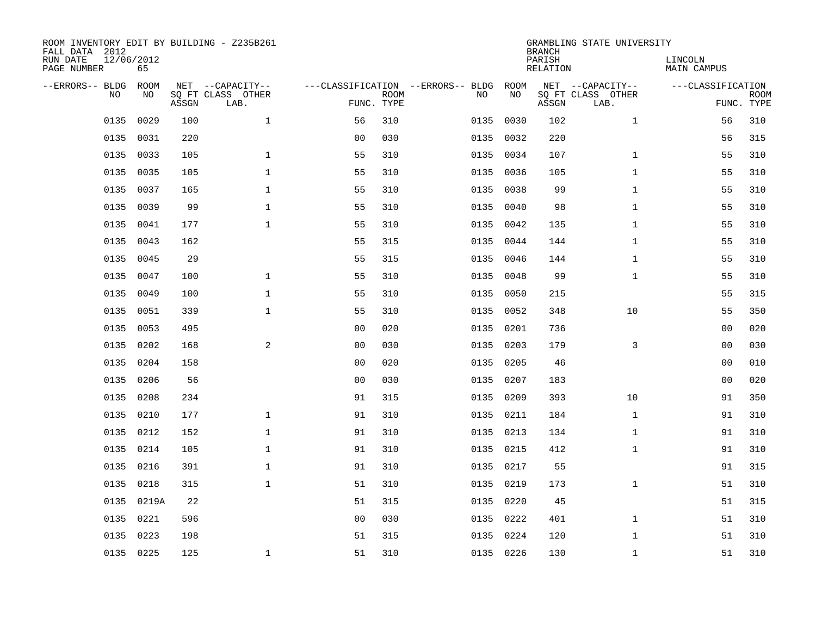| ROOM INVENTORY EDIT BY BUILDING - Z235B261<br>FALL DATA 2012<br>RUN DATE | 12/06/2012 |       |                                       |                |             |                                              |           | <b>BRANCH</b><br>PARISH | GRAMBLING STATE UNIVERSITY            | LINCOLN            |             |
|--------------------------------------------------------------------------|------------|-------|---------------------------------------|----------------|-------------|----------------------------------------------|-----------|-------------------------|---------------------------------------|--------------------|-------------|
| PAGE NUMBER                                                              | 65         |       |                                       |                |             |                                              |           | <b>RELATION</b>         |                                       | <b>MAIN CAMPUS</b> |             |
| --ERRORS-- BLDG<br>NO                                                    | ROOM<br>NO |       | NET --CAPACITY--<br>SQ FT CLASS OTHER |                | <b>ROOM</b> | ---CLASSIFICATION --ERRORS-- BLDG ROOM<br>NO | NO        |                         | NET --CAPACITY--<br>SQ FT CLASS OTHER | ---CLASSIFICATION  | <b>ROOM</b> |
|                                                                          |            | ASSGN | LAB.                                  | FUNC. TYPE     |             |                                              |           | ASSGN                   | LAB.                                  |                    | FUNC. TYPE  |
| 0135                                                                     | 0029       | 100   | $\mathbf 1$                           | 56             | 310         | 0135                                         | 0030      | 102                     | $\mathbf{1}$                          | 56                 | 310         |
| 0135                                                                     | 0031       | 220   |                                       | 0 <sub>0</sub> | 030         |                                              | 0135 0032 | 220                     |                                       | 56                 | 315         |
| 0135                                                                     | 0033       | 105   | $\mathbf 1$                           | 55             | 310         |                                              | 0135 0034 | 107                     | $\mathbf{1}$                          | 55                 | 310         |
| 0135                                                                     | 0035       | 105   | $\mathbf 1$                           | 55             | 310         |                                              | 0135 0036 | 105                     | $\mathbf{1}$                          | 55                 | 310         |
| 0135                                                                     | 0037       | 165   | $\mathbf{1}$                          | 55             | 310         | 0135                                         | 0038      | 99                      | $\mathbf{1}$                          | 55                 | 310         |
| 0135                                                                     | 0039       | 99    | $\mathbf{1}$                          | 55             | 310         |                                              | 0135 0040 | 98                      | $\mathbf{1}$                          | 55                 | 310         |
| 0135                                                                     | 0041       | 177   | $\mathbf{1}$                          | 55             | 310         |                                              | 0135 0042 | 135                     | $\mathbf{1}$                          | 55                 | 310         |
| 0135                                                                     | 0043       | 162   |                                       | 55             | 315         |                                              | 0135 0044 | 144                     | $\mathbf{1}$                          | 55                 | 310         |
| 0135                                                                     | 0045       | 29    |                                       | 55             | 315         | 0135                                         | 0046      | 144                     | $\mathbf{1}$                          | 55                 | 310         |
| 0135                                                                     | 0047       | 100   | $\mathbf{1}$                          | 55             | 310         |                                              | 0135 0048 | 99                      | $\mathbf{1}$                          | 55                 | 310         |
| 0135                                                                     | 0049       | 100   | $\mathbf{1}$                          | 55             | 310         | 0135                                         | 0050      | 215                     |                                       | 55                 | 315         |
| 0135                                                                     | 0051       | 339   | $\mathbf{1}$                          | 55             | 310         |                                              | 0135 0052 | 348                     | 10                                    | 55                 | 350         |
| 0135                                                                     | 0053       | 495   |                                       | 0 <sub>0</sub> | 020         | 0135                                         | 0201      | 736                     |                                       | 00                 | 020         |
| 0135                                                                     | 0202       | 168   | $\mathbf{2}$                          | 0 <sub>0</sub> | 030         | 0135                                         | 0203      | 179                     | 3                                     | 00                 | 030         |
| 0135                                                                     | 0204       | 158   |                                       | 0 <sub>0</sub> | 020         | 0135                                         | 0205      | 46                      |                                       | 0 <sub>0</sub>     | 010         |
| 0135                                                                     | 0206       | 56    |                                       | 0 <sub>0</sub> | 030         |                                              | 0135 0207 | 183                     |                                       | 0 <sub>0</sub>     | 020         |
| 0135                                                                     | 0208       | 234   |                                       | 91             | 315         | 0135                                         | 0209      | 393                     | 10                                    | 91                 | 350         |
| 0135                                                                     | 0210       | 177   | $\mathbf{1}$                          | 91             | 310         |                                              | 0135 0211 | 184                     | $\mathbf{1}$                          | 91                 | 310         |
|                                                                          | 0135 0212  | 152   | $\mathbf{1}$                          | 91             | 310         |                                              | 0135 0213 | 134                     | $\mathbf{1}$                          | 91                 | 310         |
| 0135                                                                     | 0214       | 105   | $\mathbf 1$                           | 91             | 310         |                                              | 0135 0215 | 412                     | $\mathbf{1}$                          | 91                 | 310         |
|                                                                          | 0135 0216  | 391   | $\mathbf 1$                           | 91             | 310         |                                              | 0135 0217 | 55                      |                                       | 91                 | 315         |
| 0135                                                                     | 0218       | 315   | $\mathbf{1}$                          | 51             | 310         |                                              | 0135 0219 | 173                     | $\mathbf{1}$                          | 51                 | 310         |
|                                                                          | 0135 0219A | 22    |                                       | 51             | 315         |                                              | 0135 0220 | 45                      |                                       | 51                 | 315         |
| 0135                                                                     | 0221       | 596   |                                       | 0 <sub>0</sub> | 030         |                                              | 0135 0222 | 401                     | $\mathbf{1}$                          | 51                 | 310         |
| 0135                                                                     | 0223       | 198   |                                       | 51             | 315         |                                              | 0135 0224 | 120                     | $\mathbf{1}$                          | 51                 | 310         |
|                                                                          | 0135 0225  | 125   | $\mathbf 1$                           | 51             | 310         |                                              | 0135 0226 | 130                     | $\mathbf{1}$                          | 51                 | 310         |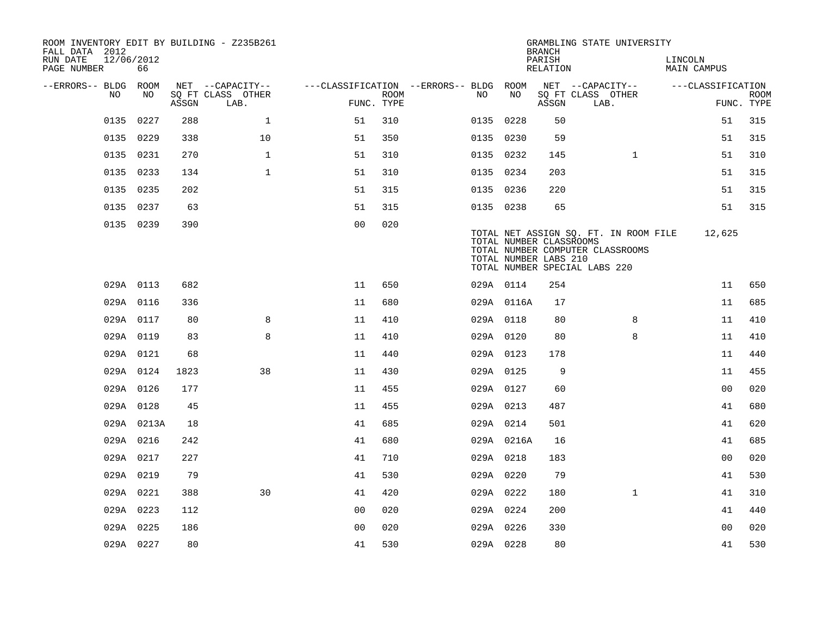| ROOM INVENTORY EDIT BY BUILDING - Z235B261<br>FALL DATA 2012 |                  |       |                           |                                        |             |           |            | <b>BRANCH</b>                                    | GRAMBLING STATE UNIVERSITY                                                                                 |                        |                           |
|--------------------------------------------------------------|------------------|-------|---------------------------|----------------------------------------|-------------|-----------|------------|--------------------------------------------------|------------------------------------------------------------------------------------------------------------|------------------------|---------------------------|
| RUN DATE<br>PAGE NUMBER                                      | 12/06/2012<br>66 |       |                           |                                        |             |           |            | PARISH<br>RELATION                               |                                                                                                            | LINCOLN<br>MAIN CAMPUS |                           |
| --ERRORS-- BLDG ROOM                                         |                  |       | NET --CAPACITY--          | ---CLASSIFICATION --ERRORS-- BLDG ROOM |             |           |            |                                                  | NET --CAPACITY--                                                                                           | ---CLASSIFICATION      |                           |
| NO                                                           | NO               | ASSGN | SQ FT CLASS OTHER<br>LAB. | FUNC. TYPE                             | <b>ROOM</b> | NO        | NO         | ASSGN                                            | SQ FT CLASS OTHER<br>LAB.                                                                                  |                        | <b>ROOM</b><br>FUNC. TYPE |
| 0135                                                         | 0227             | 288   | $\mathbf 1$               | 51                                     | 310         | 0135 0228 |            | 50                                               |                                                                                                            | 51                     | 315                       |
|                                                              | 0135 0229        | 338   | 10                        | 51                                     | 350         | 0135 0230 |            | 59                                               |                                                                                                            | 51                     | 315                       |
|                                                              | 0135 0231        | 270   | $\mathbf{1}$              | 51                                     | 310         | 0135 0232 |            | 145                                              | $\mathbf{1}$                                                                                               | 51                     | 310                       |
| 0135                                                         | 0233             | 134   | $\mathbf{1}$              | 51                                     | 310         | 0135 0234 |            | 203                                              |                                                                                                            | 51                     | 315                       |
|                                                              | 0135 0235        | 202   |                           | 51                                     | 315         | 0135 0236 |            | 220                                              |                                                                                                            | 51                     | 315                       |
|                                                              | 0135 0237        | 63    |                           | 51                                     | 315         | 0135 0238 |            | 65                                               |                                                                                                            | 51                     | 315                       |
|                                                              | 0135 0239        | 390   |                           | 0 <sub>0</sub>                         | 020         |           |            | TOTAL NUMBER CLASSROOMS<br>TOTAL NUMBER LABS 210 | TOTAL NET ASSIGN SQ. FT. IN ROOM FILE<br>TOTAL NUMBER COMPUTER CLASSROOMS<br>TOTAL NUMBER SPECIAL LABS 220 | 12,625                 |                           |
|                                                              | 029A 0113        | 682   |                           | 11                                     | 650         | 029A 0114 |            | 254                                              |                                                                                                            | 11                     | 650                       |
|                                                              | 029A 0116        | 336   |                           | 11                                     | 680         |           | 029A 0116A | 17                                               |                                                                                                            | 11                     | 685                       |
|                                                              | 029A 0117        | 80    | 8                         | 11                                     | 410         | 029A 0118 |            | 80                                               | 8                                                                                                          | 11                     | 410                       |
|                                                              | 029A 0119        | 83    | 8                         | 11                                     | 410         | 029A 0120 |            | 80                                               | 8                                                                                                          | 11                     | 410                       |
|                                                              | 029A 0121        | 68    |                           | 11                                     | 440         | 029A 0123 |            | 178                                              |                                                                                                            | 11                     | 440                       |
|                                                              | 029A 0124        | 1823  | 38                        | 11                                     | 430         | 029A 0125 |            | 9                                                |                                                                                                            | 11                     | 455                       |
|                                                              | 029A 0126        | 177   |                           | 11                                     | 455         | 029A 0127 |            | 60                                               |                                                                                                            | 0 <sub>0</sub>         | 020                       |
|                                                              | 029A 0128        | 45    |                           | 11                                     | 455         | 029A 0213 |            | 487                                              |                                                                                                            | 41                     | 680                       |
|                                                              | 029A 0213A       | 18    |                           | 41                                     | 685         | 029A 0214 |            | 501                                              |                                                                                                            | 41                     | 620                       |
|                                                              | 029A 0216        | 242   |                           | 41                                     | 680         |           | 029A 0216A | 16                                               |                                                                                                            | 41                     | 685                       |
|                                                              | 029A 0217        | 227   |                           | 41                                     | 710         | 029A 0218 |            | 183                                              |                                                                                                            | 0 <sub>0</sub>         | 020                       |
|                                                              | 029A 0219        | 79    |                           | 41                                     | 530         | 029A 0220 |            | 79                                               |                                                                                                            | 41                     | 530                       |
|                                                              | 029A 0221        | 388   | 30                        | 41                                     | 420         | 029A 0222 |            | 180                                              | $\mathbf{1}$                                                                                               | 41                     | 310                       |
|                                                              | 029A 0223        | 112   |                           | 0 <sub>0</sub>                         | 020         | 029A 0224 |            | 200                                              |                                                                                                            | 41                     | 440                       |
|                                                              | 029A 0225        | 186   |                           | 0 <sub>0</sub>                         | 020         | 029A 0226 |            | 330                                              |                                                                                                            | 00                     | 020                       |
|                                                              | 029A 0227        | 80    |                           | 41                                     | 530         | 029A 0228 |            | 80                                               |                                                                                                            | 41                     | 530                       |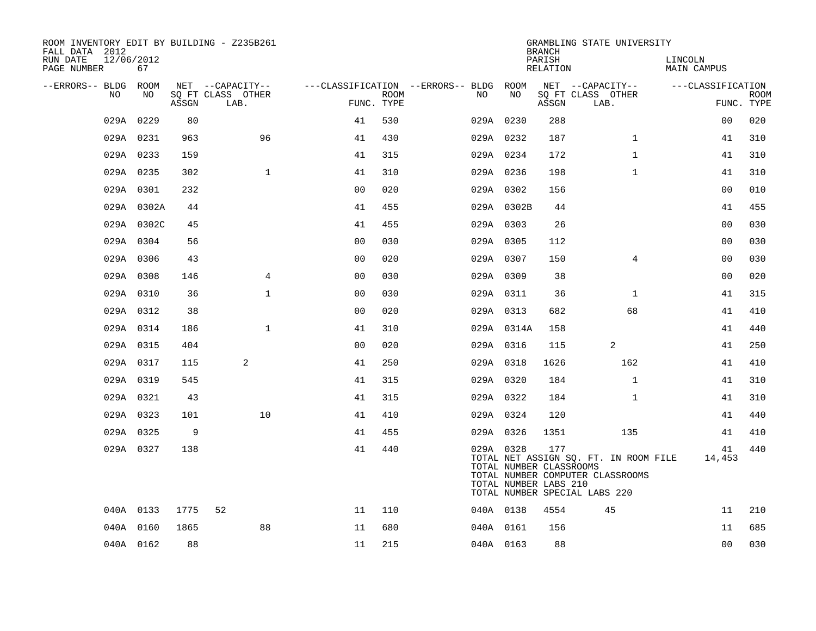| ROOM INVENTORY EDIT BY BUILDING - Z235B261<br>FALL DATA 2012 |            |       |                           |                |             |                                        |                                                               | <b>BRANCH</b>      | GRAMBLING STATE UNIVERSITY                                                                                 |                               |                           |
|--------------------------------------------------------------|------------|-------|---------------------------|----------------|-------------|----------------------------------------|---------------------------------------------------------------|--------------------|------------------------------------------------------------------------------------------------------------|-------------------------------|---------------------------|
| 12/06/2012<br>RUN DATE<br>PAGE NUMBER                        | 67         |       |                           |                |             |                                        |                                                               | PARISH<br>RELATION |                                                                                                            | LINCOLN<br><b>MAIN CAMPUS</b> |                           |
| --ERRORS-- BLDG ROOM                                         |            |       | NET --CAPACITY--          |                |             | ---CLASSIFICATION --ERRORS-- BLDG ROOM |                                                               |                    | NET --CAPACITY--                                                                                           | ---CLASSIFICATION             |                           |
| NO                                                           | NO         | ASSGN | SO FT CLASS OTHER<br>LAB. | FUNC. TYPE     | <b>ROOM</b> | NO                                     | NO                                                            | ASSGN              | SQ FT CLASS OTHER<br>LAB.                                                                                  |                               | <b>ROOM</b><br>FUNC. TYPE |
|                                                              | 029A 0229  | 80    |                           | 41             | 530         |                                        | 029A 0230                                                     | 288                |                                                                                                            | 00                            | 020                       |
|                                                              | 029A 0231  | 963   | 96                        | 41             | 430         | 029A 0232                              |                                                               | 187                | $\mathbf{1}$                                                                                               | 41                            | 310                       |
|                                                              | 029A 0233  | 159   |                           | 41             | 315         | 029A 0234                              |                                                               | 172                | $\mathbf{1}$                                                                                               | 41                            | 310                       |
|                                                              | 029A 0235  | 302   | $\mathbf{1}$              | 41             | 310         | 029A 0236                              |                                                               | 198                | $\mathbf{1}$                                                                                               | 41                            | 310                       |
|                                                              | 029A 0301  | 232   |                           | 0 <sub>0</sub> | 020         |                                        | 029A 0302                                                     | 156                |                                                                                                            | 0 <sub>0</sub>                | 010                       |
|                                                              | 029A 0302A | 44    |                           | 41             | 455         |                                        | 029A 0302B                                                    | 44                 |                                                                                                            | 41                            | 455                       |
|                                                              | 029A 0302C | 45    |                           | 41             | 455         | 029A 0303                              |                                                               | 26                 |                                                                                                            | 0 <sub>0</sub>                | 030                       |
|                                                              | 029A 0304  | 56    |                           | 00             | 030         | 029A 0305                              |                                                               | 112                |                                                                                                            | 0 <sub>0</sub>                | 030                       |
|                                                              | 029A 0306  | 43    |                           | 0 <sub>0</sub> | 020         | 029A 0307                              |                                                               | 150                | 4                                                                                                          | 00                            | 030                       |
|                                                              | 029A 0308  | 146   | $\overline{4}$            | 00             | 030         | 029A 0309                              |                                                               | 38                 |                                                                                                            | 0 <sub>0</sub>                | 020                       |
|                                                              | 029A 0310  | 36    | $\mathbf{1}$              | 0 <sub>0</sub> | 030         |                                        | 029A 0311                                                     | 36                 | $\mathbf{1}$                                                                                               | 41                            | 315                       |
|                                                              | 029A 0312  | 38    |                           | 0 <sub>0</sub> | 020         | 029A 0313                              |                                                               | 682                | 68                                                                                                         | 41                            | 410                       |
|                                                              | 029A 0314  | 186   | $\mathbf{1}$              | 41             | 310         |                                        | 029A 0314A                                                    | 158                |                                                                                                            | 41                            | 440                       |
|                                                              | 029A 0315  | 404   |                           | 0 <sub>0</sub> | 020         | 029A 0316                              |                                                               | 115                | $\overline{2}$                                                                                             | 41                            | 250                       |
|                                                              | 029A 0317  | 115   | 2                         | 41             | 250         | 029A 0318                              |                                                               | 1626               | 162                                                                                                        | 41                            | 410                       |
|                                                              | 029A 0319  | 545   |                           | 41             | 315         | 029A 0320                              |                                                               | 184                | $\mathbf{1}$                                                                                               | 41                            | 310                       |
|                                                              | 029A 0321  | 43    |                           | 41             | 315         | 029A 0322                              |                                                               | 184                | $\mathbf{1}$                                                                                               | 41                            | 310                       |
|                                                              | 029A 0323  | 101   | 10                        | 41             | 410         | 029A 0324                              |                                                               | 120                |                                                                                                            | 41                            | 440                       |
|                                                              | 029A 0325  | 9     |                           | 41             | 455         | 029A 0326                              |                                                               | 1351               | 135                                                                                                        | 41                            | 410                       |
|                                                              | 029A 0327  | 138   |                           | 41             | 440         |                                        | 029A 0328<br>TOTAL NUMBER CLASSROOMS<br>TOTAL NUMBER LABS 210 | 177                | TOTAL NET ASSIGN SQ. FT. IN ROOM FILE<br>TOTAL NUMBER COMPUTER CLASSROOMS<br>TOTAL NUMBER SPECIAL LABS 220 | 41<br>14,453                  | 440                       |
|                                                              | 040A 0133  | 1775  | 52                        | 11             | 110         | 040A 0138                              |                                                               | 4554               | 45                                                                                                         | 11                            | 210                       |
|                                                              | 040A 0160  | 1865  | 88                        | 11             | 680         |                                        | 040A 0161                                                     | 156                |                                                                                                            | 11                            | 685                       |
|                                                              | 040A 0162  | 88    |                           | 11             | 215         | 040A 0163                              |                                                               | 88                 |                                                                                                            | 0 <sub>0</sub>                | 030                       |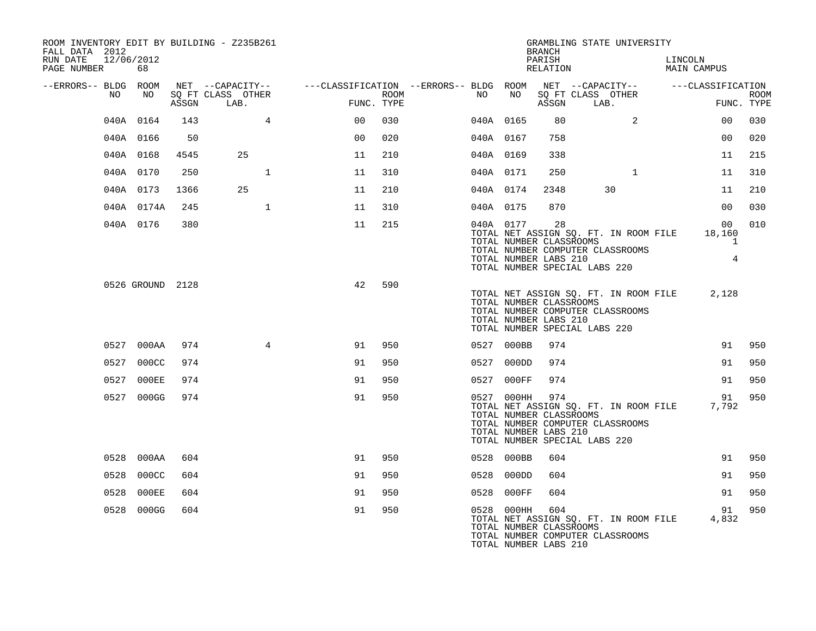| ROOM INVENTORY EDIT BY BUILDING - Z235B261<br>FALL DATA 2012<br>12/06/2012<br>RUN DATE |                  |       |                   |                                                                                                |      |           |                                                                    | <b>BRANCH</b><br>PARISH | GRAMBLING STATE UNIVERSITY                                                                                       |                               |                                                             |             |
|----------------------------------------------------------------------------------------|------------------|-------|-------------------|------------------------------------------------------------------------------------------------|------|-----------|--------------------------------------------------------------------|-------------------------|------------------------------------------------------------------------------------------------------------------|-------------------------------|-------------------------------------------------------------|-------------|
| PAGE NUMBER                                                                            | 68               |       |                   |                                                                                                |      |           |                                                                    |                         | RELATION                                                                                                         | LINCOLN<br><b>MAIN CAMPUS</b> |                                                             |             |
| --ERRORS-- BLDG ROOM<br>NO                                                             | NO               |       | SQ FT CLASS OTHER | NET --CAPACITY-- - ---CLASSIFICATION --ERRORS-- BLDG ROOM NET --CAPACITY-- - ---CLASSIFICATION | ROOM | NO        | NO                                                                 |                         | SQ FT CLASS OTHER                                                                                                |                               |                                                             | <b>ROOM</b> |
|                                                                                        |                  | ASSGN | LAB.              | FUNC. TYPE                                                                                     |      |           |                                                                    |                         | ASSGN LAB.                                                                                                       |                               | FUNC. TYPE                                                  |             |
|                                                                                        | 040A 0164        | 143   | $4\overline{ }$   | 0 <sub>0</sub>                                                                                 | 030  | 040A 0165 |                                                                    | 80                      | $\overline{2}$                                                                                                   |                               | 0 <sub>0</sub>                                              | 030         |
|                                                                                        | 040A 0166        | 50    |                   | 0 <sub>0</sub>                                                                                 | 020  | 040A 0167 |                                                                    | 758                     |                                                                                                                  |                               | 0 <sub>0</sub>                                              | 020         |
|                                                                                        | 040A 0168        | 4545  | 25                | 11                                                                                             | 210  | 040A 0169 |                                                                    | 338                     |                                                                                                                  |                               | 11                                                          | 215         |
|                                                                                        | 040A 0170        | 250   | $\mathbf{1}$      | 11                                                                                             | 310  | 040A 0171 |                                                                    | 250                     | $\mathbf{1}$                                                                                                     |                               | 11                                                          | 310         |
|                                                                                        | 040A 0173        | 1366  | 25                | 11                                                                                             | 210  | 040A 0174 |                                                                    | 2348                    | 30                                                                                                               |                               | 11                                                          | 210         |
|                                                                                        | 040A 0174A       | 245   | $\mathbf{1}$      | 11                                                                                             | 310  | 040A 0175 |                                                                    | 870                     |                                                                                                                  |                               | 00                                                          | 030         |
|                                                                                        | 040A 0176        | 380   |                   | 11                                                                                             | 215  |           | 040A 0177<br>TOTAL NUMBER CLASSROOMS<br>TOTAL NUMBER LABS 210      | 28                      | TOTAL NET ASSIGN SQ. FT. IN ROOM FILE<br>TOTAL NUMBER COMPUTER CLASSROOMS<br>TOTAL NUMBER SPECIAL LABS 220       |                               | 00 <sup>o</sup><br>18,160<br>$\mathbf{1}$<br>$\overline{4}$ | 010         |
|                                                                                        | 0526 GROUND 2128 |       |                   | 42                                                                                             | 590  |           | TOTAL NUMBER CLASSROOMS<br>TOTAL NUMBER LABS 210                   |                         | TOTAL NET ASSIGN SQ. FT. IN ROOM FILE 2,128<br>TOTAL NUMBER COMPUTER CLASSROOMS<br>TOTAL NUMBER SPECIAL LABS 220 |                               |                                                             |             |
|                                                                                        | 0527 000AA       | 974   | $4\overline{ }$   | 91                                                                                             | 950  |           | 0527 000BB                                                         | 974                     |                                                                                                                  |                               | 91                                                          | 950         |
|                                                                                        | 0527 000CC       | 974   |                   | 91                                                                                             | 950  |           | 0527 000DD                                                         | 974                     |                                                                                                                  |                               | 91                                                          | 950         |
|                                                                                        | 0527 000EE       | 974   |                   | 91                                                                                             | 950  |           | 0527 000FF                                                         | 974                     |                                                                                                                  |                               | 91                                                          | 950         |
|                                                                                        | 0527 000GG       | 974   |                   | 91                                                                                             | 950  |           | 0527 000HH 974<br>TOTAL NUMBER CLASSROOMS<br>TOTAL NUMBER LABS 210 |                         | TOTAL NET ASSIGN SQ. FT. IN ROOM FILE<br>TOTAL NUMBER COMPUTER CLASSROOMS<br>TOTAL NUMBER SPECIAL LABS 220       |                               | 91<br>7,792                                                 | 950         |
|                                                                                        | 0528 000AA       | 604   |                   | 91                                                                                             | 950  |           | 0528 000BB                                                         | 604                     |                                                                                                                  |                               | 91                                                          | 950         |
|                                                                                        | 0528 000CC       | 604   |                   | 91                                                                                             | 950  |           | 0528 000DD                                                         | 604                     |                                                                                                                  |                               | 91                                                          | 950         |
|                                                                                        | 0528 000EE       | 604   |                   | 91                                                                                             | 950  |           | 0528 000FF                                                         | 604                     |                                                                                                                  |                               | 91                                                          | 950         |
|                                                                                        | 0528 000GG       | 604   |                   | 91                                                                                             | 950  |           | 0528 000HH<br>TOTAL NUMBER CLASSROOMS<br>TOTAL NUMBER LABS 210     | 604                     | TOTAL NET ASSIGN SQ. FT. IN ROOM FILE<br>TOTAL NUMBER COMPUTER CLASSROOMS                                        |                               | 91<br>4,832                                                 | 950         |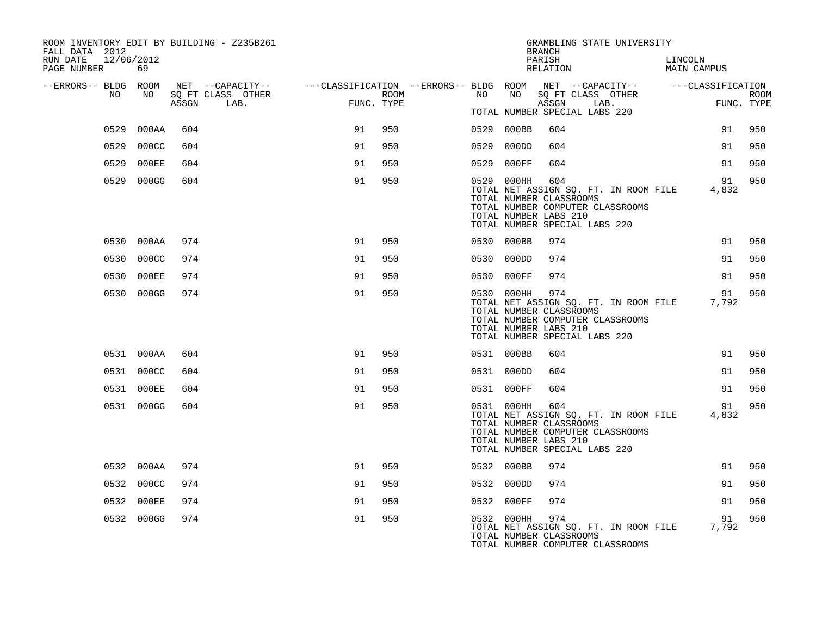| ROOM INVENTORY EDIT BY BUILDING - Z235B261<br>FALL DATA 2012<br>RUN DATE<br>12/06/2012<br>PAGE NUMBER | 69         |       |                                                                                                                             |                                                                                 |      |    |            | <b>BRANCH</b><br>PARISH<br>RELATION                     | GRAMBLING STATE UNIVERSITY                                                                                 | LINCOLN<br>MAIN CAMPUS |                           |
|-------------------------------------------------------------------------------------------------------|------------|-------|-----------------------------------------------------------------------------------------------------------------------------|---------------------------------------------------------------------------------|------|----|------------|---------------------------------------------------------|------------------------------------------------------------------------------------------------------------|------------------------|---------------------------|
| --ERRORS-- BLDG ROOM<br>NO                                                                            | NO         | ASSGN | NET --CAPACITY-- - ---CLASSIFICATION --ERRORS-- BLDG ROOM NET --CAPACITY-- - ---CLASSIFICATION<br>SQ FT CLASS OTHER<br>LAB. | $\mathcal{L} = \mathcal{L} \mathcal{L} + \mathcal{L} \mathcal{L}$<br>FUNC. TYPE | ROOM | NO | NO         | ASSGN                                                   | SQ FT CLASS OTHER<br>LAB.<br>TOTAL NUMBER SPECIAL LABS 220                                                 |                        | <b>ROOM</b><br>FUNC. TYPE |
|                                                                                                       | 0529 000AA | 604   |                                                                                                                             | 91                                                                              | 950  |    | 0529 000BB | 604                                                     |                                                                                                            | 91                     | 950                       |
|                                                                                                       | 0529 000CC | 604   |                                                                                                                             | 91                                                                              | 950  |    | 0529 000DD | 604                                                     |                                                                                                            | 91                     | 950                       |
|                                                                                                       | 0529 000EE | 604   |                                                                                                                             | 91                                                                              | 950  |    | 0529 000FF | 604                                                     |                                                                                                            | 91                     | 950                       |
|                                                                                                       | 0529 000GG | 604   |                                                                                                                             | 91                                                                              | 950  |    | 0529 000HH | 604<br>TOTAL NUMBER CLASSROOMS<br>TOTAL NUMBER LABS 210 | TOTAL NET ASSIGN SQ. FT. IN ROOM FILE<br>TOTAL NUMBER COMPUTER CLASSROOMS<br>TOTAL NUMBER SPECIAL LABS 220 | 91<br>4,832            | 950                       |
|                                                                                                       | 0530 000AA | 974   |                                                                                                                             | 91                                                                              | 950  |    | 0530 000BB | 974                                                     |                                                                                                            | 91                     | 950                       |
|                                                                                                       | 0530 000CC | 974   |                                                                                                                             | 91                                                                              | 950  |    | 0530 000DD | 974                                                     |                                                                                                            | 91                     | 950                       |
|                                                                                                       | 0530 000EE | 974   |                                                                                                                             | 91                                                                              | 950  |    | 0530 000FF | 974                                                     |                                                                                                            | 91                     | 950                       |
|                                                                                                       | 0530 000GG | 974   |                                                                                                                             | 91                                                                              | 950  |    | 0530 000HH | 974<br>TOTAL NUMBER CLASSROOMS<br>TOTAL NUMBER LABS 210 | TOTAL NET ASSIGN SQ. FT. IN ROOM FILE<br>TOTAL NUMBER COMPUTER CLASSROOMS<br>TOTAL NUMBER SPECIAL LABS 220 | 91<br>7.792            | 950                       |
|                                                                                                       | 0531 000AA | 604   |                                                                                                                             | 91                                                                              | 950  |    | 0531 000BB | 604                                                     |                                                                                                            | 91                     | 950                       |
|                                                                                                       | 0531 000CC | 604   |                                                                                                                             | 91                                                                              | 950  |    | 0531 000DD | 604                                                     |                                                                                                            | 91                     | 950                       |
|                                                                                                       | 0531 000EE | 604   |                                                                                                                             | 91                                                                              | 950  |    | 0531 000FF | 604                                                     |                                                                                                            | 91                     | 950                       |
|                                                                                                       | 0531 000GG | 604   |                                                                                                                             | 91                                                                              | 950  |    | 0531 000HH | 604<br>TOTAL NUMBER CLASSROOMS<br>TOTAL NUMBER LABS 210 | TOTAL NET ASSIGN SQ. FT. IN ROOM FILE<br>TOTAL NUMBER COMPUTER CLASSROOMS<br>TOTAL NUMBER SPECIAL LABS 220 | 91<br>4,832            | 950                       |
|                                                                                                       | 0532 000AA | 974   |                                                                                                                             | 91                                                                              | 950  |    | 0532 000BB | 974                                                     |                                                                                                            | 91                     | 950                       |
|                                                                                                       | 0532 000CC | 974   |                                                                                                                             | 91                                                                              | 950  |    | 0532 000DD | 974                                                     |                                                                                                            | 91                     | 950                       |
|                                                                                                       | 0532 000EE | 974   |                                                                                                                             | 91                                                                              | 950  |    | 0532 000FF | 974                                                     |                                                                                                            | 91                     | 950                       |
|                                                                                                       | 0532 000GG | 974   |                                                                                                                             | 91                                                                              | 950  |    | 0532 000HH | 974<br>TOTAL NUMBER CLASSROOMS                          | TOTAL NET ASSIGN SQ. FT. IN ROOM FILE<br>TOTAL NUMBER COMPUTER CLASSROOMS                                  | 91<br>7,792            | 950                       |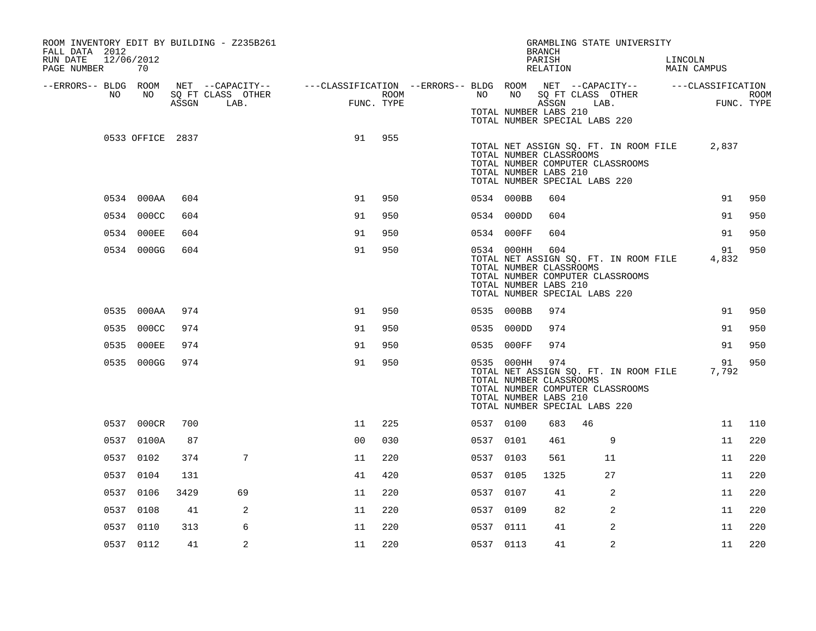| ROOM INVENTORY EDIT BY BUILDING - Z235B261<br>FALL DATA 2012<br>RUN DATE<br>12/06/2012 |                  |       |                                                                                                                     |    |            |           |                                                                                                 | <b>BRANCH</b><br>PARISH |    | GRAMBLING STATE UNIVERSITY                                                | LINCOLN |                                             |      |
|----------------------------------------------------------------------------------------|------------------|-------|---------------------------------------------------------------------------------------------------------------------|----|------------|-----------|-------------------------------------------------------------------------------------------------|-------------------------|----|---------------------------------------------------------------------------|---------|---------------------------------------------|------|
| PAGE NUMBER                                                                            | 70               |       |                                                                                                                     |    |            |           |                                                                                                 | RELATION                |    |                                                                           |         | MAIN CAMPUS                                 |      |
| --ERRORS-- BLDG ROOM<br>NO                                                             | NO               |       | NET --CAPACITY-- - ---CLASSIFICATION --ERRORS-- BLDG ROOM NET --CAPACITY-- - ---CLASSIFICATION<br>SQ FT CLASS OTHER |    | ROOM       | NO        | NO 11                                                                                           |                         |    | SQ FT CLASS OTHER                                                         |         |                                             | ROOM |
|                                                                                        |                  | ASSGN | LAB.                                                                                                                |    | FUNC. TYPE |           | TOTAL NUMBER LABS 210<br>TOTAL NUMBER SPECIAL LABS 220                                          | ASSGN                   |    | LAB.                                                                      |         | FUNC. TYPE                                  |      |
|                                                                                        | 0533 OFFICE 2837 |       |                                                                                                                     | 91 | 955        |           | TOTAL NUMBER CLASSROOMS<br>TOTAL NUMBER LABS 210<br>TOTAL NUMBER SPECIAL LABS 220               |                         |    | TOTAL NUMBER COMPUTER CLASSROOMS                                          |         | TOTAL NET ASSIGN SQ. FT. IN ROOM FILE 2,837 |      |
|                                                                                        | 0534 000AA       | 604   |                                                                                                                     | 91 | 950        |           | 0534 000BB                                                                                      | 604                     |    |                                                                           |         | 91                                          | 950  |
|                                                                                        | 0534 000CC       | 604   |                                                                                                                     | 91 | 950        |           | 0534 000DD                                                                                      | 604                     |    |                                                                           |         | 91                                          | 950  |
|                                                                                        | 0534 000EE       | 604   |                                                                                                                     | 91 | 950        |           | 0534 000FF                                                                                      | 604                     |    |                                                                           |         | 91                                          | 950  |
|                                                                                        | 0534 000GG       | 604   |                                                                                                                     | 91 | 950        |           | 0534 000HH<br>TOTAL NUMBER CLASSROOMS<br>TOTAL NUMBER LABS 210<br>TOTAL NUMBER SPECIAL LABS 220 | 604                     |    | TOTAL NET ASSIGN SQ. FT. IN ROOM FILE<br>TOTAL NUMBER COMPUTER CLASSROOMS |         | 91<br>4,832                                 | 950  |
|                                                                                        | 0535 000AA       | 974   |                                                                                                                     | 91 | 950        |           | 0535 000BB                                                                                      | 974                     |    |                                                                           |         | 91                                          | 950  |
|                                                                                        | 0535 000CC       | 974   |                                                                                                                     | 91 | 950        |           | 0535 000DD                                                                                      | 974                     |    |                                                                           |         | 91                                          | 950  |
|                                                                                        | 0535 000EE       | 974   |                                                                                                                     | 91 | 950        |           | 0535 000FF                                                                                      | 974                     |    |                                                                           |         | 91                                          | 950  |
|                                                                                        | 0535 000GG       | 974   |                                                                                                                     | 91 | 950        |           | 0535 000HH<br>TOTAL NUMBER CLASSROOMS<br>TOTAL NUMBER LABS 210<br>TOTAL NUMBER SPECIAL LABS 220 | 974                     |    | TOTAL NET ASSIGN SQ. FT. IN ROOM FILE<br>TOTAL NUMBER COMPUTER CLASSROOMS |         | 91<br>7,792                                 | 950  |
|                                                                                        | 0537 000CR       | 700   |                                                                                                                     | 11 | 225        | 0537 0100 |                                                                                                 | 683                     | 46 |                                                                           |         | 11                                          | 110  |
|                                                                                        | 0537 0100A       | 87    |                                                                                                                     | 00 | 030        | 0537 0101 |                                                                                                 | 461                     |    | 9                                                                         |         | 11                                          | 220  |
|                                                                                        | 0537 0102        | 374   | 7                                                                                                                   | 11 | 220        | 0537 0103 |                                                                                                 | 561                     |    | 11                                                                        |         | 11                                          | 220  |
|                                                                                        | 0537 0104        | 131   |                                                                                                                     | 41 | 420        | 0537 0105 |                                                                                                 | 1325                    |    | 27                                                                        |         | 11                                          | 220  |
|                                                                                        | 0537 0106        | 3429  | 69                                                                                                                  | 11 | 220        | 0537 0107 |                                                                                                 | 41                      |    | 2                                                                         |         | 11                                          | 220  |
|                                                                                        | 0537 0108        | 41    | 2                                                                                                                   | 11 | 220        | 0537 0109 |                                                                                                 | 82                      |    | 2                                                                         |         | 11                                          | 220  |
|                                                                                        | 0537 0110        | 313   | 6                                                                                                                   | 11 | 220        | 0537 0111 |                                                                                                 | 41                      |    | 2                                                                         |         | 11                                          | 220  |
|                                                                                        | 0537 0112        | 41    | 2                                                                                                                   | 11 | 220        | 0537 0113 |                                                                                                 | 41                      |    | 2                                                                         |         | 11                                          | 220  |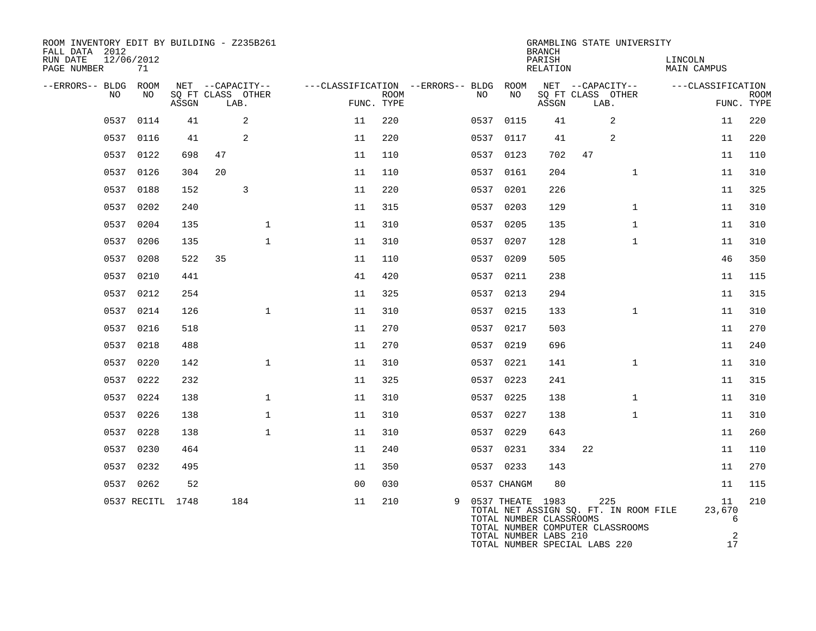| ROOM INVENTORY EDIT BY BUILDING - Z235B261<br>FALL DATA 2012<br>RUN DATE<br>12/06/2012<br>PAGE NUMBER | 71               |       |                           |                  |                                        |                           |   |           |                                                                                                       | <b>BRANCH</b><br>PARISH<br>RELATION |    | GRAMBLING STATE UNIVERSITY                                                       | LINCOLN<br>MAIN CAMPUS |                                       |             |
|-------------------------------------------------------------------------------------------------------|------------------|-------|---------------------------|------------------|----------------------------------------|---------------------------|---|-----------|-------------------------------------------------------------------------------------------------------|-------------------------------------|----|----------------------------------------------------------------------------------|------------------------|---------------------------------------|-------------|
| --ERRORS-- BLDG ROOM                                                                                  |                  |       |                           | NET --CAPACITY-- | ---CLASSIFICATION --ERRORS-- BLDG ROOM |                           |   |           |                                                                                                       |                                     |    | NET --CAPACITY--                                                                 | ---CLASSIFICATION      |                                       |             |
| NO.                                                                                                   | NO.              | ASSGN | SQ FT CLASS OTHER<br>LAB. |                  |                                        | <b>ROOM</b><br>FUNC. TYPE |   | NO.       | NO                                                                                                    | ASSGN                               |    | SQ FT CLASS OTHER<br>LAB.                                                        |                        | FUNC. TYPE                            | <b>ROOM</b> |
| 0537                                                                                                  | 0114             | 41    |                           | 2                | 11                                     | 220                       |   | 0537 0115 |                                                                                                       | 41                                  |    | 2                                                                                |                        | 11                                    | 220         |
|                                                                                                       | 0537 0116        | 41    |                           | 2                | 11                                     | 220                       |   | 0537      | 0117                                                                                                  | 41                                  |    | 2                                                                                |                        | 11                                    | 220         |
|                                                                                                       | 0537 0122        | 698   | 47                        |                  | 11                                     | 110                       |   | 0537 0123 |                                                                                                       | 702                                 | 47 |                                                                                  |                        | 11                                    | 110         |
|                                                                                                       | 0537 0126        | 304   | 20                        |                  | 11                                     | 110                       |   | 0537      | 0161                                                                                                  | 204                                 |    | $\mathbf{1}$                                                                     |                        | 11                                    | 310         |
|                                                                                                       | 0537 0188        | 152   |                           | 3                | 11                                     | 220                       |   |           | 0537 0201                                                                                             | 226                                 |    |                                                                                  |                        | 11                                    | 325         |
|                                                                                                       | 0537 0202        | 240   |                           |                  | 11                                     | 315                       |   | 0537      | 0203                                                                                                  | 129                                 |    | $\mathbf{1}$                                                                     |                        | 11                                    | 310         |
|                                                                                                       | 0537 0204        | 135   |                           | $\mathbf 1$      | 11                                     | 310                       |   | 0537 0205 |                                                                                                       | 135                                 |    | $\mathbf{1}$                                                                     |                        | 11                                    | 310         |
| 0537                                                                                                  | 0206             | 135   |                           | $\mathbf{1}$     | 11                                     | 310                       |   | 0537      | 0207                                                                                                  | 128                                 |    | $\mathbf{1}$                                                                     |                        | 11                                    | 310         |
| 0537                                                                                                  | 0208             | 522   | 35                        |                  | 11                                     | 110                       |   | 0537 0209 |                                                                                                       | 505                                 |    |                                                                                  |                        | 46                                    | 350         |
| 0537                                                                                                  | 0210             | 441   |                           |                  | 41                                     | 420                       |   | 0537 0211 |                                                                                                       | 238                                 |    |                                                                                  |                        | 11                                    | 115         |
| 0537                                                                                                  | 0212             | 254   |                           |                  | 11                                     | 325                       |   | 0537 0213 |                                                                                                       | 294                                 |    |                                                                                  |                        | 11                                    | 315         |
| 0537                                                                                                  | 0214             | 126   |                           | $\mathbf 1$      | 11                                     | 310                       |   | 0537 0215 |                                                                                                       | 133                                 |    | $\mathbf{1}$                                                                     |                        | 11                                    | 310         |
| 0537                                                                                                  | 0216             | 518   |                           |                  | 11                                     | 270                       |   | 0537 0217 |                                                                                                       | 503                                 |    |                                                                                  |                        | 11                                    | 270         |
| 0537                                                                                                  | 0218             | 488   |                           |                  | 11                                     | 270                       |   | 0537 0219 |                                                                                                       | 696                                 |    |                                                                                  |                        | 11                                    | 240         |
|                                                                                                       | 0537 0220        | 142   |                           | $\mathbf{1}$     | 11                                     | 310                       |   | 0537 0221 |                                                                                                       | 141                                 |    | $\mathbf{1}$                                                                     |                        | 11                                    | 310         |
| 0537                                                                                                  | 0222             | 232   |                           |                  | 11                                     | 325                       |   | 0537 0223 |                                                                                                       | 241                                 |    |                                                                                  |                        | 11                                    | 315         |
| 0537                                                                                                  | 0224             | 138   |                           | $\mathbf{1}$     | 11                                     | 310                       |   | 0537 0225 |                                                                                                       | 138                                 |    | $\mathbf{1}$                                                                     |                        | 11                                    | 310         |
|                                                                                                       | 0537 0226        | 138   |                           | $\mathbf 1$      | 11                                     | 310                       |   | 0537 0227 |                                                                                                       | 138                                 |    | $\mathbf{1}$                                                                     |                        | 11                                    | 310         |
| 0537                                                                                                  | 0228             | 138   |                           | $\mathbf{1}$     | 11                                     | 310                       |   | 0537      | 0229                                                                                                  | 643                                 |    |                                                                                  |                        | 11                                    | 260         |
|                                                                                                       | 0537 0230        | 464   |                           |                  | 11                                     | 240                       |   |           | 0537 0231                                                                                             | 334                                 | 22 |                                                                                  |                        | 11                                    | 110         |
|                                                                                                       | 0537 0232        | 495   |                           |                  | 11                                     | 350                       |   | 0537 0233 |                                                                                                       | 143                                 |    |                                                                                  |                        | 11                                    | 270         |
|                                                                                                       | 0537 0262        | 52    |                           |                  | 0 <sub>0</sub>                         | 030                       |   |           | 0537 CHANGM                                                                                           | 80                                  |    |                                                                                  |                        | 11                                    | 115         |
|                                                                                                       | 0537 RECITL 1748 |       |                           | 184              | 11                                     | 210                       | 9 |           | 0537 THEATE 1983<br>TOTAL NUMBER CLASSROOMS<br>TOTAL NUMBER LABS 210<br>TOTAL NUMBER SPECIAL LABS 220 |                                     |    | 225<br>TOTAL NET ASSIGN SQ. FT. IN ROOM FILE<br>TOTAL NUMBER COMPUTER CLASSROOMS |                        | 11<br>23,670<br>6<br>$\sqrt{2}$<br>17 | 210         |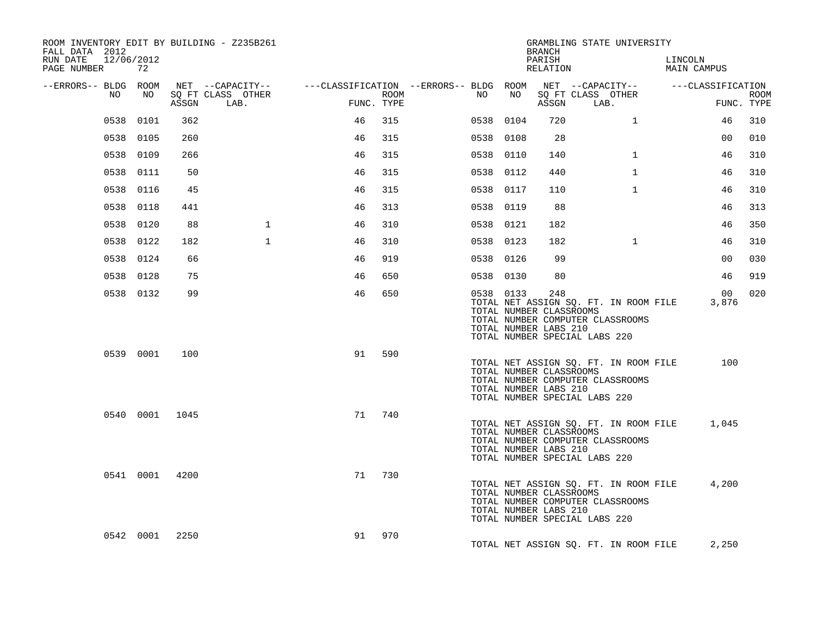| ROOM INVENTORY EDIT BY BUILDING - Z235B261<br>FALL DATA 2012 |                |       |                                       |                                        |      |           |    | BRANCH                                                  | GRAMBLING STATE UNIVERSITY                                                                                 |                        |                          |             |
|--------------------------------------------------------------|----------------|-------|---------------------------------------|----------------------------------------|------|-----------|----|---------------------------------------------------------|------------------------------------------------------------------------------------------------------------|------------------------|--------------------------|-------------|
| RUN DATE 12/06/2012<br>PAGE NUMBER                           | 72             |       |                                       |                                        |      |           |    | PARISH<br>RELATION                                      |                                                                                                            | LINCOLN<br>MAIN CAMPUS |                          |             |
| --ERRORS-- BLDG ROOM<br>NO.                                  | NO             |       | NET --CAPACITY--<br>SQ FT CLASS OTHER | ---CLASSIFICATION --ERRORS-- BLDG ROOM | ROOM | NO.       | NO |                                                         | NET --CAPACITY-- ---CLASSIFICATION<br>SQ FT CLASS OTHER                                                    |                        |                          | <b>ROOM</b> |
|                                                              |                | ASSGN | LAB.                                  | FUNC. TYPE                             |      |           |    | ASSGN                                                   | LAB.                                                                                                       |                        | FUNC. TYPE               |             |
| 0538                                                         | 0101           | 362   |                                       | 46                                     | 315  | 0538 0104 |    | 720                                                     | $\mathbf{1}$                                                                                               |                        | 46                       | 310         |
|                                                              | 0538 0105      | 260   |                                       | 46                                     | 315  | 0538 0108 |    | 28                                                      |                                                                                                            |                        | 0 <sup>0</sup>           | 010         |
|                                                              | 0538 0109      | 266   |                                       | 46                                     | 315  | 0538 0110 |    | 140                                                     | $\mathbf{1}$                                                                                               |                        | 46                       | 310         |
|                                                              | 0538 0111      | 50    |                                       | 46                                     | 315  | 0538 0112 |    | 440                                                     | $\mathbf{1}$                                                                                               |                        | 46                       | 310         |
|                                                              | 0538 0116      | 45    |                                       | 46                                     | 315  | 0538 0117 |    | 110                                                     | $\mathbf{1}$                                                                                               |                        | 46                       | 310         |
|                                                              | 0538 0118      | 441   |                                       | 46                                     | 313  | 0538 0119 |    | 88                                                      |                                                                                                            |                        | 46                       | 313         |
|                                                              | 0538 0120      | 88    | $\mathbf{1}$                          | 46                                     | 310  | 0538 0121 |    | 182                                                     |                                                                                                            |                        | 46                       | 350         |
|                                                              | 0538 0122      | 182   | $\mathbf{1}$                          | 46                                     | 310  | 0538 0123 |    | 182                                                     | $\mathbf{1}$                                                                                               |                        | 46                       | 310         |
|                                                              | 0538 0124      | 66    |                                       | 46                                     | 919  | 0538 0126 |    | 99                                                      |                                                                                                            |                        | 0 <sub>0</sub>           | 030         |
|                                                              | 0538 0128      | 75    |                                       | 46                                     | 650  | 0538 0130 |    | 80                                                      |                                                                                                            |                        | 46                       | 919         |
|                                                              | 0538 0132      | 99    |                                       | 46                                     | 650  | 0538 0133 |    | 248<br>TOTAL NUMBER CLASSROOMS<br>TOTAL NUMBER LABS 210 | TOTAL NET ASSIGN SQ. FT. IN ROOM FILE<br>TOTAL NUMBER COMPUTER CLASSROOMS<br>TOTAL NUMBER SPECIAL LABS 220 |                        | 00 <sup>1</sup><br>3,876 | 020         |
|                                                              | 0539 0001      | 100   |                                       | 91                                     | 590  |           |    | TOTAL NUMBER CLASSROOMS<br>TOTAL NUMBER LABS 210        | TOTAL NET ASSIGN SQ. FT. IN ROOM FILE<br>TOTAL NUMBER COMPUTER CLASSROOMS<br>TOTAL NUMBER SPECIAL LABS 220 |                        | 100                      |             |
|                                                              | 0540 0001      | 1045  |                                       | 71                                     | 740  |           |    | TOTAL NUMBER CLASSROOMS<br>TOTAL NUMBER LABS 210        | TOTAL NET ASSIGN SQ. FT. IN ROOM FILE<br>TOTAL NUMBER COMPUTER CLASSROOMS<br>TOTAL NUMBER SPECIAL LABS 220 |                        | 1,045                    |             |
|                                                              | 0541 0001 4200 |       |                                       | 71                                     | 730  |           |    | TOTAL NUMBER CLASSROOMS<br>TOTAL NUMBER LABS 210        | TOTAL NET ASSIGN SQ. FT. IN ROOM FILE<br>TOTAL NUMBER COMPUTER CLASSROOMS<br>TOTAL NUMBER SPECIAL LABS 220 |                        | 4,200                    |             |
|                                                              | 0542 0001      | 2250  |                                       | 91                                     | 970  |           |    |                                                         | TOTAL NET ASSIGN SQ. FT. IN ROOM FILE                                                                      |                        | 2,250                    |             |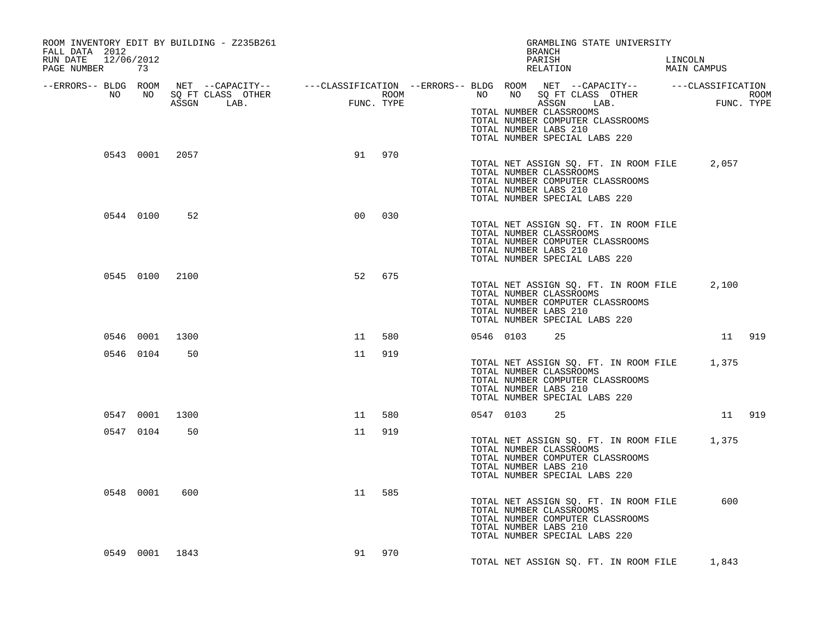| ROOM INVENTORY EDIT BY BUILDING - Z235B261<br>FALL DATA 2012<br>RUN DATE 12/06/2012<br>PAGE NUMBER 73 |                |                |                |        |           |           | GRAMBLING STATE UNIVERSITY<br><b>BRANCH</b><br>PARISH<br>RELATION                                                                                                    | LINCOLN | MAIN CAMPUS |  |
|-------------------------------------------------------------------------------------------------------|----------------|----------------|----------------|--------|-----------|-----------|----------------------------------------------------------------------------------------------------------------------------------------------------------------------|---------|-------------|--|
|                                                                                                       |                |                |                |        |           |           | TOTAL NUMBER CLASSROOMS<br>TOTAL NUMBER COMPUTER CLASSROOMS<br>TOTAL NUMBER LABS 210<br>TOTAL NUMBER SPECIAL LABS 220                                                |         |             |  |
|                                                                                                       |                | 0543 0001 2057 |                | 91 970 |           |           | TOTAL NET ASSIGN SQ. FT. IN ROOM FILE 2,057<br>TOTAL NUMBER CLASSROOMS<br>TOTAL NUMBER COMPUTER CLASSROOMS<br>TOTAL NUMBER LABS 210<br>TOTAL NUMBER SPECIAL LABS 220 |         |             |  |
|                                                                                                       | 0544 0100      | 52             | 0 <sub>0</sub> | 030    |           |           | TOTAL NET ASSIGN SQ. FT. IN ROOM FILE<br>TOTAL NUMBER CLASSROOMS<br>TOTAL NUMBER COMPUTER CLASSROOMS<br>TOTAL NUMBER LABS 210<br>TOTAL NUMBER SPECIAL LABS 220       |         |             |  |
|                                                                                                       | 0545 0100 2100 |                | 52             | 675    |           |           | TOTAL NET ASSIGN SQ. FT. IN ROOM FILE 2,100<br>TOTAL NUMBER CLASSROOMS<br>TOTAL NUMBER COMPUTER CLASSROOMS<br>TOTAL NUMBER LABS 210<br>TOTAL NUMBER SPECIAL LABS 220 |         |             |  |
|                                                                                                       | 0546 0001 1300 |                | 11             | 580    |           | 0546 0103 | 25                                                                                                                                                                   |         | 11 919      |  |
|                                                                                                       | 0546 0104      | 50             | 11             | 919    |           |           | TOTAL NET ASSIGN SQ. FT. IN ROOM FILE 1,375<br>TOTAL NUMBER CLASSROOMS<br>TOTAL NUMBER COMPUTER CLASSROOMS<br>TOTAL NUMBER LABS 210<br>TOTAL NUMBER SPECIAL LABS 220 |         |             |  |
|                                                                                                       | 0547 0001      | 1300           | 11             | 580    | 0547 0103 |           | 25                                                                                                                                                                   |         | 11 919      |  |
|                                                                                                       | 0547 0104      | 50             | 11             | 919    |           |           | TOTAL NET ASSIGN SQ. FT. IN ROOM FILE 1,375<br>TOTAL NUMBER CLASSROOMS<br>TOTAL NUMBER COMPUTER CLASSROOMS<br>TOTAL NUMBER LABS 210<br>TOTAL NUMBER SPECIAL LABS 220 |         |             |  |
|                                                                                                       | 0548 0001      | 600            | 11             | 585    |           |           | TOTAL NET ASSIGN SQ. FT. IN ROOM FILE<br>TOTAL NUMBER CLASSROOMS<br>TOTAL NUMBER COMPUTER CLASSROOMS<br>TOTAL NUMBER LABS 210<br>TOTAL NUMBER SPECIAL LABS 220       |         | 600         |  |
|                                                                                                       | 0549 0001 1843 |                | 91             | 970    |           |           | TOTAL NET ASSIGN SQ. FT. IN ROOM FILE 1,843                                                                                                                          |         |             |  |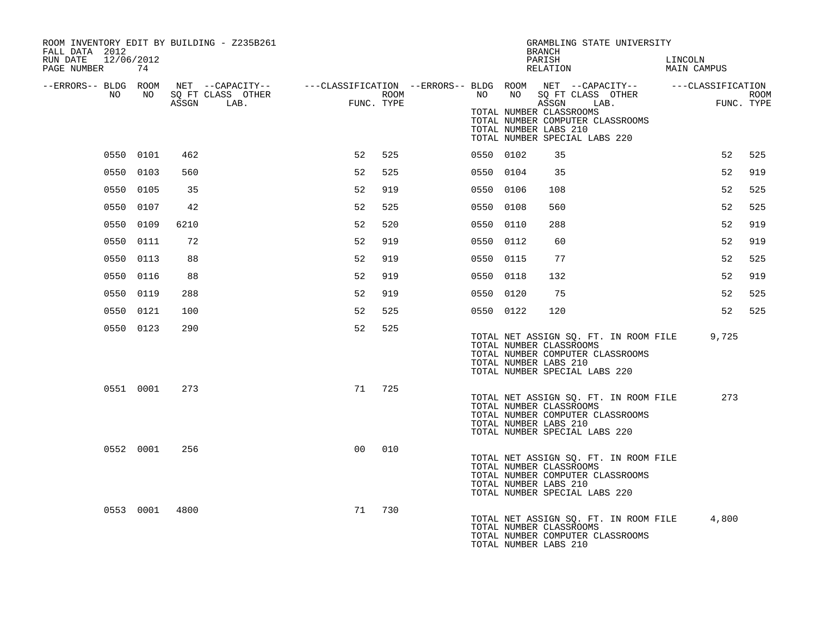| ROOM INVENTORY EDIT BY BUILDING - Z235B261<br>FALL DATA 2012 |           |      |                   |                |      |           |    | GRAMBLING STATE UNIVERSITY<br><b>BRANCH</b>                                                                                                                    |                        |            |
|--------------------------------------------------------------|-----------|------|-------------------|----------------|------|-----------|----|----------------------------------------------------------------------------------------------------------------------------------------------------------------|------------------------|------------|
| RUN DATE<br>12/06/2012<br>PAGE NUMBER                        | 74        |      |                   |                |      |           |    | PARISH<br>RELATION                                                                                                                                             | LINCOLN<br>MAIN CAMPUS |            |
| --ERRORS-- BLDG ROOM<br>NO                                   | NO .      |      | SQ FT CLASS OTHER |                | ROOM | NO        | NO | NET --CAPACITY-- - ---CLASSIFICATION --ERRORS-- BLDG ROOM NET --CAPACITY-- - ---CLASSIFICATION<br>SQ FT CLASS OTHER                                            |                        | ROOM       |
|                                                              |           |      | ASSGN LAB.        | FUNC. TYPE     |      |           |    | ASSGN<br>LAB.<br>TOTAL NUMBER CLASSROOMS<br>TOTAL NUMBER COMPUTER CLASSROOMS<br>TOTAL NUMBER LABS 210<br>TOTAL NUMBER SPECIAL LABS 220                         |                        | FUNC. TYPE |
|                                                              | 0550 0101 | 462  |                   | 52             | 525  | 0550 0102 |    | 35                                                                                                                                                             | 52                     | 525        |
|                                                              | 0550 0103 | 560  |                   | 52             | 525  | 0550 0104 |    | 35                                                                                                                                                             | 52                     | 919        |
|                                                              | 0550 0105 | 35   |                   | 52             | 919  | 0550 0106 |    | 108                                                                                                                                                            | 52                     | 525        |
|                                                              | 0550 0107 | 42   |                   | 52             | 525  | 0550 0108 |    | 560                                                                                                                                                            | 52                     | 525        |
|                                                              | 0550 0109 | 6210 |                   | 52             | 520  | 0550 0110 |    | 288                                                                                                                                                            | 52                     | 919        |
|                                                              | 0550 0111 | 72   |                   | 52             | 919  | 0550 0112 |    | 60                                                                                                                                                             | 52                     | 919        |
|                                                              | 0550 0113 | 88   |                   | 52             | 919  | 0550 0115 |    | 77                                                                                                                                                             | 52                     | 525        |
|                                                              | 0550 0116 | 88   |                   | 52             | 919  | 0550 0118 |    | 132                                                                                                                                                            | 52                     | 919        |
|                                                              | 0550 0119 | 288  |                   | 52             | 919  | 0550 0120 |    | 75                                                                                                                                                             | 52                     | 525        |
|                                                              | 0550 0121 | 100  |                   | 52             | 525  | 0550 0122 |    | 120                                                                                                                                                            | 52                     | 525        |
|                                                              | 0550 0123 | 290  |                   | 52             | 525  |           |    | TOTAL NET ASSIGN SQ. FT. IN ROOM FILE<br>TOTAL NUMBER CLASSROOMS<br>TOTAL NUMBER COMPUTER CLASSROOMS<br>TOTAL NUMBER LABS 210<br>TOTAL NUMBER SPECIAL LABS 220 | 9,725                  |            |
|                                                              | 0551 0001 | 273  |                   | 71             | 725  |           |    | TOTAL NET ASSIGN SQ. FT. IN ROOM FILE<br>TOTAL NUMBER CLASSROOMS<br>TOTAL NUMBER COMPUTER CLASSROOMS<br>TOTAL NUMBER LABS 210<br>TOTAL NUMBER SPECIAL LABS 220 | 273                    |            |
|                                                              | 0552 0001 | 256  |                   | 0 <sup>0</sup> | 010  |           |    | TOTAL NET ASSIGN SQ. FT. IN ROOM FILE<br>TOTAL NUMBER CLASSROOMS<br>TOTAL NUMBER COMPUTER CLASSROOMS<br>TOTAL NUMBER LABS 210<br>TOTAL NUMBER SPECIAL LABS 220 |                        |            |
|                                                              | 0553 0001 | 4800 |                   | 71             | 730  |           |    | TOTAL NET ASSIGN SQ. FT. IN ROOM FILE<br>TOTAL NUMBER CLASSROOMS<br>TOTAL NUMBER COMPUTER CLASSROOMS<br>TOTAL NUMBER LABS 210                                  | 4,800                  |            |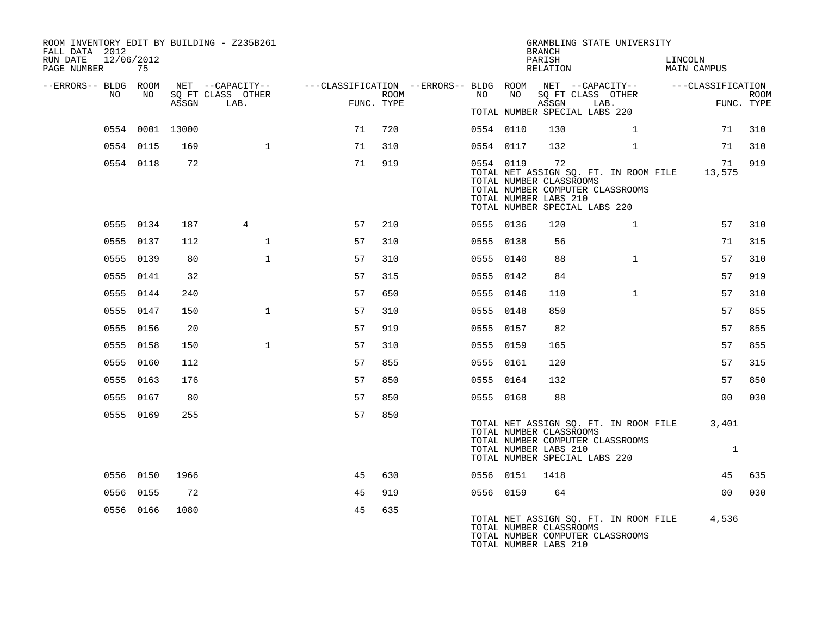| ROOM INVENTORY EDIT BY BUILDING - Z235B261<br>FALL DATA 2012<br>RUN DATE<br>PAGE NUMBER | 12/06/2012<br>75 |       |                           |                                                                                                                               |      |           |           | <b>BRANCH</b><br>PARISH<br>RELATION                    | GRAMBLING STATE UNIVERSITY                                                                                        | LINCOLN<br>MAIN CAMPUS |                           |
|-----------------------------------------------------------------------------------------|------------------|-------|---------------------------|-------------------------------------------------------------------------------------------------------------------------------|------|-----------|-----------|--------------------------------------------------------|-------------------------------------------------------------------------------------------------------------------|------------------------|---------------------------|
| --ERRORS-- BLDG ROOM<br>NO                                                              | NO               | ASSGN | SQ FT CLASS OTHER<br>LAB. | NET --CAPACITY-- - ---CLASSIFICATION --ERRORS-- BLDG ROOM NET --CAPACITY-- - ---CLASSIFICATION<br>$\frac{1}{2}$<br>FUNC. TYPE | ROOM | NO        | NO        | ASSGN                                                  | SQ FT CLASS OTHER<br>LAB.<br>TOTAL NUMBER SPECIAL LABS 220                                                        |                        | <b>ROOM</b><br>FUNC. TYPE |
|                                                                                         | 0554 0001 13000  |       |                           | 71                                                                                                                            | 720  | 0554 0110 |           | 130                                                    | $\mathbf{1}$                                                                                                      | 71                     | 310                       |
|                                                                                         | 0554 0115        | 169   | 1                         | 71                                                                                                                            | 310  | 0554 0117 |           | 132                                                    | $\mathbf{1}$                                                                                                      | 71                     | 310                       |
|                                                                                         | 0554 0118        | 72    |                           | 71                                                                                                                            | 919  |           | 0554 0119 | 72<br>TOTAL NUMBER CLASSROOMS<br>TOTAL NUMBER LABS 210 | TOTAL NET ASSIGN SQ. FT. IN ROOM FILE 13,575<br>TOTAL NUMBER COMPUTER CLASSROOMS<br>TOTAL NUMBER SPECIAL LABS 220 | 71                     | 919                       |
|                                                                                         | 0555 0134        | 187   | $\overline{4}$            | 57                                                                                                                            | 210  | 0555 0136 |           | 120                                                    | $\mathbf{1}$                                                                                                      | 57                     | 310                       |
|                                                                                         | 0555 0137        | 112   | $\mathbf{1}$              | 57                                                                                                                            | 310  | 0555 0138 |           | 56                                                     |                                                                                                                   | 71                     | 315                       |
|                                                                                         | 0555 0139        | 80    | $\mathbf{1}$              | 57                                                                                                                            | 310  | 0555 0140 |           | 88                                                     | $\mathbf{1}$                                                                                                      | 57                     | 310                       |
|                                                                                         | 0555 0141        | 32    |                           | 57                                                                                                                            | 315  | 0555 0142 |           | 84                                                     |                                                                                                                   | 57                     | 919                       |
|                                                                                         | 0555 0144        | 240   |                           | 57                                                                                                                            | 650  | 0555 0146 |           | 110                                                    | $\mathbf{1}$                                                                                                      | 57                     | 310                       |
|                                                                                         | 0555 0147        | 150   | $\mathbf{1}$              | 57                                                                                                                            | 310  | 0555 0148 |           | 850                                                    |                                                                                                                   | 57                     | 855                       |
|                                                                                         | 0555 0156        | 20    |                           | 57                                                                                                                            | 919  | 0555 0157 |           | 82                                                     |                                                                                                                   | 57                     | 855                       |
|                                                                                         | 0555 0158        | 150   | $\mathbf{1}$              | 57                                                                                                                            | 310  | 0555 0159 |           | 165                                                    |                                                                                                                   | 57                     | 855                       |
|                                                                                         | 0555 0160        | 112   |                           | 57                                                                                                                            | 855  | 0555 0161 |           | 120                                                    |                                                                                                                   | 57                     | 315                       |
|                                                                                         | 0555 0163        | 176   |                           | 57                                                                                                                            | 850  | 0555 0164 |           | 132                                                    |                                                                                                                   | 57                     | 850                       |
|                                                                                         | 0555 0167        | 80    |                           | 57                                                                                                                            | 850  | 0555 0168 |           | 88                                                     |                                                                                                                   | 00                     | 030                       |
|                                                                                         | 0555 0169        | 255   |                           | 57                                                                                                                            | 850  |           |           | TOTAL NUMBER CLASSROOMS<br>TOTAL NUMBER LABS 210       | TOTAL NET ASSIGN SQ. FT. IN ROOM FILE<br>TOTAL NUMBER COMPUTER CLASSROOMS<br>TOTAL NUMBER SPECIAL LABS 220        | 3,401<br>1             |                           |
|                                                                                         | 0556 0150        | 1966  |                           | 45                                                                                                                            | 630  |           | 0556 0151 | 1418                                                   |                                                                                                                   | 45                     | 635                       |
|                                                                                         | 0556 0155        | 72    |                           | 45                                                                                                                            | 919  | 0556 0159 |           | 64                                                     |                                                                                                                   | 00 <sup>o</sup>        | 030                       |
|                                                                                         | 0556 0166        | 1080  |                           | 45                                                                                                                            | 635  |           |           | TOTAL NUMBER CLASSROOMS<br>TOTAL NUMBER LABS 210       | TOTAL NET ASSIGN SQ. FT. IN ROOM FILE 4,536<br>TOTAL NUMBER COMPUTER CLASSROOMS                                   |                        |                           |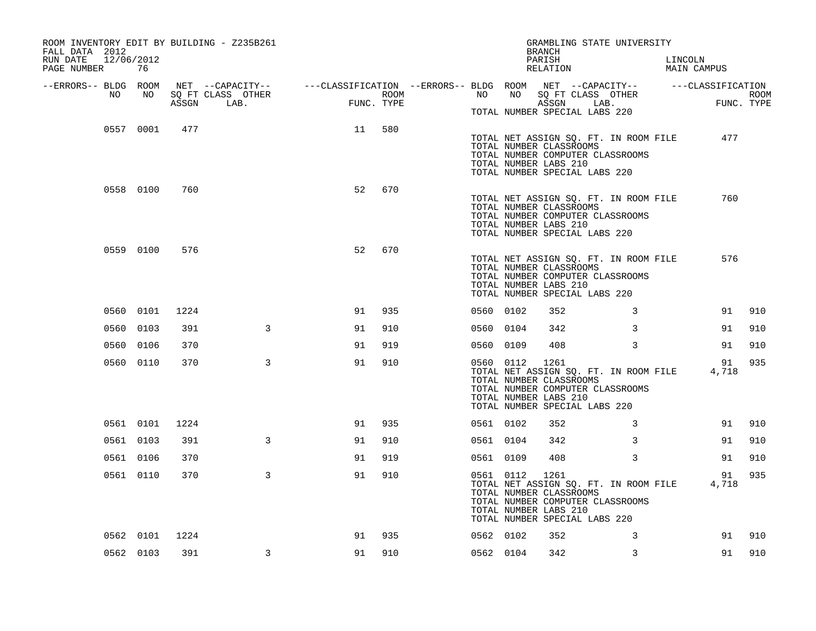| ROOM INVENTORY EDIT BY BUILDING - Z235B261<br>FALL DATA 2012<br>RUN DATE<br>12/06/2012<br>PAGE NUMBER | 76        |      |                                                                                                                     |                                                                                                                                                                                                                                                                                                                                                                                                                                    |            |           |    | GRAMBLING STATE UNIVERSITY<br><b>BRANCH</b><br>PARISH<br>RELATION                                                                                                            |   | LINCOLN<br>MAIN CAMPUS |             |             |
|-------------------------------------------------------------------------------------------------------|-----------|------|---------------------------------------------------------------------------------------------------------------------|------------------------------------------------------------------------------------------------------------------------------------------------------------------------------------------------------------------------------------------------------------------------------------------------------------------------------------------------------------------------------------------------------------------------------------|------------|-----------|----|------------------------------------------------------------------------------------------------------------------------------------------------------------------------------|---|------------------------|-------------|-------------|
| --ERRORS-- BLDG ROOM<br>NO                                                                            | NO        |      | NET --CAPACITY-- - ---CLASSIFICATION --ERRORS-- BLDG ROOM NET --CAPACITY-- - ---CLASSIFICATION<br>SO FT CLASS OTHER |                                                                                                                                                                                                                                                                                                                                                                                                                                    | ROOM       | NO        | NO |                                                                                                                                                                              |   |                        |             | <b>ROOM</b> |
|                                                                                                       |           |      | ASSGN LAB.                                                                                                          | $\label{eq:2.1} \frac{1}{\sqrt{2}}\int_{0}^{2\pi} \frac{1}{\sqrt{2}}\left(\frac{1}{\sqrt{2}}\right)^{2} \frac{1}{\sqrt{2}}\left(\frac{1}{\sqrt{2}}\right)^{2} \frac{1}{\sqrt{2}}\left(\frac{1}{\sqrt{2}}\right)^{2} \frac{1}{\sqrt{2}}\left(\frac{1}{\sqrt{2}}\right)^{2} \frac{1}{\sqrt{2}}\left(\frac{1}{\sqrt{2}}\right)^{2} \frac{1}{\sqrt{2}}\left(\frac{1}{\sqrt{2}}\right)^{2} \frac{1}{\sqrt{2}}\left(\frac{1}{\sqrt{2}}\$ | FUNC. TYPE |           |    | SQ FT CLASS OTHER<br>ASSGN LAB.<br>TOTAL NUMBER SPECIAL LABS 220                                                                                                             |   |                        | FUNC. TYPE  |             |
|                                                                                                       | 0557 0001 | 477  |                                                                                                                     | 11                                                                                                                                                                                                                                                                                                                                                                                                                                 | 580        |           |    | TOTAL NET ASSIGN SQ. FT. IN ROOM FILE<br>TOTAL NUMBER CLASSROOMS<br>TOTAL NUMBER COMPUTER CLASSROOMS<br>TOTAL NUMBER LABS 210<br>TOTAL NUMBER SPECIAL LABS 220               |   |                        | 477         |             |
|                                                                                                       | 0558 0100 | 760  |                                                                                                                     | 52                                                                                                                                                                                                                                                                                                                                                                                                                                 | 670        |           |    | TOTAL NET ASSIGN SQ. FT. IN ROOM FILE<br>TOTAL NUMBER CLASSROOMS<br>TOTAL NUMBER COMPUTER CLASSROOMS<br>TOTAL NUMBER LABS 210<br>TOTAL NUMBER SPECIAL LABS 220               |   |                        | 760         |             |
|                                                                                                       | 0559 0100 | 576  |                                                                                                                     | 52                                                                                                                                                                                                                                                                                                                                                                                                                                 | 670        |           |    | TOTAL NET ASSIGN SQ. FT. IN ROOM FILE<br>TOTAL NUMBER CLASSROOMS<br>TOTAL NUMBER COMPUTER CLASSROOMS<br>TOTAL NUMBER LABS 210<br>TOTAL NUMBER SPECIAL LABS 220               |   |                        | 576         |             |
|                                                                                                       | 0560 0101 | 1224 |                                                                                                                     | 91                                                                                                                                                                                                                                                                                                                                                                                                                                 | 935        | 0560 0102 |    | 352                                                                                                                                                                          | 3 |                        | 91          | 910         |
|                                                                                                       | 0560 0103 | 391  | $\overline{3}$                                                                                                      | 91                                                                                                                                                                                                                                                                                                                                                                                                                                 | 910        | 0560 0104 |    | 342                                                                                                                                                                          | 3 |                        | 91          | 910         |
|                                                                                                       | 0560 0106 | 370  |                                                                                                                     | 91                                                                                                                                                                                                                                                                                                                                                                                                                                 | 919        | 0560 0109 |    | 408                                                                                                                                                                          | 3 |                        | 91          | 910         |
|                                                                                                       | 0560 0110 | 370  | $\mathbf{3}$                                                                                                        | 91                                                                                                                                                                                                                                                                                                                                                                                                                                 | 910        | 0560 0112 |    | 1261<br>TOTAL NET ASSIGN SQ. FT. IN ROOM FILE<br>TOTAL NUMBER CLASSROOMS<br>TOTAL NUMBER COMPUTER CLASSROOMS<br>TOTAL NUMBER LABS 210<br>TOTAL NUMBER SPECIAL LABS 220       |   |                        | 91<br>4,718 | 935         |
|                                                                                                       | 0561 0101 | 1224 |                                                                                                                     | 91                                                                                                                                                                                                                                                                                                                                                                                                                                 | 935        | 0561 0102 |    | 352                                                                                                                                                                          | 3 |                        | 91          | 910         |
|                                                                                                       | 0561 0103 | 391  | $\mathbf{3}$                                                                                                        | 91                                                                                                                                                                                                                                                                                                                                                                                                                                 | 910        | 0561 0104 |    | 342                                                                                                                                                                          | 3 |                        | 91          | 910         |
|                                                                                                       | 0561 0106 | 370  |                                                                                                                     | 91                                                                                                                                                                                                                                                                                                                                                                                                                                 | 919        | 0561 0109 |    | 408                                                                                                                                                                          | 3 |                        | 91          | 910         |
|                                                                                                       | 0561 0110 | 370  | $\mathbf{3}$                                                                                                        | 91                                                                                                                                                                                                                                                                                                                                                                                                                                 | 910        | 0561 0112 |    | 1261<br>TOTAL NET ASSIGN SQ. FT. IN ROOM FILE 4,718<br>TOTAL NUMBER CLASSROOMS<br>TOTAL NUMBER COMPUTER CLASSROOMS<br>TOTAL NUMBER LABS 210<br>TOTAL NUMBER SPECIAL LABS 220 |   |                        | 91          | 935         |
|                                                                                                       | 0562 0101 | 1224 |                                                                                                                     | 91                                                                                                                                                                                                                                                                                                                                                                                                                                 | 935        | 0562 0102 |    | 352                                                                                                                                                                          | 3 |                        | 91          | 910         |
|                                                                                                       | 0562 0103 | 391  | 3                                                                                                                   | 91                                                                                                                                                                                                                                                                                                                                                                                                                                 | 910        | 0562 0104 |    | 342                                                                                                                                                                          | 3 |                        | 91          | 910         |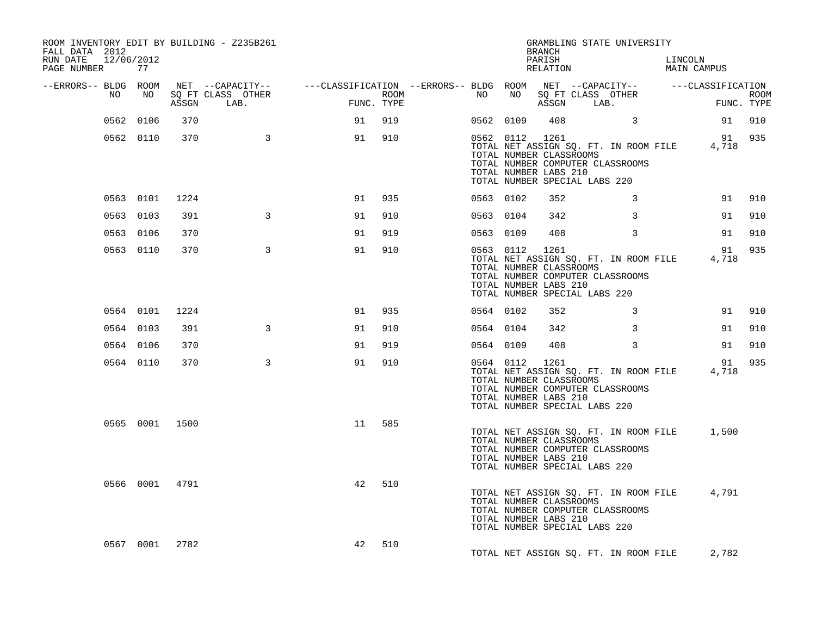| ROOM INVENTORY EDIT BY BUILDING - Z235B261<br>FALL DATA 2012<br>RUN DATE<br>12/06/2012<br>PAGE NUMBER | 77        |                |                                 |                                                                                                                                                                                                                                   |            |      |           |           | BRANCH<br>PARISH<br>RELATION                                       | GRAMBLING STATE UNIVERSITY                                                                                       |   | LINCOLN<br>MAIN CAMPUS |        |                           |
|-------------------------------------------------------------------------------------------------------|-----------|----------------|---------------------------------|-----------------------------------------------------------------------------------------------------------------------------------------------------------------------------------------------------------------------------------|------------|------|-----------|-----------|--------------------------------------------------------------------|------------------------------------------------------------------------------------------------------------------|---|------------------------|--------|---------------------------|
| --ERRORS-- BLDG ROOM                                                                                  |           |                |                                 | NET --CAPACITY-- ----CLASSIFICATION --ERRORS-- BLDG ROOM NET --CAPACITY-- ------CLASSIFICATION                                                                                                                                    |            |      |           |           |                                                                    |                                                                                                                  |   |                        |        |                           |
| NO                                                                                                    | NO        |                | SQ FT CLASS OTHER<br>ASSGN LAB. | and a complete the second service of the service of the service of the service of the service of the service o<br>Service of the service of the service of the service of the service of the service of the service of the servic | FUNC. TYPE | ROOM | NO        | NO        |                                                                    | SQ FT CLASS OTHER<br>ASSGN LAB.                                                                                  |   | $\mathbf{F}$           |        | <b>ROOM</b><br>FUNC. TYPE |
|                                                                                                       | 0562 0106 | 370            |                                 | 91                                                                                                                                                                                                                                | 919        |      |           | 0562 0109 | 408                                                                | $\sim$ 3                                                                                                         |   |                        | 91     | 910                       |
|                                                                                                       | 0562 0110 | 370            | $\overline{\phantom{a}}$        | 91                                                                                                                                                                                                                                | 910        |      |           |           | 0562 0112 1261<br>TOTAL NUMBER CLASSROOMS<br>TOTAL NUMBER LABS 210 | TOTAL NET ASSIGN SQ. FT. IN ROOM FILE 4,718<br>TOTAL NUMBER COMPUTER CLASSROOMS<br>TOTAL NUMBER SPECIAL LABS 220 |   |                        | 91 935 |                           |
|                                                                                                       | 0563 0101 | 1224           |                                 | 91                                                                                                                                                                                                                                | 935        |      |           | 0563 0102 | 352                                                                |                                                                                                                  | 3 |                        | 91 910 |                           |
|                                                                                                       | 0563 0103 | 391            | 3                               | 91                                                                                                                                                                                                                                | 910        |      | 0563 0104 |           | 342                                                                |                                                                                                                  | 3 |                        | 91     | 910                       |
|                                                                                                       | 0563 0106 | 370            |                                 | 91                                                                                                                                                                                                                                | 919        |      | 0563 0109 |           | 408                                                                |                                                                                                                  | 3 |                        | 91     | 910                       |
|                                                                                                       | 0563 0110 | 370            | $\mathbf{3}$                    | 91                                                                                                                                                                                                                                | 910        |      |           |           | 0563 0112 1261<br>TOTAL NUMBER CLASSROOMS<br>TOTAL NUMBER LABS 210 | TOTAL NET ASSIGN SQ. FT. IN ROOM FILE 4,718<br>TOTAL NUMBER COMPUTER CLASSROOMS<br>TOTAL NUMBER SPECIAL LABS 220 |   |                        | 91     | 935                       |
|                                                                                                       | 0564 0101 | 1224           |                                 | 91                                                                                                                                                                                                                                | 935        |      |           | 0564 0102 | 352                                                                |                                                                                                                  | 3 |                        | 91 910 |                           |
|                                                                                                       | 0564 0103 | 391            | 3                               | 91                                                                                                                                                                                                                                | 910        |      | 0564 0104 |           | 342                                                                |                                                                                                                  | 3 |                        | 91     | 910                       |
|                                                                                                       | 0564 0106 | 370            |                                 | 91                                                                                                                                                                                                                                | 919        |      | 0564 0109 |           | 408                                                                |                                                                                                                  | 3 |                        | 91     | 910                       |
|                                                                                                       | 0564 0110 | 370            | $\overline{3}$                  | 91                                                                                                                                                                                                                                | 910        |      |           |           | 0564 0112 1261<br>TOTAL NUMBER CLASSROOMS<br>TOTAL NUMBER LABS 210 | TOTAL NET ASSIGN SQ. FT. IN ROOM FILE 4,718<br>TOTAL NUMBER COMPUTER CLASSROOMS<br>TOTAL NUMBER SPECIAL LABS 220 |   |                        | 91     | 935                       |
|                                                                                                       |           | 0565 0001 1500 |                                 | 11                                                                                                                                                                                                                                | 585        |      |           |           | TOTAL NUMBER CLASSROOMS<br>TOTAL NUMBER LABS 210                   | TOTAL NET ASSIGN SQ. FT. IN ROOM FILE<br>TOTAL NUMBER COMPUTER CLASSROOMS<br>TOTAL NUMBER SPECIAL LABS 220       |   |                        | 1,500  |                           |
|                                                                                                       |           | 0566 0001 4791 |                                 | 42                                                                                                                                                                                                                                | 510        |      |           |           | TOTAL NUMBER CLASSROOMS<br>TOTAL NUMBER LABS 210                   | TOTAL NET ASSIGN SQ. FT. IN ROOM FILE<br>TOTAL NUMBER COMPUTER CLASSROOMS<br>TOTAL NUMBER SPECIAL LABS 220       |   |                        | 4,791  |                           |
|                                                                                                       |           | 0567 0001 2782 |                                 | 42                                                                                                                                                                                                                                | 510        |      |           |           |                                                                    | TOTAL NET ASSIGN SQ. FT. IN ROOM FILE                                                                            |   |                        | 2,782  |                           |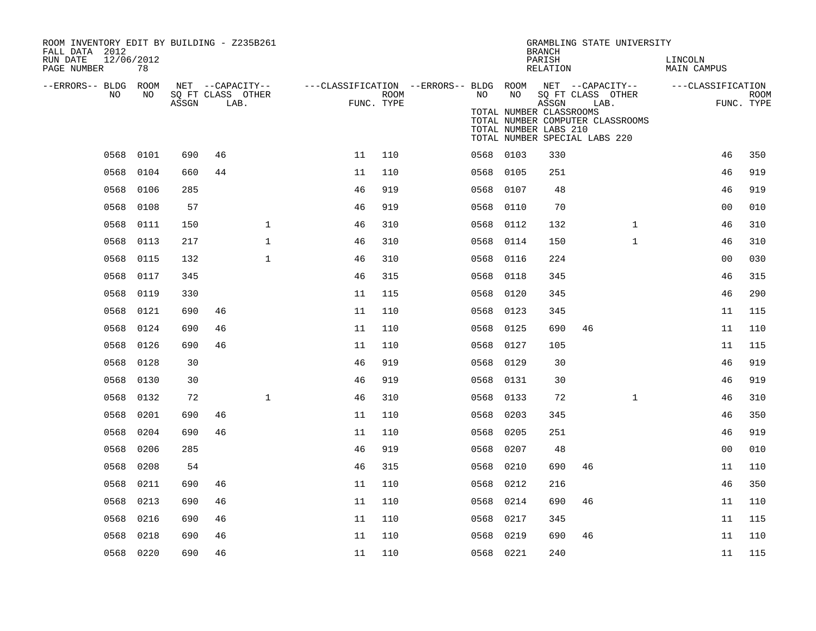| ROOM INVENTORY EDIT BY BUILDING - Z235B261<br>FALL DATA 2012 |           |       |    |                                       |                                                         |            |      |           | <b>BRANCH</b>                    | GRAMBLING STATE UNIVERSITY                                        |              |                        |             |
|--------------------------------------------------------------|-----------|-------|----|---------------------------------------|---------------------------------------------------------|------------|------|-----------|----------------------------------|-------------------------------------------------------------------|--------------|------------------------|-------------|
| RUN DATE<br>12/06/2012<br>PAGE NUMBER                        | 78        |       |    |                                       |                                                         |            |      |           | PARISH<br>RELATION               |                                                                   |              | LINCOLN<br>MAIN CAMPUS |             |
| --ERRORS-- BLDG ROOM<br>NO.                                  | NO        |       |    | NET --CAPACITY--<br>SQ FT CLASS OTHER | ---CLASSIFICATION --ERRORS-- BLDG ROOM NET --CAPACITY-- | ROOM       | NO   | NO        |                                  | SQ FT CLASS OTHER                                                 |              | ---CLASSIFICATION      | <b>ROOM</b> |
|                                                              |           | ASSGN |    | LAB.                                  |                                                         | FUNC. TYPE |      |           | ASSGN<br>TOTAL NUMBER CLASSROOMS | LAB.                                                              |              |                        | FUNC. TYPE  |
|                                                              |           |       |    |                                       |                                                         |            |      |           | TOTAL NUMBER LABS 210            | TOTAL NUMBER COMPUTER CLASSROOMS<br>TOTAL NUMBER SPECIAL LABS 220 |              |                        |             |
| 0568                                                         | 0101      | 690   | 46 |                                       | 11                                                      | 110        |      | 0568 0103 | 330                              |                                                                   |              | 46                     | 350         |
| 0568                                                         | 0104      | 660   | 44 |                                       | 11                                                      | 110        |      | 0568 0105 | 251                              |                                                                   |              | 46                     | 919         |
| 0568                                                         | 0106      | 285   |    |                                       | 46                                                      | 919        |      | 0568 0107 | 48                               |                                                                   |              | 46                     | 919         |
| 0568                                                         | 0108      | 57    |    |                                       | 46                                                      | 919        |      | 0568 0110 | 70                               |                                                                   |              | 0 <sub>0</sub>         | 010         |
| 0568                                                         | 0111      | 150   |    | $\mathbf{1}$                          | 46                                                      | 310        |      | 0568 0112 | 132                              |                                                                   | $\mathbf{1}$ | 46                     | 310         |
| 0568                                                         | 0113      | 217   |    | $\mathbf{1}$                          | 46                                                      | 310        |      | 0568 0114 | 150                              |                                                                   | $\mathbf{1}$ | 46                     | 310         |
| 0568                                                         | 0115      | 132   |    | $\mathbf{1}$                          | 46                                                      | 310        | 0568 | 0116      | 224                              |                                                                   |              | 0 <sub>0</sub>         | 030         |
| 0568                                                         | 0117      | 345   |    |                                       | 46                                                      | 315        |      | 0568 0118 | 345                              |                                                                   |              | 46                     | 315         |
| 0568                                                         | 0119      | 330   |    |                                       | 11                                                      | 115        | 0568 | 0120      | 345                              |                                                                   |              | 46                     | 290         |
| 0568                                                         | 0121      | 690   | 46 |                                       | 11                                                      | 110        | 0568 | 0123      | 345                              |                                                                   |              | 11                     | 115         |
| 0568                                                         | 0124      | 690   | 46 |                                       | 11                                                      | 110        | 0568 | 0125      | 690                              | 46                                                                |              | 11                     | 110         |
| 0568                                                         | 0126      | 690   | 46 |                                       | 11                                                      | 110        | 0568 | 0127      | 105                              |                                                                   |              | 11                     | 115         |
| 0568                                                         | 0128      | 30    |    |                                       | 46                                                      | 919        |      | 0568 0129 | 30                               |                                                                   |              | 46                     | 919         |
| 0568                                                         | 0130      | 30    |    |                                       | 46                                                      | 919        |      | 0568 0131 | 30                               |                                                                   |              | 46                     | 919         |
| 0568                                                         | 0132      | 72    |    | $\mathbf{1}$                          | 46                                                      | 310        |      | 0568 0133 | 72                               |                                                                   | $\mathbf{1}$ | 46                     | 310         |
| 0568                                                         | 0201      | 690   | 46 |                                       | 11                                                      | 110        | 0568 | 0203      | 345                              |                                                                   |              | 46                     | 350         |
| 0568                                                         | 0204      | 690   | 46 |                                       | 11                                                      | 110        | 0568 | 0205      | 251                              |                                                                   |              | 46                     | 919         |
| 0568                                                         | 0206      | 285   |    |                                       | 46                                                      | 919        | 0568 | 0207      | 48                               |                                                                   |              | 0 <sub>0</sub>         | 010         |
| 0568                                                         | 0208      | 54    |    |                                       | 46                                                      | 315        |      | 0568 0210 | 690                              | 46                                                                |              | 11                     | 110         |
| 0568                                                         | 0211      | 690   | 46 |                                       | 11                                                      | 110        | 0568 | 0212      | 216                              |                                                                   |              | 46                     | 350         |
| 0568                                                         | 0213      | 690   | 46 |                                       | 11                                                      | 110        |      | 0568 0214 | 690                              | 46                                                                |              | 11                     | 110         |
| 0568                                                         | 0216      | 690   | 46 |                                       | 11                                                      | 110        | 0568 | 0217      | 345                              |                                                                   |              | 11                     | 115         |
| 0568                                                         | 0218      | 690   | 46 |                                       | 11                                                      | 110        | 0568 | 0219      | 690                              | 46                                                                |              | 11                     | 110         |
|                                                              | 0568 0220 | 690   | 46 |                                       | 11                                                      | 110        |      | 0568 0221 | 240                              |                                                                   |              | 11                     | 115         |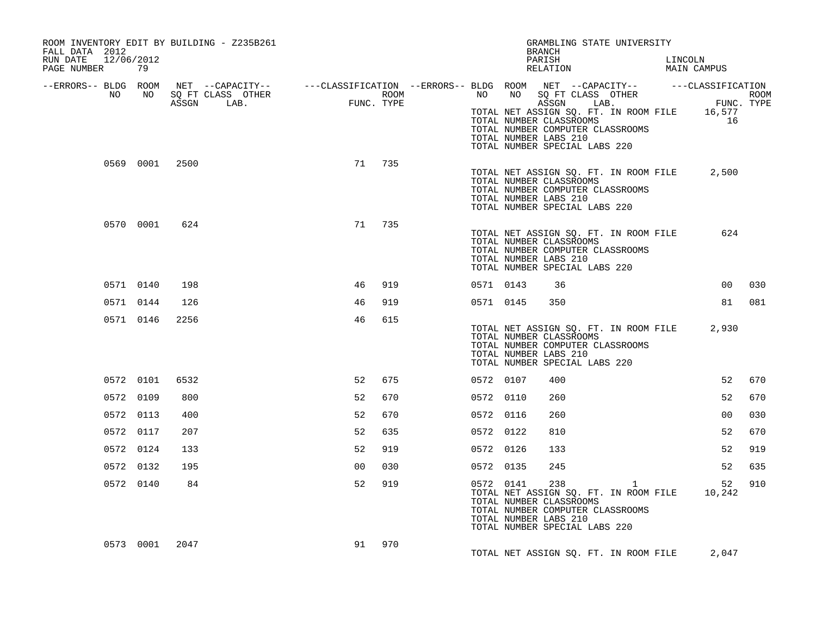| ROOM INVENTORY EDIT BY BUILDING - Z235B261<br>FALL DATA 2012<br>RUN DATE 12/06/2012<br>PAGE NUMBER 79                                                                                                                                |           |                |                |        |           |           | GRAMBLING STATE UNIVERSITY<br><b>BRANCH</b><br>PARISH LINCOLN RELATION MAIN CAMPUS                                                                                                       |  |                |        |
|--------------------------------------------------------------------------------------------------------------------------------------------------------------------------------------------------------------------------------------|-----------|----------------|----------------|--------|-----------|-----------|------------------------------------------------------------------------------------------------------------------------------------------------------------------------------------------|--|----------------|--------|
| ERRORS-- BLDG ROOM NET --CAPACITY--- --CLASSIFICATION--ERRORS-- BLDG ROOM NET --CAPACITY----------CLASSIFICATION--<br>ROOM MO SQ FT CLASS OTHER ROOM NO SQ FT CLASS OTHER ROOM NO SQ FT CLASS OTHER<br>ASSGN LAB. FUNC. TYPE ASSGN A |           |                |                |        |           |           | TOTAL NET ASSIGN SQ. FT. IN ROOM FILE 16,577<br>TOTAL NUMBER CLASSROOMS<br>TOTAL NUMBER COMPUTER CLASSROOMS<br>TOTAL NUMBER LABS 210<br>TOTAL NUMBER SPECIAL LABS 220                    |  | 16             |        |
|                                                                                                                                                                                                                                      |           | 0569 0001 2500 |                | 71 735 |           |           | TOTAL NET ASSIGN SQ. FT. IN ROOM FILE 2,500<br>TOTAL NUMBER CLASSROOMS<br>TOTAL NUMBER COMPUTER CLASSROOMS<br>TOTAL NUMBER LABS 210<br>TOTAL NUMBER SPECIAL LABS 220                     |  |                |        |
|                                                                                                                                                                                                                                      | 0570 0001 | 624            |                | 71 735 |           |           | TOTAL NET ASSIGN SQ. FT. IN ROOM FILE<br>TOTAL NUMBER CLASSROOMS<br>TOTAL NUMBER COMPUTER CLASSROOMS<br>TOTAL NUMBER LABS 210<br>TOTAL NUMBER SPECIAL LABS 220                           |  | 624            |        |
|                                                                                                                                                                                                                                      | 0571 0140 | 198            | 46             | 919    | 0571 0143 |           | 36                                                                                                                                                                                       |  | 0 <sub>0</sub> | 030    |
|                                                                                                                                                                                                                                      | 0571 0144 | 126            | 46             | 919    |           | 0571 0145 | 350                                                                                                                                                                                      |  |                | 81 081 |
|                                                                                                                                                                                                                                      | 0571 0146 | 2256           | 46             | 615    |           |           | TOTAL NET ASSIGN SQ. FT. IN ROOM FILE 2,930<br>TOTAL NUMBER CLASSROOMS<br>TOTAL NUMBER COMPUTER CLASSROOMS<br>TOTAL NUMBER LABS 210<br>TOTAL NUMBER SPECIAL LABS 220                     |  |                |        |
|                                                                                                                                                                                                                                      | 0572 0101 | 6532           | 52             | 675    | 0572 0107 |           | 400                                                                                                                                                                                      |  | 52             | 670    |
|                                                                                                                                                                                                                                      | 0572 0109 | 800            | 52             | 670    | 0572 0110 |           | 260                                                                                                                                                                                      |  | 52             | 670    |
|                                                                                                                                                                                                                                      | 0572 0113 | 400            | 52             | 670    | 0572 0116 |           | 260                                                                                                                                                                                      |  | 00             | 030    |
|                                                                                                                                                                                                                                      | 0572 0117 | 207            | 52             | 635    | 0572 0122 |           | 810                                                                                                                                                                                      |  | 52             | 670    |
|                                                                                                                                                                                                                                      | 0572 0124 | 133            | 52             | 919    | 0572 0126 |           | 133                                                                                                                                                                                      |  | 52             | 919    |
|                                                                                                                                                                                                                                      | 0572 0132 | 195            | 0 <sub>0</sub> | 030    | 0572 0135 |           | 245                                                                                                                                                                                      |  | 52             | 635    |
|                                                                                                                                                                                                                                      | 0572 0140 | 84             | 52             | 919    |           |           | 0572 0141 238 1<br>TOTAL NET ASSIGN SQ. FT. IN ROOM FILE 10,242<br>TOTAL NUMBER CLASSROOMS<br>TOTAL NUMBER COMPUTER CLASSROOMS<br>TOTAL NUMBER LABS 210<br>TOTAL NUMBER SPECIAL LABS 220 |  |                | 52 910 |
|                                                                                                                                                                                                                                      |           | 0573 0001 2047 |                | 91 970 |           |           | TOTAL NET ASSIGN SQ. FT. IN ROOM FILE                                                                                                                                                    |  | 2,047          |        |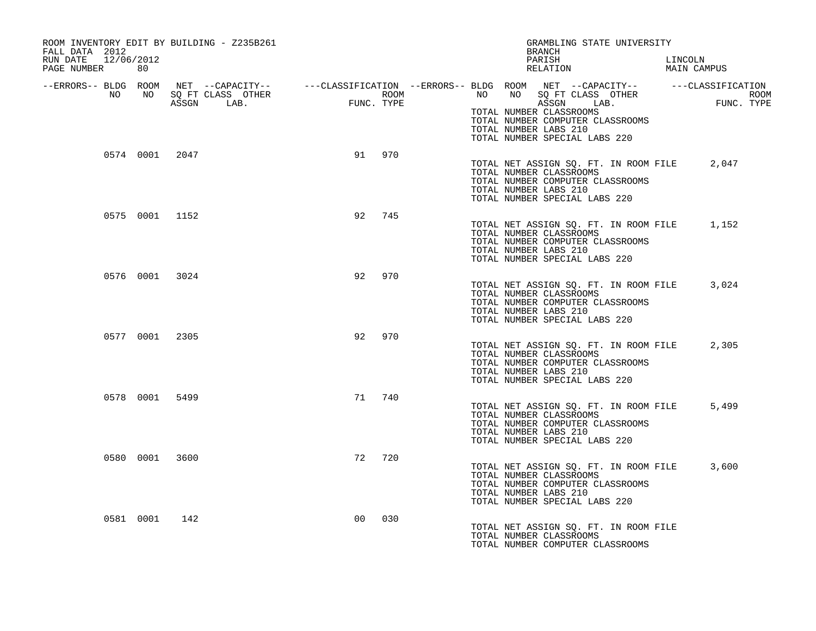| FALL DATA 2012<br>RUN DATE 12/06/2012 | ROOM INVENTORY EDIT BY BUILDING - Z235B261 |                                                                                                                                                                                                                                                                                                                                                                   | GRAMBLING STATE UNIVERSITY<br>BRANCH<br>PARISH                                                                                                                       | LINCOLN            |
|---------------------------------------|--------------------------------------------|-------------------------------------------------------------------------------------------------------------------------------------------------------------------------------------------------------------------------------------------------------------------------------------------------------------------------------------------------------------------|----------------------------------------------------------------------------------------------------------------------------------------------------------------------|--------------------|
| PAGE NUMBER 80                        |                                            |                                                                                                                                                                                                                                                                                                                                                                   | RELATION                                                                                                                                                             | MAIN CAMPUS        |
|                                       | ASSGN LAB.                                 | $\begin{picture}(20,20) \put(0,0){\line(1,0){10}} \put(15,0){\line(1,0){10}} \put(15,0){\line(1,0){10}} \put(15,0){\line(1,0){10}} \put(15,0){\line(1,0){10}} \put(15,0){\line(1,0){10}} \put(15,0){\line(1,0){10}} \put(15,0){\line(1,0){10}} \put(15,0){\line(1,0){10}} \put(15,0){\line(1,0){10}} \put(15,0){\line(1,0){10}} \put(15,0){\line(1$<br>FUNC. TYPE | ASSGN LAB.<br>TOTAL NUMBER CLASSROOMS<br>TOTAL NUMBER COMPUTER CLASSROOMS<br>TOTAL NUMBER LABS 210<br>TOTAL NUMBER SPECIAL LABS 220                                  | ROOM<br>FUNC. TYPE |
|                                       | 0574 0001 2047                             | 91 970                                                                                                                                                                                                                                                                                                                                                            | TOTAL NET ASSIGN SO. FT. IN ROOM FILE 2,047<br>TOTAL NUMBER CLASSROOMS<br>TOTAL NUMBER COMPUTER CLASSROOMS<br>TOTAL NUMBER LABS 210<br>TOTAL NUMBER SPECIAL LABS 220 |                    |
|                                       | 0575 0001 1152                             | 92<br>745                                                                                                                                                                                                                                                                                                                                                         | TOTAL NET ASSIGN SQ. FT. IN ROOM FILE 1,152<br>TOTAL NUMBER CLASSROOMS<br>TOTAL NUMBER COMPUTER CLASSROOMS<br>TOTAL NUMBER LABS 210<br>TOTAL NUMBER SPECIAL LABS 220 |                    |
| 0576 0001 3024                        |                                            | 970<br>92                                                                                                                                                                                                                                                                                                                                                         | TOTAL NET ASSIGN SO. FT. IN ROOM FILE 3,024<br>TOTAL NUMBER CLASSROOMS<br>TOTAL NUMBER COMPUTER CLASSROOMS<br>TOTAL NUMBER LABS 210<br>TOTAL NUMBER SPECIAL LABS 220 |                    |
| 0577 0001 2305                        |                                            | 92<br>970                                                                                                                                                                                                                                                                                                                                                         | TOTAL NET ASSIGN SQ. FT. IN ROOM FILE<br>TOTAL NUMBER CLASSROOMS<br>TOTAL NUMBER COMPUTER CLASSROOMS<br>TOTAL NUMBER LABS 210<br>TOTAL NUMBER SPECIAL LABS 220       | 2,305              |
|                                       | 0578 0001 5499                             | 71<br>740                                                                                                                                                                                                                                                                                                                                                         | TOTAL NET ASSIGN SQ. FT. IN ROOM FILE<br>TOTAL NUMBER CLASSROOMS<br>TOTAL NUMBER COMPUTER CLASSROOMS<br>TOTAL NUMBER LABS 210<br>TOTAL NUMBER SPECIAL LABS 220       | 5,499              |
| 0580 0001 3600                        |                                            | 72<br>720                                                                                                                                                                                                                                                                                                                                                         | TOTAL NET ASSIGN SQ. FT. IN ROOM FILE 3,600<br>TOTAL NUMBER CLASSROOMS<br>TOTAL NUMBER COMPUTER CLASSROOMS<br>TOTAL NUMBER LABS 210<br>TOTAL NUMBER SPECIAL LABS 220 |                    |
| 0581 0001 142                         |                                            | 030<br>00                                                                                                                                                                                                                                                                                                                                                         | TOTAL NET ASSIGN SQ. FT. IN ROOM FILE<br>TOTAL NUMBER CLASSROOMS<br>TOTAL NUMBER COMPUTER CLASSROOMS                                                                 |                    |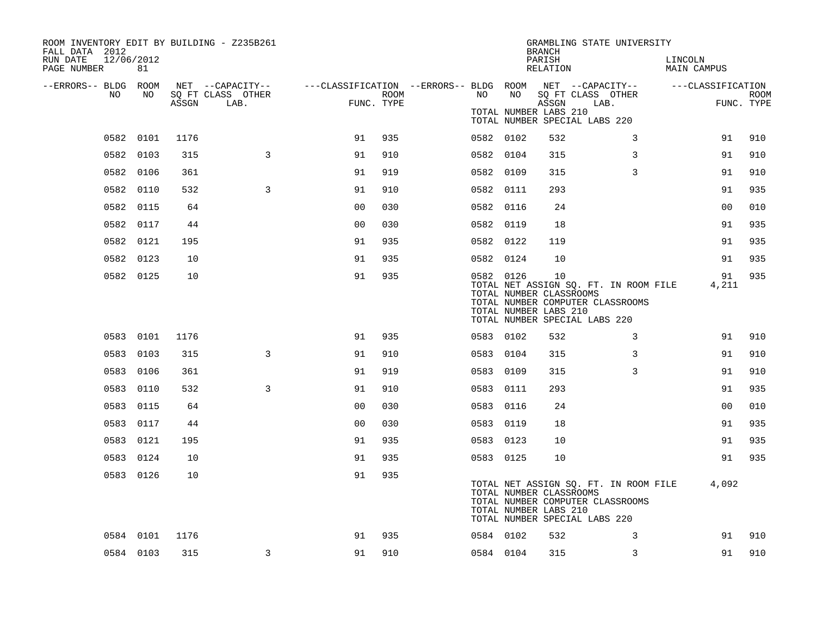| ROOM INVENTORY EDIT BY BUILDING - Z235B261<br>FALL DATA 2012<br>RUN DATE<br>12/06/2012 |           |       |                                       |                |      |           |                                                  | <b>BRANCH</b><br>PARISH | GRAMBLING STATE UNIVERSITY                                                                                 | LINCOLN            |             |
|----------------------------------------------------------------------------------------|-----------|-------|---------------------------------------|----------------|------|-----------|--------------------------------------------------|-------------------------|------------------------------------------------------------------------------------------------------------|--------------------|-------------|
| PAGE NUMBER                                                                            | 81        |       |                                       |                |      |           |                                                  | RELATION                |                                                                                                            | <b>MAIN CAMPUS</b> |             |
| --ERRORS-- BLDG ROOM<br>NO.                                                            | NO        |       | NET --CAPACITY--<br>SQ FT CLASS OTHER |                | ROOM | NO        | NO                                               |                         | ---CLASSIFICATION --ERRORS-- BLDG ROOM NET --CAPACITY--<br>SQ FT CLASS OTHER                               | ---CLASSIFICATION  | <b>ROOM</b> |
|                                                                                        |           | ASSGN | LAB.                                  | FUNC. TYPE     |      |           | TOTAL NUMBER LABS 210                            | ASSGN                   | LAB.<br>TOTAL NUMBER SPECIAL LABS 220                                                                      |                    | FUNC. TYPE  |
|                                                                                        | 0582 0101 | 1176  |                                       | 91             | 935  | 0582 0102 |                                                  | 532                     | 3                                                                                                          | 91                 | 910         |
|                                                                                        | 0582 0103 | 315   | 3                                     | 91             | 910  | 0582 0104 |                                                  | 315                     | 3                                                                                                          | 91                 | 910         |
|                                                                                        | 0582 0106 | 361   |                                       | 91             | 919  | 0582 0109 |                                                  | 315                     | 3                                                                                                          | 91                 | 910         |
|                                                                                        | 0582 0110 | 532   | 3                                     | 91             | 910  | 0582 0111 |                                                  | 293                     |                                                                                                            | 91                 | 935         |
|                                                                                        | 0582 0115 | 64    |                                       | 0 <sub>0</sub> | 030  | 0582 0116 |                                                  | 24                      |                                                                                                            | 00                 | 010         |
|                                                                                        | 0582 0117 | 44    |                                       | 0 <sub>0</sub> | 030  | 0582 0119 |                                                  | 18                      |                                                                                                            | 91                 | 935         |
|                                                                                        | 0582 0121 | 195   |                                       | 91             | 935  | 0582 0122 |                                                  | 119                     |                                                                                                            | 91                 | 935         |
|                                                                                        | 0582 0123 | 10    |                                       | 91             | 935  | 0582 0124 |                                                  | 10                      |                                                                                                            | 91                 | 935         |
|                                                                                        | 0582 0125 | 10    |                                       | 91             | 935  | 0582 0126 | TOTAL NUMBER CLASSROOMS<br>TOTAL NUMBER LABS 210 | 10                      | TOTAL NET ASSIGN SQ. FT. IN ROOM FILE<br>TOTAL NUMBER COMPUTER CLASSROOMS<br>TOTAL NUMBER SPECIAL LABS 220 | 91<br>4,211        | 935         |
|                                                                                        | 0583 0101 | 1176  |                                       | 91             | 935  | 0583 0102 |                                                  | 532                     | 3                                                                                                          | 91                 | 910         |
|                                                                                        | 0583 0103 | 315   | 3                                     | 91             | 910  | 0583 0104 |                                                  | 315                     | 3                                                                                                          | 91                 | 910         |
|                                                                                        | 0583 0106 | 361   |                                       | 91             | 919  | 0583 0109 |                                                  | 315                     | 3                                                                                                          | 91                 | 910         |
|                                                                                        | 0583 0110 | 532   | 3                                     | 91             | 910  | 0583 0111 |                                                  | 293                     |                                                                                                            | 91                 | 935         |
|                                                                                        | 0583 0115 | 64    |                                       | 0 <sub>0</sub> | 030  | 0583 0116 |                                                  | 24                      |                                                                                                            | 0 <sub>0</sub>     | 010         |
|                                                                                        | 0583 0117 | 44    |                                       | 0 <sub>0</sub> | 030  | 0583 0119 |                                                  | 18                      |                                                                                                            | 91                 | 935         |
|                                                                                        | 0583 0121 | 195   |                                       | 91             | 935  | 0583 0123 |                                                  | 10                      |                                                                                                            | 91                 | 935         |
|                                                                                        | 0583 0124 | 10    |                                       | 91             | 935  | 0583 0125 |                                                  | 10                      |                                                                                                            | 91                 | 935         |
|                                                                                        | 0583 0126 | 10    |                                       | 91             | 935  |           | TOTAL NUMBER CLASSROOMS<br>TOTAL NUMBER LABS 210 |                         | TOTAL NET ASSIGN SQ. FT. IN ROOM FILE<br>TOTAL NUMBER COMPUTER CLASSROOMS<br>TOTAL NUMBER SPECIAL LABS 220 | 4,092              |             |
|                                                                                        | 0584 0101 | 1176  |                                       | 91             | 935  | 0584 0102 |                                                  | 532                     | 3                                                                                                          | 91                 | 910         |
|                                                                                        | 0584 0103 | 315   | 3                                     | 91             | 910  | 0584 0104 |                                                  | 315                     | 3                                                                                                          | 91                 | 910         |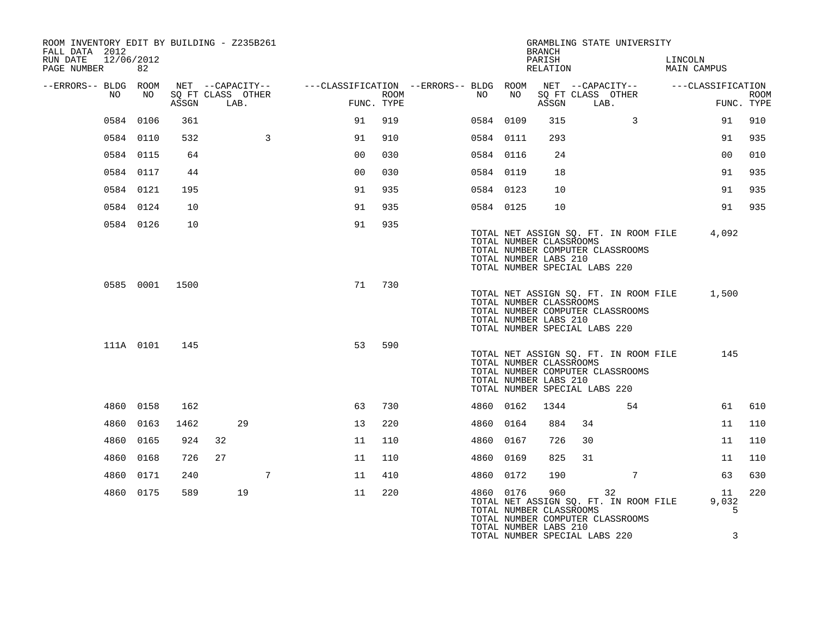| ROOM INVENTORY EDIT BY BUILDING - Z235B261<br>FALL DATA 2012<br>12/06/2012<br>RUN DATE |           |                |                                               |                                                         |                    |           |      | <b>BRANCH</b><br>PARISH                                                                  |    | GRAMBLING STATE UNIVERSITY                                                      | LINCOLN                         |             |
|----------------------------------------------------------------------------------------|-----------|----------------|-----------------------------------------------|---------------------------------------------------------|--------------------|-----------|------|------------------------------------------------------------------------------------------|----|---------------------------------------------------------------------------------|---------------------------------|-------------|
| PAGE NUMBER                                                                            | 82        |                |                                               |                                                         |                    |           |      | RELATION                                                                                 |    |                                                                                 | MAIN CAMPUS                     |             |
| --ERRORS-- BLDG ROOM<br>NO                                                             | NO        | ASSGN          | NET --CAPACITY--<br>SQ FT CLASS OTHER<br>LAB. | ---CLASSIFICATION --ERRORS-- BLDG ROOM NET --CAPACITY-- | ROOM<br>FUNC. TYPE | NO        | NO   | ASSGN                                                                                    |    | SQ FT CLASS OTHER<br>LAB.                                                       | ---CLASSIFICATION<br>FUNC. TYPE | <b>ROOM</b> |
|                                                                                        | 0584 0106 | 361            |                                               | 91                                                      | 919                | 0584 0109 |      | 315                                                                                      |    | $\mathbf{3}$                                                                    | 91                              | 910         |
|                                                                                        | 0584 0110 | 532            |                                               | 3<br>91                                                 | 910                | 0584 0111 |      | 293                                                                                      |    |                                                                                 | 91                              | 935         |
|                                                                                        | 0584 0115 | 64             |                                               | 00                                                      | 030                | 0584 0116 |      | 24                                                                                       |    |                                                                                 | 0 <sub>0</sub>                  | 010         |
|                                                                                        | 0584 0117 | 44             |                                               | 0 <sub>0</sub>                                          | 030                | 0584 0119 |      | 18                                                                                       |    |                                                                                 | 91                              | 935         |
|                                                                                        | 0584 0121 | 195            |                                               | 91                                                      | 935                | 0584 0123 |      | 10                                                                                       |    |                                                                                 | 91                              | 935         |
|                                                                                        | 0584 0124 | 10             |                                               | 91                                                      | 935                | 0584 0125 |      | 10                                                                                       |    |                                                                                 | 91                              | 935         |
|                                                                                        | 0584 0126 | 10             |                                               | 91                                                      | 935                |           |      |                                                                                          |    |                                                                                 |                                 |             |
|                                                                                        |           |                |                                               |                                                         |                    |           |      | TOTAL NUMBER CLASSROOMS<br>TOTAL NUMBER LABS 210<br>TOTAL NUMBER SPECIAL LABS 220        |    | TOTAL NET ASSIGN SQ. FT. IN ROOM FILE<br>TOTAL NUMBER COMPUTER CLASSROOMS       | 4,092                           |             |
|                                                                                        |           | 0585 0001 1500 |                                               | 71                                                      | 730                |           |      | TOTAL NUMBER CLASSROOMS<br>TOTAL NUMBER LABS 210<br>TOTAL NUMBER SPECIAL LABS 220        |    | TOTAL NET ASSIGN SQ. FT. IN ROOM FILE<br>TOTAL NUMBER COMPUTER CLASSROOMS       | 1,500                           |             |
|                                                                                        | 111A 0101 | 145            |                                               | 53                                                      | 590                |           |      | TOTAL NUMBER CLASSROOMS<br>TOTAL NUMBER LABS 210<br>TOTAL NUMBER SPECIAL LABS 220        |    | TOTAL NET ASSIGN SQ. FT. IN ROOM FILE<br>TOTAL NUMBER COMPUTER CLASSROOMS       | 145                             |             |
|                                                                                        | 4860 0158 | 162            |                                               | 63                                                      | 730                | 4860 0162 |      | 1344                                                                                     |    | 54                                                                              | 61                              | 610         |
| 4860                                                                                   | 0163      | 1462           | 29                                            | 13                                                      | 220                | 4860 0164 |      | 884                                                                                      | 34 |                                                                                 | 11                              | 110         |
| 4860                                                                                   | 0165      | 924            | 32                                            | 11                                                      | 110                | 4860      | 0167 | 726                                                                                      | 30 |                                                                                 | 11                              | 110         |
| 4860                                                                                   | 0168      | 726            | 27                                            | 11                                                      | 110                | 4860      | 0169 | 825                                                                                      | 31 |                                                                                 | 11                              | 110         |
| 4860                                                                                   | 0171      | 240            |                                               | 7<br>11                                                 | 410                | 4860 0172 |      | 190                                                                                      |    | $7\phantom{.0}$                                                                 | 63                              | 630         |
|                                                                                        | 4860 0175 | 589            | 19                                            | 11                                                      | 220                | 4860 0176 |      | 960<br>TOTAL NUMBER CLASSROOMS<br>TOTAL NUMBER LABS 210<br>TOTAL NUMBER SPECIAL LABS 220 |    | 32<br>TOTAL NET ASSIGN SQ. FT. IN ROOM FILE<br>TOTAL NUMBER COMPUTER CLASSROOMS | 11<br>9,032<br>5<br>3           | 220         |